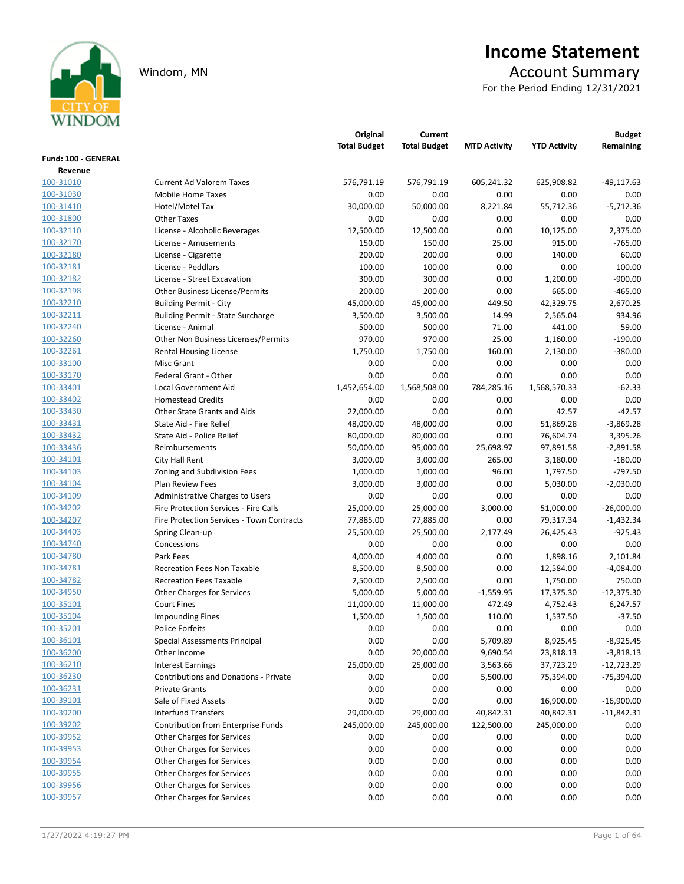

# Income Statement

Windom, MN Account Summary

For the Period Ending 12/31/2021

|                      |                                              | Original            | Current             |                     |                     | <b>Budget</b> |
|----------------------|----------------------------------------------|---------------------|---------------------|---------------------|---------------------|---------------|
|                      |                                              | <b>Total Budget</b> | <b>Total Budget</b> | <b>MTD Activity</b> | <b>YTD Activity</b> | Remaining     |
| Fund: 100 - GENERAL  |                                              |                     |                     |                     |                     |               |
| Revenue<br>100-31010 | <b>Current Ad Valorem Taxes</b>              | 576,791.19          | 576,791.19          | 605,241.32          | 625,908.82          | $-49,117.63$  |
| 100-31030            | Mobile Home Taxes                            | 0.00                | 0.00                | 0.00                | 0.00                | 0.00          |
| 100-31410            | Hotel/Motel Tax                              | 30,000.00           | 50,000.00           | 8,221.84            | 55,712.36           | $-5,712.36$   |
| 100-31800            | <b>Other Taxes</b>                           | 0.00                | 0.00                | 0.00                | 0.00                | 0.00          |
| 100-32110            | License - Alcoholic Beverages                | 12,500.00           | 12,500.00           | 0.00                | 10,125.00           | 2,375.00      |
| 100-32170            | License - Amusements                         | 150.00              | 150.00              | 25.00               | 915.00              | $-765.00$     |
| 100-32180            | License - Cigarette                          | 200.00              | 200.00              | 0.00                | 140.00              | 60.00         |
| 100-32181            | License - Peddlars                           | 100.00              | 100.00              | 0.00                | 0.00                | 100.00        |
| 100-32182            | License - Street Excavation                  | 300.00              | 300.00              | 0.00                | 1,200.00            | $-900.00$     |
| 100-32198            | <b>Other Business License/Permits</b>        | 200.00              | 200.00              | 0.00                | 665.00              | $-465.00$     |
| 100-32210            | <b>Building Permit - City</b>                | 45,000.00           | 45,000.00           | 449.50              | 42,329.75           | 2,670.25      |
| 100-32211            | <b>Building Permit - State Surcharge</b>     | 3,500.00            | 3,500.00            | 14.99               | 2,565.04            | 934.96        |
| 100-32240            | License - Animal                             | 500.00              | 500.00              | 71.00               | 441.00              | 59.00         |
| 100-32260            | Other Non Business Licenses/Permits          | 970.00              | 970.00              | 25.00               | 1,160.00            | $-190.00$     |
| 100-32261            | <b>Rental Housing License</b>                | 1,750.00            | 1,750.00            | 160.00              | 2,130.00            | $-380.00$     |
| 100-33100            | Misc Grant                                   | 0.00                | 0.00                | 0.00                | 0.00                | 0.00          |
| 100-33170            | Federal Grant - Other                        | 0.00                | 0.00                | 0.00                | 0.00                | 0.00          |
| 100-33401            | Local Government Aid                         | 1,452,654.00        | 1,568,508.00        | 784,285.16          | 1,568,570.33        | $-62.33$      |
| 100-33402            | <b>Homestead Credits</b>                     | 0.00                | 0.00                | 0.00                | 0.00                | 0.00          |
| 100-33430            | <b>Other State Grants and Aids</b>           | 22,000.00           | 0.00                | 0.00                | 42.57               | $-42.57$      |
| 100-33431            | State Aid - Fire Relief                      | 48,000.00           | 48,000.00           | 0.00                | 51,869.28           | $-3,869.28$   |
| 100-33432            | State Aid - Police Relief                    | 80,000.00           | 80,000.00           | 0.00                | 76,604.74           | 3,395.26      |
| 100-33436            | Reimbursements                               | 50,000.00           | 95,000.00           | 25,698.97           | 97,891.58           | $-2,891.58$   |
| 100-34101            | City Hall Rent                               | 3,000.00            | 3,000.00            | 265.00              | 3,180.00            | $-180.00$     |
| 100-34103            | Zoning and Subdivision Fees                  | 1,000.00            | 1,000.00            | 96.00               | 1,797.50            | $-797.50$     |
| 100-34104            | Plan Review Fees                             | 3,000.00            | 3,000.00            | 0.00                | 5,030.00            | $-2,030.00$   |
| 100-34109            | Administrative Charges to Users              | 0.00                | 0.00                | 0.00                | 0.00                | 0.00          |
| 100-34202            | Fire Protection Services - Fire Calls        | 25,000.00           | 25,000.00           | 3,000.00            | 51,000.00           | $-26,000.00$  |
| 100-34207            | Fire Protection Services - Town Contracts    | 77,885.00           | 77,885.00           | 0.00                | 79,317.34           | $-1,432.34$   |
| 100-34403            | Spring Clean-up                              | 25,500.00           | 25,500.00           | 2,177.49            | 26,425.43           | $-925.43$     |
| 100-34740            | Concessions                                  | 0.00                | 0.00                | 0.00                | 0.00                | 0.00          |
| 100-34780            | Park Fees                                    | 4,000.00            | 4,000.00            | 0.00                | 1,898.16            | 2,101.84      |
| 100-34781            | <b>Recreation Fees Non Taxable</b>           | 8,500.00            | 8,500.00            | 0.00                | 12,584.00           | $-4,084.00$   |
| 100-34782            | <b>Recreation Fees Taxable</b>               | 2,500.00            | 2,500.00            | 0.00                | 1,750.00            | 750.00        |
| 100-34950            | <b>Other Charges for Services</b>            | 5,000.00            | 5,000.00            | $-1,559.95$         | 17,375.30           | $-12,375.30$  |
| 100-35101            | <b>Court Fines</b>                           | 11,000.00           | 11,000.00           | 472.49              | 4,752.43            | 6,247.57      |
| 100-35104            | <b>Impounding Fines</b>                      | 1,500.00            | 1,500.00            | 110.00              | 1,537.50            | $-37.50$      |
| 100-35201            | <b>Police Forfeits</b>                       | 0.00                | 0.00                | 0.00                | 0.00                | 0.00          |
| 100-36101            | Special Assessments Principal                | 0.00                | 0.00                | 5,709.89            | 8,925.45            | $-8,925.45$   |
| 100-36200            | Other Income                                 | 0.00                | 20,000.00           | 9,690.54            | 23,818.13           | $-3,818.13$   |
| 100-36210            | <b>Interest Earnings</b>                     | 25,000.00           | 25,000.00           | 3,563.66            | 37,723.29           | $-12,723.29$  |
| 100-36230            | <b>Contributions and Donations - Private</b> | 0.00                | 0.00                | 5,500.00            | 75,394.00           | $-75,394.00$  |
| 100-36231            | <b>Private Grants</b>                        | 0.00                | 0.00                | 0.00                | 0.00                | 0.00          |
| 100-39101            | Sale of Fixed Assets                         | 0.00                | 0.00                | 0.00                | 16,900.00           | $-16,900.00$  |
| 100-39200            | <b>Interfund Transfers</b>                   | 29,000.00           | 29,000.00           | 40,842.31           | 40,842.31           | $-11,842.31$  |
| 100-39202            | Contribution from Enterprise Funds           | 245,000.00          | 245,000.00          | 122,500.00          | 245,000.00          | 0.00          |
| 100-39952            | <b>Other Charges for Services</b>            | 0.00                | 0.00                | 0.00                | 0.00                | 0.00          |
| 100-39953            | <b>Other Charges for Services</b>            | 0.00                | 0.00                | 0.00                | 0.00                | 0.00          |
| 100-39954            | Other Charges for Services                   | 0.00                | 0.00                | 0.00                | 0.00                | 0.00          |
| 100-39955            | Other Charges for Services                   | 0.00                | 0.00                | 0.00                | 0.00                | 0.00          |
| 100-39956            | Other Charges for Services                   | 0.00                | 0.00                | 0.00                | 0.00                | 0.00          |
| 100-39957            | Other Charges for Services                   | 0.00                | 0.00                | 0.00                | 0.00                | 0.00          |
|                      |                                              |                     |                     |                     |                     |               |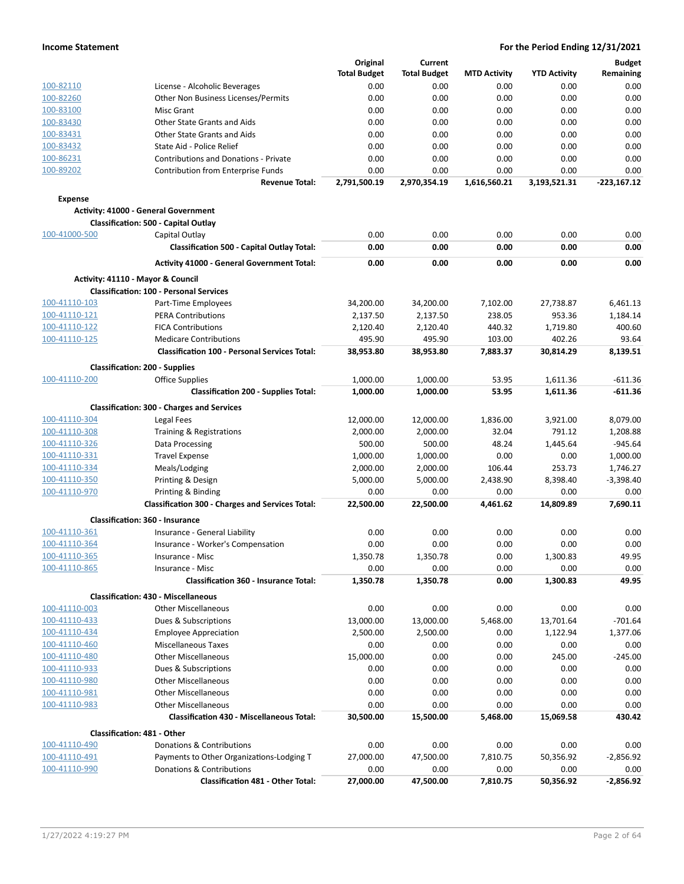| <b>Total Budget</b><br><b>MTD Activity</b><br><b>YTD Activity</b><br>Remaining<br><b>Total Budget</b><br>100-82110<br>License - Alcoholic Beverages<br>0.00<br>0.00<br>0.00<br>0.00<br>0.00<br>0.00<br>100-82260<br>Other Non Business Licenses/Permits<br>0.00<br>0.00<br>0.00<br>0.00<br>100-83100<br>0.00<br>0.00<br>0.00<br>0.00<br>0.00<br><b>Misc Grant</b><br>100-83430<br>Other State Grants and Aids<br>0.00<br>0.00<br>0.00<br>0.00<br>0.00<br>100-83431<br>Other State Grants and Aids<br>0.00<br>0.00<br>0.00<br>0.00<br>0.00<br>100-83432<br>State Aid - Police Relief<br>0.00<br>0.00<br>0.00<br>0.00<br>0.00<br>100-86231<br><b>Contributions and Donations - Private</b><br>0.00<br>0.00<br>0.00<br>0.00<br>0.00<br>100-89202<br><b>Contribution from Enterprise Funds</b><br>0.00<br>0.00<br>0.00<br>0.00<br>0.00<br>2,791,500.19<br>2,970,354.19<br>1,616,560.21<br>3,193,521.31<br>$-223,167.12$<br><b>Revenue Total:</b><br><b>Expense</b><br><b>Activity: 41000 - General Government</b><br><b>Classification: 500 - Capital Outlay</b><br>100-41000-500<br>Capital Outlay<br>0.00<br>0.00<br>0.00<br>0.00<br>0.00<br><b>Classification 500 - Capital Outlay Total:</b><br>0.00<br>0.00<br>0.00<br>0.00<br>0.00<br><b>Activity 41000 - General Government Total:</b><br>0.00<br>0.00<br>0.00<br>0.00<br>0.00<br>Activity: 41110 - Mayor & Council<br><b>Classification: 100 - Personal Services</b><br>100-41110-103<br>34,200.00<br>34,200.00<br>7,102.00<br>27,738.87<br>6,461.13<br>Part-Time Employees<br>100-41110-121<br><b>PERA Contributions</b><br>2,137.50<br>238.05<br>953.36<br>2,137.50<br>1,184.14<br>100-41110-122<br><b>FICA Contributions</b><br>440.32<br>1,719.80<br>400.60<br>2,120.40<br>2,120.40<br>100-41110-125<br><b>Medicare Contributions</b><br>495.90<br>495.90<br>103.00<br>402.26<br>93.64<br><b>Classification 100 - Personal Services Total:</b><br>38,953.80<br>38,953.80<br>7,883.37<br>30,814.29<br>8,139.51<br><b>Classification: 200 - Supplies</b><br>100-41110-200<br><b>Office Supplies</b><br>1,000.00<br>1,000.00<br>53.95<br>1,611.36<br>$-611.36$<br>$-611.36$<br><b>Classification 200 - Supplies Total:</b><br>1,000.00<br>1,000.00<br>53.95<br>1,611.36<br><b>Classification: 300 - Charges and Services</b><br>100-41110-304<br>1,836.00<br>3,921.00<br>8,079.00<br>Legal Fees<br>12,000.00<br>12,000.00<br>100-41110-308<br>Training & Registrations<br>32.04<br>791.12<br>1,208.88<br>2,000.00<br>2,000.00<br>100-41110-326<br>Data Processing<br>500.00<br>500.00<br>48.24<br>1,445.64<br>$-945.64$<br>100-41110-331<br><b>Travel Expense</b><br>1,000.00<br>1,000.00<br>0.00<br>0.00<br>1,000.00<br>100-41110-334<br>Meals/Lodging<br>2,000.00<br>2,000.00<br>106.44<br>253.73<br>1,746.27<br>100-41110-350<br>Printing & Design<br>5,000.00<br>5,000.00<br>2,438.90<br>8,398.40<br>$-3,398.40$<br>100-41110-970<br>Printing & Binding<br>0.00<br>0.00<br>0.00<br>0.00<br>0.00<br><b>Classification 300 - Charges and Services Total:</b><br>22,500.00<br>22,500.00<br>4,461.62<br>14,809.89<br>7,690.11<br><b>Classification: 360 - Insurance</b><br>100-41110-361<br>0.00<br>Insurance - General Liability<br>0.00<br>0.00<br>0.00<br>0.00<br>100-41110-364<br>Insurance - Worker's Compensation<br>0.00<br>0.00<br>0.00<br>0.00<br>0.00<br>49.95<br>100-41110-365<br>1,350.78<br>1,350.78<br>0.00<br>1,300.83<br>Insurance - Misc<br>100-41110-865<br>0.00<br>0.00<br>0.00<br>0.00<br>0.00<br>Insurance - Misc<br>49.95<br><b>Classification 360 - Insurance Total:</b><br>1,350.78<br>1,350.78<br>0.00<br>1,300.83<br><b>Classification: 430 - Miscellaneous</b><br>100-41110-003<br><b>Other Miscellaneous</b><br>0.00<br>0.00<br>0.00<br>0.00<br>0.00<br>100-41110-433<br>13,000.00<br>13,000.00<br>5,468.00<br>13,701.64<br>$-701.64$<br>Dues & Subscriptions<br>100-41110-434<br>2,500.00<br>2,500.00<br>0.00<br><b>Employee Appreciation</b><br>1,122.94<br>1,377.06<br>100-41110-460<br><b>Miscellaneous Taxes</b><br>0.00<br>0.00<br>0.00<br>0.00<br>0.00<br>100-41110-480<br><b>Other Miscellaneous</b><br>15,000.00<br>0.00<br>0.00<br>245.00<br>$-245.00$<br>100-41110-933<br>Dues & Subscriptions<br>0.00<br>0.00<br>0.00<br>0.00<br>0.00<br>100-41110-980<br>0.00<br>0.00<br>0.00<br>0.00<br>0.00<br><b>Other Miscellaneous</b><br>100-41110-981<br><b>Other Miscellaneous</b><br>0.00<br>0.00<br>0.00<br>0.00<br>0.00<br>100-41110-983<br><b>Other Miscellaneous</b><br>0.00<br>0.00<br>0.00<br>0.00<br>0.00<br>Classification 430 - Miscellaneous Total:<br>30,500.00<br>15,500.00<br>5,468.00<br>15,069.58<br>430.42<br>Classification: 481 - Other<br>100-41110-490<br>Donations & Contributions<br>0.00<br>0.00<br>0.00<br>0.00<br>0.00<br>100-41110-491<br>Payments to Other Organizations-Lodging T<br>27,000.00<br>47,500.00<br>7,810.75<br>50,356.92<br>$-2,856.92$<br>100-41110-990<br>Donations & Contributions<br>0.00<br>0.00<br>0.00<br>0.00<br>0.00<br><b>Classification 481 - Other Total:</b><br>27,000.00<br>47,500.00<br>50,356.92<br>$-2,856.92$<br>7,810.75 |  | Original | Current |  | <b>Budget</b> |
|----------------------------------------------------------------------------------------------------------------------------------------------------------------------------------------------------------------------------------------------------------------------------------------------------------------------------------------------------------------------------------------------------------------------------------------------------------------------------------------------------------------------------------------------------------------------------------------------------------------------------------------------------------------------------------------------------------------------------------------------------------------------------------------------------------------------------------------------------------------------------------------------------------------------------------------------------------------------------------------------------------------------------------------------------------------------------------------------------------------------------------------------------------------------------------------------------------------------------------------------------------------------------------------------------------------------------------------------------------------------------------------------------------------------------------------------------------------------------------------------------------------------------------------------------------------------------------------------------------------------------------------------------------------------------------------------------------------------------------------------------------------------------------------------------------------------------------------------------------------------------------------------------------------------------------------------------------------------------------------------------------------------------------------------------------------------------------------------------------------------------------------------------------------------------------------------------------------------------------------------------------------------------------------------------------------------------------------------------------------------------------------------------------------------------------------------------------------------------------------------------------------------------------------------------------------------------------------------------------------------------------------------------------------------------------------------------------------------------------------------------------------------------------------------------------------------------------------------------------------------------------------------------------------------------------------------------------------------------------------------------------------------------------------------------------------------------------------------------------------------------------------------------------------------------------------------------------------------------------------------------------------------------------------------------------------------------------------------------------------------------------------------------------------------------------------------------------------------------------------------------------------------------------------------------------------------------------------------------------------------------------------------------------------------------------------------------------------------------------------------------------------------------------------------------------------------------------------------------------------------------------------------------------------------------------------------------------------------------------------------------------------------------------------------------------------------------------------------------------------------------------------------------------------------------------------------------------------------------------------------------------------------------------------------------------------------------------------------------------------------------------------------------------------------------------------------------------------------------------------------------------------------------------------------------------------------------------------------------------------------------------------------------------------------------------------------------------------------------------------------------------------------------------------------------------------------------------------------------------------------------------------------------------------------------------------------------------------------------------------------------------------------------------------------------------------------------|--|----------|---------|--|---------------|
|                                                                                                                                                                                                                                                                                                                                                                                                                                                                                                                                                                                                                                                                                                                                                                                                                                                                                                                                                                                                                                                                                                                                                                                                                                                                                                                                                                                                                                                                                                                                                                                                                                                                                                                                                                                                                                                                                                                                                                                                                                                                                                                                                                                                                                                                                                                                                                                                                                                                                                                                                                                                                                                                                                                                                                                                                                                                                                                                                                                                                                                                                                                                                                                                                                                                                                                                                                                                                                                                                                                                                                                                                                                                                                                                                                                                                                                                                                                                                                                                                                                                                                                                                                                                                                                                                                                                                                                                                                                                                                                                                                                                                                                                                                                                                                                                                                                                                                                                                                                                                                                                            |  |          |         |  |               |
|                                                                                                                                                                                                                                                                                                                                                                                                                                                                                                                                                                                                                                                                                                                                                                                                                                                                                                                                                                                                                                                                                                                                                                                                                                                                                                                                                                                                                                                                                                                                                                                                                                                                                                                                                                                                                                                                                                                                                                                                                                                                                                                                                                                                                                                                                                                                                                                                                                                                                                                                                                                                                                                                                                                                                                                                                                                                                                                                                                                                                                                                                                                                                                                                                                                                                                                                                                                                                                                                                                                                                                                                                                                                                                                                                                                                                                                                                                                                                                                                                                                                                                                                                                                                                                                                                                                                                                                                                                                                                                                                                                                                                                                                                                                                                                                                                                                                                                                                                                                                                                                                            |  |          |         |  |               |
|                                                                                                                                                                                                                                                                                                                                                                                                                                                                                                                                                                                                                                                                                                                                                                                                                                                                                                                                                                                                                                                                                                                                                                                                                                                                                                                                                                                                                                                                                                                                                                                                                                                                                                                                                                                                                                                                                                                                                                                                                                                                                                                                                                                                                                                                                                                                                                                                                                                                                                                                                                                                                                                                                                                                                                                                                                                                                                                                                                                                                                                                                                                                                                                                                                                                                                                                                                                                                                                                                                                                                                                                                                                                                                                                                                                                                                                                                                                                                                                                                                                                                                                                                                                                                                                                                                                                                                                                                                                                                                                                                                                                                                                                                                                                                                                                                                                                                                                                                                                                                                                                            |  |          |         |  |               |
|                                                                                                                                                                                                                                                                                                                                                                                                                                                                                                                                                                                                                                                                                                                                                                                                                                                                                                                                                                                                                                                                                                                                                                                                                                                                                                                                                                                                                                                                                                                                                                                                                                                                                                                                                                                                                                                                                                                                                                                                                                                                                                                                                                                                                                                                                                                                                                                                                                                                                                                                                                                                                                                                                                                                                                                                                                                                                                                                                                                                                                                                                                                                                                                                                                                                                                                                                                                                                                                                                                                                                                                                                                                                                                                                                                                                                                                                                                                                                                                                                                                                                                                                                                                                                                                                                                                                                                                                                                                                                                                                                                                                                                                                                                                                                                                                                                                                                                                                                                                                                                                                            |  |          |         |  |               |
|                                                                                                                                                                                                                                                                                                                                                                                                                                                                                                                                                                                                                                                                                                                                                                                                                                                                                                                                                                                                                                                                                                                                                                                                                                                                                                                                                                                                                                                                                                                                                                                                                                                                                                                                                                                                                                                                                                                                                                                                                                                                                                                                                                                                                                                                                                                                                                                                                                                                                                                                                                                                                                                                                                                                                                                                                                                                                                                                                                                                                                                                                                                                                                                                                                                                                                                                                                                                                                                                                                                                                                                                                                                                                                                                                                                                                                                                                                                                                                                                                                                                                                                                                                                                                                                                                                                                                                                                                                                                                                                                                                                                                                                                                                                                                                                                                                                                                                                                                                                                                                                                            |  |          |         |  |               |
|                                                                                                                                                                                                                                                                                                                                                                                                                                                                                                                                                                                                                                                                                                                                                                                                                                                                                                                                                                                                                                                                                                                                                                                                                                                                                                                                                                                                                                                                                                                                                                                                                                                                                                                                                                                                                                                                                                                                                                                                                                                                                                                                                                                                                                                                                                                                                                                                                                                                                                                                                                                                                                                                                                                                                                                                                                                                                                                                                                                                                                                                                                                                                                                                                                                                                                                                                                                                                                                                                                                                                                                                                                                                                                                                                                                                                                                                                                                                                                                                                                                                                                                                                                                                                                                                                                                                                                                                                                                                                                                                                                                                                                                                                                                                                                                                                                                                                                                                                                                                                                                                            |  |          |         |  |               |
|                                                                                                                                                                                                                                                                                                                                                                                                                                                                                                                                                                                                                                                                                                                                                                                                                                                                                                                                                                                                                                                                                                                                                                                                                                                                                                                                                                                                                                                                                                                                                                                                                                                                                                                                                                                                                                                                                                                                                                                                                                                                                                                                                                                                                                                                                                                                                                                                                                                                                                                                                                                                                                                                                                                                                                                                                                                                                                                                                                                                                                                                                                                                                                                                                                                                                                                                                                                                                                                                                                                                                                                                                                                                                                                                                                                                                                                                                                                                                                                                                                                                                                                                                                                                                                                                                                                                                                                                                                                                                                                                                                                                                                                                                                                                                                                                                                                                                                                                                                                                                                                                            |  |          |         |  |               |
|                                                                                                                                                                                                                                                                                                                                                                                                                                                                                                                                                                                                                                                                                                                                                                                                                                                                                                                                                                                                                                                                                                                                                                                                                                                                                                                                                                                                                                                                                                                                                                                                                                                                                                                                                                                                                                                                                                                                                                                                                                                                                                                                                                                                                                                                                                                                                                                                                                                                                                                                                                                                                                                                                                                                                                                                                                                                                                                                                                                                                                                                                                                                                                                                                                                                                                                                                                                                                                                                                                                                                                                                                                                                                                                                                                                                                                                                                                                                                                                                                                                                                                                                                                                                                                                                                                                                                                                                                                                                                                                                                                                                                                                                                                                                                                                                                                                                                                                                                                                                                                                                            |  |          |         |  |               |
|                                                                                                                                                                                                                                                                                                                                                                                                                                                                                                                                                                                                                                                                                                                                                                                                                                                                                                                                                                                                                                                                                                                                                                                                                                                                                                                                                                                                                                                                                                                                                                                                                                                                                                                                                                                                                                                                                                                                                                                                                                                                                                                                                                                                                                                                                                                                                                                                                                                                                                                                                                                                                                                                                                                                                                                                                                                                                                                                                                                                                                                                                                                                                                                                                                                                                                                                                                                                                                                                                                                                                                                                                                                                                                                                                                                                                                                                                                                                                                                                                                                                                                                                                                                                                                                                                                                                                                                                                                                                                                                                                                                                                                                                                                                                                                                                                                                                                                                                                                                                                                                                            |  |          |         |  |               |
|                                                                                                                                                                                                                                                                                                                                                                                                                                                                                                                                                                                                                                                                                                                                                                                                                                                                                                                                                                                                                                                                                                                                                                                                                                                                                                                                                                                                                                                                                                                                                                                                                                                                                                                                                                                                                                                                                                                                                                                                                                                                                                                                                                                                                                                                                                                                                                                                                                                                                                                                                                                                                                                                                                                                                                                                                                                                                                                                                                                                                                                                                                                                                                                                                                                                                                                                                                                                                                                                                                                                                                                                                                                                                                                                                                                                                                                                                                                                                                                                                                                                                                                                                                                                                                                                                                                                                                                                                                                                                                                                                                                                                                                                                                                                                                                                                                                                                                                                                                                                                                                                            |  |          |         |  |               |
|                                                                                                                                                                                                                                                                                                                                                                                                                                                                                                                                                                                                                                                                                                                                                                                                                                                                                                                                                                                                                                                                                                                                                                                                                                                                                                                                                                                                                                                                                                                                                                                                                                                                                                                                                                                                                                                                                                                                                                                                                                                                                                                                                                                                                                                                                                                                                                                                                                                                                                                                                                                                                                                                                                                                                                                                                                                                                                                                                                                                                                                                                                                                                                                                                                                                                                                                                                                                                                                                                                                                                                                                                                                                                                                                                                                                                                                                                                                                                                                                                                                                                                                                                                                                                                                                                                                                                                                                                                                                                                                                                                                                                                                                                                                                                                                                                                                                                                                                                                                                                                                                            |  |          |         |  |               |
|                                                                                                                                                                                                                                                                                                                                                                                                                                                                                                                                                                                                                                                                                                                                                                                                                                                                                                                                                                                                                                                                                                                                                                                                                                                                                                                                                                                                                                                                                                                                                                                                                                                                                                                                                                                                                                                                                                                                                                                                                                                                                                                                                                                                                                                                                                                                                                                                                                                                                                                                                                                                                                                                                                                                                                                                                                                                                                                                                                                                                                                                                                                                                                                                                                                                                                                                                                                                                                                                                                                                                                                                                                                                                                                                                                                                                                                                                                                                                                                                                                                                                                                                                                                                                                                                                                                                                                                                                                                                                                                                                                                                                                                                                                                                                                                                                                                                                                                                                                                                                                                                            |  |          |         |  |               |
|                                                                                                                                                                                                                                                                                                                                                                                                                                                                                                                                                                                                                                                                                                                                                                                                                                                                                                                                                                                                                                                                                                                                                                                                                                                                                                                                                                                                                                                                                                                                                                                                                                                                                                                                                                                                                                                                                                                                                                                                                                                                                                                                                                                                                                                                                                                                                                                                                                                                                                                                                                                                                                                                                                                                                                                                                                                                                                                                                                                                                                                                                                                                                                                                                                                                                                                                                                                                                                                                                                                                                                                                                                                                                                                                                                                                                                                                                                                                                                                                                                                                                                                                                                                                                                                                                                                                                                                                                                                                                                                                                                                                                                                                                                                                                                                                                                                                                                                                                                                                                                                                            |  |          |         |  |               |
|                                                                                                                                                                                                                                                                                                                                                                                                                                                                                                                                                                                                                                                                                                                                                                                                                                                                                                                                                                                                                                                                                                                                                                                                                                                                                                                                                                                                                                                                                                                                                                                                                                                                                                                                                                                                                                                                                                                                                                                                                                                                                                                                                                                                                                                                                                                                                                                                                                                                                                                                                                                                                                                                                                                                                                                                                                                                                                                                                                                                                                                                                                                                                                                                                                                                                                                                                                                                                                                                                                                                                                                                                                                                                                                                                                                                                                                                                                                                                                                                                                                                                                                                                                                                                                                                                                                                                                                                                                                                                                                                                                                                                                                                                                                                                                                                                                                                                                                                                                                                                                                                            |  |          |         |  |               |
|                                                                                                                                                                                                                                                                                                                                                                                                                                                                                                                                                                                                                                                                                                                                                                                                                                                                                                                                                                                                                                                                                                                                                                                                                                                                                                                                                                                                                                                                                                                                                                                                                                                                                                                                                                                                                                                                                                                                                                                                                                                                                                                                                                                                                                                                                                                                                                                                                                                                                                                                                                                                                                                                                                                                                                                                                                                                                                                                                                                                                                                                                                                                                                                                                                                                                                                                                                                                                                                                                                                                                                                                                                                                                                                                                                                                                                                                                                                                                                                                                                                                                                                                                                                                                                                                                                                                                                                                                                                                                                                                                                                                                                                                                                                                                                                                                                                                                                                                                                                                                                                                            |  |          |         |  |               |
|                                                                                                                                                                                                                                                                                                                                                                                                                                                                                                                                                                                                                                                                                                                                                                                                                                                                                                                                                                                                                                                                                                                                                                                                                                                                                                                                                                                                                                                                                                                                                                                                                                                                                                                                                                                                                                                                                                                                                                                                                                                                                                                                                                                                                                                                                                                                                                                                                                                                                                                                                                                                                                                                                                                                                                                                                                                                                                                                                                                                                                                                                                                                                                                                                                                                                                                                                                                                                                                                                                                                                                                                                                                                                                                                                                                                                                                                                                                                                                                                                                                                                                                                                                                                                                                                                                                                                                                                                                                                                                                                                                                                                                                                                                                                                                                                                                                                                                                                                                                                                                                                            |  |          |         |  |               |
|                                                                                                                                                                                                                                                                                                                                                                                                                                                                                                                                                                                                                                                                                                                                                                                                                                                                                                                                                                                                                                                                                                                                                                                                                                                                                                                                                                                                                                                                                                                                                                                                                                                                                                                                                                                                                                                                                                                                                                                                                                                                                                                                                                                                                                                                                                                                                                                                                                                                                                                                                                                                                                                                                                                                                                                                                                                                                                                                                                                                                                                                                                                                                                                                                                                                                                                                                                                                                                                                                                                                                                                                                                                                                                                                                                                                                                                                                                                                                                                                                                                                                                                                                                                                                                                                                                                                                                                                                                                                                                                                                                                                                                                                                                                                                                                                                                                                                                                                                                                                                                                                            |  |          |         |  |               |
|                                                                                                                                                                                                                                                                                                                                                                                                                                                                                                                                                                                                                                                                                                                                                                                                                                                                                                                                                                                                                                                                                                                                                                                                                                                                                                                                                                                                                                                                                                                                                                                                                                                                                                                                                                                                                                                                                                                                                                                                                                                                                                                                                                                                                                                                                                                                                                                                                                                                                                                                                                                                                                                                                                                                                                                                                                                                                                                                                                                                                                                                                                                                                                                                                                                                                                                                                                                                                                                                                                                                                                                                                                                                                                                                                                                                                                                                                                                                                                                                                                                                                                                                                                                                                                                                                                                                                                                                                                                                                                                                                                                                                                                                                                                                                                                                                                                                                                                                                                                                                                                                            |  |          |         |  |               |
|                                                                                                                                                                                                                                                                                                                                                                                                                                                                                                                                                                                                                                                                                                                                                                                                                                                                                                                                                                                                                                                                                                                                                                                                                                                                                                                                                                                                                                                                                                                                                                                                                                                                                                                                                                                                                                                                                                                                                                                                                                                                                                                                                                                                                                                                                                                                                                                                                                                                                                                                                                                                                                                                                                                                                                                                                                                                                                                                                                                                                                                                                                                                                                                                                                                                                                                                                                                                                                                                                                                                                                                                                                                                                                                                                                                                                                                                                                                                                                                                                                                                                                                                                                                                                                                                                                                                                                                                                                                                                                                                                                                                                                                                                                                                                                                                                                                                                                                                                                                                                                                                            |  |          |         |  |               |
|                                                                                                                                                                                                                                                                                                                                                                                                                                                                                                                                                                                                                                                                                                                                                                                                                                                                                                                                                                                                                                                                                                                                                                                                                                                                                                                                                                                                                                                                                                                                                                                                                                                                                                                                                                                                                                                                                                                                                                                                                                                                                                                                                                                                                                                                                                                                                                                                                                                                                                                                                                                                                                                                                                                                                                                                                                                                                                                                                                                                                                                                                                                                                                                                                                                                                                                                                                                                                                                                                                                                                                                                                                                                                                                                                                                                                                                                                                                                                                                                                                                                                                                                                                                                                                                                                                                                                                                                                                                                                                                                                                                                                                                                                                                                                                                                                                                                                                                                                                                                                                                                            |  |          |         |  |               |
|                                                                                                                                                                                                                                                                                                                                                                                                                                                                                                                                                                                                                                                                                                                                                                                                                                                                                                                                                                                                                                                                                                                                                                                                                                                                                                                                                                                                                                                                                                                                                                                                                                                                                                                                                                                                                                                                                                                                                                                                                                                                                                                                                                                                                                                                                                                                                                                                                                                                                                                                                                                                                                                                                                                                                                                                                                                                                                                                                                                                                                                                                                                                                                                                                                                                                                                                                                                                                                                                                                                                                                                                                                                                                                                                                                                                                                                                                                                                                                                                                                                                                                                                                                                                                                                                                                                                                                                                                                                                                                                                                                                                                                                                                                                                                                                                                                                                                                                                                                                                                                                                            |  |          |         |  |               |
|                                                                                                                                                                                                                                                                                                                                                                                                                                                                                                                                                                                                                                                                                                                                                                                                                                                                                                                                                                                                                                                                                                                                                                                                                                                                                                                                                                                                                                                                                                                                                                                                                                                                                                                                                                                                                                                                                                                                                                                                                                                                                                                                                                                                                                                                                                                                                                                                                                                                                                                                                                                                                                                                                                                                                                                                                                                                                                                                                                                                                                                                                                                                                                                                                                                                                                                                                                                                                                                                                                                                                                                                                                                                                                                                                                                                                                                                                                                                                                                                                                                                                                                                                                                                                                                                                                                                                                                                                                                                                                                                                                                                                                                                                                                                                                                                                                                                                                                                                                                                                                                                            |  |          |         |  |               |
|                                                                                                                                                                                                                                                                                                                                                                                                                                                                                                                                                                                                                                                                                                                                                                                                                                                                                                                                                                                                                                                                                                                                                                                                                                                                                                                                                                                                                                                                                                                                                                                                                                                                                                                                                                                                                                                                                                                                                                                                                                                                                                                                                                                                                                                                                                                                                                                                                                                                                                                                                                                                                                                                                                                                                                                                                                                                                                                                                                                                                                                                                                                                                                                                                                                                                                                                                                                                                                                                                                                                                                                                                                                                                                                                                                                                                                                                                                                                                                                                                                                                                                                                                                                                                                                                                                                                                                                                                                                                                                                                                                                                                                                                                                                                                                                                                                                                                                                                                                                                                                                                            |  |          |         |  |               |
|                                                                                                                                                                                                                                                                                                                                                                                                                                                                                                                                                                                                                                                                                                                                                                                                                                                                                                                                                                                                                                                                                                                                                                                                                                                                                                                                                                                                                                                                                                                                                                                                                                                                                                                                                                                                                                                                                                                                                                                                                                                                                                                                                                                                                                                                                                                                                                                                                                                                                                                                                                                                                                                                                                                                                                                                                                                                                                                                                                                                                                                                                                                                                                                                                                                                                                                                                                                                                                                                                                                                                                                                                                                                                                                                                                                                                                                                                                                                                                                                                                                                                                                                                                                                                                                                                                                                                                                                                                                                                                                                                                                                                                                                                                                                                                                                                                                                                                                                                                                                                                                                            |  |          |         |  |               |
|                                                                                                                                                                                                                                                                                                                                                                                                                                                                                                                                                                                                                                                                                                                                                                                                                                                                                                                                                                                                                                                                                                                                                                                                                                                                                                                                                                                                                                                                                                                                                                                                                                                                                                                                                                                                                                                                                                                                                                                                                                                                                                                                                                                                                                                                                                                                                                                                                                                                                                                                                                                                                                                                                                                                                                                                                                                                                                                                                                                                                                                                                                                                                                                                                                                                                                                                                                                                                                                                                                                                                                                                                                                                                                                                                                                                                                                                                                                                                                                                                                                                                                                                                                                                                                                                                                                                                                                                                                                                                                                                                                                                                                                                                                                                                                                                                                                                                                                                                                                                                                                                            |  |          |         |  |               |
|                                                                                                                                                                                                                                                                                                                                                                                                                                                                                                                                                                                                                                                                                                                                                                                                                                                                                                                                                                                                                                                                                                                                                                                                                                                                                                                                                                                                                                                                                                                                                                                                                                                                                                                                                                                                                                                                                                                                                                                                                                                                                                                                                                                                                                                                                                                                                                                                                                                                                                                                                                                                                                                                                                                                                                                                                                                                                                                                                                                                                                                                                                                                                                                                                                                                                                                                                                                                                                                                                                                                                                                                                                                                                                                                                                                                                                                                                                                                                                                                                                                                                                                                                                                                                                                                                                                                                                                                                                                                                                                                                                                                                                                                                                                                                                                                                                                                                                                                                                                                                                                                            |  |          |         |  |               |
|                                                                                                                                                                                                                                                                                                                                                                                                                                                                                                                                                                                                                                                                                                                                                                                                                                                                                                                                                                                                                                                                                                                                                                                                                                                                                                                                                                                                                                                                                                                                                                                                                                                                                                                                                                                                                                                                                                                                                                                                                                                                                                                                                                                                                                                                                                                                                                                                                                                                                                                                                                                                                                                                                                                                                                                                                                                                                                                                                                                                                                                                                                                                                                                                                                                                                                                                                                                                                                                                                                                                                                                                                                                                                                                                                                                                                                                                                                                                                                                                                                                                                                                                                                                                                                                                                                                                                                                                                                                                                                                                                                                                                                                                                                                                                                                                                                                                                                                                                                                                                                                                            |  |          |         |  |               |
|                                                                                                                                                                                                                                                                                                                                                                                                                                                                                                                                                                                                                                                                                                                                                                                                                                                                                                                                                                                                                                                                                                                                                                                                                                                                                                                                                                                                                                                                                                                                                                                                                                                                                                                                                                                                                                                                                                                                                                                                                                                                                                                                                                                                                                                                                                                                                                                                                                                                                                                                                                                                                                                                                                                                                                                                                                                                                                                                                                                                                                                                                                                                                                                                                                                                                                                                                                                                                                                                                                                                                                                                                                                                                                                                                                                                                                                                                                                                                                                                                                                                                                                                                                                                                                                                                                                                                                                                                                                                                                                                                                                                                                                                                                                                                                                                                                                                                                                                                                                                                                                                            |  |          |         |  |               |
|                                                                                                                                                                                                                                                                                                                                                                                                                                                                                                                                                                                                                                                                                                                                                                                                                                                                                                                                                                                                                                                                                                                                                                                                                                                                                                                                                                                                                                                                                                                                                                                                                                                                                                                                                                                                                                                                                                                                                                                                                                                                                                                                                                                                                                                                                                                                                                                                                                                                                                                                                                                                                                                                                                                                                                                                                                                                                                                                                                                                                                                                                                                                                                                                                                                                                                                                                                                                                                                                                                                                                                                                                                                                                                                                                                                                                                                                                                                                                                                                                                                                                                                                                                                                                                                                                                                                                                                                                                                                                                                                                                                                                                                                                                                                                                                                                                                                                                                                                                                                                                                                            |  |          |         |  |               |
|                                                                                                                                                                                                                                                                                                                                                                                                                                                                                                                                                                                                                                                                                                                                                                                                                                                                                                                                                                                                                                                                                                                                                                                                                                                                                                                                                                                                                                                                                                                                                                                                                                                                                                                                                                                                                                                                                                                                                                                                                                                                                                                                                                                                                                                                                                                                                                                                                                                                                                                                                                                                                                                                                                                                                                                                                                                                                                                                                                                                                                                                                                                                                                                                                                                                                                                                                                                                                                                                                                                                                                                                                                                                                                                                                                                                                                                                                                                                                                                                                                                                                                                                                                                                                                                                                                                                                                                                                                                                                                                                                                                                                                                                                                                                                                                                                                                                                                                                                                                                                                                                            |  |          |         |  |               |
|                                                                                                                                                                                                                                                                                                                                                                                                                                                                                                                                                                                                                                                                                                                                                                                                                                                                                                                                                                                                                                                                                                                                                                                                                                                                                                                                                                                                                                                                                                                                                                                                                                                                                                                                                                                                                                                                                                                                                                                                                                                                                                                                                                                                                                                                                                                                                                                                                                                                                                                                                                                                                                                                                                                                                                                                                                                                                                                                                                                                                                                                                                                                                                                                                                                                                                                                                                                                                                                                                                                                                                                                                                                                                                                                                                                                                                                                                                                                                                                                                                                                                                                                                                                                                                                                                                                                                                                                                                                                                                                                                                                                                                                                                                                                                                                                                                                                                                                                                                                                                                                                            |  |          |         |  |               |
|                                                                                                                                                                                                                                                                                                                                                                                                                                                                                                                                                                                                                                                                                                                                                                                                                                                                                                                                                                                                                                                                                                                                                                                                                                                                                                                                                                                                                                                                                                                                                                                                                                                                                                                                                                                                                                                                                                                                                                                                                                                                                                                                                                                                                                                                                                                                                                                                                                                                                                                                                                                                                                                                                                                                                                                                                                                                                                                                                                                                                                                                                                                                                                                                                                                                                                                                                                                                                                                                                                                                                                                                                                                                                                                                                                                                                                                                                                                                                                                                                                                                                                                                                                                                                                                                                                                                                                                                                                                                                                                                                                                                                                                                                                                                                                                                                                                                                                                                                                                                                                                                            |  |          |         |  |               |
|                                                                                                                                                                                                                                                                                                                                                                                                                                                                                                                                                                                                                                                                                                                                                                                                                                                                                                                                                                                                                                                                                                                                                                                                                                                                                                                                                                                                                                                                                                                                                                                                                                                                                                                                                                                                                                                                                                                                                                                                                                                                                                                                                                                                                                                                                                                                                                                                                                                                                                                                                                                                                                                                                                                                                                                                                                                                                                                                                                                                                                                                                                                                                                                                                                                                                                                                                                                                                                                                                                                                                                                                                                                                                                                                                                                                                                                                                                                                                                                                                                                                                                                                                                                                                                                                                                                                                                                                                                                                                                                                                                                                                                                                                                                                                                                                                                                                                                                                                                                                                                                                            |  |          |         |  |               |
|                                                                                                                                                                                                                                                                                                                                                                                                                                                                                                                                                                                                                                                                                                                                                                                                                                                                                                                                                                                                                                                                                                                                                                                                                                                                                                                                                                                                                                                                                                                                                                                                                                                                                                                                                                                                                                                                                                                                                                                                                                                                                                                                                                                                                                                                                                                                                                                                                                                                                                                                                                                                                                                                                                                                                                                                                                                                                                                                                                                                                                                                                                                                                                                                                                                                                                                                                                                                                                                                                                                                                                                                                                                                                                                                                                                                                                                                                                                                                                                                                                                                                                                                                                                                                                                                                                                                                                                                                                                                                                                                                                                                                                                                                                                                                                                                                                                                                                                                                                                                                                                                            |  |          |         |  |               |
|                                                                                                                                                                                                                                                                                                                                                                                                                                                                                                                                                                                                                                                                                                                                                                                                                                                                                                                                                                                                                                                                                                                                                                                                                                                                                                                                                                                                                                                                                                                                                                                                                                                                                                                                                                                                                                                                                                                                                                                                                                                                                                                                                                                                                                                                                                                                                                                                                                                                                                                                                                                                                                                                                                                                                                                                                                                                                                                                                                                                                                                                                                                                                                                                                                                                                                                                                                                                                                                                                                                                                                                                                                                                                                                                                                                                                                                                                                                                                                                                                                                                                                                                                                                                                                                                                                                                                                                                                                                                                                                                                                                                                                                                                                                                                                                                                                                                                                                                                                                                                                                                            |  |          |         |  |               |
|                                                                                                                                                                                                                                                                                                                                                                                                                                                                                                                                                                                                                                                                                                                                                                                                                                                                                                                                                                                                                                                                                                                                                                                                                                                                                                                                                                                                                                                                                                                                                                                                                                                                                                                                                                                                                                                                                                                                                                                                                                                                                                                                                                                                                                                                                                                                                                                                                                                                                                                                                                                                                                                                                                                                                                                                                                                                                                                                                                                                                                                                                                                                                                                                                                                                                                                                                                                                                                                                                                                                                                                                                                                                                                                                                                                                                                                                                                                                                                                                                                                                                                                                                                                                                                                                                                                                                                                                                                                                                                                                                                                                                                                                                                                                                                                                                                                                                                                                                                                                                                                                            |  |          |         |  |               |
|                                                                                                                                                                                                                                                                                                                                                                                                                                                                                                                                                                                                                                                                                                                                                                                                                                                                                                                                                                                                                                                                                                                                                                                                                                                                                                                                                                                                                                                                                                                                                                                                                                                                                                                                                                                                                                                                                                                                                                                                                                                                                                                                                                                                                                                                                                                                                                                                                                                                                                                                                                                                                                                                                                                                                                                                                                                                                                                                                                                                                                                                                                                                                                                                                                                                                                                                                                                                                                                                                                                                                                                                                                                                                                                                                                                                                                                                                                                                                                                                                                                                                                                                                                                                                                                                                                                                                                                                                                                                                                                                                                                                                                                                                                                                                                                                                                                                                                                                                                                                                                                                            |  |          |         |  |               |
|                                                                                                                                                                                                                                                                                                                                                                                                                                                                                                                                                                                                                                                                                                                                                                                                                                                                                                                                                                                                                                                                                                                                                                                                                                                                                                                                                                                                                                                                                                                                                                                                                                                                                                                                                                                                                                                                                                                                                                                                                                                                                                                                                                                                                                                                                                                                                                                                                                                                                                                                                                                                                                                                                                                                                                                                                                                                                                                                                                                                                                                                                                                                                                                                                                                                                                                                                                                                                                                                                                                                                                                                                                                                                                                                                                                                                                                                                                                                                                                                                                                                                                                                                                                                                                                                                                                                                                                                                                                                                                                                                                                                                                                                                                                                                                                                                                                                                                                                                                                                                                                                            |  |          |         |  |               |
|                                                                                                                                                                                                                                                                                                                                                                                                                                                                                                                                                                                                                                                                                                                                                                                                                                                                                                                                                                                                                                                                                                                                                                                                                                                                                                                                                                                                                                                                                                                                                                                                                                                                                                                                                                                                                                                                                                                                                                                                                                                                                                                                                                                                                                                                                                                                                                                                                                                                                                                                                                                                                                                                                                                                                                                                                                                                                                                                                                                                                                                                                                                                                                                                                                                                                                                                                                                                                                                                                                                                                                                                                                                                                                                                                                                                                                                                                                                                                                                                                                                                                                                                                                                                                                                                                                                                                                                                                                                                                                                                                                                                                                                                                                                                                                                                                                                                                                                                                                                                                                                                            |  |          |         |  |               |
|                                                                                                                                                                                                                                                                                                                                                                                                                                                                                                                                                                                                                                                                                                                                                                                                                                                                                                                                                                                                                                                                                                                                                                                                                                                                                                                                                                                                                                                                                                                                                                                                                                                                                                                                                                                                                                                                                                                                                                                                                                                                                                                                                                                                                                                                                                                                                                                                                                                                                                                                                                                                                                                                                                                                                                                                                                                                                                                                                                                                                                                                                                                                                                                                                                                                                                                                                                                                                                                                                                                                                                                                                                                                                                                                                                                                                                                                                                                                                                                                                                                                                                                                                                                                                                                                                                                                                                                                                                                                                                                                                                                                                                                                                                                                                                                                                                                                                                                                                                                                                                                                            |  |          |         |  |               |
|                                                                                                                                                                                                                                                                                                                                                                                                                                                                                                                                                                                                                                                                                                                                                                                                                                                                                                                                                                                                                                                                                                                                                                                                                                                                                                                                                                                                                                                                                                                                                                                                                                                                                                                                                                                                                                                                                                                                                                                                                                                                                                                                                                                                                                                                                                                                                                                                                                                                                                                                                                                                                                                                                                                                                                                                                                                                                                                                                                                                                                                                                                                                                                                                                                                                                                                                                                                                                                                                                                                                                                                                                                                                                                                                                                                                                                                                                                                                                                                                                                                                                                                                                                                                                                                                                                                                                                                                                                                                                                                                                                                                                                                                                                                                                                                                                                                                                                                                                                                                                                                                            |  |          |         |  |               |
|                                                                                                                                                                                                                                                                                                                                                                                                                                                                                                                                                                                                                                                                                                                                                                                                                                                                                                                                                                                                                                                                                                                                                                                                                                                                                                                                                                                                                                                                                                                                                                                                                                                                                                                                                                                                                                                                                                                                                                                                                                                                                                                                                                                                                                                                                                                                                                                                                                                                                                                                                                                                                                                                                                                                                                                                                                                                                                                                                                                                                                                                                                                                                                                                                                                                                                                                                                                                                                                                                                                                                                                                                                                                                                                                                                                                                                                                                                                                                                                                                                                                                                                                                                                                                                                                                                                                                                                                                                                                                                                                                                                                                                                                                                                                                                                                                                                                                                                                                                                                                                                                            |  |          |         |  |               |
|                                                                                                                                                                                                                                                                                                                                                                                                                                                                                                                                                                                                                                                                                                                                                                                                                                                                                                                                                                                                                                                                                                                                                                                                                                                                                                                                                                                                                                                                                                                                                                                                                                                                                                                                                                                                                                                                                                                                                                                                                                                                                                                                                                                                                                                                                                                                                                                                                                                                                                                                                                                                                                                                                                                                                                                                                                                                                                                                                                                                                                                                                                                                                                                                                                                                                                                                                                                                                                                                                                                                                                                                                                                                                                                                                                                                                                                                                                                                                                                                                                                                                                                                                                                                                                                                                                                                                                                                                                                                                                                                                                                                                                                                                                                                                                                                                                                                                                                                                                                                                                                                            |  |          |         |  |               |
|                                                                                                                                                                                                                                                                                                                                                                                                                                                                                                                                                                                                                                                                                                                                                                                                                                                                                                                                                                                                                                                                                                                                                                                                                                                                                                                                                                                                                                                                                                                                                                                                                                                                                                                                                                                                                                                                                                                                                                                                                                                                                                                                                                                                                                                                                                                                                                                                                                                                                                                                                                                                                                                                                                                                                                                                                                                                                                                                                                                                                                                                                                                                                                                                                                                                                                                                                                                                                                                                                                                                                                                                                                                                                                                                                                                                                                                                                                                                                                                                                                                                                                                                                                                                                                                                                                                                                                                                                                                                                                                                                                                                                                                                                                                                                                                                                                                                                                                                                                                                                                                                            |  |          |         |  |               |
|                                                                                                                                                                                                                                                                                                                                                                                                                                                                                                                                                                                                                                                                                                                                                                                                                                                                                                                                                                                                                                                                                                                                                                                                                                                                                                                                                                                                                                                                                                                                                                                                                                                                                                                                                                                                                                                                                                                                                                                                                                                                                                                                                                                                                                                                                                                                                                                                                                                                                                                                                                                                                                                                                                                                                                                                                                                                                                                                                                                                                                                                                                                                                                                                                                                                                                                                                                                                                                                                                                                                                                                                                                                                                                                                                                                                                                                                                                                                                                                                                                                                                                                                                                                                                                                                                                                                                                                                                                                                                                                                                                                                                                                                                                                                                                                                                                                                                                                                                                                                                                                                            |  |          |         |  |               |
|                                                                                                                                                                                                                                                                                                                                                                                                                                                                                                                                                                                                                                                                                                                                                                                                                                                                                                                                                                                                                                                                                                                                                                                                                                                                                                                                                                                                                                                                                                                                                                                                                                                                                                                                                                                                                                                                                                                                                                                                                                                                                                                                                                                                                                                                                                                                                                                                                                                                                                                                                                                                                                                                                                                                                                                                                                                                                                                                                                                                                                                                                                                                                                                                                                                                                                                                                                                                                                                                                                                                                                                                                                                                                                                                                                                                                                                                                                                                                                                                                                                                                                                                                                                                                                                                                                                                                                                                                                                                                                                                                                                                                                                                                                                                                                                                                                                                                                                                                                                                                                                                            |  |          |         |  |               |
|                                                                                                                                                                                                                                                                                                                                                                                                                                                                                                                                                                                                                                                                                                                                                                                                                                                                                                                                                                                                                                                                                                                                                                                                                                                                                                                                                                                                                                                                                                                                                                                                                                                                                                                                                                                                                                                                                                                                                                                                                                                                                                                                                                                                                                                                                                                                                                                                                                                                                                                                                                                                                                                                                                                                                                                                                                                                                                                                                                                                                                                                                                                                                                                                                                                                                                                                                                                                                                                                                                                                                                                                                                                                                                                                                                                                                                                                                                                                                                                                                                                                                                                                                                                                                                                                                                                                                                                                                                                                                                                                                                                                                                                                                                                                                                                                                                                                                                                                                                                                                                                                            |  |          |         |  |               |
|                                                                                                                                                                                                                                                                                                                                                                                                                                                                                                                                                                                                                                                                                                                                                                                                                                                                                                                                                                                                                                                                                                                                                                                                                                                                                                                                                                                                                                                                                                                                                                                                                                                                                                                                                                                                                                                                                                                                                                                                                                                                                                                                                                                                                                                                                                                                                                                                                                                                                                                                                                                                                                                                                                                                                                                                                                                                                                                                                                                                                                                                                                                                                                                                                                                                                                                                                                                                                                                                                                                                                                                                                                                                                                                                                                                                                                                                                                                                                                                                                                                                                                                                                                                                                                                                                                                                                                                                                                                                                                                                                                                                                                                                                                                                                                                                                                                                                                                                                                                                                                                                            |  |          |         |  |               |
|                                                                                                                                                                                                                                                                                                                                                                                                                                                                                                                                                                                                                                                                                                                                                                                                                                                                                                                                                                                                                                                                                                                                                                                                                                                                                                                                                                                                                                                                                                                                                                                                                                                                                                                                                                                                                                                                                                                                                                                                                                                                                                                                                                                                                                                                                                                                                                                                                                                                                                                                                                                                                                                                                                                                                                                                                                                                                                                                                                                                                                                                                                                                                                                                                                                                                                                                                                                                                                                                                                                                                                                                                                                                                                                                                                                                                                                                                                                                                                                                                                                                                                                                                                                                                                                                                                                                                                                                                                                                                                                                                                                                                                                                                                                                                                                                                                                                                                                                                                                                                                                                            |  |          |         |  |               |
|                                                                                                                                                                                                                                                                                                                                                                                                                                                                                                                                                                                                                                                                                                                                                                                                                                                                                                                                                                                                                                                                                                                                                                                                                                                                                                                                                                                                                                                                                                                                                                                                                                                                                                                                                                                                                                                                                                                                                                                                                                                                                                                                                                                                                                                                                                                                                                                                                                                                                                                                                                                                                                                                                                                                                                                                                                                                                                                                                                                                                                                                                                                                                                                                                                                                                                                                                                                                                                                                                                                                                                                                                                                                                                                                                                                                                                                                                                                                                                                                                                                                                                                                                                                                                                                                                                                                                                                                                                                                                                                                                                                                                                                                                                                                                                                                                                                                                                                                                                                                                                                                            |  |          |         |  |               |
|                                                                                                                                                                                                                                                                                                                                                                                                                                                                                                                                                                                                                                                                                                                                                                                                                                                                                                                                                                                                                                                                                                                                                                                                                                                                                                                                                                                                                                                                                                                                                                                                                                                                                                                                                                                                                                                                                                                                                                                                                                                                                                                                                                                                                                                                                                                                                                                                                                                                                                                                                                                                                                                                                                                                                                                                                                                                                                                                                                                                                                                                                                                                                                                                                                                                                                                                                                                                                                                                                                                                                                                                                                                                                                                                                                                                                                                                                                                                                                                                                                                                                                                                                                                                                                                                                                                                                                                                                                                                                                                                                                                                                                                                                                                                                                                                                                                                                                                                                                                                                                                                            |  |          |         |  |               |
|                                                                                                                                                                                                                                                                                                                                                                                                                                                                                                                                                                                                                                                                                                                                                                                                                                                                                                                                                                                                                                                                                                                                                                                                                                                                                                                                                                                                                                                                                                                                                                                                                                                                                                                                                                                                                                                                                                                                                                                                                                                                                                                                                                                                                                                                                                                                                                                                                                                                                                                                                                                                                                                                                                                                                                                                                                                                                                                                                                                                                                                                                                                                                                                                                                                                                                                                                                                                                                                                                                                                                                                                                                                                                                                                                                                                                                                                                                                                                                                                                                                                                                                                                                                                                                                                                                                                                                                                                                                                                                                                                                                                                                                                                                                                                                                                                                                                                                                                                                                                                                                                            |  |          |         |  |               |
|                                                                                                                                                                                                                                                                                                                                                                                                                                                                                                                                                                                                                                                                                                                                                                                                                                                                                                                                                                                                                                                                                                                                                                                                                                                                                                                                                                                                                                                                                                                                                                                                                                                                                                                                                                                                                                                                                                                                                                                                                                                                                                                                                                                                                                                                                                                                                                                                                                                                                                                                                                                                                                                                                                                                                                                                                                                                                                                                                                                                                                                                                                                                                                                                                                                                                                                                                                                                                                                                                                                                                                                                                                                                                                                                                                                                                                                                                                                                                                                                                                                                                                                                                                                                                                                                                                                                                                                                                                                                                                                                                                                                                                                                                                                                                                                                                                                                                                                                                                                                                                                                            |  |          |         |  |               |
|                                                                                                                                                                                                                                                                                                                                                                                                                                                                                                                                                                                                                                                                                                                                                                                                                                                                                                                                                                                                                                                                                                                                                                                                                                                                                                                                                                                                                                                                                                                                                                                                                                                                                                                                                                                                                                                                                                                                                                                                                                                                                                                                                                                                                                                                                                                                                                                                                                                                                                                                                                                                                                                                                                                                                                                                                                                                                                                                                                                                                                                                                                                                                                                                                                                                                                                                                                                                                                                                                                                                                                                                                                                                                                                                                                                                                                                                                                                                                                                                                                                                                                                                                                                                                                                                                                                                                                                                                                                                                                                                                                                                                                                                                                                                                                                                                                                                                                                                                                                                                                                                            |  |          |         |  |               |
|                                                                                                                                                                                                                                                                                                                                                                                                                                                                                                                                                                                                                                                                                                                                                                                                                                                                                                                                                                                                                                                                                                                                                                                                                                                                                                                                                                                                                                                                                                                                                                                                                                                                                                                                                                                                                                                                                                                                                                                                                                                                                                                                                                                                                                                                                                                                                                                                                                                                                                                                                                                                                                                                                                                                                                                                                                                                                                                                                                                                                                                                                                                                                                                                                                                                                                                                                                                                                                                                                                                                                                                                                                                                                                                                                                                                                                                                                                                                                                                                                                                                                                                                                                                                                                                                                                                                                                                                                                                                                                                                                                                                                                                                                                                                                                                                                                                                                                                                                                                                                                                                            |  |          |         |  |               |
|                                                                                                                                                                                                                                                                                                                                                                                                                                                                                                                                                                                                                                                                                                                                                                                                                                                                                                                                                                                                                                                                                                                                                                                                                                                                                                                                                                                                                                                                                                                                                                                                                                                                                                                                                                                                                                                                                                                                                                                                                                                                                                                                                                                                                                                                                                                                                                                                                                                                                                                                                                                                                                                                                                                                                                                                                                                                                                                                                                                                                                                                                                                                                                                                                                                                                                                                                                                                                                                                                                                                                                                                                                                                                                                                                                                                                                                                                                                                                                                                                                                                                                                                                                                                                                                                                                                                                                                                                                                                                                                                                                                                                                                                                                                                                                                                                                                                                                                                                                                                                                                                            |  |          |         |  |               |
|                                                                                                                                                                                                                                                                                                                                                                                                                                                                                                                                                                                                                                                                                                                                                                                                                                                                                                                                                                                                                                                                                                                                                                                                                                                                                                                                                                                                                                                                                                                                                                                                                                                                                                                                                                                                                                                                                                                                                                                                                                                                                                                                                                                                                                                                                                                                                                                                                                                                                                                                                                                                                                                                                                                                                                                                                                                                                                                                                                                                                                                                                                                                                                                                                                                                                                                                                                                                                                                                                                                                                                                                                                                                                                                                                                                                                                                                                                                                                                                                                                                                                                                                                                                                                                                                                                                                                                                                                                                                                                                                                                                                                                                                                                                                                                                                                                                                                                                                                                                                                                                                            |  |          |         |  |               |
|                                                                                                                                                                                                                                                                                                                                                                                                                                                                                                                                                                                                                                                                                                                                                                                                                                                                                                                                                                                                                                                                                                                                                                                                                                                                                                                                                                                                                                                                                                                                                                                                                                                                                                                                                                                                                                                                                                                                                                                                                                                                                                                                                                                                                                                                                                                                                                                                                                                                                                                                                                                                                                                                                                                                                                                                                                                                                                                                                                                                                                                                                                                                                                                                                                                                                                                                                                                                                                                                                                                                                                                                                                                                                                                                                                                                                                                                                                                                                                                                                                                                                                                                                                                                                                                                                                                                                                                                                                                                                                                                                                                                                                                                                                                                                                                                                                                                                                                                                                                                                                                                            |  |          |         |  |               |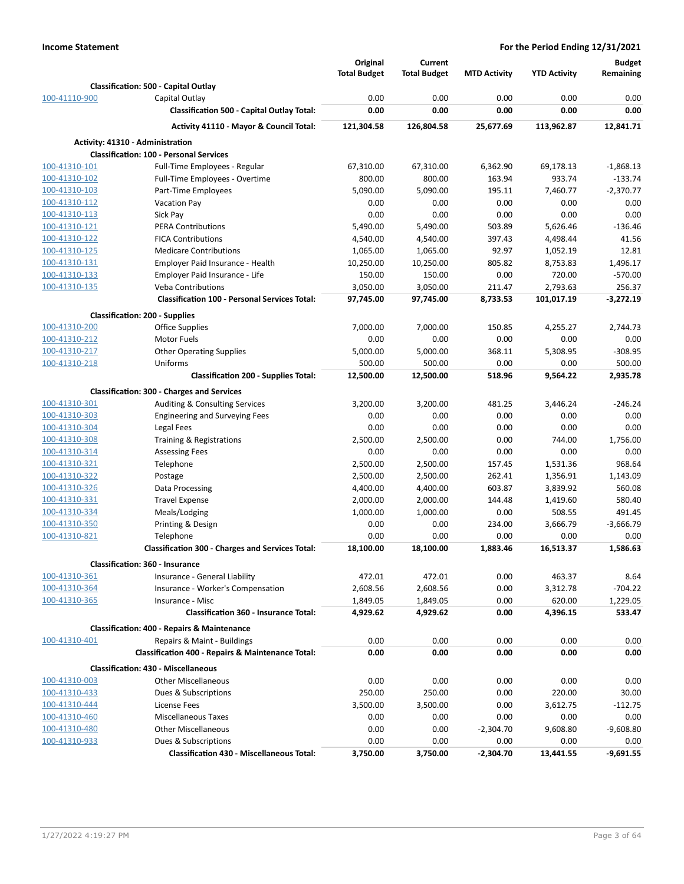|               |                                                                                       | Original             | <b>Current</b>       |                     |                     | <b>Budget</b>      |
|---------------|---------------------------------------------------------------------------------------|----------------------|----------------------|---------------------|---------------------|--------------------|
|               |                                                                                       | <b>Total Budget</b>  | <b>Total Budget</b>  | <b>MTD Activity</b> | <b>YTD Activity</b> | Remaining          |
|               | Classification: 500 - Capital Outlay                                                  |                      |                      |                     |                     |                    |
| 100-41110-900 | Capital Outlay                                                                        | 0.00                 | 0.00                 | 0.00                | 0.00                | 0.00               |
|               | <b>Classification 500 - Capital Outlay Total:</b>                                     | 0.00                 | 0.00                 | 0.00                | 0.00                | 0.00               |
|               | Activity 41110 - Mayor & Council Total:                                               | 121,304.58           | 126,804.58           | 25,677.69           | 113,962.87          | 12,841.71          |
|               | Activity: 41310 - Administration                                                      |                      |                      |                     |                     |                    |
|               | <b>Classification: 100 - Personal Services</b>                                        |                      |                      |                     |                     |                    |
| 100-41310-101 | Full-Time Employees - Regular                                                         | 67,310.00            | 67,310.00            | 6,362.90            | 69,178.13           | $-1,868.13$        |
| 100-41310-102 | Full-Time Employees - Overtime                                                        | 800.00               | 800.00               | 163.94              | 933.74              | $-133.74$          |
| 100-41310-103 | Part-Time Employees                                                                   | 5,090.00             | 5,090.00             | 195.11              | 7,460.77            | $-2.370.77$        |
| 100-41310-112 | <b>Vacation Pay</b>                                                                   | 0.00                 | 0.00                 | 0.00                | 0.00                | 0.00               |
| 100-41310-113 | Sick Pay                                                                              | 0.00                 | 0.00                 | 0.00                | 0.00                | 0.00               |
| 100-41310-121 | <b>PERA Contributions</b>                                                             | 5,490.00             | 5,490.00             | 503.89              | 5,626.46            | $-136.46$          |
| 100-41310-122 | <b>FICA Contributions</b>                                                             | 4,540.00             | 4,540.00             | 397.43              | 4,498.44            | 41.56              |
| 100-41310-125 | <b>Medicare Contributions</b>                                                         | 1,065.00             | 1,065.00             | 92.97               | 1,052.19            | 12.81              |
| 100-41310-131 | Employer Paid Insurance - Health                                                      | 10,250.00            | 10,250.00            | 805.82              | 8,753.83            | 1,496.17           |
| 100-41310-133 | Employer Paid Insurance - Life                                                        | 150.00               | 150.00               | 0.00                | 720.00              | $-570.00$          |
| 100-41310-135 | <b>Veba Contributions</b>                                                             | 3,050.00             | 3,050.00             | 211.47              | 2,793.63            | 256.37             |
|               | <b>Classification 100 - Personal Services Total:</b>                                  | 97,745.00            | 97,745.00            | 8,733.53            | 101,017.19          | $-3,272.19$        |
|               | <b>Classification: 200 - Supplies</b>                                                 |                      |                      |                     |                     |                    |
| 100-41310-200 | Office Supplies                                                                       | 7,000.00             | 7,000.00             | 150.85              | 4,255.27            | 2,744.73           |
| 100-41310-212 | <b>Motor Fuels</b>                                                                    | 0.00                 | 0.00                 | 0.00                | 0.00                | 0.00               |
| 100-41310-217 | <b>Other Operating Supplies</b>                                                       | 5,000.00             | 5,000.00             | 368.11              | 5,308.95            | $-308.95$          |
| 100-41310-218 | Uniforms                                                                              | 500.00               | 500.00               | 0.00                | 0.00                | 500.00             |
|               | <b>Classification 200 - Supplies Total:</b>                                           | 12,500.00            | 12,500.00            | 518.96              | 9,564.22            | 2,935.78           |
|               | <b>Classification: 300 - Charges and Services</b>                                     |                      |                      |                     |                     |                    |
| 100-41310-301 | Auditing & Consulting Services                                                        | 3,200.00             | 3,200.00             | 481.25              | 3,446.24            | $-246.24$          |
| 100-41310-303 | <b>Engineering and Surveying Fees</b>                                                 | 0.00                 | 0.00                 | 0.00                | 0.00                | 0.00               |
| 100-41310-304 | Legal Fees                                                                            | 0.00                 | 0.00                 | 0.00                | 0.00                | 0.00               |
| 100-41310-308 | Training & Registrations                                                              | 2,500.00             | 2,500.00             | 0.00                | 744.00              | 1,756.00           |
| 100-41310-314 | <b>Assessing Fees</b>                                                                 | 0.00                 | 0.00                 | 0.00                | 0.00                | 0.00               |
| 100-41310-321 | Telephone                                                                             | 2,500.00             | 2,500.00             | 157.45              | 1,531.36            | 968.64             |
| 100-41310-322 | Postage                                                                               | 2,500.00             | 2,500.00             | 262.41              | 1,356.91            | 1,143.09           |
| 100-41310-326 | Data Processing                                                                       | 4,400.00             | 4,400.00             | 603.87              | 3,839.92            | 560.08             |
| 100-41310-331 | <b>Travel Expense</b>                                                                 | 2,000.00             | 2,000.00             | 144.48              | 1,419.60            | 580.40             |
| 100-41310-334 | Meals/Lodging                                                                         | 1,000.00             | 1,000.00             | 0.00                | 508.55              | 491.45             |
| 100-41310-350 | Printing & Design                                                                     | 0.00                 | 0.00                 | 234.00              | 3.666.79            | $-3,666.79$        |
| 100-41310-821 | Telephone                                                                             | 0.00                 | 0.00                 | 0.00                | 0.00                | 0.00               |
|               | <b>Classification 300 - Charges and Services Total:</b>                               | 18,100.00            | 18,100.00            | 1,883.46            | 16,513.37           | 1,586.63           |
|               | <b>Classification: 360 - Insurance</b>                                                |                      |                      |                     |                     |                    |
| 100-41310-361 | Insurance - General Liability                                                         | 472.01               | 472.01               | 0.00                | 463.37              | 8.64               |
| 100-41310-364 |                                                                                       | 2,608.56             | 2,608.56             | 0.00                |                     | $-704.22$          |
| 100-41310-365 | Insurance - Worker's Compensation                                                     |                      |                      |                     | 3,312.78            |                    |
|               | Insurance - Misc<br><b>Classification 360 - Insurance Total:</b>                      | 1,849.05<br>4,929.62 | 1,849.05<br>4,929.62 | 0.00<br>0.00        | 620.00<br>4,396.15  | 1,229.05<br>533.47 |
|               |                                                                                       |                      |                      |                     |                     |                    |
| 100-41310-401 | <b>Classification: 400 - Repairs &amp; Maintenance</b><br>Repairs & Maint - Buildings | 0.00                 | 0.00                 | 0.00                | 0.00                | 0.00               |
|               | <b>Classification 400 - Repairs &amp; Maintenance Total:</b>                          | 0.00                 | 0.00                 | 0.00                | 0.00                | 0.00               |
|               |                                                                                       |                      |                      |                     |                     |                    |
|               | <b>Classification: 430 - Miscellaneous</b>                                            |                      |                      |                     |                     |                    |
| 100-41310-003 | <b>Other Miscellaneous</b>                                                            | 0.00                 | 0.00                 | 0.00                | 0.00                | 0.00               |
| 100-41310-433 | Dues & Subscriptions                                                                  | 250.00               | 250.00               | 0.00                | 220.00              | 30.00              |
| 100-41310-444 | License Fees                                                                          | 3,500.00             | 3,500.00             | 0.00                | 3,612.75            | $-112.75$          |
| 100-41310-460 | <b>Miscellaneous Taxes</b>                                                            | 0.00                 | 0.00                 | 0.00                | 0.00                | 0.00               |
| 100-41310-480 | <b>Other Miscellaneous</b>                                                            | 0.00                 | 0.00                 | $-2,304.70$         | 9,608.80            | $-9,608.80$        |
| 100-41310-933 | Dues & Subscriptions                                                                  | 0.00                 | 0.00                 | 0.00                | 0.00                | 0.00               |
|               | <b>Classification 430 - Miscellaneous Total:</b>                                      | 3,750.00             | 3,750.00             | $-2,304.70$         | 13,441.55           | $-9,691.55$        |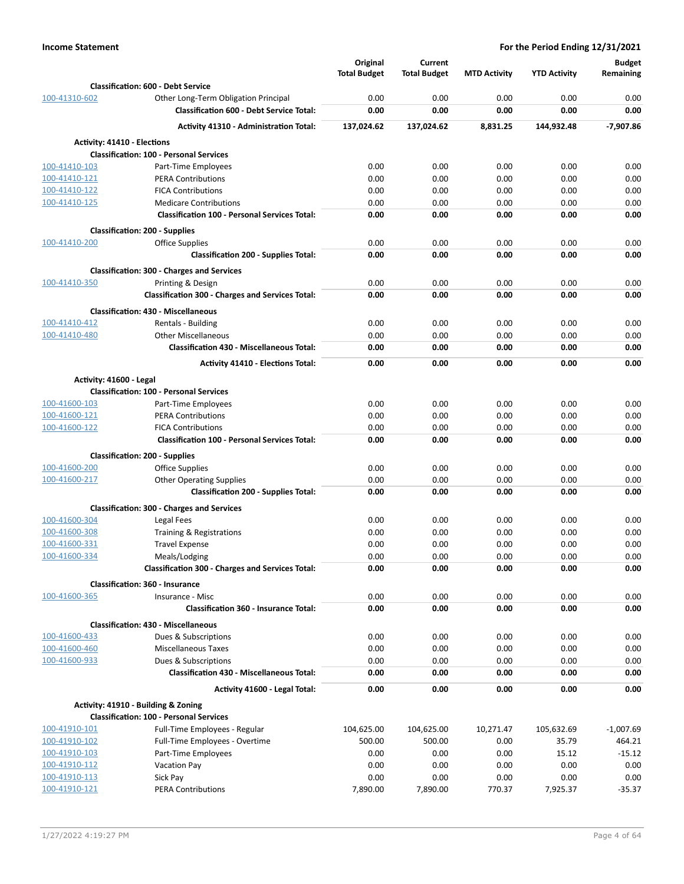|                             |                                                         | Original            | Current             |                     |                     | <b>Budget</b> |
|-----------------------------|---------------------------------------------------------|---------------------|---------------------|---------------------|---------------------|---------------|
|                             |                                                         | <b>Total Budget</b> | <b>Total Budget</b> | <b>MTD Activity</b> | <b>YTD Activity</b> | Remaining     |
|                             | <b>Classification: 600 - Debt Service</b>               |                     |                     |                     |                     |               |
| 100-41310-602               | Other Long-Term Obligation Principal                    | 0.00                | 0.00                | 0.00                | 0.00                | 0.00          |
|                             | <b>Classification 600 - Debt Service Total:</b>         | 0.00                | 0.00                | 0.00                | 0.00                | 0.00          |
|                             | <b>Activity 41310 - Administration Total:</b>           | 137,024.62          | 137,024.62          | 8,831.25            | 144,932.48          | $-7,907.86$   |
| Activity: 41410 - Elections |                                                         |                     |                     |                     |                     |               |
|                             | <b>Classification: 100 - Personal Services</b>          |                     |                     |                     |                     |               |
| 100-41410-103               | Part-Time Employees                                     | 0.00                | 0.00                | 0.00                | 0.00                | 0.00          |
| 100-41410-121               | <b>PERA Contributions</b>                               | 0.00                | 0.00                | 0.00                | 0.00                | 0.00          |
| 100-41410-122               | <b>FICA Contributions</b>                               | 0.00                | 0.00                | 0.00                | 0.00                | 0.00          |
| 100-41410-125               | <b>Medicare Contributions</b>                           | 0.00                | 0.00                | 0.00                | 0.00                | 0.00          |
|                             | <b>Classification 100 - Personal Services Total:</b>    | 0.00                | 0.00                | 0.00                | 0.00                | 0.00          |
|                             | <b>Classification: 200 - Supplies</b>                   |                     |                     |                     |                     |               |
| 100-41410-200               | <b>Office Supplies</b>                                  | 0.00                | 0.00                | 0.00                | 0.00                | 0.00          |
|                             | <b>Classification 200 - Supplies Total:</b>             | 0.00                | 0.00                | 0.00                | 0.00                | 0.00          |
|                             | <b>Classification: 300 - Charges and Services</b>       |                     |                     |                     |                     |               |
| 100-41410-350               | Printing & Design                                       | 0.00                | 0.00                | 0.00                | 0.00                | 0.00          |
|                             | <b>Classification 300 - Charges and Services Total:</b> | 0.00                | 0.00                | 0.00                | 0.00                | 0.00          |
|                             | <b>Classification: 430 - Miscellaneous</b>              |                     |                     |                     |                     |               |
| 100-41410-412               | Rentals - Building                                      | 0.00                | 0.00                | 0.00                | 0.00                | 0.00          |
| 100-41410-480               | <b>Other Miscellaneous</b>                              | 0.00                | 0.00                | 0.00                | 0.00                | 0.00          |
|                             | <b>Classification 430 - Miscellaneous Total:</b>        | 0.00                | 0.00                | 0.00                | 0.00                | 0.00          |
|                             | <b>Activity 41410 - Elections Total:</b>                | 0.00                | 0.00                | 0.00                | 0.00                | 0.00          |
| Activity: 41600 - Legal     |                                                         |                     |                     |                     |                     |               |
|                             | <b>Classification: 100 - Personal Services</b>          |                     |                     |                     |                     |               |
| 100-41600-103               | Part-Time Employees                                     | 0.00                | 0.00                | 0.00                | 0.00                | 0.00          |
| 100-41600-121               | <b>PERA Contributions</b>                               | 0.00                | 0.00                | 0.00                | 0.00                | 0.00          |
| 100-41600-122               | <b>FICA Contributions</b>                               | 0.00                | 0.00                | 0.00                | 0.00                | 0.00          |
|                             | <b>Classification 100 - Personal Services Total:</b>    | 0.00                | 0.00                | 0.00                | 0.00                | 0.00          |
|                             | <b>Classification: 200 - Supplies</b>                   |                     |                     |                     |                     |               |
| 100-41600-200               | <b>Office Supplies</b>                                  | 0.00                | 0.00                | 0.00                | 0.00                | 0.00          |
| 100-41600-217               | <b>Other Operating Supplies</b>                         | 0.00                | 0.00                | 0.00                | 0.00                | 0.00          |
|                             | <b>Classification 200 - Supplies Total:</b>             | 0.00                | 0.00                | 0.00                | 0.00                | 0.00          |
|                             | <b>Classification: 300 - Charges and Services</b>       |                     |                     |                     |                     |               |
| 100-41600-304               | Legal Fees                                              | 0.00                | 0.00                | 0.00                | 0.00                | 0.00          |
| 100-41600-308               | Training & Registrations                                | 0.00                | 0.00                | 0.00                | 0.00                | 0.00          |
| 100-41600-331               | <b>Travel Expense</b>                                   | 0.00                | 0.00                | 0.00                | 0.00                | 0.00          |
| 100-41600-334               | Meals/Lodging                                           | 0.00                | 0.00                | 0.00                | 0.00                | 0.00          |
|                             | <b>Classification 300 - Charges and Services Total:</b> | 0.00                | 0.00                | 0.00                | 0.00                | 0.00          |
|                             | <b>Classification: 360 - Insurance</b>                  |                     |                     |                     |                     |               |
| 100-41600-365               | Insurance - Misc                                        | 0.00                | 0.00                | 0.00                | 0.00                | 0.00          |
|                             | <b>Classification 360 - Insurance Total:</b>            | 0.00                | 0.00                | 0.00                | 0.00                | 0.00          |
|                             | <b>Classification: 430 - Miscellaneous</b>              |                     |                     |                     |                     |               |
| 100-41600-433               | Dues & Subscriptions                                    | 0.00                | 0.00                | 0.00                | 0.00                | 0.00          |
| 100-41600-460               | <b>Miscellaneous Taxes</b>                              | 0.00                | 0.00                | 0.00                | 0.00                | 0.00          |
| 100-41600-933               | Dues & Subscriptions                                    | 0.00                | 0.00                | 0.00                | 0.00                | 0.00          |
|                             | <b>Classification 430 - Miscellaneous Total:</b>        | 0.00                | 0.00                | 0.00                | 0.00                | 0.00          |
|                             | Activity 41600 - Legal Total:                           | 0.00                | 0.00                | 0.00                | 0.00                | 0.00          |
|                             | Activity: 41910 - Building & Zoning                     |                     |                     |                     |                     |               |
|                             | <b>Classification: 100 - Personal Services</b>          |                     |                     |                     |                     |               |
| 100-41910-101               | Full-Time Employees - Regular                           | 104,625.00          | 104,625.00          | 10,271.47           | 105,632.69          | $-1,007.69$   |
| 100-41910-102               | Full-Time Employees - Overtime                          | 500.00              | 500.00              | 0.00                | 35.79               | 464.21        |
| 100-41910-103               | Part-Time Employees                                     | 0.00                | 0.00                | 0.00                | 15.12               | $-15.12$      |
| 100-41910-112               | <b>Vacation Pay</b>                                     | 0.00                | 0.00                | 0.00                | 0.00                | 0.00          |
| 100-41910-113               | Sick Pay                                                | 0.00                | 0.00                | 0.00                | 0.00                | 0.00          |
| 100-41910-121               | <b>PERA Contributions</b>                               | 7,890.00            | 7,890.00            | 770.37              | 7,925.37            | $-35.37$      |
|                             |                                                         |                     |                     |                     |                     |               |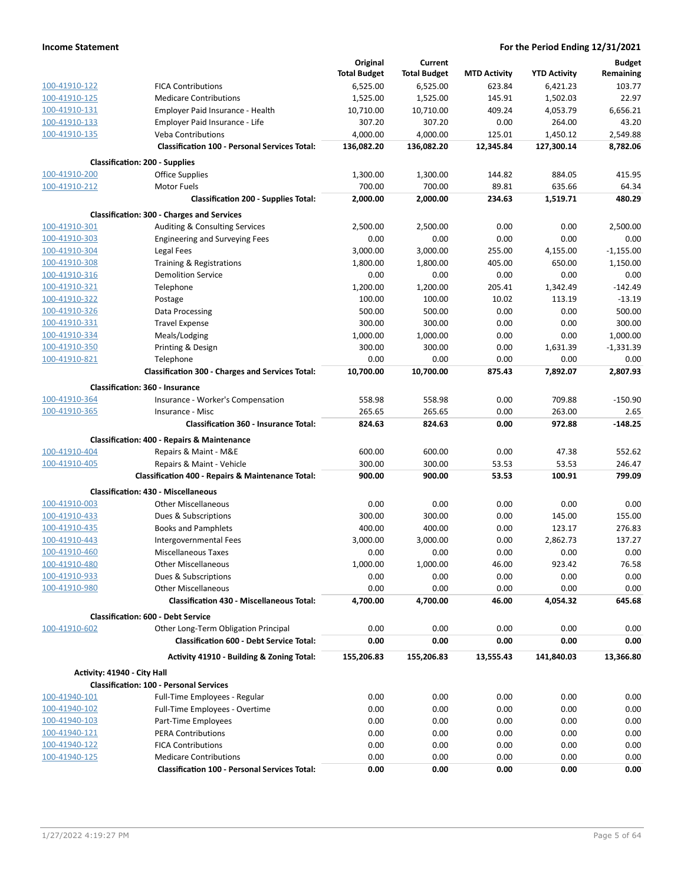|                             |                                                              | Original            | Current             |                     |                     | <b>Budget</b> |
|-----------------------------|--------------------------------------------------------------|---------------------|---------------------|---------------------|---------------------|---------------|
|                             |                                                              | <b>Total Budget</b> | <b>Total Budget</b> | <b>MTD Activity</b> | <b>YTD Activity</b> | Remaining     |
| 100-41910-122               | <b>FICA Contributions</b>                                    | 6,525.00            | 6,525.00            | 623.84              | 6,421.23            | 103.77        |
| 100-41910-125               | <b>Medicare Contributions</b>                                | 1,525.00            | 1,525.00            | 145.91              | 1,502.03            | 22.97         |
| 100-41910-131               | Employer Paid Insurance - Health                             | 10,710.00           | 10,710.00           | 409.24              | 4,053.79            | 6,656.21      |
| 100-41910-133               | Employer Paid Insurance - Life                               | 307.20              | 307.20              | 0.00                | 264.00              | 43.20         |
| 100-41910-135               | <b>Veba Contributions</b>                                    | 4.000.00            | 4,000.00            | 125.01              | 1,450.12            | 2,549.88      |
|                             | <b>Classification 100 - Personal Services Total:</b>         | 136,082.20          | 136,082.20          | 12,345.84           | 127,300.14          | 8,782.06      |
|                             | <b>Classification: 200 - Supplies</b>                        |                     |                     |                     |                     |               |
| 100-41910-200               | Office Supplies                                              | 1,300.00            | 1,300.00            | 144.82              | 884.05              | 415.95        |
| 100-41910-212               | <b>Motor Fuels</b>                                           | 700.00              | 700.00              | 89.81               | 635.66              | 64.34         |
|                             | <b>Classification 200 - Supplies Total:</b>                  | 2,000.00            | 2,000.00            | 234.63              | 1,519.71            | 480.29        |
|                             | <b>Classification: 300 - Charges and Services</b>            |                     |                     |                     |                     |               |
| 100-41910-301               | Auditing & Consulting Services                               | 2,500.00            | 2,500.00            | 0.00                | 0.00                | 2,500.00      |
| 100-41910-303               | <b>Engineering and Surveying Fees</b>                        | 0.00                | 0.00                | 0.00                | 0.00                | 0.00          |
| 100-41910-304               | Legal Fees                                                   | 3,000.00            | 3,000.00            | 255.00              | 4,155.00            | $-1,155.00$   |
| 100-41910-308               | Training & Registrations                                     | 1,800.00            | 1,800.00            | 405.00              | 650.00              | 1,150.00      |
| 100-41910-316               | <b>Demolition Service</b>                                    | 0.00                | 0.00                | 0.00                | 0.00                | 0.00          |
| 100-41910-321               | Telephone                                                    | 1,200.00            | 1,200.00            | 205.41              | 1,342.49            | $-142.49$     |
| 100-41910-322               | Postage                                                      | 100.00              | 100.00              | 10.02               | 113.19              | $-13.19$      |
| 100-41910-326               | Data Processing                                              | 500.00              | 500.00              | 0.00                | 0.00                | 500.00        |
| 100-41910-331               | <b>Travel Expense</b>                                        | 300.00              | 300.00              | 0.00                | 0.00                | 300.00        |
| 100-41910-334               | Meals/Lodging                                                | 1,000.00            | 1,000.00            | 0.00                | 0.00                | 1,000.00      |
| 100-41910-350               | Printing & Design                                            | 300.00              | 300.00              | 0.00                | 1,631.39            | $-1,331.39$   |
| 100-41910-821               | Telephone                                                    | 0.00                | 0.00                | 0.00                | 0.00                | 0.00          |
|                             | <b>Classification 300 - Charges and Services Total:</b>      | 10,700.00           | 10,700.00           | 875.43              | 7,892.07            | 2,807.93      |
|                             | <b>Classification: 360 - Insurance</b>                       |                     |                     |                     |                     |               |
| 100-41910-364               | Insurance - Worker's Compensation                            | 558.98              | 558.98              | 0.00                | 709.88              | $-150.90$     |
| 100-41910-365               | Insurance - Misc                                             | 265.65              | 265.65              | 0.00                | 263.00              | 2.65          |
|                             | <b>Classification 360 - Insurance Total:</b>                 | 824.63              | 824.63              | 0.00                | 972.88              | $-148.25$     |
|                             | <b>Classification: 400 - Repairs &amp; Maintenance</b>       |                     |                     |                     |                     |               |
| 100-41910-404               | Repairs & Maint - M&E                                        | 600.00              | 600.00              | 0.00                | 47.38               | 552.62        |
| 100-41910-405               | Repairs & Maint - Vehicle                                    | 300.00              | 300.00              | 53.53               | 53.53               | 246.47        |
|                             | <b>Classification 400 - Repairs &amp; Maintenance Total:</b> | 900.00              | 900.00              | 53.53               | 100.91              | 799.09        |
|                             | <b>Classification: 430 - Miscellaneous</b>                   |                     |                     |                     |                     |               |
| 100-41910-003               | <b>Other Miscellaneous</b>                                   | 0.00                | 0.00                | 0.00                | 0.00                | 0.00          |
| 100-41910-433               | Dues & Subscriptions                                         | 300.00              | 300.00              | 0.00                | 145.00              | 155.00        |
| 100-41910-435               | <b>Books and Pamphlets</b>                                   | 400.00              | 400.00              | 0.00                | 123.17              | 276.83        |
| 100-41910-443               | Intergovernmental Fees                                       | 3,000.00            | 3,000.00            | 0.00                | 2,862.73            | 137.27        |
| 100-41910-460               | <b>Miscellaneous Taxes</b>                                   | 0.00                | 0.00                | 0.00                | 0.00                | 0.00          |
| 100-41910-480               | <b>Other Miscellaneous</b>                                   | 1,000.00            | 1,000.00            | 46.00               | 923.42              | 76.58         |
| 100-41910-933               | Dues & Subscriptions                                         | 0.00                | 0.00                | 0.00                | 0.00                | 0.00          |
| 100-41910-980               | <b>Other Miscellaneous</b>                                   | 0.00                | 0.00                | 0.00                | 0.00                | 0.00          |
|                             | <b>Classification 430 - Miscellaneous Total:</b>             | 4,700.00            | 4,700.00            | 46.00               | 4,054.32            | 645.68        |
|                             | <b>Classification: 600 - Debt Service</b>                    |                     |                     |                     |                     |               |
| 100-41910-602               | Other Long-Term Obligation Principal                         | 0.00                | 0.00                | 0.00                | 0.00                | 0.00          |
|                             | <b>Classification 600 - Debt Service Total:</b>              | 0.00                | 0.00                | 0.00                | 0.00                | 0.00          |
|                             | Activity 41910 - Building & Zoning Total:                    | 155,206.83          | 155,206.83          | 13,555.43           | 141,840.03          | 13,366.80     |
| Activity: 41940 - City Hall |                                                              |                     |                     |                     |                     |               |
|                             | <b>Classification: 100 - Personal Services</b>               |                     |                     |                     |                     |               |
| 100-41940-101               | Full-Time Employees - Regular                                | 0.00                | 0.00                | 0.00                | 0.00                | 0.00          |
| 100-41940-102               | Full-Time Employees - Overtime                               | 0.00                | 0.00                | 0.00                | 0.00                | 0.00          |
| 100-41940-103               | Part-Time Employees                                          | 0.00                | 0.00                | 0.00                | 0.00                | 0.00          |
| 100-41940-121               | <b>PERA Contributions</b>                                    | 0.00                | 0.00                | 0.00                | 0.00                | 0.00          |
| 100-41940-122               | <b>FICA Contributions</b>                                    | 0.00                | 0.00                | 0.00                | 0.00                | 0.00          |
| 100-41940-125               | <b>Medicare Contributions</b>                                | 0.00                | 0.00                | 0.00                | 0.00                | 0.00          |
|                             | <b>Classification 100 - Personal Services Total:</b>         | 0.00                | 0.00                | 0.00                | 0.00                | 0.00          |
|                             |                                                              |                     |                     |                     |                     |               |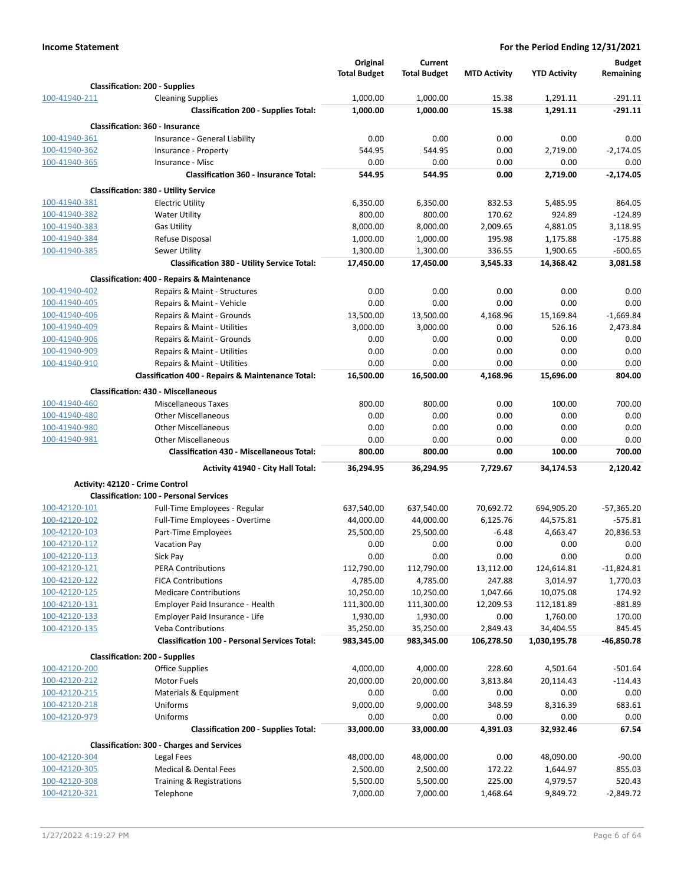|                                |                                                                  | Original              | Current               |                     |                       | <b>Budget</b>         |
|--------------------------------|------------------------------------------------------------------|-----------------------|-----------------------|---------------------|-----------------------|-----------------------|
|                                |                                                                  | <b>Total Budget</b>   | <b>Total Budget</b>   | <b>MTD Activity</b> | <b>YTD Activity</b>   | Remaining             |
|                                | <b>Classification: 200 - Supplies</b>                            |                       |                       |                     |                       |                       |
| 100-41940-211                  | <b>Cleaning Supplies</b>                                         | 1,000.00              | 1,000.00              | 15.38               | 1,291.11              | $-291.11$             |
|                                | <b>Classification 200 - Supplies Total:</b>                      | 1,000.00              | 1,000.00              | 15.38               | 1,291.11              | $-291.11$             |
|                                | Classification: 360 - Insurance                                  |                       |                       |                     |                       |                       |
| 100-41940-361                  | Insurance - General Liability                                    | 0.00                  | 0.00                  | 0.00                | 0.00                  | 0.00                  |
| 100-41940-362                  | Insurance - Property                                             | 544.95                | 544.95                | 0.00                | 2,719.00              | $-2,174.05$           |
| 100-41940-365                  | Insurance - Misc<br><b>Classification 360 - Insurance Total:</b> | 0.00                  | 0.00                  | 0.00                | 0.00                  | 0.00                  |
|                                |                                                                  | 544.95                | 544.95                | 0.00                | 2,719.00              | $-2,174.05$           |
|                                | <b>Classification: 380 - Utility Service</b>                     |                       |                       |                     |                       |                       |
| 100-41940-381                  | <b>Electric Utility</b>                                          | 6,350.00              | 6,350.00              | 832.53              | 5,485.95              | 864.05                |
| 100-41940-382                  | <b>Water Utility</b>                                             | 800.00                | 800.00                | 170.62              | 924.89                | $-124.89$             |
| 100-41940-383<br>100-41940-384 | <b>Gas Utility</b><br>Refuse Disposal                            | 8,000.00<br>1,000.00  | 8,000.00<br>1,000.00  | 2,009.65<br>195.98  | 4,881.05<br>1,175.88  | 3,118.95<br>$-175.88$ |
| 100-41940-385                  | Sewer Utility                                                    | 1,300.00              | 1,300.00              | 336.55              | 1,900.65              | $-600.65$             |
|                                | <b>Classification 380 - Utility Service Total:</b>               | 17,450.00             | 17,450.00             | 3,545.33            | 14,368.42             | 3,081.58              |
|                                |                                                                  |                       |                       |                     |                       |                       |
| 100-41940-402                  | <b>Classification: 400 - Repairs &amp; Maintenance</b>           | 0.00                  | 0.00                  | 0.00                | 0.00                  | 0.00                  |
| 100-41940-405                  | Repairs & Maint - Structures<br>Repairs & Maint - Vehicle        | 0.00                  | 0.00                  | 0.00                | 0.00                  | 0.00                  |
| 100-41940-406                  | Repairs & Maint - Grounds                                        | 13,500.00             | 13,500.00             | 4,168.96            | 15,169.84             | $-1,669.84$           |
| 100-41940-409                  | Repairs & Maint - Utilities                                      | 3,000.00              | 3,000.00              | 0.00                | 526.16                | 2,473.84              |
| 100-41940-906                  | Repairs & Maint - Grounds                                        | 0.00                  | 0.00                  | 0.00                | 0.00                  | 0.00                  |
| 100-41940-909                  | Repairs & Maint - Utilities                                      | 0.00                  | 0.00                  | 0.00                | 0.00                  | 0.00                  |
| 100-41940-910                  | Repairs & Maint - Utilities                                      | 0.00                  | 0.00                  | 0.00                | 0.00                  | 0.00                  |
|                                | Classification 400 - Repairs & Maintenance Total:                | 16,500.00             | 16,500.00             | 4,168.96            | 15,696.00             | 804.00                |
|                                | <b>Classification: 430 - Miscellaneous</b>                       |                       |                       |                     |                       |                       |
| 100-41940-460                  | <b>Miscellaneous Taxes</b>                                       | 800.00                | 800.00                | 0.00                | 100.00                | 700.00                |
| 100-41940-480                  | <b>Other Miscellaneous</b>                                       | 0.00                  | 0.00                  | 0.00                | 0.00                  | 0.00                  |
| 100-41940-980                  | <b>Other Miscellaneous</b>                                       | 0.00                  | 0.00                  | 0.00                | 0.00                  | 0.00                  |
| 100-41940-981                  | <b>Other Miscellaneous</b>                                       | 0.00                  | 0.00                  | 0.00                | 0.00                  | 0.00                  |
|                                | <b>Classification 430 - Miscellaneous Total:</b>                 | 800.00                | 800.00                | 0.00                | 100.00                | 700.00                |
|                                | Activity 41940 - City Hall Total:                                | 36,294.95             | 36,294.95             | 7,729.67            | 34,174.53             | 2,120.42              |
|                                | Activity: 42120 - Crime Control                                  |                       |                       |                     |                       |                       |
|                                | <b>Classification: 100 - Personal Services</b>                   |                       |                       |                     |                       |                       |
| 100-42120-101                  | Full-Time Employees - Regular                                    | 637,540.00            | 637,540.00            | 70,692.72           | 694,905.20            | $-57,365.20$          |
| 100-42120-102                  | Full-Time Employees - Overtime                                   | 44,000.00             | 44,000.00             | 6,125.76            | 44,575.81             | $-575.81$             |
| 100-42120-103                  | Part-Time Employees                                              | 25,500.00             | 25,500.00             | $-6.48$             | 4,663.47              | 20,836.53             |
| 100-42120-112                  | <b>Vacation Pay</b>                                              | 0.00                  | 0.00                  | 0.00                | 0.00                  | 0.00                  |
| 100-42120-113                  | Sick Pay                                                         | 0.00                  | 0.00                  | 0.00                | 0.00                  | 0.00                  |
| 100-42120-121                  | <b>PERA Contributions</b>                                        | 112,790.00            | 112,790.00            | 13,112.00           | 124,614.81            | $-11,824.81$          |
| 100-42120-122                  | <b>FICA Contributions</b>                                        | 4,785.00              | 4,785.00              | 247.88              | 3,014.97              | 1,770.03              |
| 100-42120-125                  | <b>Medicare Contributions</b>                                    | 10,250.00             | 10,250.00             | 1,047.66            | 10,075.08             | 174.92                |
| 100-42120-131<br>100-42120-133 | Employer Paid Insurance - Health                                 | 111,300.00            | 111,300.00            | 12,209.53<br>0.00   | 112,181.89            | $-881.89$             |
| 100-42120-135                  | Employer Paid Insurance - Life<br><b>Veba Contributions</b>      | 1,930.00<br>35,250.00 | 1,930.00<br>35,250.00 | 2,849.43            | 1,760.00<br>34,404.55 | 170.00<br>845.45      |
|                                | <b>Classification 100 - Personal Services Total:</b>             | 983,345.00            | 983,345.00            | 106,278.50          | 1,030,195.78          | $-46,850.78$          |
|                                |                                                                  |                       |                       |                     |                       |                       |
| 100-42120-200                  | <b>Classification: 200 - Supplies</b><br><b>Office Supplies</b>  | 4,000.00              | 4,000.00              | 228.60              | 4,501.64              | $-501.64$             |
| 100-42120-212                  | Motor Fuels                                                      | 20,000.00             | 20,000.00             | 3,813.84            | 20,114.43             | -114.43               |
| 100-42120-215                  | Materials & Equipment                                            | 0.00                  | 0.00                  | 0.00                | 0.00                  | 0.00                  |
| 100-42120-218                  | Uniforms                                                         | 9,000.00              | 9,000.00              | 348.59              | 8,316.39              | 683.61                |
| 100-42120-979                  | Uniforms                                                         | 0.00                  | 0.00                  | 0.00                | 0.00                  | 0.00                  |
|                                | <b>Classification 200 - Supplies Total:</b>                      | 33,000.00             | 33,000.00             | 4,391.03            | 32,932.46             | 67.54                 |
|                                | <b>Classification: 300 - Charges and Services</b>                |                       |                       |                     |                       |                       |
| 100-42120-304                  | Legal Fees                                                       | 48,000.00             | 48,000.00             | 0.00                | 48,090.00             | -90.00                |
| 100-42120-305                  | Medical & Dental Fees                                            | 2,500.00              | 2,500.00              | 172.22              | 1,644.97              | 855.03                |
| 100-42120-308                  | Training & Registrations                                         | 5,500.00              | 5,500.00              | 225.00              | 4,979.57              | 520.43                |
| 100-42120-321                  | Telephone                                                        | 7,000.00              | 7,000.00              | 1,468.64            | 9,849.72              | $-2,849.72$           |
|                                |                                                                  |                       |                       |                     |                       |                       |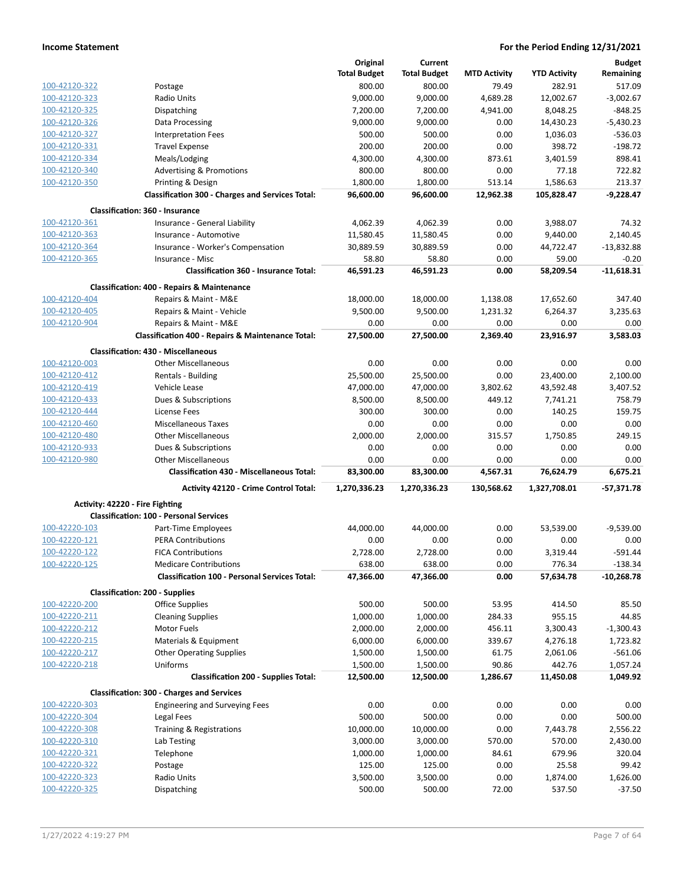|                                |                                                         | Original              | Current               |                     |                     | <b>Budget</b>        |
|--------------------------------|---------------------------------------------------------|-----------------------|-----------------------|---------------------|---------------------|----------------------|
|                                |                                                         | <b>Total Budget</b>   | <b>Total Budget</b>   | <b>MTD Activity</b> | <b>YTD Activity</b> | Remaining            |
| 100-42120-322                  | Postage                                                 | 800.00                | 800.00                | 79.49               | 282.91              | 517.09               |
| 100-42120-323                  | Radio Units                                             | 9,000.00              | 9,000.00              | 4,689.28            | 12,002.67           | $-3,002.67$          |
| 100-42120-325                  | Dispatching                                             | 7,200.00              | 7,200.00              | 4,941.00            | 8,048.25            | $-848.25$            |
| 100-42120-326                  | Data Processing                                         | 9,000.00              | 9,000.00              | 0.00                | 14,430.23           | $-5,430.23$          |
| 100-42120-327                  | <b>Interpretation Fees</b>                              | 500.00                | 500.00                | 0.00                | 1,036.03            | $-536.03$            |
| 100-42120-331                  | <b>Travel Expense</b>                                   | 200.00                | 200.00                | 0.00                | 398.72              | $-198.72$            |
| 100-42120-334                  | Meals/Lodging                                           | 4,300.00              | 4,300.00              | 873.61              | 3,401.59            | 898.41               |
| 100-42120-340                  | <b>Advertising &amp; Promotions</b>                     | 800.00                | 800.00                | 0.00                | 77.18               | 722.82               |
| 100-42120-350                  | Printing & Design                                       | 1,800.00              | 1,800.00              | 513.14              | 1,586.63            | 213.37               |
|                                | <b>Classification 300 - Charges and Services Total:</b> | 96,600.00             | 96,600.00             | 12,962.38           | 105,828.47          | $-9,228.47$          |
|                                | <b>Classification: 360 - Insurance</b>                  |                       |                       |                     |                     |                      |
| 100-42120-361                  | Insurance - General Liability                           | 4,062.39              | 4,062.39              | 0.00                | 3,988.07            | 74.32                |
| 100-42120-363                  | Insurance - Automotive                                  | 11,580.45             | 11,580.45             | 0.00                | 9,440.00            | 2,140.45             |
| 100-42120-364                  | Insurance - Worker's Compensation                       | 30,889.59             | 30,889.59             | 0.00                | 44,722.47           | $-13,832.88$         |
| 100-42120-365                  | Insurance - Misc                                        | 58.80                 | 58.80                 | 0.00                | 59.00               | $-0.20$              |
|                                | <b>Classification 360 - Insurance Total:</b>            | 46,591.23             | 46,591.23             | 0.00                | 58,209.54           | $-11,618.31$         |
|                                | <b>Classification: 400 - Repairs &amp; Maintenance</b>  |                       |                       |                     |                     |                      |
| 100-42120-404                  | Repairs & Maint - M&E                                   | 18,000.00             | 18,000.00             | 1,138.08            | 17,652.60           | 347.40               |
| 100-42120-405                  | Repairs & Maint - Vehicle                               | 9,500.00              | 9,500.00              | 1,231.32            | 6,264.37            | 3,235.63             |
| 100-42120-904                  | Repairs & Maint - M&E                                   | 0.00                  | 0.00                  | 0.00                | 0.00                | 0.00                 |
|                                | Classification 400 - Repairs & Maintenance Total:       | 27,500.00             | 27,500.00             | 2,369.40            | 23,916.97           | 3,583.03             |
|                                | <b>Classification: 430 - Miscellaneous</b>              |                       |                       |                     |                     |                      |
| 100-42120-003                  | <b>Other Miscellaneous</b>                              | 0.00                  | 0.00                  | 0.00                | 0.00                | 0.00                 |
| 100-42120-412                  | Rentals - Building                                      | 25,500.00             | 25,500.00             | 0.00                | 23,400.00           | 2,100.00             |
| 100-42120-419                  | Vehicle Lease                                           | 47,000.00             | 47,000.00             | 3,802.62            | 43,592.48           | 3,407.52             |
| 100-42120-433                  | Dues & Subscriptions                                    | 8,500.00              | 8,500.00              | 449.12              | 7,741.21            | 758.79               |
| 100-42120-444                  | License Fees                                            | 300.00                | 300.00                | 0.00                | 140.25              | 159.75               |
| 100-42120-460                  | <b>Miscellaneous Taxes</b>                              | 0.00                  | 0.00                  | 0.00                | 0.00                | 0.00                 |
| 100-42120-480                  | <b>Other Miscellaneous</b>                              | 2,000.00              | 2,000.00              | 315.57              | 1,750.85            | 249.15               |
|                                |                                                         |                       |                       |                     |                     |                      |
| 100-42120-933                  |                                                         | 0.00                  | 0.00                  | 0.00                | 0.00                | 0.00                 |
| 100-42120-980                  | Dues & Subscriptions<br><b>Other Miscellaneous</b>      | 0.00                  | 0.00                  | 0.00                | 0.00                | 0.00                 |
|                                | <b>Classification 430 - Miscellaneous Total:</b>        | 83,300.00             | 83,300.00             | 4,567.31            | 76,624.79           | 6,675.21             |
|                                | <b>Activity 42120 - Crime Control Total:</b>            | 1,270,336.23          | 1,270,336.23          | 130,568.62          | 1,327,708.01        | $-57,371.78$         |
|                                | Activity: 42220 - Fire Fighting                         |                       |                       |                     |                     |                      |
|                                | <b>Classification: 100 - Personal Services</b>          |                       |                       |                     |                     |                      |
| 100-42220-103                  | Part-Time Employees                                     | 44,000.00             | 44,000.00             | 0.00                | 53,539.00           | $-9,539.00$          |
| 100-42220-121                  | <b>PERA Contributions</b>                               | 0.00                  | 0.00                  | 0.00                | 0.00                | 0.00                 |
| 100-42220-122                  | <b>FICA Contributions</b>                               | 2,728.00              | 2,728.00              | 0.00                | 3,319.44            | $-591.44$            |
| 100-42220-125                  | <b>Medicare Contributions</b>                           | 638.00                | 638.00                | 0.00                | 776.34              | $-138.34$            |
|                                | <b>Classification 100 - Personal Services Total:</b>    | 47,366.00             | 47,366.00             | 0.00                | 57,634.78           | $-10,268.78$         |
|                                | <b>Classification: 200 - Supplies</b>                   |                       |                       |                     |                     |                      |
| 100-42220-200                  | <b>Office Supplies</b>                                  | 500.00                | 500.00                | 53.95               | 414.50              | 85.50                |
| 100-42220-211                  | <b>Cleaning Supplies</b>                                | 1,000.00              | 1,000.00              | 284.33              | 955.15              | 44.85                |
| 100-42220-212                  | Motor Fuels                                             | 2,000.00              | 2,000.00              | 456.11              | 3,300.43            | $-1,300.43$          |
| 100-42220-215                  | Materials & Equipment                                   | 6,000.00              | 6,000.00              | 339.67              | 4,276.18            | 1,723.82             |
| 100-42220-217                  | <b>Other Operating Supplies</b>                         | 1,500.00              | 1,500.00              | 61.75               | 2,061.06            | $-561.06$            |
| 100-42220-218                  | Uniforms                                                |                       |                       | 90.86               | 442.76              |                      |
|                                | <b>Classification 200 - Supplies Total:</b>             | 1,500.00<br>12,500.00 | 1,500.00<br>12,500.00 | 1,286.67            | 11,450.08           | 1,057.24<br>1,049.92 |
|                                | <b>Classification: 300 - Charges and Services</b>       |                       |                       |                     |                     |                      |
| 100-42220-303                  | <b>Engineering and Surveying Fees</b>                   | 0.00                  | 0.00                  | 0.00                | 0.00                | 0.00                 |
| 100-42220-304                  | Legal Fees                                              | 500.00                | 500.00                | 0.00                | 0.00                | 500.00               |
| 100-42220-308                  | Training & Registrations                                | 10,000.00             | 10,000.00             | 0.00                | 7,443.78            | 2,556.22             |
| 100-42220-310                  | Lab Testing                                             | 3,000.00              | 3,000.00              | 570.00              | 570.00              | 2,430.00             |
| 100-42220-321                  | Telephone                                               | 1,000.00              | 1,000.00              | 84.61               | 679.96              | 320.04               |
| 100-42220-322                  |                                                         |                       |                       |                     |                     |                      |
|                                | Postage                                                 | 125.00                | 125.00                | 0.00                | 25.58               | 99.42                |
| 100-42220-323<br>100-42220-325 | Radio Units<br>Dispatching                              | 3,500.00<br>500.00    | 3,500.00<br>500.00    | 0.00<br>72.00       | 1,874.00<br>537.50  | 1,626.00<br>$-37.50$ |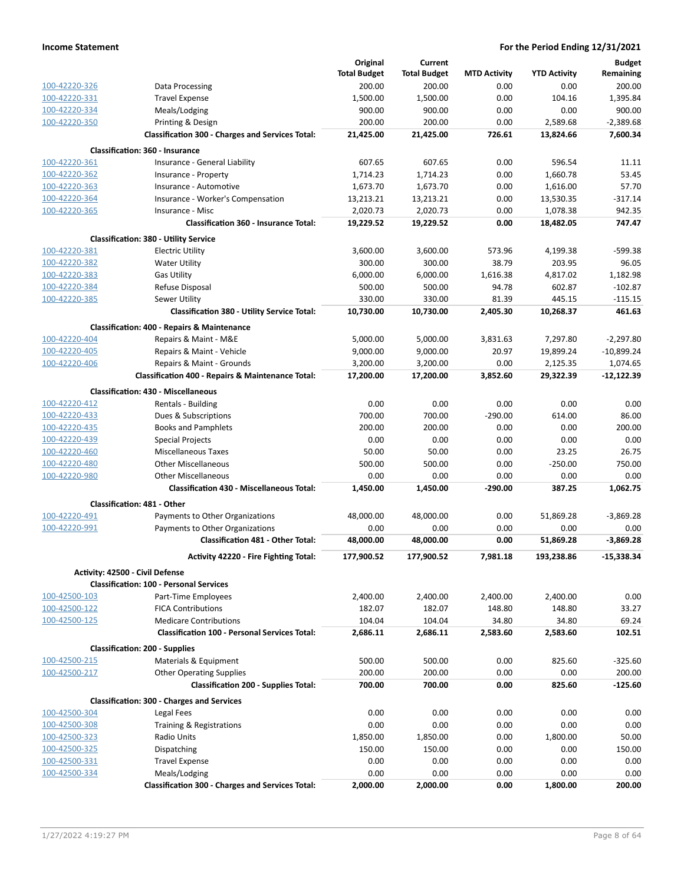|               |                                                         | Original            | Current             |                     |                     | <b>Budget</b>  |
|---------------|---------------------------------------------------------|---------------------|---------------------|---------------------|---------------------|----------------|
|               |                                                         | <b>Total Budget</b> | <b>Total Budget</b> | <b>MTD Activity</b> | <b>YTD Activity</b> | Remaining      |
| 100-42220-326 | Data Processing                                         | 200.00              | 200.00              | 0.00                | 0.00                | 200.00         |
| 100-42220-331 | <b>Travel Expense</b>                                   | 1,500.00            | 1,500.00            | 0.00                | 104.16              | 1,395.84       |
| 100-42220-334 | Meals/Lodging                                           | 900.00              | 900.00              | 0.00                | 0.00                | 900.00         |
| 100-42220-350 | Printing & Design                                       | 200.00              | 200.00              | 0.00                | 2,589.68            | $-2,389.68$    |
|               | <b>Classification 300 - Charges and Services Total:</b> | 21,425.00           | 21,425.00           | 726.61              | 13,824.66           | 7,600.34       |
|               | <b>Classification: 360 - Insurance</b>                  |                     |                     |                     |                     |                |
| 100-42220-361 | Insurance - General Liability                           | 607.65              | 607.65              | 0.00                | 596.54              | 11.11          |
| 100-42220-362 | Insurance - Property                                    | 1,714.23            | 1,714.23            | 0.00                | 1,660.78            | 53.45          |
| 100-42220-363 | Insurance - Automotive                                  | 1,673.70            | 1,673.70            | 0.00                | 1,616.00            | 57.70          |
| 100-42220-364 | Insurance - Worker's Compensation                       | 13,213.21           | 13,213.21           | 0.00                | 13,530.35           | $-317.14$      |
| 100-42220-365 | Insurance - Misc                                        | 2,020.73            | 2,020.73            | 0.00                | 1,078.38            | 942.35         |
|               | <b>Classification 360 - Insurance Total:</b>            | 19,229.52           | 19,229.52           | 0.00                | 18,482.05           | 747.47         |
|               | <b>Classification: 380 - Utility Service</b>            |                     |                     |                     |                     |                |
| 100-42220-381 | <b>Electric Utility</b>                                 | 3,600.00            | 3,600.00            | 573.96              | 4,199.38            | $-599.38$      |
| 100-42220-382 | <b>Water Utility</b>                                    | 300.00              | 300.00              | 38.79               | 203.95              | 96.05          |
| 100-42220-383 | <b>Gas Utility</b>                                      | 6,000.00            | 6,000.00            | 1,616.38            | 4,817.02            | 1,182.98       |
| 100-42220-384 | Refuse Disposal                                         | 500.00              | 500.00              | 94.78               | 602.87              | $-102.87$      |
| 100-42220-385 | Sewer Utility                                           | 330.00              | 330.00              | 81.39               | 445.15              | $-115.15$      |
|               | <b>Classification 380 - Utility Service Total:</b>      | 10,730.00           | 10,730.00           | 2,405.30            | 10,268.37           | 461.63         |
|               | <b>Classification: 400 - Repairs &amp; Maintenance</b>  |                     |                     |                     |                     |                |
| 100-42220-404 | Repairs & Maint - M&E                                   | 5,000.00            | 5,000.00            | 3,831.63            | 7,297.80            | $-2,297.80$    |
| 100-42220-405 | Repairs & Maint - Vehicle                               | 9,000.00            | 9,000.00            | 20.97               | 19,899.24           | $-10,899.24$   |
| 100-42220-406 | Repairs & Maint - Grounds                               | 3,200.00            | 3,200.00            | 0.00                | 2,125.35            | 1,074.65       |
|               | Classification 400 - Repairs & Maintenance Total:       | 17,200.00           | 17,200.00           | 3,852.60            | 29,322.39           | $-12,122.39$   |
|               | <b>Classification: 430 - Miscellaneous</b>              |                     |                     |                     |                     |                |
| 100-42220-412 | Rentals - Building                                      | 0.00                | 0.00                | 0.00                | 0.00                | 0.00           |
| 100-42220-433 | Dues & Subscriptions                                    | 700.00              | 700.00              | $-290.00$           | 614.00              | 86.00          |
| 100-42220-435 | <b>Books and Pamphlets</b>                              | 200.00              | 200.00              | 0.00                | 0.00                | 200.00         |
| 100-42220-439 | <b>Special Projects</b>                                 | 0.00                | 0.00                | 0.00                | 0.00                | 0.00           |
| 100-42220-460 | <b>Miscellaneous Taxes</b>                              | 50.00               | 50.00               | 0.00                | 23.25               | 26.75          |
| 100-42220-480 | <b>Other Miscellaneous</b>                              | 500.00              | 500.00              | 0.00                | $-250.00$           | 750.00         |
| 100-42220-980 | <b>Other Miscellaneous</b>                              | 0.00                | 0.00                | 0.00                | 0.00                | 0.00           |
|               | <b>Classification 430 - Miscellaneous Total:</b>        | 1,450.00            | 1,450.00            | $-290.00$           | 387.25              | 1,062.75       |
|               | <b>Classification: 481 - Other</b>                      |                     |                     |                     |                     |                |
| 100-42220-491 | Payments to Other Organizations                         | 48,000.00           | 48,000.00           | 0.00                | 51,869.28           | $-3,869.28$    |
| 100-42220-991 | Payments to Other Organizations                         | 0.00                | 0.00                | 0.00                | 0.00                | 0.00           |
|               | <b>Classification 481 - Other Total:</b>                | 48,000.00           | 48,000.00           | 0.00                | 51,869.28           | $-3,869.28$    |
|               |                                                         |                     |                     |                     |                     |                |
|               | Activity 42220 - Fire Fighting Total:                   | 177,900.52          | 177,900.52          | 7,981.18            | 193,238.86          | $-15,338.34$   |
|               | Activity: 42500 - Civil Defense                         |                     |                     |                     |                     |                |
| 100-42500-103 | <b>Classification: 100 - Personal Services</b>          | 2,400.00            | 2,400.00            | 2,400.00            | 2,400.00            | 0.00           |
| 100-42500-122 | Part-Time Employees<br><b>FICA Contributions</b>        | 182.07              |                     |                     | 148.80              | 33.27          |
| 100-42500-125 | <b>Medicare Contributions</b>                           | 104.04              | 182.07<br>104.04    | 148.80<br>34.80     | 34.80               | 69.24          |
|               | <b>Classification 100 - Personal Services Total:</b>    | 2,686.11            | 2,686.11            | 2,583.60            | 2,583.60            | 102.51         |
|               |                                                         |                     |                     |                     |                     |                |
|               | <b>Classification: 200 - Supplies</b>                   |                     |                     |                     |                     |                |
| 100-42500-215 | Materials & Equipment                                   | 500.00              | 500.00              | 0.00                | 825.60              | $-325.60$      |
| 100-42500-217 | <b>Other Operating Supplies</b>                         | 200.00              | 200.00              | 0.00                | 0.00                | 200.00         |
|               | <b>Classification 200 - Supplies Total:</b>             | 700.00              | 700.00              | 0.00                | 825.60              | $-125.60$      |
|               | <b>Classification: 300 - Charges and Services</b>       |                     |                     |                     |                     |                |
| 100-42500-304 | Legal Fees                                              | 0.00                | 0.00                | 0.00                | 0.00                | 0.00           |
| 100-42500-308 | Training & Registrations                                | 0.00                | 0.00                | 0.00                | 0.00                | 0.00           |
| 100-42500-323 | Radio Units                                             | 1,850.00            | 1,850.00            | 0.00                | 1,800.00            | 50.00          |
| 100-42500-325 | Dispatching                                             | 150.00              | 150.00              | 0.00                | 0.00                | 150.00         |
| 100-42500-331 | <b>Travel Expense</b>                                   | 0.00                | 0.00                | 0.00                | 0.00                | 0.00           |
| 100-42500-334 | Meals/Lodging                                           | 0.00<br>2,000.00    | 0.00<br>2,000.00    | 0.00<br>0.00        | 0.00<br>1,800.00    | 0.00<br>200.00 |
|               | <b>Classification 300 - Charges and Services Total:</b> |                     |                     |                     |                     |                |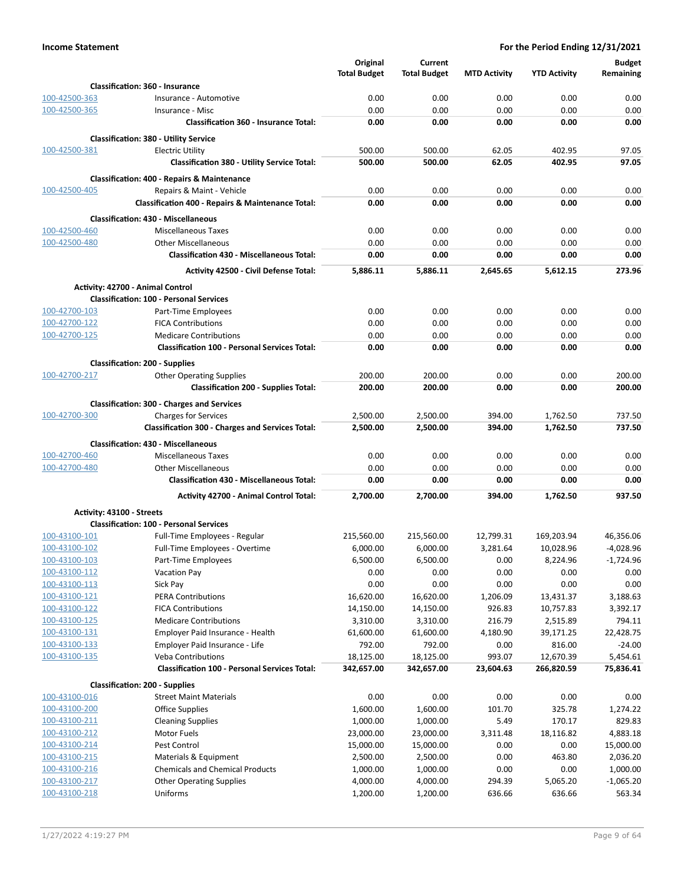|                                |                                                                                        | Original            | Current             |                     |                     | <b>Budget</b> |
|--------------------------------|----------------------------------------------------------------------------------------|---------------------|---------------------|---------------------|---------------------|---------------|
|                                |                                                                                        | <b>Total Budget</b> | <b>Total Budget</b> | <b>MTD Activity</b> | <b>YTD Activity</b> | Remaining     |
|                                | <b>Classification: 360 - Insurance</b>                                                 |                     |                     |                     |                     |               |
| 100-42500-363                  | Insurance - Automotive                                                                 | 0.00                | 0.00                | 0.00                | 0.00                | 0.00          |
| 100-42500-365                  | Insurance - Misc                                                                       | 0.00                | 0.00                | 0.00                | 0.00                | 0.00          |
|                                | <b>Classification 360 - Insurance Total:</b>                                           | 0.00                | 0.00                | 0.00                | 0.00                | 0.00          |
|                                | <b>Classification: 380 - Utility Service</b>                                           |                     |                     |                     |                     |               |
| 100-42500-381                  | <b>Electric Utility</b>                                                                | 500.00              | 500.00              | 62.05               | 402.95              | 97.05         |
|                                | <b>Classification 380 - Utility Service Total:</b>                                     | 500.00              | 500.00              | 62.05               | 402.95              | 97.05         |
|                                | <b>Classification: 400 - Repairs &amp; Maintenance</b>                                 |                     |                     |                     |                     |               |
| 100-42500-405                  | Repairs & Maint - Vehicle                                                              | 0.00                | 0.00                | 0.00                | 0.00                | 0.00          |
|                                | <b>Classification 400 - Repairs &amp; Maintenance Total:</b>                           | 0.00                | 0.00                | 0.00                | 0.00                | 0.00          |
|                                | <b>Classification: 430 - Miscellaneous</b>                                             |                     |                     |                     |                     |               |
| 100-42500-460                  | <b>Miscellaneous Taxes</b>                                                             | 0.00                | 0.00                | 0.00                | 0.00                | 0.00          |
| 100-42500-480                  | <b>Other Miscellaneous</b>                                                             | 0.00                | 0.00                | 0.00                | 0.00                | 0.00          |
|                                | <b>Classification 430 - Miscellaneous Total:</b>                                       | 0.00                | 0.00                | 0.00                | 0.00                | 0.00          |
|                                | <b>Activity 42500 - Civil Defense Total:</b>                                           | 5,886.11            | 5,886.11            | 2,645.65            | 5,612.15            | 273.96        |
|                                | Activity: 42700 - Animal Control                                                       |                     |                     |                     |                     |               |
|                                | <b>Classification: 100 - Personal Services</b>                                         |                     |                     |                     |                     |               |
| 100-42700-103                  | Part-Time Employees                                                                    | 0.00                | 0.00                | 0.00                | 0.00                | 0.00          |
| 100-42700-122                  | <b>FICA Contributions</b>                                                              | 0.00                | 0.00                | 0.00                | 0.00                | 0.00          |
| 100-42700-125                  | <b>Medicare Contributions</b>                                                          | 0.00                | 0.00                | 0.00                | 0.00                | 0.00          |
|                                | <b>Classification 100 - Personal Services Total:</b>                                   | 0.00                | 0.00                | 0.00                | 0.00                | 0.00          |
|                                | <b>Classification: 200 - Supplies</b>                                                  |                     |                     |                     |                     |               |
| 100-42700-217                  | <b>Other Operating Supplies</b>                                                        | 200.00              | 200.00              | 0.00                | 0.00                | 200.00        |
|                                | <b>Classification 200 - Supplies Total:</b>                                            | 200.00              | 200.00              | 0.00                | 0.00                | 200.00        |
|                                |                                                                                        |                     |                     |                     |                     |               |
| 100-42700-300                  | <b>Classification: 300 - Charges and Services</b>                                      | 2,500.00            | 2,500.00            | 394.00              | 1,762.50            | 737.50        |
|                                | <b>Charges for Services</b><br><b>Classification 300 - Charges and Services Total:</b> | 2,500.00            | 2,500.00            | 394.00              | 1,762.50            | 737.50        |
|                                |                                                                                        |                     |                     |                     |                     |               |
|                                | <b>Classification: 430 - Miscellaneous</b>                                             |                     |                     |                     |                     |               |
| 100-42700-460<br>100-42700-480 | <b>Miscellaneous Taxes</b><br><b>Other Miscellaneous</b>                               | 0.00<br>0.00        | 0.00<br>0.00        | 0.00<br>0.00        | 0.00<br>0.00        | 0.00<br>0.00  |
|                                | <b>Classification 430 - Miscellaneous Total:</b>                                       | 0.00                | 0.00                | 0.00                | 0.00                | 0.00          |
|                                |                                                                                        |                     |                     |                     |                     |               |
|                                | <b>Activity 42700 - Animal Control Total:</b>                                          | 2,700.00            | 2,700.00            | 394.00              | 1,762.50            | 937.50        |
|                                | Activity: 43100 - Streets                                                              |                     |                     |                     |                     |               |
|                                | <b>Classification: 100 - Personal Services</b>                                         |                     |                     |                     |                     |               |
| 100-43100-101                  | Full-Time Employees - Regular                                                          | 215,560.00          | 215.560.00          | 12,799.31           | 169,203.94          | 46,356.06     |
| 100-43100-102                  | Full-Time Employees - Overtime                                                         | 6,000.00            | 6,000.00            | 3,281.64            | 10,028.96           | $-4,028.96$   |
| 100-43100-103                  | Part-Time Employees                                                                    | 6,500.00            | 6,500.00            | 0.00                | 8,224.96            | $-1,724.96$   |
| 100-43100-112<br>100-43100-113 | <b>Vacation Pay</b><br>Sick Pay                                                        | 0.00<br>0.00        | 0.00<br>0.00        | 0.00<br>0.00        | 0.00<br>0.00        | 0.00<br>0.00  |
| 100-43100-121                  | <b>PERA Contributions</b>                                                              | 16,620.00           | 16,620.00           | 1,206.09            | 13,431.37           | 3,188.63      |
| 100-43100-122                  | <b>FICA Contributions</b>                                                              | 14,150.00           | 14,150.00           | 926.83              | 10,757.83           | 3,392.17      |
| 100-43100-125                  | <b>Medicare Contributions</b>                                                          | 3,310.00            | 3,310.00            | 216.79              | 2,515.89            | 794.11        |
| 100-43100-131                  | Employer Paid Insurance - Health                                                       | 61,600.00           | 61,600.00           | 4,180.90            | 39,171.25           | 22,428.75     |
| 100-43100-133                  | Employer Paid Insurance - Life                                                         | 792.00              | 792.00              | 0.00                | 816.00              | $-24.00$      |
| 100-43100-135                  | <b>Veba Contributions</b>                                                              | 18,125.00           | 18,125.00           | 993.07              | 12,670.39           | 5,454.61      |
|                                | <b>Classification 100 - Personal Services Total:</b>                                   | 342,657.00          | 342,657.00          | 23,604.63           | 266,820.59          | 75,836.41     |
|                                | <b>Classification: 200 - Supplies</b>                                                  |                     |                     |                     |                     |               |
| 100-43100-016                  | <b>Street Maint Materials</b>                                                          | 0.00                | 0.00                | 0.00                | 0.00                | 0.00          |
| 100-43100-200                  | Office Supplies                                                                        | 1,600.00            | 1,600.00            | 101.70              | 325.78              | 1,274.22      |
| 100-43100-211                  | <b>Cleaning Supplies</b>                                                               | 1,000.00            | 1,000.00            | 5.49                | 170.17              | 829.83        |
| 100-43100-212                  | Motor Fuels                                                                            | 23,000.00           | 23,000.00           | 3,311.48            | 18,116.82           | 4,883.18      |
| 100-43100-214                  | Pest Control                                                                           | 15,000.00           | 15,000.00           | 0.00                | 0.00                | 15,000.00     |
| 100-43100-215                  | Materials & Equipment                                                                  | 2,500.00            | 2,500.00            | 0.00                | 463.80              | 2,036.20      |
| 100-43100-216                  | <b>Chemicals and Chemical Products</b>                                                 | 1,000.00            | 1,000.00            | 0.00                | 0.00                | 1,000.00      |
| 100-43100-217                  | <b>Other Operating Supplies</b>                                                        | 4,000.00            | 4,000.00            | 294.39              | 5,065.20            | $-1,065.20$   |
| 100-43100-218                  | Uniforms                                                                               | 1,200.00            | 1,200.00            | 636.66              | 636.66              | 563.34        |
|                                |                                                                                        |                     |                     |                     |                     |               |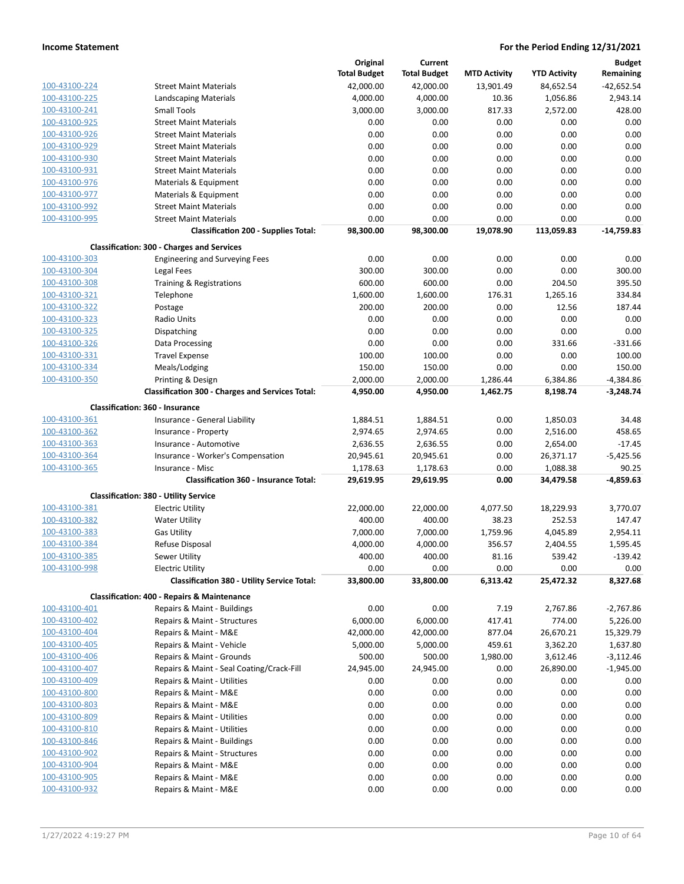|               |                                                         | Original            | Current             |                     |                     | <b>Budget</b> |
|---------------|---------------------------------------------------------|---------------------|---------------------|---------------------|---------------------|---------------|
|               |                                                         | <b>Total Budget</b> | <b>Total Budget</b> | <b>MTD Activity</b> | <b>YTD Activity</b> | Remaining     |
| 100-43100-224 | <b>Street Maint Materials</b>                           | 42,000.00           | 42,000.00           | 13,901.49           | 84,652.54           | $-42,652.54$  |
| 100-43100-225 | Landscaping Materials                                   | 4,000.00            | 4,000.00            | 10.36               | 1,056.86            | 2,943.14      |
| 100-43100-241 | <b>Small Tools</b>                                      | 3,000.00            | 3,000.00            | 817.33              | 2,572.00            | 428.00        |
| 100-43100-925 | <b>Street Maint Materials</b>                           | 0.00                | 0.00                | 0.00                | 0.00                | 0.00          |
| 100-43100-926 | <b>Street Maint Materials</b>                           | 0.00                | 0.00                | 0.00                | 0.00                | 0.00          |
| 100-43100-929 | <b>Street Maint Materials</b>                           | 0.00                | 0.00                | 0.00                | 0.00                | 0.00          |
| 100-43100-930 | <b>Street Maint Materials</b>                           | 0.00                | 0.00                | 0.00                | 0.00                | 0.00          |
| 100-43100-931 | <b>Street Maint Materials</b>                           | 0.00                | 0.00                | 0.00                | 0.00                | 0.00          |
| 100-43100-976 | Materials & Equipment                                   | 0.00                | 0.00                | 0.00                | 0.00                | 0.00          |
| 100-43100-977 | Materials & Equipment                                   | 0.00                | 0.00                | 0.00                | 0.00                | 0.00          |
| 100-43100-992 | <b>Street Maint Materials</b>                           | 0.00                | 0.00                | 0.00                | 0.00                | 0.00          |
| 100-43100-995 |                                                         | 0.00                |                     |                     |                     |               |
|               | <b>Street Maint Materials</b>                           |                     | 0.00                | 0.00                | 0.00                | 0.00          |
|               | <b>Classification 200 - Supplies Total:</b>             | 98,300.00           | 98,300.00           | 19,078.90           | 113,059.83          | $-14,759.83$  |
|               | <b>Classification: 300 - Charges and Services</b>       |                     |                     |                     |                     |               |
| 100-43100-303 | <b>Engineering and Surveying Fees</b>                   | 0.00                | 0.00                | 0.00                | 0.00                | 0.00          |
| 100-43100-304 | Legal Fees                                              | 300.00              | 300.00              | 0.00                | 0.00                | 300.00        |
| 100-43100-308 | Training & Registrations                                | 600.00              | 600.00              | 0.00                | 204.50              | 395.50        |
| 100-43100-321 | Telephone                                               | 1,600.00            | 1,600.00            | 176.31              | 1,265.16            | 334.84        |
| 100-43100-322 | Postage                                                 | 200.00              | 200.00              | 0.00                | 12.56               | 187.44        |
| 100-43100-323 | Radio Units                                             | 0.00                | 0.00                | 0.00                | 0.00                | 0.00          |
| 100-43100-325 | Dispatching                                             | 0.00                | 0.00                | 0.00                | 0.00                | 0.00          |
| 100-43100-326 | Data Processing                                         | 0.00                | 0.00                | 0.00                | 331.66              | $-331.66$     |
| 100-43100-331 | <b>Travel Expense</b>                                   | 100.00              | 100.00              | 0.00                | 0.00                | 100.00        |
| 100-43100-334 | Meals/Lodging                                           | 150.00              | 150.00              | 0.00                | 0.00                | 150.00        |
| 100-43100-350 | Printing & Design                                       | 2,000.00            | 2,000.00            | 1,286.44            | 6,384.86            | $-4,384.86$   |
|               | <b>Classification 300 - Charges and Services Total:</b> | 4,950.00            | 4,950.00            | 1,462.75            | 8,198.74            | $-3,248.74$   |
|               |                                                         |                     |                     |                     |                     |               |
|               | Classification: 360 - Insurance                         |                     |                     |                     |                     |               |
| 100-43100-361 | Insurance - General Liability                           | 1,884.51            | 1,884.51            | 0.00                | 1,850.03            | 34.48         |
| 100-43100-362 | Insurance - Property                                    | 2,974.65            | 2,974.65            | 0.00                | 2,516.00            | 458.65        |
| 100-43100-363 | Insurance - Automotive                                  | 2,636.55            | 2,636.55            | 0.00                | 2,654.00            | $-17.45$      |
| 100-43100-364 | Insurance - Worker's Compensation                       | 20,945.61           | 20,945.61           | 0.00                | 26,371.17           | $-5,425.56$   |
| 100-43100-365 | Insurance - Misc                                        | 1,178.63            | 1,178.63            | 0.00                | 1,088.38            | 90.25         |
|               | <b>Classification 360 - Insurance Total:</b>            | 29,619.95           | 29,619.95           | 0.00                | 34,479.58           | $-4,859.63$   |
|               | <b>Classification: 380 - Utility Service</b>            |                     |                     |                     |                     |               |
| 100-43100-381 | <b>Electric Utility</b>                                 | 22,000.00           | 22,000.00           | 4,077.50            | 18,229.93           | 3,770.07      |
| 100-43100-382 | <b>Water Utility</b>                                    | 400.00              | 400.00              | 38.23               | 252.53              | 147.47        |
| 100-43100-383 | <b>Gas Utility</b>                                      | 7,000.00            | 7,000.00            | 1,759.96            | 4,045.89            | 2,954.11      |
| 100-43100-384 | Refuse Disposal                                         | 4,000.00            | 4,000.00            | 356.57              | 2,404.55            | 1,595.45      |
| 100-43100-385 | Sewer Utility                                           | 400.00              | 400.00              | 81.16               | 539.42              | $-139.42$     |
| 100-43100-998 | <b>Electric Utility</b>                                 | 0.00                | 0.00                | 0.00                | 0.00                | 0.00          |
|               | <b>Classification 380 - Utility Service Total:</b>      | 33,800.00           | 33,800.00           | 6,313.42            | 25,472.32           | 8,327.68      |
|               |                                                         |                     |                     |                     |                     |               |
|               | <b>Classification: 400 - Repairs &amp; Maintenance</b>  |                     |                     |                     |                     |               |
| 100-43100-401 | Repairs & Maint - Buildings                             | 0.00                | 0.00                | 7.19                | 2,767.86            | $-2,767.86$   |
| 100-43100-402 | Repairs & Maint - Structures                            | 6,000.00            | 6,000.00            | 417.41              | 774.00              | 5,226.00      |
| 100-43100-404 | Repairs & Maint - M&E                                   | 42,000.00           | 42,000.00           | 877.04              | 26,670.21           | 15,329.79     |
| 100-43100-405 | Repairs & Maint - Vehicle                               | 5,000.00            | 5,000.00            | 459.61              | 3,362.20            | 1,637.80      |
| 100-43100-406 | Repairs & Maint - Grounds                               | 500.00              | 500.00              | 1,980.00            | 3,612.46            | $-3,112.46$   |
| 100-43100-407 | Repairs & Maint - Seal Coating/Crack-Fill               | 24,945.00           | 24,945.00           | 0.00                | 26,890.00           | $-1,945.00$   |
| 100-43100-409 | Repairs & Maint - Utilities                             | 0.00                | 0.00                | 0.00                | 0.00                | 0.00          |
| 100-43100-800 | Repairs & Maint - M&E                                   | 0.00                | 0.00                | 0.00                | 0.00                | 0.00          |
| 100-43100-803 | Repairs & Maint - M&E                                   | 0.00                | 0.00                | 0.00                | 0.00                | 0.00          |
| 100-43100-809 | Repairs & Maint - Utilities                             | 0.00                | 0.00                | 0.00                | 0.00                | 0.00          |
| 100-43100-810 | Repairs & Maint - Utilities                             | 0.00                | 0.00                | 0.00                | 0.00                | 0.00          |
| 100-43100-846 | Repairs & Maint - Buildings                             | 0.00                | 0.00                | 0.00                | 0.00                | 0.00          |
| 100-43100-902 | Repairs & Maint - Structures                            | 0.00                | 0.00                | 0.00                | 0.00                | 0.00          |
| 100-43100-904 | Repairs & Maint - M&E                                   | 0.00                | 0.00                | 0.00                | 0.00                | 0.00          |
| 100-43100-905 | Repairs & Maint - M&E                                   | 0.00                | 0.00                | 0.00                | 0.00                | 0.00          |
| 100-43100-932 | Repairs & Maint - M&E                                   | 0.00                | 0.00                | 0.00                | 0.00                | 0.00          |
|               |                                                         |                     |                     |                     |                     |               |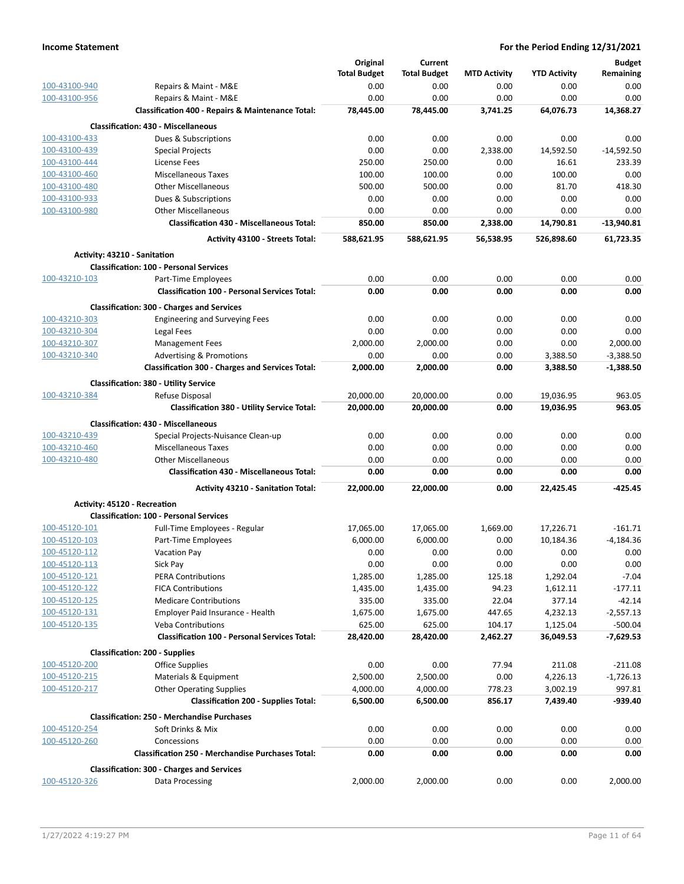|               |                                                              | Original            | Current             |                     |                     | <b>Budget</b> |
|---------------|--------------------------------------------------------------|---------------------|---------------------|---------------------|---------------------|---------------|
|               |                                                              | <b>Total Budget</b> | <b>Total Budget</b> | <b>MTD Activity</b> | <b>YTD Activity</b> | Remaining     |
| 100-43100-940 | Repairs & Maint - M&E                                        | 0.00                | 0.00                | 0.00                | 0.00                | 0.00          |
| 100-43100-956 | Repairs & Maint - M&E                                        | 0.00                | 0.00                | 0.00                | 0.00                | 0.00          |
|               | <b>Classification 400 - Repairs &amp; Maintenance Total:</b> | 78,445.00           | 78,445.00           | 3,741.25            | 64,076.73           | 14,368.27     |
|               | <b>Classification: 430 - Miscellaneous</b>                   |                     |                     |                     |                     |               |
| 100-43100-433 | Dues & Subscriptions                                         | 0.00                | 0.00                | 0.00                | 0.00                | 0.00          |
| 100-43100-439 | <b>Special Projects</b>                                      | 0.00                | 0.00                | 2,338.00            | 14,592.50           | $-14,592.50$  |
| 100-43100-444 | License Fees                                                 | 250.00              | 250.00              | 0.00                | 16.61               | 233.39        |
| 100-43100-460 | Miscellaneous Taxes                                          | 100.00              | 100.00              | 0.00                | 100.00              | 0.00          |
| 100-43100-480 | <b>Other Miscellaneous</b>                                   | 500.00              | 500.00              | 0.00                | 81.70               | 418.30        |
| 100-43100-933 | Dues & Subscriptions                                         | 0.00                | 0.00                | 0.00                | 0.00                | 0.00          |
| 100-43100-980 | <b>Other Miscellaneous</b>                                   | 0.00                | 0.00                | 0.00                | 0.00                | 0.00          |
|               | <b>Classification 430 - Miscellaneous Total:</b>             | 850.00              | 850.00              | 2,338.00            | 14,790.81           | $-13,940.81$  |
|               | <b>Activity 43100 - Streets Total:</b>                       | 588,621.95          | 588,621.95          | 56,538.95           | 526,898.60          | 61,723.35     |
|               | Activity: 43210 - Sanitation                                 |                     |                     |                     |                     |               |
|               | <b>Classification: 100 - Personal Services</b>               |                     |                     |                     |                     |               |
| 100-43210-103 | Part-Time Employees                                          | 0.00                | 0.00                | 0.00                | 0.00                | 0.00          |
|               | <b>Classification 100 - Personal Services Total:</b>         | 0.00                | 0.00                | 0.00                | 0.00                | 0.00          |
|               | <b>Classification: 300 - Charges and Services</b>            |                     |                     |                     |                     |               |
| 100-43210-303 | <b>Engineering and Surveying Fees</b>                        | 0.00                | 0.00                | 0.00                | 0.00                | 0.00          |
| 100-43210-304 | Legal Fees                                                   | 0.00                | 0.00                | 0.00                | 0.00                | 0.00          |
| 100-43210-307 | <b>Management Fees</b>                                       | 2,000.00            | 2,000.00            | 0.00                | 0.00                | 2,000.00      |
| 100-43210-340 | <b>Advertising &amp; Promotions</b>                          | 0.00                | 0.00                | 0.00                | 3,388.50            | $-3,388.50$   |
|               | <b>Classification 300 - Charges and Services Total:</b>      | 2,000.00            | 2,000.00            | 0.00                | 3,388.50            | $-1,388.50$   |
|               | <b>Classification: 380 - Utility Service</b>                 |                     |                     |                     |                     |               |
| 100-43210-384 | Refuse Disposal                                              | 20,000.00           | 20,000.00           | 0.00                | 19,036.95           | 963.05        |
|               | <b>Classification 380 - Utility Service Total:</b>           | 20,000.00           | 20,000.00           | 0.00                | 19,036.95           | 963.05        |
|               | <b>Classification: 430 - Miscellaneous</b>                   |                     |                     |                     |                     |               |
| 100-43210-439 | Special Projects-Nuisance Clean-up                           | 0.00                | 0.00                | 0.00                | 0.00                | 0.00          |
| 100-43210-460 | <b>Miscellaneous Taxes</b>                                   | 0.00                | 0.00                | 0.00                | 0.00                | 0.00          |
| 100-43210-480 | <b>Other Miscellaneous</b>                                   | 0.00                | 0.00                | 0.00                | 0.00                | 0.00          |
|               | <b>Classification 430 - Miscellaneous Total:</b>             | 0.00                | 0.00                | 0.00                | 0.00                | 0.00          |
|               | <b>Activity 43210 - Sanitation Total:</b>                    | 22,000.00           | 22,000.00           | 0.00                | 22,425.45           | $-425.45$     |
|               | Activity: 45120 - Recreation                                 |                     |                     |                     |                     |               |
|               | <b>Classification: 100 - Personal Services</b>               |                     |                     |                     |                     |               |
| 100-45120-101 | Full-Time Employees - Regular                                | 17,065.00           | 17,065.00           | 1,669.00            | 17,226.71           | $-161.71$     |
| 100-45120-103 | Part-Time Employees                                          | 6,000.00            | 6,000.00            | 0.00                | 10,184.36           | $-4,184.36$   |
| 100-45120-112 | <b>Vacation Pay</b>                                          | 0.00                | 0.00                | 0.00                | 0.00                | 0.00          |
| 100-45120-113 | Sick Pay                                                     | 0.00                | 0.00                | 0.00                | 0.00                | 0.00          |
| 100-45120-121 | <b>PERA Contributions</b>                                    | 1,285.00            | 1,285.00            | 125.18              | 1,292.04            | $-7.04$       |
| 100-45120-122 | <b>FICA Contributions</b>                                    | 1,435.00            | 1,435.00            | 94.23               | 1,612.11            | $-177.11$     |
| 100-45120-125 | <b>Medicare Contributions</b>                                | 335.00              | 335.00              | 22.04               | 377.14              | $-42.14$      |
| 100-45120-131 | Employer Paid Insurance - Health                             | 1,675.00            | 1,675.00            | 447.65              | 4,232.13            | $-2,557.13$   |
| 100-45120-135 | <b>Veba Contributions</b>                                    | 625.00              | 625.00              | 104.17              | 1,125.04            | $-500.04$     |
|               | <b>Classification 100 - Personal Services Total:</b>         | 28,420.00           | 28,420.00           | 2,462.27            | 36,049.53           | $-7,629.53$   |
|               | <b>Classification: 200 - Supplies</b>                        |                     |                     |                     |                     |               |
| 100-45120-200 | <b>Office Supplies</b>                                       | 0.00                | 0.00                | 77.94               | 211.08              | $-211.08$     |
| 100-45120-215 | Materials & Equipment                                        | 2,500.00            | 2,500.00            | 0.00                | 4,226.13            | $-1,726.13$   |
| 100-45120-217 | <b>Other Operating Supplies</b>                              | 4,000.00            | 4,000.00            | 778.23              | 3,002.19            | 997.81        |
|               | <b>Classification 200 - Supplies Total:</b>                  | 6,500.00            | 6,500.00            | 856.17              | 7,439.40            | -939.40       |
|               | <b>Classification: 250 - Merchandise Purchases</b>           |                     |                     |                     |                     |               |
| 100-45120-254 | Soft Drinks & Mix                                            | 0.00                | 0.00                | 0.00                | 0.00                | 0.00          |
| 100-45120-260 | Concessions                                                  | 0.00                | 0.00                | 0.00                | 0.00                | 0.00          |
|               | <b>Classification 250 - Merchandise Purchases Total:</b>     | 0.00                | 0.00                | 0.00                | 0.00                | 0.00          |
|               | <b>Classification: 300 - Charges and Services</b>            |                     |                     |                     |                     |               |
| 100-45120-326 | Data Processing                                              | 2,000.00            | 2,000.00            | 0.00                | 0.00                | 2,000.00      |
|               |                                                              |                     |                     |                     |                     |               |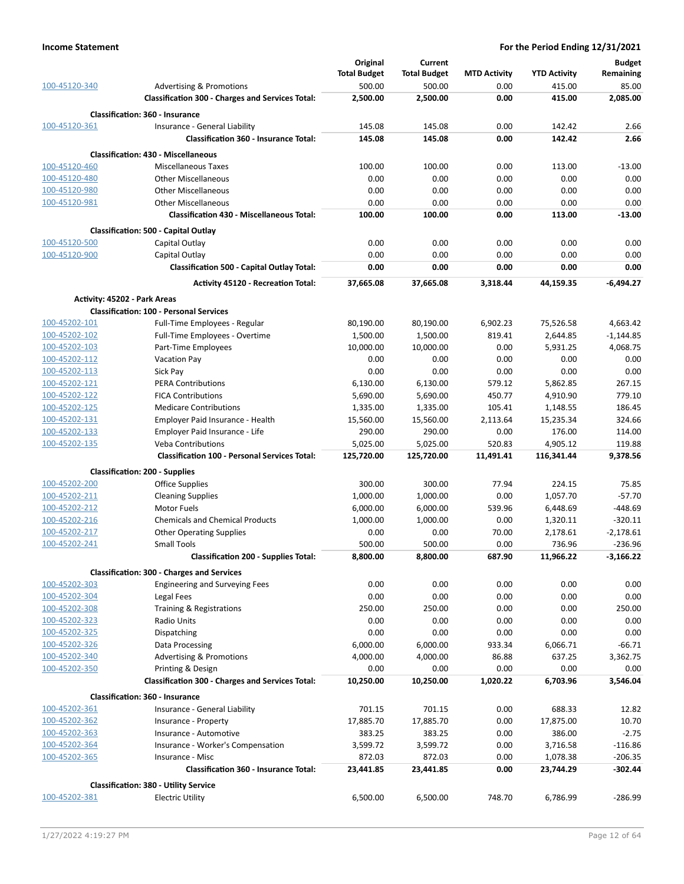| 100-45120-340                  |                                                                                                | Original<br><b>Total Budget</b> | Current<br><b>Total Budget</b> | <b>MTD Activity</b> | <b>YTD Activity</b>   | <b>Budget</b><br>Remaining<br>85.00 |
|--------------------------------|------------------------------------------------------------------------------------------------|---------------------------------|--------------------------------|---------------------|-----------------------|-------------------------------------|
|                                | <b>Advertising &amp; Promotions</b><br><b>Classification 300 - Charges and Services Total:</b> | 500.00<br>2,500.00              | 500.00<br>2,500.00             | 0.00<br>0.00        | 415.00<br>415.00      | 2,085.00                            |
|                                | <b>Classification: 360 - Insurance</b>                                                         |                                 |                                |                     |                       |                                     |
| 100-45120-361                  | Insurance - General Liability                                                                  | 145.08                          | 145.08                         | 0.00                | 142.42                | 2.66                                |
|                                | <b>Classification 360 - Insurance Total:</b>                                                   | 145.08                          | 145.08                         | 0.00                | 142.42                | 2.66                                |
|                                | <b>Classification: 430 - Miscellaneous</b>                                                     |                                 |                                |                     |                       |                                     |
| 100-45120-460                  | <b>Miscellaneous Taxes</b>                                                                     | 100.00                          | 100.00                         | 0.00                | 113.00                | $-13.00$                            |
| 100-45120-480                  | <b>Other Miscellaneous</b>                                                                     | 0.00                            | 0.00                           | 0.00                | 0.00                  | 0.00                                |
| 100-45120-980                  | <b>Other Miscellaneous</b>                                                                     | 0.00                            | 0.00                           | 0.00                | 0.00                  | 0.00                                |
| 100-45120-981                  | <b>Other Miscellaneous</b><br><b>Classification 430 - Miscellaneous Total:</b>                 | 0.00<br>100.00                  | 0.00<br>100.00                 | 0.00<br>0.00        | 0.00<br>113.00        | 0.00<br>$-13.00$                    |
|                                |                                                                                                |                                 |                                |                     |                       |                                     |
| 100-45120-500                  | Classification: 500 - Capital Outlay                                                           | 0.00                            | 0.00                           | 0.00                | 0.00                  | 0.00                                |
| 100-45120-900                  | Capital Outlay<br>Capital Outlay                                                               | 0.00                            | 0.00                           | 0.00                | 0.00                  | 0.00                                |
|                                | <b>Classification 500 - Capital Outlay Total:</b>                                              | 0.00                            | 0.00                           | 0.00                | 0.00                  | 0.00                                |
|                                | <b>Activity 45120 - Recreation Total:</b>                                                      | 37,665.08                       | 37,665.08                      | 3,318.44            | 44,159.35             | $-6,494.27$                         |
|                                |                                                                                                |                                 |                                |                     |                       |                                     |
|                                | <b>Activity: 45202 - Park Areas</b><br><b>Classification: 100 - Personal Services</b>          |                                 |                                |                     |                       |                                     |
| 100-45202-101                  | Full-Time Employees - Regular                                                                  | 80,190.00                       | 80,190.00                      | 6,902.23            | 75,526.58             | 4,663.42                            |
| 100-45202-102                  | Full-Time Employees - Overtime                                                                 | 1,500.00                        | 1,500.00                       | 819.41              | 2,644.85              | $-1,144.85$                         |
| 100-45202-103                  | Part-Time Employees                                                                            | 10,000.00                       | 10,000.00                      | 0.00                | 5,931.25              | 4,068.75                            |
| 100-45202-112                  | Vacation Pay                                                                                   | 0.00                            | 0.00                           | 0.00                | 0.00                  | 0.00                                |
| 100-45202-113                  | Sick Pay                                                                                       | 0.00                            | 0.00                           | 0.00                | 0.00                  | 0.00                                |
| 100-45202-121                  | <b>PERA Contributions</b>                                                                      | 6,130.00                        | 6,130.00                       | 579.12              | 5,862.85              | 267.15                              |
| 100-45202-122                  | <b>FICA Contributions</b>                                                                      | 5,690.00                        | 5,690.00                       | 450.77              | 4,910.90              | 779.10                              |
| 100-45202-125<br>100-45202-131 | <b>Medicare Contributions</b><br>Employer Paid Insurance - Health                              | 1,335.00<br>15,560.00           | 1,335.00<br>15,560.00          | 105.41<br>2,113.64  | 1,148.55<br>15,235.34 | 186.45<br>324.66                    |
| 100-45202-133                  | Employer Paid Insurance - Life                                                                 | 290.00                          | 290.00                         | 0.00                | 176.00                | 114.00                              |
| 100-45202-135                  | <b>Veba Contributions</b>                                                                      | 5,025.00                        | 5,025.00                       | 520.83              | 4,905.12              | 119.88                              |
|                                | <b>Classification 100 - Personal Services Total:</b>                                           | 125,720.00                      | 125,720.00                     | 11,491.41           | 116,341.44            | 9,378.56                            |
|                                | <b>Classification: 200 - Supplies</b>                                                          |                                 |                                |                     |                       |                                     |
| 100-45202-200                  | <b>Office Supplies</b>                                                                         | 300.00                          | 300.00                         | 77.94               | 224.15                | 75.85                               |
| 100-45202-211                  | <b>Cleaning Supplies</b>                                                                       | 1,000.00                        | 1,000.00                       | 0.00                | 1,057.70              | $-57.70$                            |
| 100-45202-212                  | Motor Fuels                                                                                    | 6,000.00                        | 6,000.00                       | 539.96              | 6,448.69              | -448.69                             |
| 100-45202-216                  | <b>Chemicals and Chemical Products</b>                                                         | 1,000.00                        | 1,000.00                       | 0.00                | 1,320.11              | $-320.11$                           |
| 100-45202-217                  | <b>Other Operating Supplies</b>                                                                | 0.00                            | 0.00                           | 70.00               | 2,178.61              | $-2,178.61$                         |
| 100-45202-241                  | <b>Small Tools</b><br><b>Classification 200 - Supplies Total:</b>                              | 500.00<br>8,800.00              | 500.00<br>8,800.00             | 0.00<br>687.90      | 736.96<br>11,966.22   | $-236.96$<br>$-3,166.22$            |
|                                |                                                                                                |                                 |                                |                     |                       |                                     |
| 100-45202-303                  | <b>Classification: 300 - Charges and Services</b><br><b>Engineering and Surveying Fees</b>     | 0.00                            | 0.00                           | 0.00                | 0.00                  | 0.00                                |
| 100-45202-304                  | Legal Fees                                                                                     | 0.00                            | 0.00                           | 0.00                | 0.00                  | 0.00                                |
| 100-45202-308                  | Training & Registrations                                                                       | 250.00                          | 250.00                         | 0.00                | 0.00                  | 250.00                              |
| 100-45202-323                  | Radio Units                                                                                    | 0.00                            | 0.00                           | 0.00                | 0.00                  | 0.00                                |
| 100-45202-325                  | Dispatching                                                                                    | 0.00                            | 0.00                           | 0.00                | 0.00                  | 0.00                                |
| 100-45202-326                  | Data Processing                                                                                | 6,000.00                        | 6,000.00                       | 933.34              | 6,066.71              | $-66.71$                            |
| 100-45202-340                  | <b>Advertising &amp; Promotions</b>                                                            | 4,000.00                        | 4,000.00                       | 86.88               | 637.25                | 3,362.75                            |
| 100-45202-350                  | Printing & Design                                                                              | 0.00                            | 0.00                           | 0.00                | 0.00                  | 0.00                                |
|                                | <b>Classification 300 - Charges and Services Total:</b>                                        | 10,250.00                       | 10,250.00                      | 1,020.22            | 6,703.96              | 3,546.04                            |
|                                | <b>Classification: 360 - Insurance</b>                                                         |                                 |                                |                     |                       |                                     |
| 100-45202-361                  | Insurance - General Liability                                                                  | 701.15                          | 701.15                         | 0.00                | 688.33                | 12.82                               |
| 100-45202-362<br>100-45202-363 | Insurance - Property<br>Insurance - Automotive                                                 | 17,885.70<br>383.25             | 17,885.70<br>383.25            | 0.00<br>0.00        | 17,875.00<br>386.00   | 10.70<br>$-2.75$                    |
| 100-45202-364                  | Insurance - Worker's Compensation                                                              | 3,599.72                        | 3,599.72                       | 0.00                | 3,716.58              | $-116.86$                           |
| 100-45202-365                  | Insurance - Misc                                                                               | 872.03                          | 872.03                         | 0.00                | 1,078.38              | $-206.35$                           |
|                                | <b>Classification 360 - Insurance Total:</b>                                                   | 23,441.85                       | 23,441.85                      | 0.00                | 23,744.29             | $-302.44$                           |
|                                | <b>Classification: 380 - Utility Service</b>                                                   |                                 |                                |                     |                       |                                     |
| 100-45202-381                  | <b>Electric Utility</b>                                                                        | 6,500.00                        | 6,500.00                       | 748.70              | 6,786.99              | $-286.99$                           |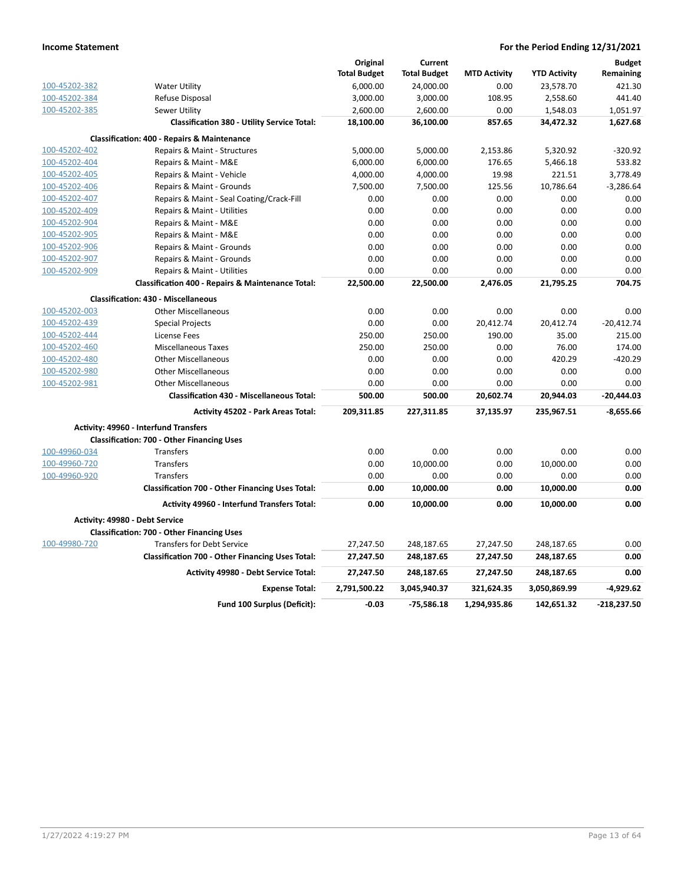|               |                                                              | Original            | Current             |                     |                     | <b>Budget</b> |
|---------------|--------------------------------------------------------------|---------------------|---------------------|---------------------|---------------------|---------------|
|               |                                                              | <b>Total Budget</b> | <b>Total Budget</b> | <b>MTD Activity</b> | <b>YTD Activity</b> | Remaining     |
| 100-45202-382 | <b>Water Utility</b>                                         | 6,000.00            | 24,000.00           | 0.00                | 23,578.70           | 421.30        |
| 100-45202-384 | Refuse Disposal                                              | 3,000.00            | 3,000.00            | 108.95              | 2,558.60            | 441.40        |
| 100-45202-385 | Sewer Utility                                                | 2,600.00            | 2,600.00            | 0.00                | 1,548.03            | 1,051.97      |
|               | <b>Classification 380 - Utility Service Total:</b>           | 18,100.00           | 36,100.00           | 857.65              | 34,472.32           | 1,627.68      |
|               | <b>Classification: 400 - Repairs &amp; Maintenance</b>       |                     |                     |                     |                     |               |
| 100-45202-402 | Repairs & Maint - Structures                                 | 5,000.00            | 5,000.00            | 2,153.86            | 5,320.92            | $-320.92$     |
| 100-45202-404 | Repairs & Maint - M&E                                        | 6,000.00            | 6,000.00            | 176.65              | 5,466.18            | 533.82        |
| 100-45202-405 | Repairs & Maint - Vehicle                                    | 4,000.00            | 4,000.00            | 19.98               | 221.51              | 3,778.49      |
| 100-45202-406 | Repairs & Maint - Grounds                                    | 7,500.00            | 7,500.00            | 125.56              | 10,786.64           | $-3,286.64$   |
| 100-45202-407 | Repairs & Maint - Seal Coating/Crack-Fill                    | 0.00                | 0.00                | 0.00                | 0.00                | 0.00          |
| 100-45202-409 | Repairs & Maint - Utilities                                  | 0.00                | 0.00                | 0.00                | 0.00                | 0.00          |
| 100-45202-904 | Repairs & Maint - M&E                                        | 0.00                | 0.00                | 0.00                | 0.00                | 0.00          |
| 100-45202-905 | Repairs & Maint - M&E                                        | 0.00                | 0.00                | 0.00                | 0.00                | 0.00          |
| 100-45202-906 | Repairs & Maint - Grounds                                    | 0.00                | 0.00                | 0.00                | 0.00                | 0.00          |
| 100-45202-907 | Repairs & Maint - Grounds                                    | 0.00                | 0.00                | 0.00                | 0.00                | 0.00          |
| 100-45202-909 | Repairs & Maint - Utilities                                  | 0.00                | 0.00                | 0.00                | 0.00                | 0.00          |
|               | <b>Classification 400 - Repairs &amp; Maintenance Total:</b> | 22,500.00           | 22,500.00           | 2,476.05            | 21,795.25           | 704.75        |
|               | <b>Classification: 430 - Miscellaneous</b>                   |                     |                     |                     |                     |               |
| 100-45202-003 | <b>Other Miscellaneous</b>                                   | 0.00                | 0.00                | 0.00                | 0.00                | 0.00          |
| 100-45202-439 | <b>Special Projects</b>                                      | 0.00                | 0.00                | 20,412.74           | 20,412.74           | $-20,412.74$  |
| 100-45202-444 | License Fees                                                 | 250.00              | 250.00              | 190.00              | 35.00               | 215.00        |
| 100-45202-460 | <b>Miscellaneous Taxes</b>                                   | 250.00              | 250.00              | 0.00                | 76.00               | 174.00        |
| 100-45202-480 | <b>Other Miscellaneous</b>                                   | 0.00                | 0.00                | 0.00                | 420.29              | $-420.29$     |
| 100-45202-980 | <b>Other Miscellaneous</b>                                   | 0.00                | 0.00                | 0.00                | 0.00                | 0.00          |
| 100-45202-981 | <b>Other Miscellaneous</b>                                   | 0.00                | 0.00                | 0.00                | 0.00                | 0.00          |
|               | <b>Classification 430 - Miscellaneous Total:</b>             | 500.00              | 500.00              | 20,602.74           | 20,944.03           | $-20,444.03$  |
|               | <b>Activity 45202 - Park Areas Total:</b>                    | 209,311.85          | 227,311.85          | 37,135.97           | 235,967.51          | $-8,655.66$   |
|               | Activity: 49960 - Interfund Transfers                        |                     |                     |                     |                     |               |
|               | <b>Classification: 700 - Other Financing Uses</b>            |                     |                     |                     |                     |               |
| 100-49960-034 | <b>Transfers</b>                                             | 0.00                | 0.00                | 0.00                | 0.00                | 0.00          |
| 100-49960-720 | <b>Transfers</b>                                             | 0.00                | 10,000.00           | 0.00                | 10,000.00           | 0.00          |
| 100-49960-920 | Transfers                                                    | 0.00                | 0.00                | 0.00                | 0.00                | 0.00          |
|               | Classification 700 - Other Financing Uses Total:             | 0.00                | 10,000.00           | 0.00                | 10,000.00           | 0.00          |
|               | Activity 49960 - Interfund Transfers Total:                  | 0.00                | 10,000.00           | 0.00                | 10,000.00           | 0.00          |
|               | Activity: 49980 - Debt Service                               |                     |                     |                     |                     |               |
|               | <b>Classification: 700 - Other Financing Uses</b>            |                     |                     |                     |                     |               |
| 100-49980-720 | <b>Transfers for Debt Service</b>                            | 27,247.50           | 248,187.65          | 27,247.50           | 248,187.65          | 0.00          |
|               | Classification 700 - Other Financing Uses Total:             | 27,247.50           | 248,187.65          | 27,247.50           | 248,187.65          | 0.00          |
|               | Activity 49980 - Debt Service Total:                         | 27,247.50           | 248,187.65          | 27,247.50           | 248,187.65          | 0.00          |
|               | <b>Expense Total:</b>                                        | 2,791,500.22        | 3,045,940.37        | 321,624.35          | 3,050,869.99        | $-4,929.62$   |
|               | Fund 100 Surplus (Deficit):                                  | $-0.03$             | 75,586.18           | 1,294,935.86        | 142,651.32          | $-218,237.50$ |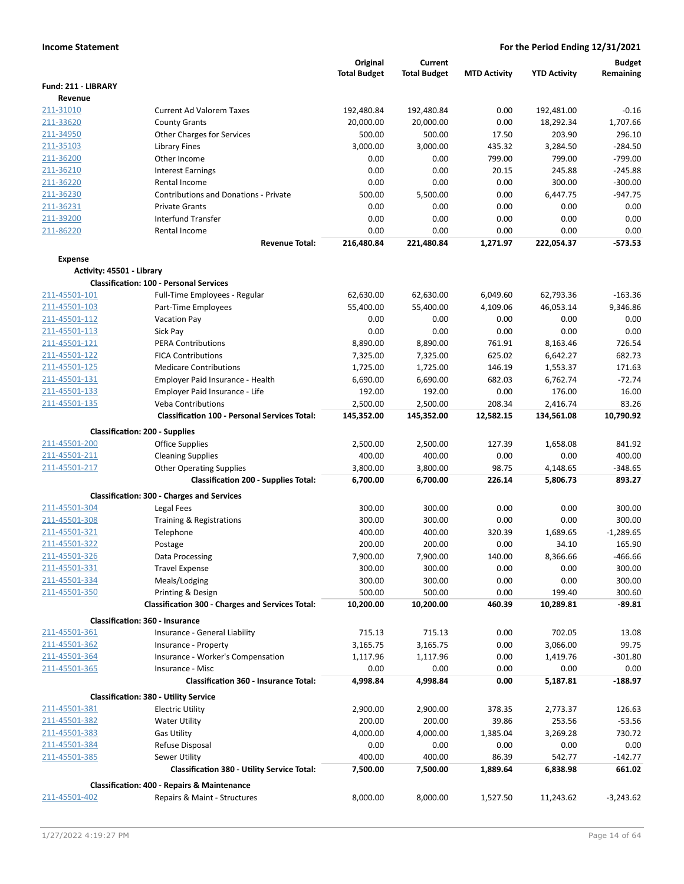|                                |                                                                  | Original            | Current             |                     |                     | <b>Budget</b>      |
|--------------------------------|------------------------------------------------------------------|---------------------|---------------------|---------------------|---------------------|--------------------|
|                                |                                                                  | <b>Total Budget</b> | <b>Total Budget</b> | <b>MTD Activity</b> | <b>YTD Activity</b> | Remaining          |
| Fund: 211 - LIBRARY            |                                                                  |                     |                     |                     |                     |                    |
| Revenue<br>211-31010           | <b>Current Ad Valorem Taxes</b>                                  | 192,480.84          | 192,480.84          | 0.00                | 192,481.00          | $-0.16$            |
| 211-33620                      | <b>County Grants</b>                                             | 20,000.00           | 20,000.00           | 0.00                | 18,292.34           | 1,707.66           |
| 211-34950                      | Other Charges for Services                                       | 500.00              | 500.00              | 17.50               | 203.90              | 296.10             |
| 211-35103                      | Library Fines                                                    | 3,000.00            | 3,000.00            | 435.32              | 3,284.50            | $-284.50$          |
| 211-36200                      | Other Income                                                     | 0.00                | 0.00                | 799.00              | 799.00              | $-799.00$          |
| 211-36210                      | <b>Interest Earnings</b>                                         | 0.00                | 0.00                | 20.15               | 245.88              | $-245.88$          |
| 211-36220                      | Rental Income                                                    | 0.00                | 0.00                | 0.00                | 300.00              | $-300.00$          |
| 211-36230                      | <b>Contributions and Donations - Private</b>                     | 500.00              | 5,500.00            | 0.00                | 6,447.75            | $-947.75$          |
| 211-36231                      | <b>Private Grants</b>                                            | 0.00                | 0.00                | 0.00                | 0.00                | 0.00               |
| 211-39200                      | <b>Interfund Transfer</b>                                        | 0.00                | 0.00                | 0.00                | 0.00                | 0.00               |
| 211-86220                      | Rental Income                                                    | 0.00                | 0.00                | 0.00                | 0.00                | 0.00               |
|                                | <b>Revenue Total:</b>                                            | 216,480.84          | 221,480.84          | 1,271.97            | 222,054.37          | $-573.53$          |
| <b>Expense</b>                 |                                                                  |                     |                     |                     |                     |                    |
| Activity: 45501 - Library      |                                                                  |                     |                     |                     |                     |                    |
|                                | <b>Classification: 100 - Personal Services</b>                   |                     |                     |                     |                     |                    |
| 211-45501-101                  | Full-Time Employees - Regular                                    | 62,630.00           | 62,630.00           | 6,049.60            | 62,793.36           | $-163.36$          |
| 211-45501-103                  | Part-Time Employees                                              | 55,400.00           | 55,400.00           | 4,109.06            | 46,053.14           | 9,346.86           |
| 211-45501-112<br>211-45501-113 | Vacation Pay                                                     | 0.00<br>0.00        | 0.00<br>0.00        | 0.00<br>0.00        | 0.00<br>0.00        | 0.00<br>0.00       |
| 211-45501-121                  | Sick Pay<br><b>PERA Contributions</b>                            | 8,890.00            | 8,890.00            | 761.91              | 8,163.46            | 726.54             |
| 211-45501-122                  | <b>FICA Contributions</b>                                        | 7,325.00            | 7,325.00            | 625.02              | 6,642.27            | 682.73             |
| 211-45501-125                  | <b>Medicare Contributions</b>                                    | 1,725.00            | 1,725.00            | 146.19              | 1,553.37            | 171.63             |
| 211-45501-131                  | Employer Paid Insurance - Health                                 | 6,690.00            | 6,690.00            | 682.03              | 6,762.74            | $-72.74$           |
| 211-45501-133                  | Employer Paid Insurance - Life                                   | 192.00              | 192.00              | 0.00                | 176.00              | 16.00              |
| 211-45501-135                  | <b>Veba Contributions</b>                                        | 2,500.00            | 2,500.00            | 208.34              | 2,416.74            | 83.26              |
|                                | <b>Classification 100 - Personal Services Total:</b>             | 145,352.00          | 145,352.00          | 12,582.15           | 134,561.08          | 10,790.92          |
|                                | <b>Classification: 200 - Supplies</b>                            |                     |                     |                     |                     |                    |
| 211-45501-200                  | <b>Office Supplies</b>                                           | 2,500.00            | 2,500.00            | 127.39              | 1,658.08            | 841.92             |
| 211-45501-211                  | <b>Cleaning Supplies</b>                                         | 400.00              | 400.00              | 0.00                | 0.00                | 400.00             |
| 211-45501-217                  | <b>Other Operating Supplies</b>                                  | 3,800.00            | 3,800.00            | 98.75               | 4,148.65            | -348.65            |
|                                | <b>Classification 200 - Supplies Total:</b>                      | 6,700.00            | 6,700.00            | 226.14              | 5,806.73            | 893.27             |
|                                | <b>Classification: 300 - Charges and Services</b>                |                     |                     |                     |                     |                    |
| 211-45501-304                  | Legal Fees                                                       | 300.00              | 300.00              | 0.00                | 0.00                | 300.00             |
| 211-45501-308                  | Training & Registrations                                         | 300.00              | 300.00              | 0.00                | 0.00                | 300.00             |
| 211-45501-321                  | Telephone                                                        | 400.00              | 400.00              | 320.39              | 1,689.65            | $-1,289.65$        |
| 211-45501-322                  | Postage                                                          | 200.00              | 200.00              | 0.00                | 34.10               | 165.90             |
| 211-45501-326                  | Data Processing                                                  | 7,900.00            | 7,900.00            | 140.00              | 8,366.66            | $-466.66$          |
| 211-45501-331                  | <b>Travel Expense</b>                                            | 300.00              | 300.00              | 0.00                | 0.00                | 300.00             |
| 211-45501-334                  | Meals/Lodging                                                    | 300.00              | 300.00              | 0.00                | 0.00                | 300.00             |
| 211-45501-350                  | Printing & Design                                                | 500.00              | 500.00              | 0.00                | 199.40              | 300.60             |
|                                | <b>Classification 300 - Charges and Services Total:</b>          | 10,200.00           | 10,200.00           | 460.39              | 10,289.81           | $-89.81$           |
|                                | <b>Classification: 360 - Insurance</b>                           |                     |                     |                     |                     |                    |
| 211-45501-361                  | Insurance - General Liability                                    | 715.13              | 715.13              | 0.00                | 702.05              | 13.08              |
| 211-45501-362                  | Insurance - Property                                             | 3,165.75            | 3,165.75            | 0.00                | 3,066.00            | 99.75              |
| 211-45501-364                  | Insurance - Worker's Compensation                                | 1,117.96            | 1,117.96            | 0.00                | 1,419.76            | $-301.80$          |
| 211-45501-365                  | Insurance - Misc<br><b>Classification 360 - Insurance Total:</b> | 0.00<br>4,998.84    | 0.00<br>4,998.84    | 0.00<br>0.00        | 0.00<br>5,187.81    | 0.00<br>$-188.97$  |
|                                |                                                                  |                     |                     |                     |                     |                    |
|                                | <b>Classification: 380 - Utility Service</b>                     |                     |                     |                     |                     |                    |
| 211-45501-381<br>211-45501-382 | <b>Electric Utility</b><br><b>Water Utility</b>                  | 2,900.00<br>200.00  | 2,900.00<br>200.00  | 378.35<br>39.86     | 2,773.37<br>253.56  | 126.63<br>$-53.56$ |
| 211-45501-383                  | <b>Gas Utility</b>                                               | 4,000.00            | 4,000.00            | 1,385.04            | 3,269.28            | 730.72             |
| 211-45501-384                  | Refuse Disposal                                                  | 0.00                | 0.00                | 0.00                | 0.00                | 0.00               |
| 211-45501-385                  | Sewer Utility                                                    | 400.00              | 400.00              | 86.39               | 542.77              | $-142.77$          |
|                                | <b>Classification 380 - Utility Service Total:</b>               | 7,500.00            | 7,500.00            | 1,889.64            | 6,838.98            | 661.02             |
|                                | <b>Classification: 400 - Repairs &amp; Maintenance</b>           |                     |                     |                     |                     |                    |
| 211-45501-402                  | Repairs & Maint - Structures                                     | 8,000.00            | 8,000.00            | 1,527.50            | 11,243.62           | $-3,243.62$        |
|                                |                                                                  |                     |                     |                     |                     |                    |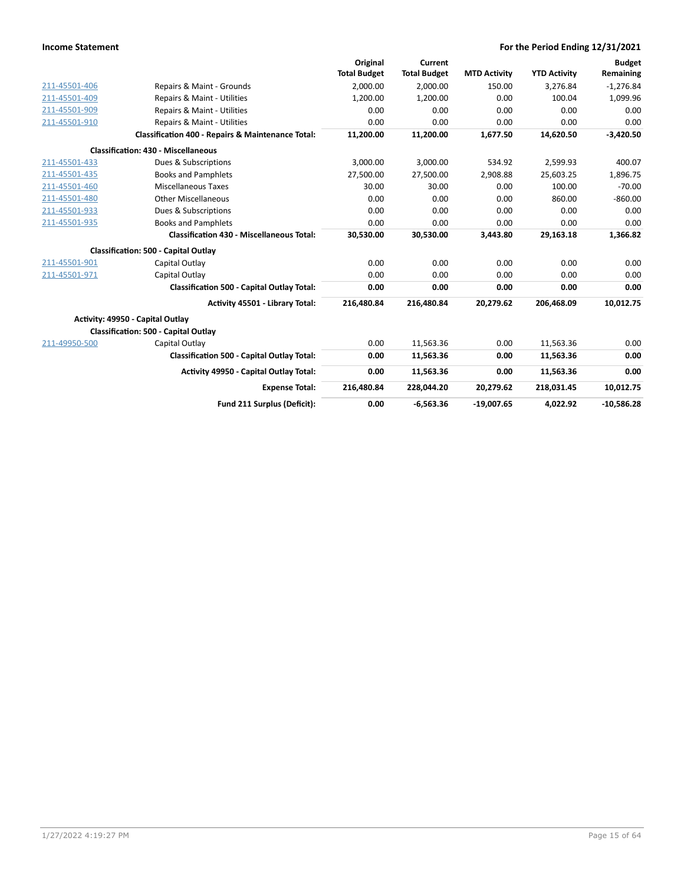|               |                                                   | Original            | Current             |                     |                     | <b>Budget</b> |
|---------------|---------------------------------------------------|---------------------|---------------------|---------------------|---------------------|---------------|
|               |                                                   | <b>Total Budget</b> | <b>Total Budget</b> | <b>MTD Activity</b> | <b>YTD Activity</b> | Remaining     |
| 211-45501-406 | Repairs & Maint - Grounds                         | 2,000.00            | 2,000.00            | 150.00              | 3.276.84            | $-1,276.84$   |
| 211-45501-409 | Repairs & Maint - Utilities                       | 1.200.00            | 1.200.00            | 0.00                | 100.04              | 1,099.96      |
| 211-45501-909 | Repairs & Maint - Utilities                       | 0.00                | 0.00                | 0.00                | 0.00                | 0.00          |
| 211-45501-910 | Repairs & Maint - Utilities                       | 0.00                | 0.00                | 0.00                | 0.00                | 0.00          |
|               | Classification 400 - Repairs & Maintenance Total: | 11,200.00           | 11,200.00           | 1,677.50            | 14,620.50           | $-3,420.50$   |
|               | <b>Classification: 430 - Miscellaneous</b>        |                     |                     |                     |                     |               |
| 211-45501-433 | Dues & Subscriptions                              | 3.000.00            | 3.000.00            | 534.92              | 2,599.93            | 400.07        |
| 211-45501-435 | <b>Books and Pamphlets</b>                        | 27,500.00           | 27,500.00           | 2,908.88            | 25,603.25           | 1,896.75      |
| 211-45501-460 | Miscellaneous Taxes                               | 30.00               | 30.00               | 0.00                | 100.00              | $-70.00$      |
| 211-45501-480 | <b>Other Miscellaneous</b>                        | 0.00                | 0.00                | 0.00                | 860.00              | $-860.00$     |
| 211-45501-933 | Dues & Subscriptions                              | 0.00                | 0.00                | 0.00                | 0.00                | 0.00          |
| 211-45501-935 | <b>Books and Pamphlets</b>                        | 0.00                | 0.00                | 0.00                | 0.00                | 0.00          |
|               | <b>Classification 430 - Miscellaneous Total:</b>  | 30,530.00           | 30,530.00           | 3,443.80            | 29,163.18           | 1,366.82      |
|               | <b>Classification: 500 - Capital Outlay</b>       |                     |                     |                     |                     |               |
| 211-45501-901 | Capital Outlay                                    | 0.00                | 0.00                | 0.00                | 0.00                | 0.00          |
| 211-45501-971 | Capital Outlay                                    | 0.00                | 0.00                | 0.00                | 0.00                | 0.00          |
|               | <b>Classification 500 - Capital Outlay Total:</b> | 0.00                | 0.00                | 0.00                | 0.00                | 0.00          |
|               | Activity 45501 - Library Total:                   | 216,480.84          | 216,480.84          | 20,279.62           | 206,468.09          | 10,012.75     |
|               | Activity: 49950 - Capital Outlay                  |                     |                     |                     |                     |               |
|               | <b>Classification: 500 - Capital Outlay</b>       |                     |                     |                     |                     |               |
| 211-49950-500 | Capital Outlay                                    | 0.00                | 11,563.36           | 0.00                | 11,563.36           | 0.00          |
|               | Classification 500 - Capital Outlay Total:        | 0.00                | 11,563.36           | 0.00                | 11,563.36           | 0.00          |
|               | Activity 49950 - Capital Outlay Total:            | 0.00                | 11,563.36           | 0.00                | 11,563.36           | 0.00          |
|               | <b>Expense Total:</b>                             | 216,480.84          | 228,044.20          | 20.279.62           | 218,031.45          | 10,012.75     |
|               | Fund 211 Surplus (Deficit):                       | 0.00                | $-6,563.36$         | $-19,007.65$        | 4,022.92            | $-10,586.28$  |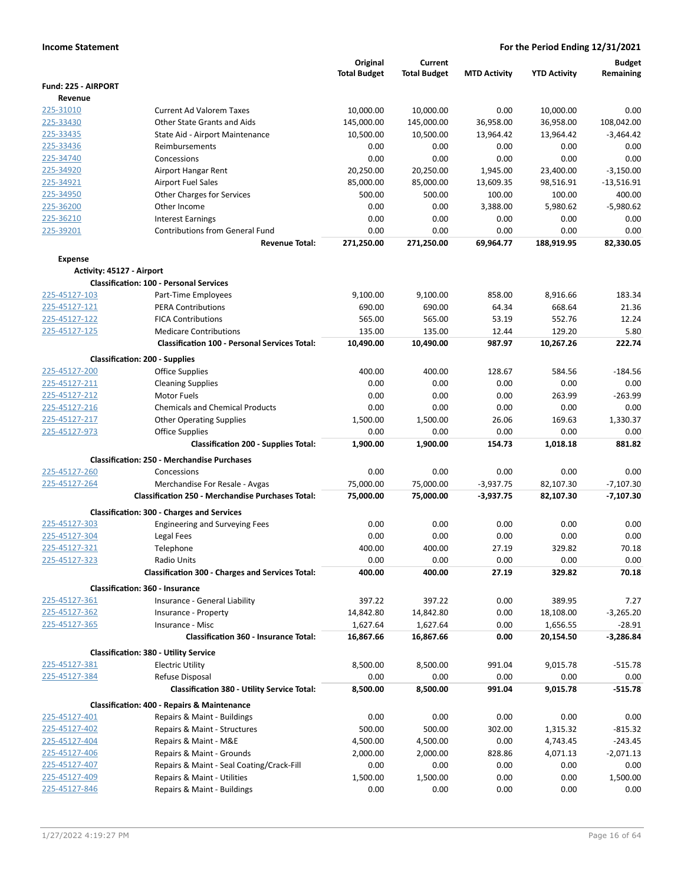|                           |                                                                         | Original<br><b>Total Budget</b> | Current<br><b>Total Budget</b> | <b>MTD Activity</b> | <b>YTD Activity</b>   | <b>Budget</b><br>Remaining |
|---------------------------|-------------------------------------------------------------------------|---------------------------------|--------------------------------|---------------------|-----------------------|----------------------------|
| Fund: 225 - AIRPORT       |                                                                         |                                 |                                |                     |                       |                            |
| Revenue                   |                                                                         |                                 |                                |                     |                       |                            |
| 225-31010                 | <b>Current Ad Valorem Taxes</b>                                         | 10,000.00                       | 10,000.00                      | 0.00                | 10,000.00             | 0.00                       |
| 225-33430                 | <b>Other State Grants and Aids</b>                                      | 145,000.00                      | 145,000.00                     | 36,958.00           | 36,958.00             | 108,042.00                 |
| 225-33435                 | State Aid - Airport Maintenance                                         | 10,500.00                       | 10,500.00                      | 13,964.42           | 13,964.42             | $-3,464.42$                |
| 225-33436                 | Reimbursements                                                          | 0.00                            | 0.00                           | 0.00                | 0.00                  | 0.00                       |
| 225-34740                 | Concessions                                                             | 0.00                            | 0.00                           | 0.00                | 0.00                  | 0.00                       |
| 225-34920                 | Airport Hangar Rent                                                     | 20,250.00                       | 20.250.00                      | 1,945.00            | 23,400.00             | $-3,150.00$                |
| 225-34921                 | <b>Airport Fuel Sales</b>                                               | 85,000.00                       | 85,000.00                      | 13,609.35           | 98,516.91             | $-13,516.91$               |
| 225-34950                 | Other Charges for Services                                              | 500.00                          | 500.00                         | 100.00              | 100.00                | 400.00                     |
| 225-36200                 | Other Income                                                            | 0.00                            | 0.00                           | 3,388.00            | 5,980.62              | $-5,980.62$                |
| 225-36210                 | <b>Interest Earnings</b>                                                | 0.00                            | 0.00                           | 0.00                | 0.00                  | 0.00                       |
| 225-39201                 | <b>Contributions from General Fund</b><br><b>Revenue Total:</b>         | 0.00<br>271,250.00              | 0.00<br>271,250.00             | 0.00<br>69,964.77   | 0.00<br>188,919.95    | 0.00<br>82,330.05          |
| <b>Expense</b>            |                                                                         |                                 |                                |                     |                       |                            |
| Activity: 45127 - Airport |                                                                         |                                 |                                |                     |                       |                            |
|                           | <b>Classification: 100 - Personal Services</b>                          |                                 |                                |                     |                       |                            |
| 225-45127-103             | Part-Time Employees                                                     | 9,100.00                        | 9,100.00                       | 858.00              | 8,916.66              | 183.34                     |
| 225-45127-121             | <b>PERA Contributions</b>                                               | 690.00                          | 690.00                         | 64.34               | 668.64                | 21.36                      |
| 225-45127-122             | <b>FICA Contributions</b>                                               | 565.00                          | 565.00                         | 53.19               | 552.76                | 12.24                      |
| 225-45127-125             | <b>Medicare Contributions</b>                                           | 135.00                          | 135.00                         | 12.44               | 129.20                | 5.80                       |
|                           | <b>Classification 100 - Personal Services Total:</b>                    | 10,490.00                       | 10,490.00                      | 987.97              | 10,267.26             | 222.74                     |
|                           | <b>Classification: 200 - Supplies</b>                                   |                                 |                                |                     |                       |                            |
| 225-45127-200             | <b>Office Supplies</b>                                                  | 400.00                          | 400.00                         | 128.67              | 584.56                | $-184.56$                  |
| 225-45127-211             | <b>Cleaning Supplies</b>                                                | 0.00                            | 0.00                           | 0.00                | 0.00                  | 0.00                       |
| 225-45127-212             | Motor Fuels                                                             | 0.00                            | 0.00                           | 0.00                | 263.99                | $-263.99$                  |
| 225-45127-216             | <b>Chemicals and Chemical Products</b>                                  | 0.00                            | 0.00                           | 0.00                | 0.00                  | 0.00                       |
| 225-45127-217             | <b>Other Operating Supplies</b>                                         | 1,500.00                        | 1,500.00                       | 26.06               | 169.63                | 1,330.37                   |
| 225-45127-973             | <b>Office Supplies</b>                                                  | 0.00                            | 0.00                           | 0.00                | 0.00                  | 0.00                       |
|                           | <b>Classification 200 - Supplies Total:</b>                             | 1,900.00                        | 1,900.00                       | 154.73              | 1,018.18              | 881.82                     |
|                           | <b>Classification: 250 - Merchandise Purchases</b>                      |                                 |                                |                     |                       |                            |
| 225-45127-260             | Concessions                                                             | 0.00                            | 0.00                           | 0.00                | 0.00                  | 0.00                       |
| 225-45127-264             | Merchandise For Resale - Avgas                                          | 75,000.00                       | 75,000.00                      | $-3,937.75$         | 82,107.30             | $-7,107.30$                |
|                           | <b>Classification 250 - Merchandise Purchases Total:</b>                | 75,000.00                       | 75,000.00                      | $-3,937.75$         | 82,107.30             | $-7,107.30$                |
|                           | <b>Classification: 300 - Charges and Services</b>                       |                                 |                                |                     |                       |                            |
| 225-45127-303             | <b>Engineering and Surveying Fees</b>                                   | 0.00                            | 0.00                           | 0.00                | 0.00                  | 0.00                       |
| 225-45127-304             | Legal Fees                                                              | 0.00                            | 0.00                           | 0.00                | 0.00                  | 0.00                       |
| 225-45127-321             | Telephone                                                               | 400.00                          | 400.00                         | 27.19               | 329.82                | 70.18                      |
| 225-45127-323             | Radio Units                                                             | 0.00                            | 0.00                           | 0.00                | 0.00                  | 0.00                       |
|                           | <b>Classification 300 - Charges and Services Total:</b>                 | 400.00                          | 400.00                         | 27.19               | 329.82                | 70.18                      |
|                           | Classification: 360 - Insurance                                         |                                 |                                |                     |                       |                            |
| 225-45127-361             | Insurance - General Liability                                           | 397.22                          | 397.22                         | 0.00                | 389.95                | 7.27                       |
| 225-45127-362             | Insurance - Property                                                    | 14,842.80                       | 14,842.80                      | 0.00                | 18,108.00             | $-3,265.20$                |
| 225-45127-365             | Insurance - Misc<br><b>Classification 360 - Insurance Total:</b>        | 1,627.64<br>16,867.66           | 1,627.64<br>16,867.66          | 0.00<br>0.00        | 1,656.55<br>20,154.50 | $-28.91$<br>$-3,286.84$    |
|                           |                                                                         |                                 |                                |                     |                       |                            |
| 225-45127-381             | <b>Classification: 380 - Utility Service</b><br><b>Electric Utility</b> | 8,500.00                        | 8,500.00                       | 991.04              | 9,015.78              | $-515.78$                  |
| 225-45127-384             | Refuse Disposal                                                         | 0.00                            | 0.00                           | 0.00                | 0.00                  | 0.00                       |
|                           | <b>Classification 380 - Utility Service Total:</b>                      | 8,500.00                        | 8,500.00                       | 991.04              | 9,015.78              | $-515.78$                  |
|                           | <b>Classification: 400 - Repairs &amp; Maintenance</b>                  |                                 |                                |                     |                       |                            |
| 225-45127-401             | Repairs & Maint - Buildings                                             | 0.00                            | 0.00                           | 0.00                | 0.00                  | 0.00                       |
| 225-45127-402             | Repairs & Maint - Structures                                            | 500.00                          | 500.00                         | 302.00              | 1,315.32              | $-815.32$                  |
| 225-45127-404             | Repairs & Maint - M&E                                                   | 4,500.00                        | 4,500.00                       | 0.00                | 4,743.45              | -243.45                    |
| 225-45127-406             | Repairs & Maint - Grounds                                               | 2,000.00                        | 2,000.00                       | 828.86              | 4,071.13              | $-2,071.13$                |
| 225-45127-407             | Repairs & Maint - Seal Coating/Crack-Fill                               | 0.00                            | 0.00                           | 0.00                | 0.00                  | 0.00                       |
| 225-45127-409             | Repairs & Maint - Utilities                                             | 1,500.00                        | 1,500.00                       | 0.00                | 0.00                  | 1,500.00                   |
| 225-45127-846             | Repairs & Maint - Buildings                                             | 0.00                            | 0.00                           | 0.00                | 0.00                  | 0.00                       |
|                           |                                                                         |                                 |                                |                     |                       |                            |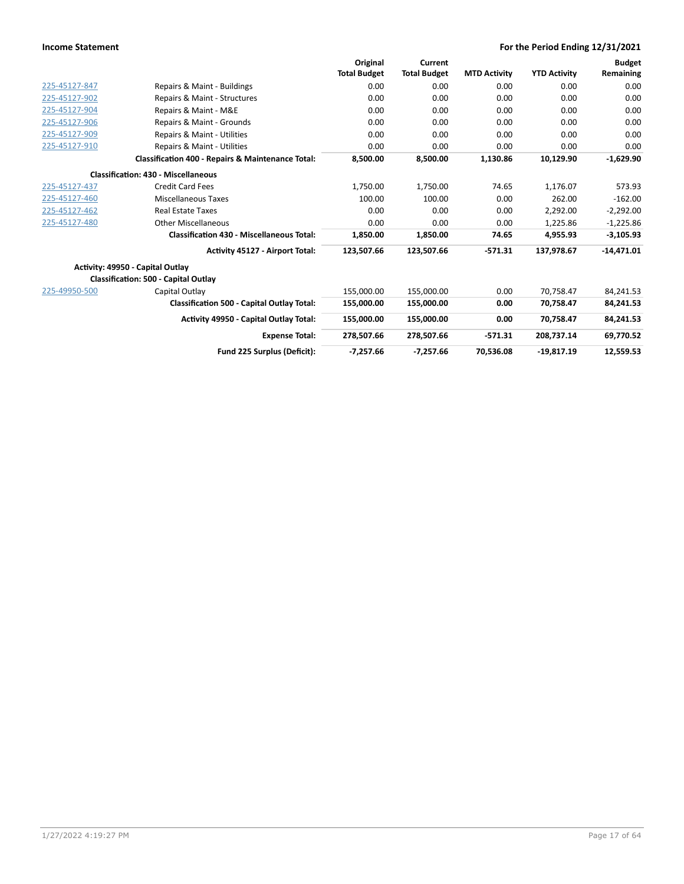|               |                                                              | Original            | Current             |                     |                     | <b>Budget</b> |
|---------------|--------------------------------------------------------------|---------------------|---------------------|---------------------|---------------------|---------------|
|               |                                                              | <b>Total Budget</b> | <b>Total Budget</b> | <b>MTD Activity</b> | <b>YTD Activity</b> | Remaining     |
| 225-45127-847 | Repairs & Maint - Buildings                                  | 0.00                | 0.00                | 0.00                | 0.00                | 0.00          |
| 225-45127-902 | Repairs & Maint - Structures                                 | 0.00                | 0.00                | 0.00                | 0.00                | 0.00          |
| 225-45127-904 | Repairs & Maint - M&E                                        | 0.00                | 0.00                | 0.00                | 0.00                | 0.00          |
| 225-45127-906 | Repairs & Maint - Grounds                                    | 0.00                | 0.00                | 0.00                | 0.00                | 0.00          |
| 225-45127-909 | Repairs & Maint - Utilities                                  | 0.00                | 0.00                | 0.00                | 0.00                | 0.00          |
| 225-45127-910 | Repairs & Maint - Utilities                                  | 0.00                | 0.00                | 0.00                | 0.00                | 0.00          |
|               | <b>Classification 400 - Repairs &amp; Maintenance Total:</b> | 8,500.00            | 8,500.00            | 1,130.86            | 10,129.90           | $-1,629.90$   |
|               | <b>Classification: 430 - Miscellaneous</b>                   |                     |                     |                     |                     |               |
| 225-45127-437 | <b>Credit Card Fees</b>                                      | 1,750.00            | 1,750.00            | 74.65               | 1,176.07            | 573.93        |
| 225-45127-460 | Miscellaneous Taxes                                          | 100.00              | 100.00              | 0.00                | 262.00              | $-162.00$     |
| 225-45127-462 | <b>Real Estate Taxes</b>                                     | 0.00                | 0.00                | 0.00                | 2.292.00            | $-2,292.00$   |
| 225-45127-480 | <b>Other Miscellaneous</b>                                   | 0.00                | 0.00                | 0.00                | 1,225.86            | $-1,225.86$   |
|               | <b>Classification 430 - Miscellaneous Total:</b>             | 1,850.00            | 1,850.00            | 74.65               | 4,955.93            | $-3,105.93$   |
|               | Activity 45127 - Airport Total:                              | 123,507.66          | 123,507.66          | $-571.31$           | 137,978.67          | $-14,471.01$  |
|               | Activity: 49950 - Capital Outlay                             |                     |                     |                     |                     |               |
|               | Classification: 500 - Capital Outlay                         |                     |                     |                     |                     |               |
| 225-49950-500 | Capital Outlay                                               | 155,000.00          | 155,000.00          | 0.00                | 70,758.47           | 84,241.53     |
|               | <b>Classification 500 - Capital Outlay Total:</b>            | 155,000.00          | 155,000.00          | 0.00                | 70,758.47           | 84,241.53     |
|               | <b>Activity 49950 - Capital Outlay Total:</b>                | 155,000.00          | 155,000.00          | 0.00                | 70,758.47           | 84,241.53     |
|               | <b>Expense Total:</b>                                        | 278.507.66          | 278.507.66          | $-571.31$           | 208.737.14          | 69,770.52     |
|               | Fund 225 Surplus (Deficit):                                  | $-7,257.66$         | $-7,257.66$         | 70,536.08           | $-19,817.19$        | 12,559.53     |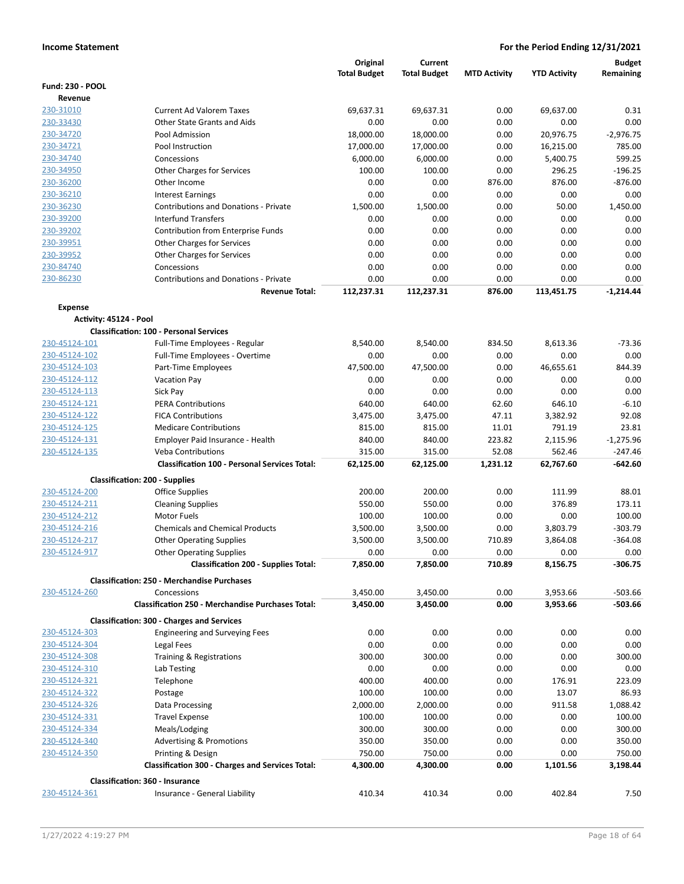|                         |                                                                          | Original<br><b>Total Budget</b> | Current<br><b>Total Budget</b> | <b>MTD Activity</b> | <b>YTD Activity</b> | <b>Budget</b><br>Remaining |
|-------------------------|--------------------------------------------------------------------------|---------------------------------|--------------------------------|---------------------|---------------------|----------------------------|
| <b>Fund: 230 - POOL</b> |                                                                          |                                 |                                |                     |                     |                            |
| Revenue                 |                                                                          |                                 |                                |                     |                     |                            |
| 230-31010               | <b>Current Ad Valorem Taxes</b>                                          | 69.637.31                       | 69,637.31                      | 0.00                | 69,637.00           | 0.31                       |
| 230-33430               | Other State Grants and Aids                                              | 0.00                            | 0.00                           | 0.00                | 0.00                | 0.00                       |
| 230-34720               | Pool Admission                                                           | 18,000.00                       | 18,000.00                      | 0.00                | 20,976.75           | $-2,976.75$                |
| 230-34721               | Pool Instruction                                                         | 17,000.00                       | 17,000.00                      | 0.00                | 16,215.00           | 785.00                     |
| 230-34740               | Concessions                                                              | 6,000.00                        | 6,000.00                       | 0.00                | 5,400.75            | 599.25                     |
| 230-34950               | Other Charges for Services                                               | 100.00                          | 100.00                         | 0.00                | 296.25              | $-196.25$                  |
| 230-36200               | Other Income                                                             | 0.00                            | 0.00                           | 876.00              | 876.00              | $-876.00$                  |
| 230-36210               | <b>Interest Earnings</b>                                                 | 0.00                            | 0.00                           | 0.00                | 0.00                | 0.00                       |
| 230-36230               | <b>Contributions and Donations - Private</b>                             | 1,500.00                        | 1,500.00                       | 0.00                | 50.00               | 1,450.00                   |
| 230-39200               | <b>Interfund Transfers</b>                                               | 0.00                            | 0.00                           | 0.00                | 0.00                | 0.00                       |
| 230-39202               | Contribution from Enterprise Funds                                       | 0.00                            | 0.00                           | 0.00                | 0.00                | 0.00                       |
| 230-39951               | <b>Other Charges for Services</b>                                        | 0.00                            | 0.00                           | 0.00                | 0.00                | 0.00                       |
| 230-39952               | Other Charges for Services                                               | 0.00                            | 0.00                           | 0.00                | 0.00                | 0.00                       |
| 230-84740               | Concessions                                                              | 0.00                            | 0.00                           | 0.00                | 0.00                | 0.00                       |
| 230-86230               | <b>Contributions and Donations - Private</b>                             | 0.00                            | 0.00                           | 0.00                | 0.00                | 0.00                       |
|                         | <b>Revenue Total:</b>                                                    | 112,237.31                      | 112,237.31                     | 876.00              | 113,451.75          | $-1,214.44$                |
| <b>Expense</b>          |                                                                          |                                 |                                |                     |                     |                            |
|                         | Activity: 45124 - Pool<br><b>Classification: 100 - Personal Services</b> |                                 |                                |                     |                     |                            |
| <u>230-45124-101</u>    | Full-Time Employees - Regular                                            | 8,540.00                        | 8,540.00                       | 834.50              | 8.613.36            | $-73.36$                   |
| 230-45124-102           | Full-Time Employees - Overtime                                           | 0.00                            | 0.00                           | 0.00                | 0.00                | 0.00                       |
| 230-45124-103           | Part-Time Employees                                                      | 47,500.00                       | 47,500.00                      | 0.00                | 46,655.61           | 844.39                     |
| 230-45124-112           | <b>Vacation Pay</b>                                                      | 0.00                            | 0.00                           | 0.00                | 0.00                | 0.00                       |
| 230-45124-113           | Sick Pay                                                                 | 0.00                            | 0.00                           | 0.00                | 0.00                | 0.00                       |
| 230-45124-121           | <b>PERA Contributions</b>                                                | 640.00                          | 640.00                         | 62.60               | 646.10              | $-6.10$                    |
| 230-45124-122           | <b>FICA Contributions</b>                                                | 3,475.00                        | 3,475.00                       | 47.11               | 3,382.92            | 92.08                      |
| 230-45124-125           | <b>Medicare Contributions</b>                                            | 815.00                          | 815.00                         | 11.01               | 791.19              | 23.81                      |
| 230-45124-131           | Employer Paid Insurance - Health                                         | 840.00                          | 840.00                         | 223.82              | 2,115.96            | $-1,275.96$                |
| 230-45124-135           | <b>Veba Contributions</b>                                                | 315.00                          | 315.00                         | 52.08               | 562.46              | $-247.46$                  |
|                         | <b>Classification 100 - Personal Services Total:</b>                     | 62,125.00                       | 62,125.00                      | 1,231.12            | 62,767.60           | -642.60                    |
|                         | <b>Classification: 200 - Supplies</b>                                    |                                 |                                |                     |                     |                            |
| 230-45124-200           | <b>Office Supplies</b>                                                   | 200.00                          | 200.00                         | 0.00                | 111.99              | 88.01                      |
| 230-45124-211           | <b>Cleaning Supplies</b>                                                 | 550.00                          | 550.00                         | 0.00                | 376.89              | 173.11                     |
| 230-45124-212           | <b>Motor Fuels</b>                                                       | 100.00                          | 100.00                         | 0.00                | 0.00                | 100.00                     |
| 230-45124-216           | <b>Chemicals and Chemical Products</b>                                   | 3,500.00                        | 3,500.00                       | 0.00                | 3,803.79            | -303.79                    |
| 230-45124-217           | <b>Other Operating Supplies</b>                                          | 3,500.00                        | 3,500.00                       | 710.89              | 3,864.08            | $-364.08$                  |
| 230-45124-917           | <b>Other Operating Supplies</b>                                          | 0.00                            | 0.00                           | 0.00                | 0.00                | 0.00                       |
|                         | <b>Classification 200 - Supplies Total:</b>                              | 7,850.00                        | 7,850.00                       | 710.89              | 8,156.75            | -306.75                    |
|                         | <b>Classification: 250 - Merchandise Purchases</b>                       |                                 |                                |                     |                     |                            |
| 230-45124-260           | Concessions                                                              | 3,450.00                        | 3,450.00                       | 0.00                | 3,953.66            | $-503.66$                  |
|                         | <b>Classification 250 - Merchandise Purchases Total:</b>                 | 3,450.00                        | 3,450.00                       | 0.00                | 3,953.66            | -503.66                    |
|                         | <b>Classification: 300 - Charges and Services</b>                        |                                 |                                |                     |                     |                            |
| 230-45124-303           | <b>Engineering and Surveying Fees</b>                                    | 0.00                            | 0.00                           | 0.00                | 0.00                | 0.00                       |
| 230-45124-304           | Legal Fees                                                               | 0.00                            | 0.00                           | 0.00                | 0.00                | 0.00                       |
| 230-45124-308           | Training & Registrations                                                 | 300.00                          | 300.00                         | 0.00                | 0.00                | 300.00                     |
| 230-45124-310           | Lab Testing                                                              | 0.00                            | 0.00                           | 0.00                | 0.00                | 0.00                       |
| 230-45124-321           | Telephone                                                                | 400.00                          | 400.00                         | 0.00                | 176.91              | 223.09                     |
| 230-45124-322           | Postage                                                                  | 100.00                          | 100.00                         | 0.00                | 13.07               | 86.93                      |
| 230-45124-326           | Data Processing                                                          | 2,000.00                        | 2,000.00                       | 0.00                | 911.58              | 1,088.42                   |
| <u>230-45124-331</u>    | <b>Travel Expense</b>                                                    | 100.00                          | 100.00                         | 0.00                | 0.00                | 100.00                     |
| 230-45124-334           | Meals/Lodging                                                            | 300.00                          | 300.00                         | 0.00                | 0.00                | 300.00                     |
| 230-45124-340           | <b>Advertising &amp; Promotions</b>                                      | 350.00                          | 350.00                         | 0.00                | 0.00                | 350.00                     |
| 230-45124-350           | Printing & Design                                                        | 750.00                          | 750.00                         | 0.00                | 0.00                | 750.00                     |
|                         | <b>Classification 300 - Charges and Services Total:</b>                  | 4,300.00                        | 4,300.00                       | 0.00                | 1,101.56            | 3,198.44                   |
| 230-45124-361           | <b>Classification: 360 - Insurance</b><br>Insurance - General Liability  | 410.34                          | 410.34                         | 0.00                | 402.84              | 7.50                       |
|                         |                                                                          |                                 |                                |                     |                     |                            |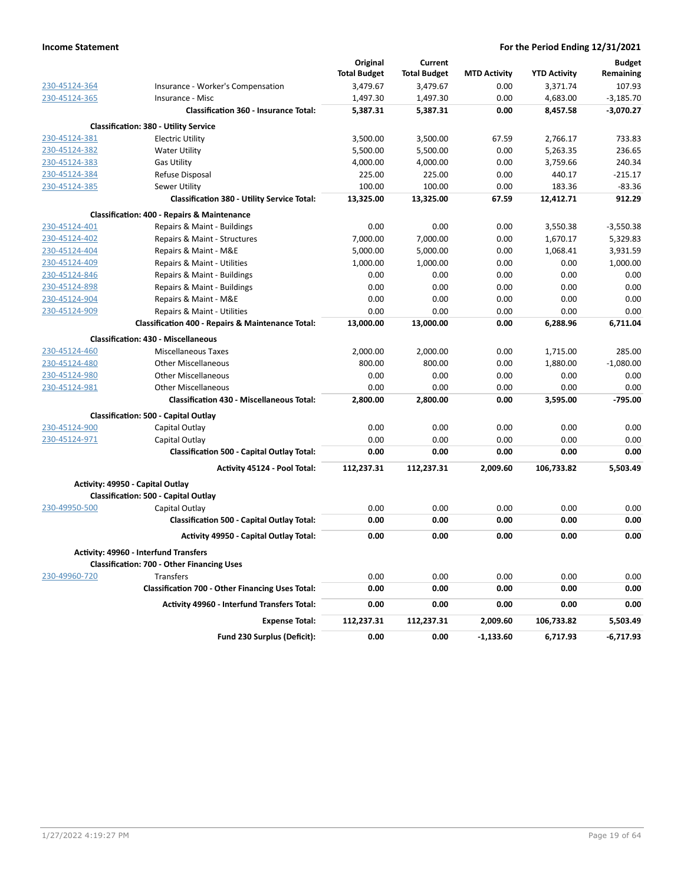|               |                                                                          | Original            | Current             |                     |                     | <b>Budget</b> |
|---------------|--------------------------------------------------------------------------|---------------------|---------------------|---------------------|---------------------|---------------|
|               |                                                                          | <b>Total Budget</b> | <b>Total Budget</b> | <b>MTD Activity</b> | <b>YTD Activity</b> | Remaining     |
| 230-45124-364 | Insurance - Worker's Compensation                                        | 3,479.67            | 3,479.67            | 0.00                | 3,371.74            | 107.93        |
| 230-45124-365 | Insurance - Misc                                                         | 1,497.30            | 1,497.30            | 0.00                | 4,683.00            | $-3,185.70$   |
|               | <b>Classification 360 - Insurance Total:</b>                             | 5,387.31            | 5,387.31            | 0.00                | 8,457.58            | $-3,070.27$   |
|               | <b>Classification: 380 - Utility Service</b>                             |                     |                     |                     |                     |               |
| 230-45124-381 | <b>Electric Utility</b>                                                  | 3,500.00            | 3,500.00            | 67.59               | 2,766.17            | 733.83        |
| 230-45124-382 | <b>Water Utility</b>                                                     | 5,500.00            | 5,500.00            | 0.00                | 5,263.35            | 236.65        |
| 230-45124-383 | <b>Gas Utility</b>                                                       | 4,000.00            | 4,000.00            | 0.00                | 3,759.66            | 240.34        |
| 230-45124-384 | Refuse Disposal                                                          | 225.00              | 225.00              | 0.00                | 440.17              | $-215.17$     |
| 230-45124-385 | Sewer Utility                                                            | 100.00              | 100.00              | 0.00                | 183.36              | $-83.36$      |
|               | <b>Classification 380 - Utility Service Total:</b>                       | 13,325.00           | 13,325.00           | 67.59               | 12,412.71           | 912.29        |
|               | <b>Classification: 400 - Repairs &amp; Maintenance</b>                   |                     |                     |                     |                     |               |
| 230-45124-401 | Repairs & Maint - Buildings                                              | 0.00                | 0.00                | 0.00                | 3,550.38            | $-3,550.38$   |
| 230-45124-402 | Repairs & Maint - Structures                                             | 7,000.00            | 7,000.00            | 0.00                | 1,670.17            | 5,329.83      |
| 230-45124-404 | Repairs & Maint - M&E                                                    | 5,000.00            | 5,000.00            | 0.00                | 1,068.41            | 3,931.59      |
| 230-45124-409 | Repairs & Maint - Utilities                                              | 1,000.00            | 1,000.00            | 0.00                | 0.00                | 1,000.00      |
| 230-45124-846 | Repairs & Maint - Buildings                                              | 0.00                | 0.00                | 0.00                | 0.00                | 0.00          |
| 230-45124-898 | Repairs & Maint - Buildings                                              | 0.00                | 0.00                | 0.00                | 0.00                | 0.00          |
| 230-45124-904 | Repairs & Maint - M&E                                                    | 0.00                | 0.00                | 0.00                | 0.00                | 0.00          |
| 230-45124-909 | Repairs & Maint - Utilities                                              | 0.00                | 0.00                | 0.00                | 0.00                | 0.00          |
|               | Classification 400 - Repairs & Maintenance Total:                        | 13,000.00           | 13,000.00           | 0.00                | 6,288.96            | 6,711.04      |
|               | <b>Classification: 430 - Miscellaneous</b>                               |                     |                     |                     |                     |               |
| 230-45124-460 | <b>Miscellaneous Taxes</b>                                               | 2,000.00            | 2,000.00            | 0.00                | 1,715.00            | 285.00        |
| 230-45124-480 | <b>Other Miscellaneous</b>                                               | 800.00              | 800.00              | 0.00                | 1,880.00            | $-1,080.00$   |
| 230-45124-980 | <b>Other Miscellaneous</b>                                               | 0.00                | 0.00                | 0.00                | 0.00                | 0.00          |
| 230-45124-981 | <b>Other Miscellaneous</b>                                               | 0.00                | 0.00                | 0.00                | 0.00                | 0.00          |
|               | <b>Classification 430 - Miscellaneous Total:</b>                         | 2.800.00            | 2.800.00            | 0.00                | 3,595.00            | $-795.00$     |
|               | Classification: 500 - Capital Outlay                                     |                     |                     |                     |                     |               |
| 230-45124-900 | Capital Outlay                                                           | 0.00                | 0.00                | 0.00                | 0.00                | 0.00          |
| 230-45124-971 | Capital Outlay                                                           | 0.00                | 0.00                | 0.00                | 0.00                | 0.00          |
|               | <b>Classification 500 - Capital Outlay Total:</b>                        | 0.00                | 0.00                | 0.00                | 0.00                | 0.00          |
|               | Activity 45124 - Pool Total:                                             | 112,237.31          | 112,237.31          | 2,009.60            | 106,733.82          | 5.503.49      |
|               |                                                                          |                     |                     |                     |                     |               |
|               | Activity: 49950 - Capital Outlay<br>Classification: 500 - Capital Outlay |                     |                     |                     |                     |               |
| 230-49950-500 |                                                                          | 0.00                | 0.00                | 0.00                | 0.00                | 0.00          |
|               | Capital Outlay                                                           | 0.00                | 0.00                | 0.00                | 0.00                | 0.00          |
|               | <b>Classification 500 - Capital Outlay Total:</b>                        |                     |                     |                     |                     |               |
|               | Activity 49950 - Capital Outlay Total:                                   | 0.00                | 0.00                | 0.00                | 0.00                | 0.00          |
|               | Activity: 49960 - Interfund Transfers                                    |                     |                     |                     |                     |               |
|               | <b>Classification: 700 - Other Financing Uses</b>                        |                     |                     |                     |                     |               |
| 230-49960-720 | <b>Transfers</b>                                                         | 0.00                | 0.00                | 0.00                | 0.00                | 0.00          |
|               | Classification 700 - Other Financing Uses Total:                         | 0.00                | 0.00                | 0.00                | 0.00                | 0.00          |
|               | Activity 49960 - Interfund Transfers Total:                              | 0.00                | 0.00                | 0.00                | 0.00                | 0.00          |
|               | <b>Expense Total:</b>                                                    | 112,237.31          | 112,237.31          | 2,009.60            | 106,733.82          | 5,503.49      |
|               | Fund 230 Surplus (Deficit):                                              | 0.00                | 0.00                | $-1,133.60$         | 6.717.93            | $-6.717.93$   |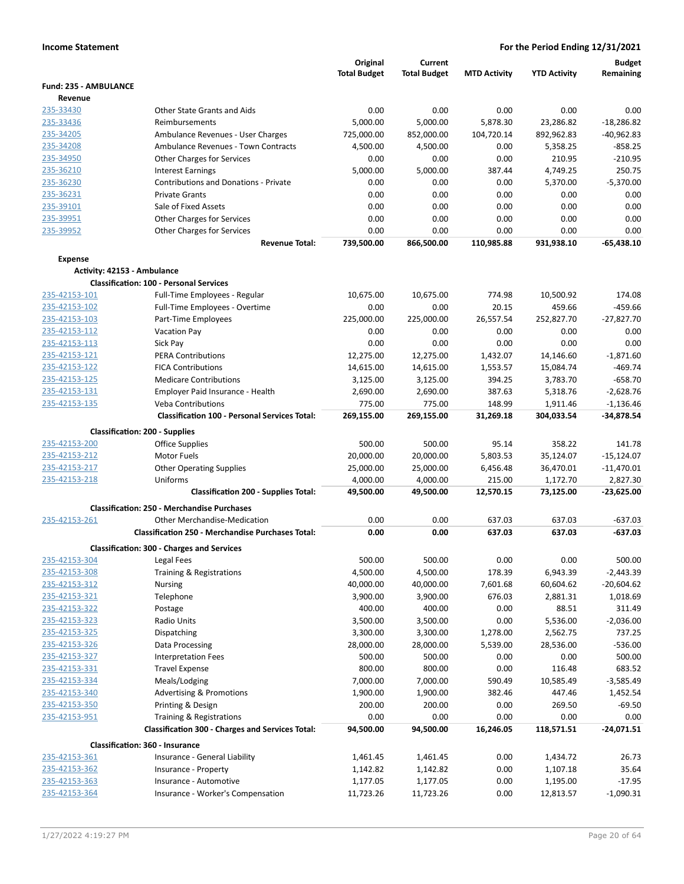|                              |                                                          | Original<br><b>Total Budget</b> | Current<br><b>Total Budget</b> | <b>MTD Activity</b> | <b>YTD Activity</b> | Budget<br>Remaining |
|------------------------------|----------------------------------------------------------|---------------------------------|--------------------------------|---------------------|---------------------|---------------------|
| <b>Fund: 235 - AMBULANCE</b> |                                                          |                                 |                                |                     |                     |                     |
| Revenue                      |                                                          |                                 |                                |                     |                     |                     |
| 235-33430                    | Other State Grants and Aids                              | 0.00                            | 0.00                           | 0.00                | 0.00                | 0.00                |
| 235-33436                    | <b>Reimbursements</b>                                    | 5.000.00                        | 5,000.00                       | 5.878.30            | 23,286.82           | $-18,286.82$        |
| 235-34205                    | Ambulance Revenues - User Charges                        | 725,000.00                      | 852,000.00                     | 104,720.14          | 892,962.83          | $-40,962.83$        |
| 235-34208                    | Ambulance Revenues - Town Contracts                      | 4,500.00                        | 4,500.00                       | 0.00                | 5,358.25            | $-858.25$           |
| 235-34950                    | <b>Other Charges for Services</b>                        | 0.00                            | 0.00                           | 0.00                | 210.95              | $-210.95$           |
| 235-36210                    | <b>Interest Earnings</b>                                 | 5.000.00                        | 5,000.00                       | 387.44              | 4,749.25            | 250.75              |
| 235-36230                    | <b>Contributions and Donations - Private</b>             | 0.00                            | 0.00                           | 0.00                | 5,370.00            | $-5,370.00$         |
| 235-36231                    | <b>Private Grants</b>                                    | 0.00                            | 0.00                           | 0.00                | 0.00                | 0.00                |
| 235-39101                    | Sale of Fixed Assets                                     | 0.00                            | 0.00                           | 0.00                | 0.00                | 0.00                |
| 235-39951                    | <b>Other Charges for Services</b>                        | 0.00                            | 0.00                           | 0.00                | 0.00                | 0.00                |
| 235-39952                    | Other Charges for Services                               | 0.00                            | 0.00                           | 0.00                | 0.00                | 0.00                |
|                              | <b>Revenue Total:</b>                                    | 739,500.00                      | 866,500.00                     | 110,985.88          | 931,938.10          | $-65,438.10$        |
| <b>Expense</b>               |                                                          |                                 |                                |                     |                     |                     |
|                              | Activity: 42153 - Ambulance                              |                                 |                                |                     |                     |                     |
|                              | <b>Classification: 100 - Personal Services</b>           |                                 |                                |                     |                     |                     |
| 235-42153-101                | Full-Time Employees - Regular                            | 10,675.00                       | 10,675.00                      | 774.98              | 10,500.92           | 174.08              |
| 235-42153-102                | Full-Time Employees - Overtime                           | 0.00                            | 0.00                           | 20.15               | 459.66              | -459.66             |
| 235-42153-103                | Part-Time Employees                                      | 225,000.00                      | 225,000.00                     | 26,557.54           | 252,827.70          | $-27,827.70$        |
| 235-42153-112                | <b>Vacation Pay</b>                                      | 0.00                            | 0.00                           | 0.00                | 0.00                | 0.00                |
| 235-42153-113                | Sick Pay                                                 | 0.00                            | 0.00                           | 0.00                | 0.00                | 0.00                |
| 235-42153-121                | <b>PERA Contributions</b>                                | 12,275.00                       | 12,275.00                      | 1,432.07            | 14,146.60           | $-1,871.60$         |
| 235-42153-122                | <b>FICA Contributions</b>                                | 14,615.00                       | 14,615.00                      | 1,553.57            | 15,084.74           | $-469.74$           |
| 235-42153-125                | <b>Medicare Contributions</b>                            | 3,125.00                        | 3,125.00                       | 394.25              | 3,783.70            | $-658.70$           |
| 235-42153-131                | Employer Paid Insurance - Health                         | 2,690.00                        | 2,690.00                       | 387.63              | 5,318.76            | $-2,628.76$         |
| 235-42153-135                | <b>Veba Contributions</b>                                | 775.00                          | 775.00                         | 148.99              | 1,911.46            | $-1,136.46$         |
|                              | <b>Classification 100 - Personal Services Total:</b>     | 269,155.00                      | 269,155.00                     | 31,269.18           | 304,033.54          | $-34,878.54$        |
|                              | <b>Classification: 200 - Supplies</b>                    |                                 |                                |                     |                     |                     |
| 235-42153-200                | <b>Office Supplies</b>                                   | 500.00                          | 500.00                         | 95.14               | 358.22              | 141.78              |
| 235-42153-212                | Motor Fuels                                              | 20,000.00                       | 20,000.00                      | 5,803.53            | 35,124.07           | $-15,124.07$        |
| 235-42153-217                | <b>Other Operating Supplies</b>                          | 25,000.00                       | 25,000.00                      | 6,456.48            | 36,470.01           | $-11,470.01$        |
| 235-42153-218                | Uniforms                                                 | 4,000.00                        | 4,000.00                       | 215.00              | 1,172.70            | 2,827.30            |
|                              | <b>Classification 200 - Supplies Total:</b>              | 49,500.00                       | 49,500.00                      | 12,570.15           | 73,125.00           | $-23,625.00$        |
|                              | <b>Classification: 250 - Merchandise Purchases</b>       |                                 |                                |                     |                     |                     |
| 235-42153-261                | <b>Other Merchandise-Medication</b>                      | 0.00                            | 0.00                           | 637.03              | 637.03              | $-637.03$           |
|                              | <b>Classification 250 - Merchandise Purchases Total:</b> | 0.00                            | 0.00                           | 637.03              | 637.03              | $-637.03$           |
|                              | <b>Classification: 300 - Charges and Services</b>        |                                 |                                |                     |                     |                     |
| 235-42153-304                | Legal Fees                                               | 500.00                          | 500.00                         | 0.00                | 0.00                | 500.00              |
| 235-42153-308                | Training & Registrations                                 | 4,500.00                        | 4,500.00                       | 178.39              | 6,943.39            | $-2,443.39$         |
| 235-42153-312                | <b>Nursing</b>                                           | 40,000.00                       | 40,000.00                      | 7,601.68            | 60,604.62           | $-20,604.62$        |
| 235-42153-321                | Telephone                                                | 3,900.00                        | 3,900.00                       | 676.03              | 2,881.31            | 1,018.69            |
| 235-42153-322                | Postage                                                  | 400.00                          | 400.00                         | 0.00                | 88.51               | 311.49              |
| 235-42153-323                | <b>Radio Units</b>                                       | 3,500.00                        | 3,500.00                       | 0.00                | 5,536.00            | $-2,036.00$         |
| 235-42153-325                | Dispatching                                              | 3,300.00                        | 3,300.00                       | 1,278.00            | 2,562.75            | 737.25              |
| 235-42153-326                | Data Processing                                          | 28,000.00                       | 28,000.00                      | 5,539.00            | 28,536.00           | $-536.00$           |
| 235-42153-327                | <b>Interpretation Fees</b>                               | 500.00                          | 500.00                         | 0.00                | 0.00                | 500.00              |
| 235-42153-331                | <b>Travel Expense</b>                                    | 800.00                          | 800.00                         | 0.00                | 116.48              | 683.52              |
| 235-42153-334                | Meals/Lodging                                            | 7,000.00                        | 7,000.00                       | 590.49              | 10,585.49           | $-3,585.49$         |
| 235-42153-340                | <b>Advertising &amp; Promotions</b>                      | 1,900.00                        | 1,900.00                       | 382.46              | 447.46              | 1,452.54            |
| 235-42153-350                | Printing & Design                                        | 200.00                          | 200.00                         | 0.00                | 269.50              | $-69.50$            |
| 235-42153-951                | Training & Registrations                                 | 0.00                            | 0.00                           | 0.00                | 0.00                | 0.00                |
|                              | <b>Classification 300 - Charges and Services Total:</b>  | 94,500.00                       | 94,500.00                      | 16,246.05           | 118,571.51          | $-24,071.51$        |
|                              | <b>Classification: 360 - Insurance</b>                   |                                 |                                |                     |                     |                     |
| 235-42153-361                | Insurance - General Liability                            | 1,461.45                        | 1,461.45                       | 0.00                | 1,434.72            | 26.73               |
| 235-42153-362                | Insurance - Property                                     | 1,142.82                        | 1,142.82                       | 0.00                | 1,107.18            | 35.64               |
| 235-42153-363                | Insurance - Automotive                                   | 1,177.05                        | 1,177.05                       | 0.00                | 1,195.00            | $-17.95$            |
| 235-42153-364                | Insurance - Worker's Compensation                        | 11,723.26                       | 11,723.26                      | 0.00                | 12,813.57           | $-1,090.31$         |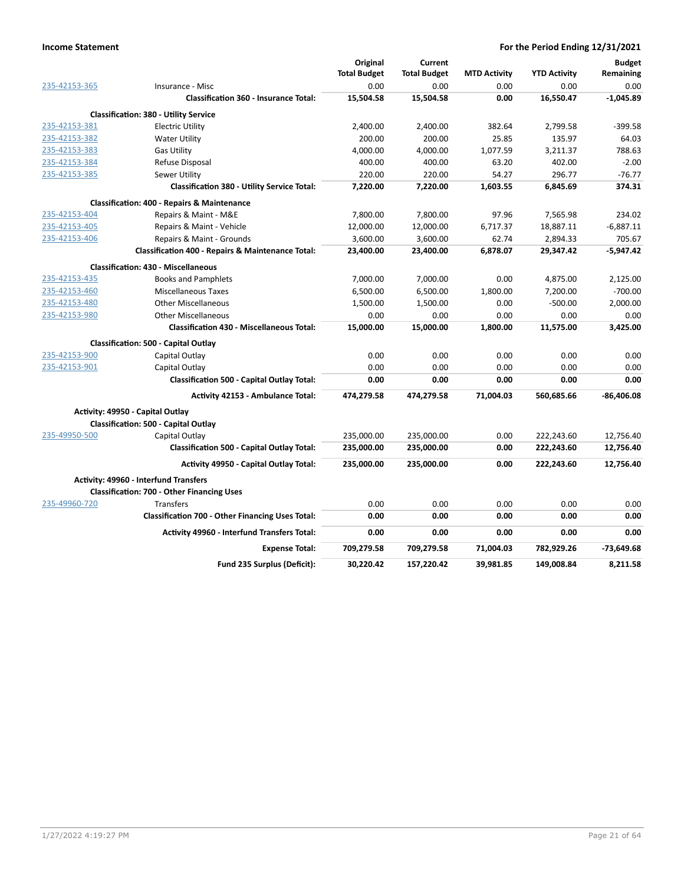|               |                                                              | Original            | Current             |                     |                     | Budget       |
|---------------|--------------------------------------------------------------|---------------------|---------------------|---------------------|---------------------|--------------|
|               |                                                              | <b>Total Budget</b> | <b>Total Budget</b> | <b>MTD Activity</b> | <b>YTD Activity</b> | Remaining    |
| 235-42153-365 | Insurance - Misc                                             | 0.00                | 0.00                | 0.00                | 0.00                | 0.00         |
|               | <b>Classification 360 - Insurance Total:</b>                 | 15,504.58           | 15,504.58           | 0.00                | 16,550.47           | $-1,045.89$  |
|               | <b>Classification: 380 - Utility Service</b>                 |                     |                     |                     |                     |              |
| 235-42153-381 | <b>Electric Utility</b>                                      | 2,400.00            | 2,400.00            | 382.64              | 2,799.58            | $-399.58$    |
| 235-42153-382 | <b>Water Utility</b>                                         | 200.00              | 200.00              | 25.85               | 135.97              | 64.03        |
| 235-42153-383 | <b>Gas Utility</b>                                           | 4,000.00            | 4,000.00            | 1,077.59            | 3,211.37            | 788.63       |
| 235-42153-384 | Refuse Disposal                                              | 400.00              | 400.00              | 63.20               | 402.00              | $-2.00$      |
| 235-42153-385 | Sewer Utility                                                | 220.00              | 220.00              | 54.27               | 296.77              | $-76.77$     |
|               | <b>Classification 380 - Utility Service Total:</b>           | 7,220.00            | 7,220.00            | 1,603.55            | 6,845.69            | 374.31       |
|               | <b>Classification: 400 - Repairs &amp; Maintenance</b>       |                     |                     |                     |                     |              |
| 235-42153-404 | Repairs & Maint - M&E                                        | 7,800.00            | 7,800.00            | 97.96               | 7,565.98            | 234.02       |
| 235-42153-405 | Repairs & Maint - Vehicle                                    | 12,000.00           | 12,000.00           | 6,717.37            | 18,887.11           | $-6,887.11$  |
| 235-42153-406 | Repairs & Maint - Grounds                                    | 3,600.00            | 3,600.00            | 62.74               | 2,894.33            | 705.67       |
|               | <b>Classification 400 - Repairs &amp; Maintenance Total:</b> | 23,400.00           | 23,400.00           | 6,878.07            | 29,347.42           | $-5,947.42$  |
|               | <b>Classification: 430 - Miscellaneous</b>                   |                     |                     |                     |                     |              |
| 235-42153-435 | <b>Books and Pamphlets</b>                                   | 7,000.00            | 7,000.00            | 0.00                | 4,875.00            | 2,125.00     |
| 235-42153-460 | <b>Miscellaneous Taxes</b>                                   | 6,500.00            | 6,500.00            | 1,800.00            | 7,200.00            | $-700.00$    |
| 235-42153-480 | <b>Other Miscellaneous</b>                                   | 1,500.00            | 1,500.00            | 0.00                | $-500.00$           | 2,000.00     |
| 235-42153-980 | <b>Other Miscellaneous</b>                                   | 0.00                | 0.00                | 0.00                | 0.00                | 0.00         |
|               | <b>Classification 430 - Miscellaneous Total:</b>             | 15,000.00           | 15,000.00           | 1,800.00            | 11,575.00           | 3,425.00     |
|               | Classification: 500 - Capital Outlay                         |                     |                     |                     |                     |              |
| 235-42153-900 | Capital Outlay                                               | 0.00                | 0.00                | 0.00                | 0.00                | 0.00         |
| 235-42153-901 | Capital Outlay                                               | 0.00                | 0.00                | 0.00                | 0.00                | 0.00         |
|               | <b>Classification 500 - Capital Outlay Total:</b>            | 0.00                | 0.00                | 0.00                | 0.00                | 0.00         |
|               | Activity 42153 - Ambulance Total:                            | 474,279.58          | 474.279.58          | 71.004.03           | 560,685.66          | $-86.406.08$ |
|               | Activity: 49950 - Capital Outlay                             |                     |                     |                     |                     |              |
|               | <b>Classification: 500 - Capital Outlay</b>                  |                     |                     |                     |                     |              |
| 235-49950-500 | Capital Outlay                                               | 235,000.00          | 235,000.00          | 0.00                | 222,243.60          | 12,756.40    |
|               | <b>Classification 500 - Capital Outlay Total:</b>            | 235,000.00          | 235,000.00          | 0.00                | 222,243.60          | 12,756.40    |
|               | <b>Activity 49950 - Capital Outlay Total:</b>                | 235,000.00          | 235,000.00          | 0.00                | 222,243.60          | 12,756.40    |
|               | <b>Activity: 49960 - Interfund Transfers</b>                 |                     |                     |                     |                     |              |
|               | <b>Classification: 700 - Other Financing Uses</b>            |                     |                     |                     |                     |              |
| 235-49960-720 | <b>Transfers</b>                                             | 0.00                | 0.00                | 0.00                | 0.00                | 0.00         |
|               | <b>Classification 700 - Other Financing Uses Total:</b>      | 0.00                | 0.00                | 0.00                | 0.00                | 0.00         |
|               | <b>Activity 49960 - Interfund Transfers Total:</b>           | 0.00                | 0.00                | 0.00                | 0.00                | 0.00         |
|               | <b>Expense Total:</b>                                        | 709,279.58          | 709,279.58          | 71,004.03           | 782,929.26          | -73,649.68   |
|               | Fund 235 Surplus (Deficit):                                  | 30,220.42           | 157,220.42          | 39,981.85           | 149,008.84          | 8,211.58     |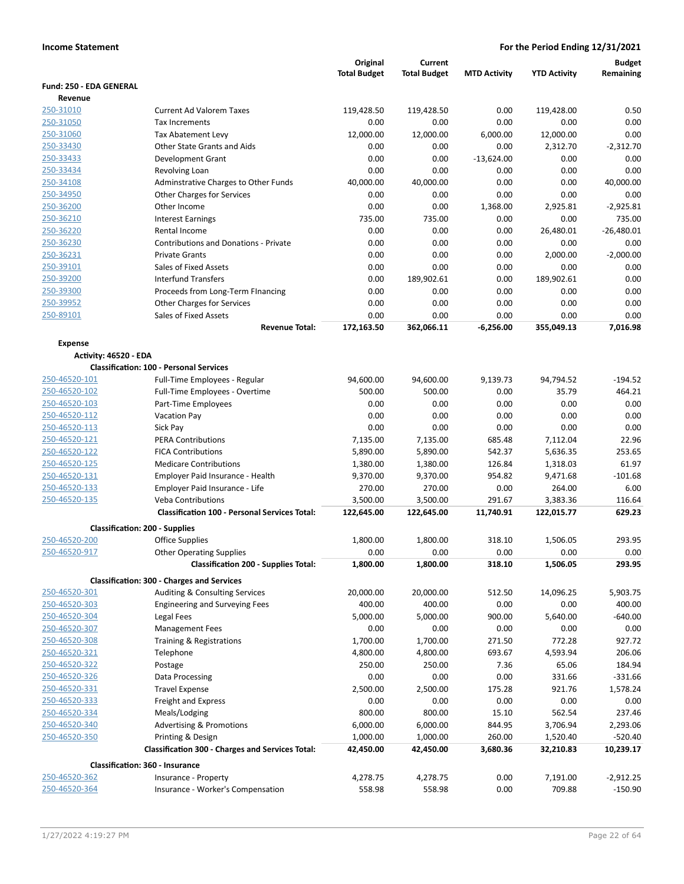|                         |                                                           | Original            | Current             |                     |                     | <b>Budget</b>            |
|-------------------------|-----------------------------------------------------------|---------------------|---------------------|---------------------|---------------------|--------------------------|
| Fund: 250 - EDA GENERAL |                                                           | <b>Total Budget</b> | <b>Total Budget</b> | <b>MTD Activity</b> | <b>YTD Activity</b> | Remaining                |
| Revenue                 |                                                           |                     |                     |                     |                     |                          |
| 250-31010               | <b>Current Ad Valorem Taxes</b>                           | 119,428.50          | 119,428.50          | 0.00                | 119,428.00          | 0.50                     |
| 250-31050               | Tax Increments                                            | 0.00                | 0.00                | 0.00                | 0.00                | 0.00                     |
| 250-31060               | Tax Abatement Levy                                        | 12,000.00           | 12,000.00           | 6,000.00            | 12,000.00           | 0.00                     |
| 250-33430               | Other State Grants and Aids                               | 0.00                | 0.00                | 0.00                | 2,312.70            | $-2,312.70$              |
| 250-33433               | Development Grant                                         | 0.00                | 0.00                | $-13,624.00$        | 0.00                | 0.00                     |
| 250-33434               | Revolving Loan                                            | 0.00                | 0.00                | 0.00                | 0.00                | 0.00                     |
| 250-34108               | Adminstrative Charges to Other Funds                      | 40,000.00           | 40,000.00           | 0.00                | 0.00                | 40,000.00                |
| 250-34950               | Other Charges for Services                                | 0.00                | 0.00                | 0.00                | 0.00                | 0.00                     |
| 250-36200               | Other Income                                              | 0.00                | 0.00                | 1,368.00            | 2,925.81            | $-2,925.81$              |
| 250-36210               | <b>Interest Earnings</b>                                  | 735.00              | 735.00              | 0.00                | 0.00                | 735.00                   |
| 250-36220               | Rental Income                                             | 0.00                | 0.00                | 0.00                | 26,480.01           | $-26,480.01$             |
| 250-36230               | <b>Contributions and Donations - Private</b>              | 0.00                | 0.00                | 0.00                | 0.00                | 0.00                     |
| 250-36231               | <b>Private Grants</b>                                     | 0.00                | 0.00                | 0.00                | 2,000.00            | $-2,000.00$              |
| 250-39101               | Sales of Fixed Assets                                     | 0.00                | 0.00                | 0.00                | 0.00                | 0.00                     |
| 250-39200               | <b>Interfund Transfers</b>                                | 0.00                | 189,902.61          | 0.00                | 189,902.61          | 0.00                     |
| 250-39300               | Proceeds from Long-Term FInancing                         | 0.00                | 0.00                | 0.00                | 0.00                | 0.00                     |
| 250-39952               | <b>Other Charges for Services</b>                         | 0.00                | 0.00                | 0.00                | 0.00                | 0.00                     |
| 250-89101               | <b>Sales of Fixed Assets</b>                              | 0.00                | 0.00                | 0.00                | 0.00                | 0.00                     |
|                         | <b>Revenue Total:</b>                                     | 172,163.50          | 362,066.11          | $-6,256.00$         | 355,049.13          | 7,016.98                 |
| <b>Expense</b>          |                                                           |                     |                     |                     |                     |                          |
| Activity: 46520 - EDA   | <b>Classification: 100 - Personal Services</b>            |                     |                     |                     |                     |                          |
| 250-46520-101           | Full-Time Employees - Regular                             | 94,600.00           | 94,600.00           | 9,139.73            | 94,794.52           | $-194.52$                |
| 250-46520-102           | Full-Time Employees - Overtime                            | 500.00              | 500.00              | 0.00                | 35.79               | 464.21                   |
| 250-46520-103           | Part-Time Employees                                       | 0.00                | 0.00                | 0.00                | 0.00                | 0.00                     |
| 250-46520-112           | <b>Vacation Pay</b>                                       | 0.00                | 0.00                | 0.00                | 0.00                | 0.00                     |
| 250-46520-113           | Sick Pay                                                  | 0.00                | 0.00                | 0.00                | 0.00                | 0.00                     |
| 250-46520-121           | <b>PERA Contributions</b>                                 | 7,135.00            | 7,135.00            | 685.48              | 7,112.04            | 22.96                    |
| 250-46520-122           | <b>FICA Contributions</b>                                 | 5,890.00            | 5,890.00            | 542.37              | 5,636.35            | 253.65                   |
| 250-46520-125           | <b>Medicare Contributions</b>                             | 1,380.00            | 1,380.00            | 126.84              | 1,318.03            | 61.97                    |
| 250-46520-131           | Employer Paid Insurance - Health                          | 9,370.00            | 9,370.00            | 954.82              | 9,471.68            | $-101.68$                |
| 250-46520-133           | Employer Paid Insurance - Life                            | 270.00              | 270.00              | 0.00                | 264.00              | 6.00                     |
| 250-46520-135           | <b>Veba Contributions</b>                                 | 3,500.00            | 3,500.00            | 291.67              | 3,383.36            | 116.64                   |
|                         | <b>Classification 100 - Personal Services Total:</b>      | 122,645.00          | 122,645.00          | 11,740.91           | 122,015.77          | 629.23                   |
|                         | <b>Classification: 200 - Supplies</b>                     |                     |                     |                     |                     |                          |
| 250-46520-200           | <b>Office Supplies</b>                                    | 1,800.00            | 1.800.00            | 318.10              | 1,506.05            | 293.95                   |
| 250-46520-917           | <b>Other Operating Supplies</b>                           | 0.00                | 0.00                | 0.00                | 0.00                | 0.00                     |
|                         | <b>Classification 200 - Supplies Total:</b>               | 1,800.00            | 1,800.00            | 318.10              | 1,506.05            | 293.95                   |
|                         | <b>Classification: 300 - Charges and Services</b>         |                     |                     |                     |                     |                          |
| 250-46520-301           | Auditing & Consulting Services                            | 20,000.00           | 20,000.00           | 512.50              | 14,096.25           | 5,903.75                 |
| 250-46520-303           | <b>Engineering and Surveying Fees</b>                     | 400.00              | 400.00              | 0.00                | 0.00                | 400.00                   |
| 250-46520-304           | Legal Fees                                                | 5,000.00            | 5,000.00            | 900.00              | 5,640.00            | $-640.00$                |
| 250-46520-307           | <b>Management Fees</b>                                    | 0.00                | 0.00                | 0.00                | 0.00                | 0.00                     |
| 250-46520-308           | Training & Registrations                                  | 1,700.00            | 1,700.00            | 271.50              | 772.28              | 927.72                   |
| 250-46520-321           | Telephone                                                 | 4,800.00            | 4,800.00            | 693.67              | 4,593.94            | 206.06                   |
| 250-46520-322           | Postage                                                   | 250.00              | 250.00              | 7.36                | 65.06               | 184.94                   |
| 250-46520-326           | Data Processing                                           | 0.00                | 0.00                | 0.00                | 331.66              | $-331.66$                |
| 250-46520-331           | <b>Travel Expense</b>                                     | 2,500.00            | 2,500.00            | 175.28              | 921.76              | 1,578.24                 |
| 250-46520-333           | Freight and Express                                       | 0.00                | 0.00                | 0.00                | 0.00                | 0.00                     |
| 250-46520-334           | Meals/Lodging                                             | 800.00              | 800.00              | 15.10               | 562.54              | 237.46                   |
| 250-46520-340           | <b>Advertising &amp; Promotions</b>                       | 6,000.00            | 6,000.00            | 844.95              | 3,706.94            | 2,293.06                 |
| 250-46520-350           | Printing & Design                                         | 1,000.00            | 1,000.00            | 260.00              | 1,520.40            | $-520.40$                |
|                         | <b>Classification 300 - Charges and Services Total:</b>   | 42,450.00           | 42,450.00           | 3,680.36            | 32,210.83           | 10,239.17                |
| 250-46520-362           | Classification: 360 - Insurance                           |                     |                     |                     |                     |                          |
| 250-46520-364           | Insurance - Property<br>Insurance - Worker's Compensation | 4,278.75<br>558.98  | 4,278.75<br>558.98  | 0.00<br>0.00        | 7,191.00<br>709.88  | $-2,912.25$<br>$-150.90$ |
|                         |                                                           |                     |                     |                     |                     |                          |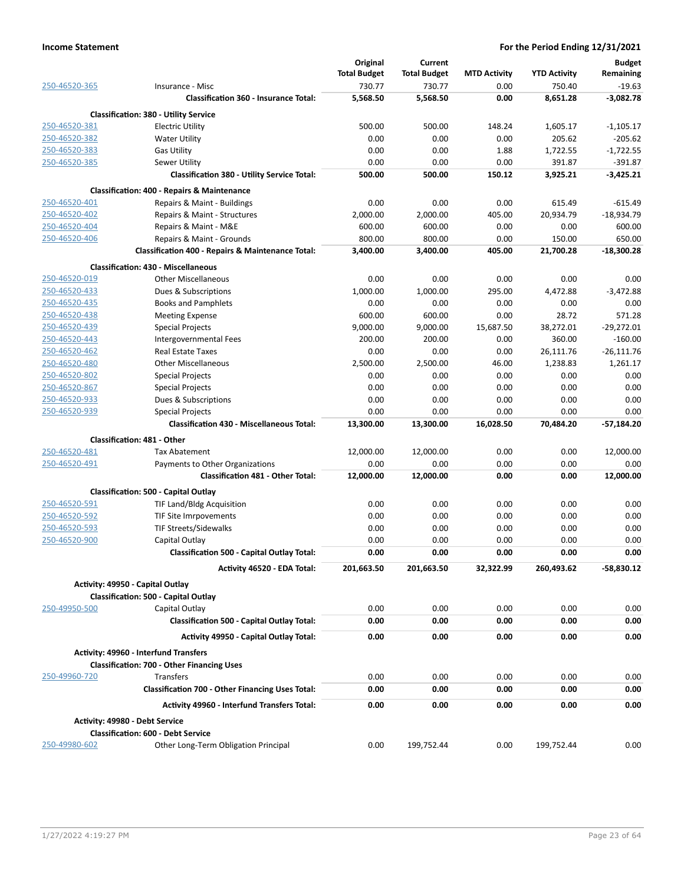|               |                                                         | Original            | Current             |                     |                     | <b>Budget</b> |
|---------------|---------------------------------------------------------|---------------------|---------------------|---------------------|---------------------|---------------|
|               |                                                         | <b>Total Budget</b> | <b>Total Budget</b> | <b>MTD Activity</b> | <b>YTD Activity</b> | Remaining     |
| 250-46520-365 | Insurance - Misc                                        | 730.77              | 730.77              | 0.00                | 750.40              | $-19.63$      |
|               | <b>Classification 360 - Insurance Total:</b>            | 5,568.50            | 5,568.50            | 0.00                | 8,651.28            | $-3,082.78$   |
|               | <b>Classification: 380 - Utility Service</b>            |                     |                     |                     |                     |               |
| 250-46520-381 | <b>Electric Utility</b>                                 | 500.00              | 500.00              | 148.24              | 1,605.17            | $-1,105.17$   |
| 250-46520-382 | <b>Water Utility</b>                                    | 0.00                | 0.00                | 0.00                | 205.62              | $-205.62$     |
| 250-46520-383 | <b>Gas Utility</b>                                      | 0.00                | 0.00                | 1.88                | 1,722.55            | $-1,722.55$   |
| 250-46520-385 | Sewer Utility                                           | 0.00                | 0.00                | 0.00                | 391.87              | $-391.87$     |
|               | <b>Classification 380 - Utility Service Total:</b>      | 500.00              | 500.00              | 150.12              | 3,925.21            | $-3,425.21$   |
|               |                                                         |                     |                     |                     |                     |               |
|               | <b>Classification: 400 - Repairs &amp; Maintenance</b>  |                     |                     |                     |                     |               |
| 250-46520-401 | Repairs & Maint - Buildings                             | 0.00                | 0.00                | 0.00                | 615.49              | $-615.49$     |
| 250-46520-402 | Repairs & Maint - Structures                            | 2,000.00            | 2,000.00            | 405.00              | 20,934.79           | $-18,934.79$  |
| 250-46520-404 | Repairs & Maint - M&E                                   | 600.00              | 600.00              | 0.00                | 0.00                | 600.00        |
| 250-46520-406 | Repairs & Maint - Grounds                               | 800.00              | 800.00              | 0.00                | 150.00              | 650.00        |
|               | Classification 400 - Repairs & Maintenance Total:       | 3,400.00            | 3,400.00            | 405.00              | 21,700.28           | $-18,300.28$  |
|               | <b>Classification: 430 - Miscellaneous</b>              |                     |                     |                     |                     |               |
| 250-46520-019 | <b>Other Miscellaneous</b>                              | 0.00                | 0.00                | 0.00                | 0.00                | 0.00          |
| 250-46520-433 | Dues & Subscriptions                                    | 1,000.00            | 1,000.00            | 295.00              | 4,472.88            | $-3,472.88$   |
| 250-46520-435 | <b>Books and Pamphlets</b>                              | 0.00                | 0.00                | 0.00                | 0.00                | 0.00          |
| 250-46520-438 | <b>Meeting Expense</b>                                  | 600.00              | 600.00              | 0.00                | 28.72               | 571.28        |
| 250-46520-439 | <b>Special Projects</b>                                 | 9,000.00            | 9,000.00            | 15,687.50           | 38,272.01           | $-29,272.01$  |
| 250-46520-443 | Intergovernmental Fees                                  | 200.00              | 200.00              | 0.00                | 360.00              | $-160.00$     |
| 250-46520-462 | <b>Real Estate Taxes</b>                                | 0.00                | 0.00                | 0.00                | 26,111.76           | $-26,111.76$  |
| 250-46520-480 | <b>Other Miscellaneous</b>                              | 2,500.00            | 2,500.00            | 46.00               | 1,238.83            | 1,261.17      |
| 250-46520-802 | <b>Special Projects</b>                                 | 0.00                | 0.00                | 0.00                | 0.00                | 0.00          |
| 250-46520-867 | <b>Special Projects</b>                                 | 0.00                | 0.00                | 0.00                | 0.00                | 0.00          |
| 250-46520-933 | Dues & Subscriptions                                    | 0.00                | 0.00                | 0.00                | 0.00                | 0.00          |
| 250-46520-939 | <b>Special Projects</b>                                 | 0.00                | 0.00                | 0.00                | 0.00                | 0.00          |
|               | <b>Classification 430 - Miscellaneous Total:</b>        | 13,300.00           | 13,300.00           | 16,028.50           | 70,484.20           | $-57,184.20$  |
|               | <b>Classification: 481 - Other</b>                      |                     |                     |                     |                     |               |
| 250-46520-481 | <b>Tax Abatement</b>                                    | 12,000.00           | 12,000.00           | 0.00                | 0.00                | 12,000.00     |
| 250-46520-491 | Payments to Other Organizations                         | 0.00                | 0.00                | 0.00                | 0.00                | 0.00          |
|               | <b>Classification 481 - Other Total:</b>                | 12,000.00           | 12,000.00           | 0.00                | 0.00                | 12,000.00     |
|               | <b>Classification: 500 - Capital Outlay</b>             |                     |                     |                     |                     |               |
| 250-46520-591 | <b>TIF Land/Bldg Acquisition</b>                        | 0.00                | 0.00                | 0.00                | 0.00                | 0.00          |
| 250-46520-592 | TIF Site Imrpovements                                   | 0.00                | 0.00                | 0.00                | 0.00                | 0.00          |
| 250-46520-593 | <b>TIF Streets/Sidewalks</b>                            | 0.00                | 0.00                | 0.00                | 0.00                | 0.00          |
| 250-46520-900 |                                                         | 0.00                | 0.00                | 0.00                | 0.00                | 0.00          |
|               | Capital Outlay                                          | 0.00                | 0.00                | 0.00                | 0.00                | 0.00          |
|               | <b>Classification 500 - Capital Outlay Total:</b>       |                     |                     |                     |                     |               |
|               | Activity 46520 - EDA Total:                             | 201,663.50          | 201,663.50          | 32,322.99           | 260,493.62          | $-58,830.12$  |
|               | Activity: 49950 - Capital Outlay                        |                     |                     |                     |                     |               |
|               | Classification: 500 - Capital Outlay                    |                     |                     |                     |                     |               |
| 250-49950-500 | Capital Outlay                                          | 0.00                | 0.00                | 0.00                | 0.00                | 0.00          |
|               | <b>Classification 500 - Capital Outlay Total:</b>       | 0.00                | 0.00                | 0.00                | 0.00                | 0.00          |
|               | <b>Activity 49950 - Capital Outlay Total:</b>           | 0.00                | 0.00                | 0.00                | 0.00                | 0.00          |
|               | <b>Activity: 49960 - Interfund Transfers</b>            |                     |                     |                     |                     |               |
|               | <b>Classification: 700 - Other Financing Uses</b>       |                     |                     |                     |                     |               |
| 250-49960-720 | Transfers                                               | 0.00                | 0.00                | 0.00                | 0.00                | 0.00          |
|               | <b>Classification 700 - Other Financing Uses Total:</b> | 0.00                | 0.00                | 0.00                | 0.00                | 0.00          |
|               |                                                         |                     |                     |                     |                     |               |
|               | <b>Activity 49960 - Interfund Transfers Total:</b>      | 0.00                | 0.00                | 0.00                | 0.00                | 0.00          |
|               | Activity: 49980 - Debt Service                          |                     |                     |                     |                     |               |
|               | <b>Classification: 600 - Debt Service</b>               |                     |                     |                     |                     |               |
| 250-49980-602 | Other Long-Term Obligation Principal                    | 0.00                | 199,752.44          | 0.00                | 199,752.44          | 0.00          |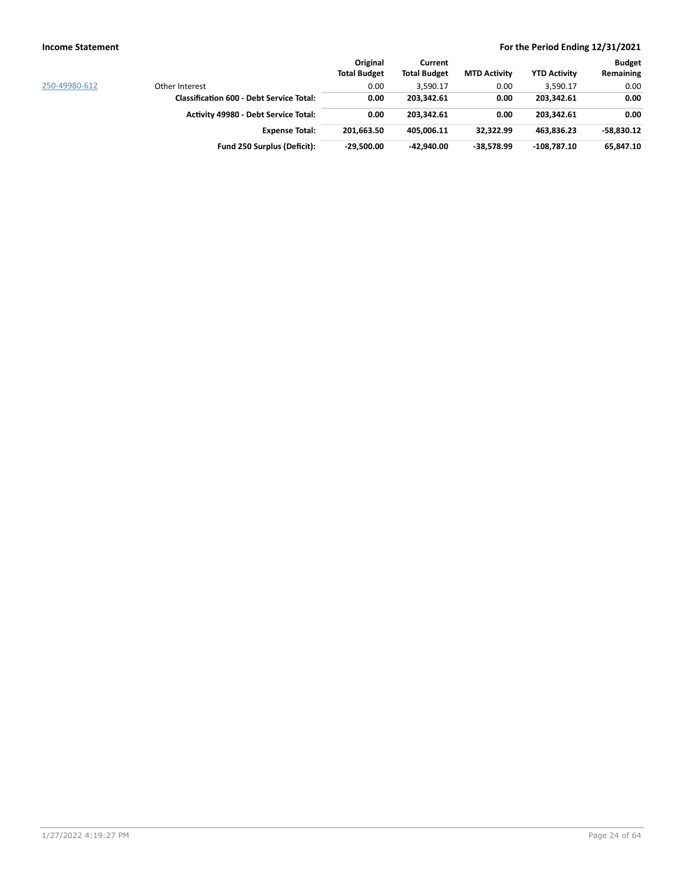|               |                                                 | Original            | Current             |                     |                     | <b>Budget</b> |
|---------------|-------------------------------------------------|---------------------|---------------------|---------------------|---------------------|---------------|
|               |                                                 | <b>Total Budget</b> | <b>Total Budget</b> | <b>MTD Activity</b> | <b>YTD Activity</b> | Remaining     |
| 250-49980-612 | Other Interest                                  | 0.00                | 3,590.17            | 0.00                | 3,590.17            | 0.00          |
|               | <b>Classification 600 - Debt Service Total:</b> | 0.00                | 203,342.61          | 0.00                | 203,342.61          | 0.00          |
|               | <b>Activity 49980 - Debt Service Total:</b>     | 0.00                | 203.342.61          | 0.00                | 203.342.61          | 0.00          |
|               | <b>Expense Total:</b>                           | 201.663.50          | 405.006.11          | 32.322.99           | 463.836.23          | $-58.830.12$  |
|               | Fund 250 Surplus (Deficit):                     | $-29.500.00$        | $-42.940.00$        | $-38.578.99$        | 108.787.10          | 65,847.10     |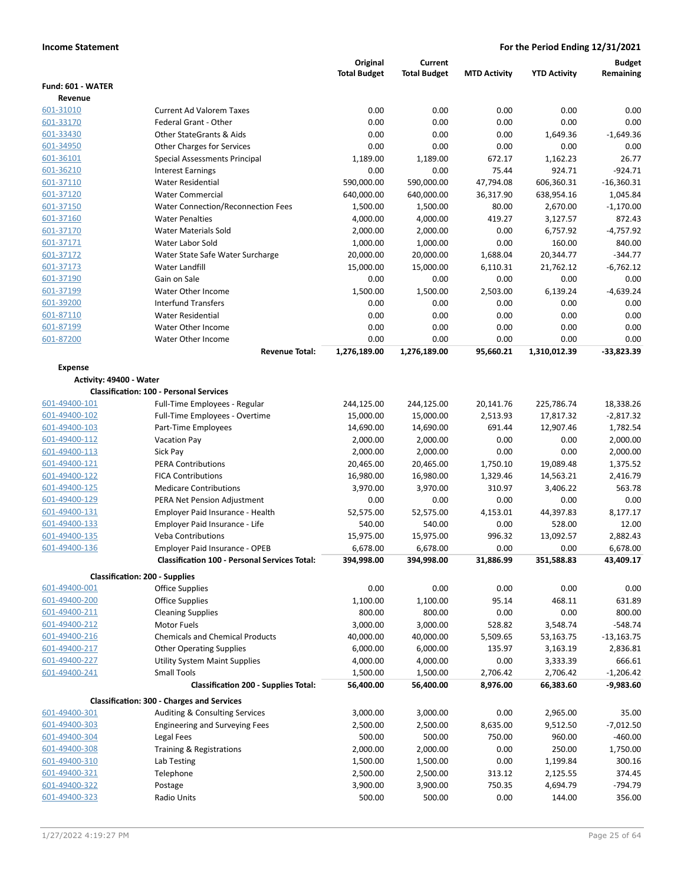|                         |                                                      | Original            | Current             |                     |                     | <b>Budget</b>       |
|-------------------------|------------------------------------------------------|---------------------|---------------------|---------------------|---------------------|---------------------|
|                         |                                                      | <b>Total Budget</b> | <b>Total Budget</b> | <b>MTD Activity</b> | <b>YTD Activity</b> | Remaining           |
| Fund: 601 - WATER       |                                                      |                     |                     |                     |                     |                     |
| Revenue                 |                                                      |                     |                     |                     |                     |                     |
| 601-31010               | <b>Current Ad Valorem Taxes</b>                      | 0.00                | 0.00                | 0.00                | 0.00                | 0.00                |
| 601-33170               | Federal Grant - Other                                | 0.00                | 0.00                | 0.00                | 0.00                | 0.00                |
| 601-33430               | <b>Other StateGrants &amp; Aids</b>                  | 0.00                | 0.00                | 0.00                | 1,649.36            | $-1,649.36$         |
| 601-34950               | <b>Other Charges for Services</b>                    | 0.00                | 0.00                | 0.00                | 0.00                | 0.00                |
| 601-36101               | <b>Special Assessments Principal</b>                 | 1,189.00            | 1,189.00            | 672.17              | 1,162.23            | 26.77               |
| 601-36210               | <b>Interest Earnings</b>                             | 0.00                | 0.00                | 75.44               | 924.71              | $-924.71$           |
| 601-37110               | <b>Water Residential</b>                             | 590,000.00          | 590,000.00          | 47,794.08           | 606,360.31          | $-16,360.31$        |
| 601-37120               | <b>Water Commercial</b>                              | 640,000.00          | 640,000.00          | 36,317.90           | 638,954.16          | 1,045.84            |
| 601-37150               | <b>Water Connection/Reconnection Fees</b>            | 1,500.00            | 1,500.00            | 80.00               | 2,670.00            | $-1,170.00$         |
| 601-37160               | <b>Water Penalties</b>                               | 4,000.00            | 4,000.00            | 419.27              | 3,127.57            | 872.43              |
| 601-37170               | <b>Water Materials Sold</b>                          | 2,000.00            | 2,000.00            | 0.00                | 6,757.92            | $-4,757.92$         |
| 601-37171               | Water Labor Sold                                     | 1,000.00            | 1,000.00            | 0.00                | 160.00              | 840.00              |
| 601-37172               | Water State Safe Water Surcharge                     | 20,000.00           | 20,000.00           | 1,688.04            | 20,344.77           | $-344.77$           |
| 601-37173               | Water Landfill<br>Gain on Sale                       | 15,000.00           | 15,000.00           | 6,110.31            | 21,762.12           | $-6,762.12$         |
| 601-37190<br>601-37199  | Water Other Income                                   | 0.00<br>1,500.00    | 0.00<br>1,500.00    | 0.00<br>2,503.00    | 0.00<br>6,139.24    | 0.00<br>$-4,639.24$ |
| 601-39200               | <b>Interfund Transfers</b>                           | 0.00                | 0.00                | 0.00                | 0.00                | 0.00                |
| 601-87110               | <b>Water Residential</b>                             | 0.00                | 0.00                | 0.00                | 0.00                | 0.00                |
| 601-87199               | Water Other Income                                   | 0.00                | 0.00                | 0.00                | 0.00                | 0.00                |
| 601-87200               | Water Other Income                                   | 0.00                | 0.00                | 0.00                | 0.00                | 0.00                |
|                         | <b>Revenue Total:</b>                                | 1,276,189.00        | 1,276,189.00        | 95,660.21           | 1,310,012.39        | $-33,823.39$        |
|                         |                                                      |                     |                     |                     |                     |                     |
| <b>Expense</b>          |                                                      |                     |                     |                     |                     |                     |
| Activity: 49400 - Water | <b>Classification: 100 - Personal Services</b>       |                     |                     |                     |                     |                     |
| 601-49400-101           | Full-Time Employees - Regular                        | 244,125.00          | 244,125.00          | 20,141.76           | 225,786.74          | 18,338.26           |
| 601-49400-102           | Full-Time Employees - Overtime                       | 15,000.00           | 15,000.00           | 2,513.93            | 17,817.32           | $-2,817.32$         |
| 601-49400-103           | Part-Time Employees                                  | 14,690.00           | 14,690.00           | 691.44              | 12,907.46           | 1,782.54            |
| 601-49400-112           | <b>Vacation Pay</b>                                  | 2,000.00            | 2,000.00            | 0.00                | 0.00                | 2,000.00            |
| 601-49400-113           | Sick Pay                                             | 2,000.00            | 2,000.00            | 0.00                | 0.00                | 2,000.00            |
| 601-49400-121           | <b>PERA Contributions</b>                            | 20,465.00           | 20,465.00           | 1,750.10            | 19,089.48           | 1,375.52            |
| 601-49400-122           | <b>FICA Contributions</b>                            | 16,980.00           | 16,980.00           | 1,329.46            | 14,563.21           | 2,416.79            |
| 601-49400-125           | <b>Medicare Contributions</b>                        | 3,970.00            | 3,970.00            | 310.97              | 3,406.22            | 563.78              |
| 601-49400-129           | PERA Net Pension Adjustment                          | 0.00                | 0.00                | 0.00                | 0.00                | 0.00                |
| 601-49400-131           | Employer Paid Insurance - Health                     | 52,575.00           | 52,575.00           | 4,153.01            | 44,397.83           | 8,177.17            |
| 601-49400-133           | Employer Paid Insurance - Life                       | 540.00              | 540.00              | 0.00                | 528.00              | 12.00               |
| 601-49400-135           | <b>Veba Contributions</b>                            | 15,975.00           | 15,975.00           | 996.32              | 13,092.57           | 2,882.43            |
| 601-49400-136           | Employer Paid Insurance - OPEB                       | 6,678.00            | 6,678.00            | 0.00                | 0.00                | 6,678.00            |
|                         | <b>Classification 100 - Personal Services Total:</b> | 394,998.00          | 394,998.00          | 31,886.99           | 351,588.83          | 43,409.17           |
|                         | <b>Classification: 200 - Supplies</b>                |                     |                     |                     |                     |                     |
| 601-49400-001           | <b>Office Supplies</b>                               | 0.00                | 0.00                | 0.00                | 0.00                | 0.00                |
| 601-49400-200           | <b>Office Supplies</b>                               | 1,100.00            | 1,100.00            | 95.14               | 468.11              | 631.89              |
| 601-49400-211           | <b>Cleaning Supplies</b>                             | 800.00              | 800.00              | 0.00                | 0.00                | 800.00              |
| 601-49400-212           | Motor Fuels                                          | 3,000.00            | 3,000.00            | 528.82              | 3,548.74            | $-548.74$           |
| 601-49400-216           | <b>Chemicals and Chemical Products</b>               | 40,000.00           | 40,000.00           | 5,509.65            | 53,163.75           | $-13,163.75$        |
| 601-49400-217           | <b>Other Operating Supplies</b>                      | 6,000.00            | 6,000.00            | 135.97              | 3,163.19            | 2,836.81            |
| 601-49400-227           | <b>Utility System Maint Supplies</b>                 | 4,000.00            | 4,000.00            | 0.00                | 3,333.39            | 666.61              |
| 601-49400-241           | Small Tools                                          | 1,500.00            | 1,500.00            | 2,706.42            | 2,706.42            | $-1,206.42$         |
|                         | <b>Classification 200 - Supplies Total:</b>          | 56,400.00           | 56,400.00           | 8,976.00            | 66,383.60           | $-9,983.60$         |
|                         | <b>Classification: 300 - Charges and Services</b>    |                     |                     |                     |                     |                     |
| 601-49400-301           | Auditing & Consulting Services                       | 3,000.00            | 3,000.00            | 0.00                | 2,965.00            | 35.00               |
| 601-49400-303           | <b>Engineering and Surveying Fees</b>                | 2,500.00            | 2,500.00            | 8,635.00            | 9,512.50            | $-7,012.50$         |
| 601-49400-304           | Legal Fees                                           | 500.00              | 500.00              | 750.00              | 960.00              | $-460.00$           |
| 601-49400-308           | Training & Registrations                             | 2,000.00            | 2,000.00            | 0.00                | 250.00              | 1,750.00            |
| 601-49400-310           | Lab Testing                                          | 1,500.00            | 1,500.00            | 0.00                | 1,199.84            | 300.16              |
| 601-49400-321           | Telephone                                            | 2,500.00            | 2,500.00            | 313.12              | 2,125.55            | 374.45              |
| 601-49400-322           | Postage                                              | 3,900.00            | 3,900.00            | 750.35              | 4,694.79            | -794.79             |
| 601-49400-323           | Radio Units                                          | 500.00              | 500.00              | 0.00                | 144.00              | 356.00              |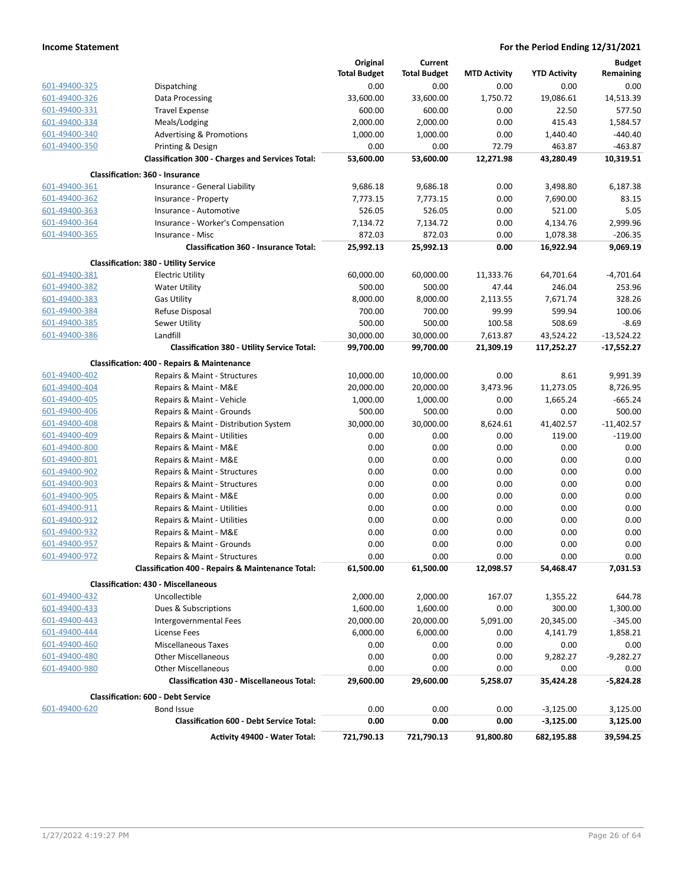|               |                                                              | Original            | Current             |                     |                      | <b>Budget</b> |
|---------------|--------------------------------------------------------------|---------------------|---------------------|---------------------|----------------------|---------------|
|               |                                                              | <b>Total Budget</b> | <b>Total Budget</b> | <b>MTD Activity</b> | <b>YTD Activity</b>  | Remaining     |
| 601-49400-325 | Dispatching                                                  | 0.00                | 0.00                | 0.00                | 0.00                 | 0.00          |
| 601-49400-326 | Data Processing                                              | 33,600.00           | 33,600.00           | 1,750.72            | 19,086.61            | 14,513.39     |
| 601-49400-331 | <b>Travel Expense</b>                                        | 600.00              | 600.00              | 0.00                | 22.50                | 577.50        |
| 601-49400-334 | Meals/Lodging                                                | 2,000.00            | 2,000.00            | 0.00                | 415.43               | 1,584.57      |
| 601-49400-340 | <b>Advertising &amp; Promotions</b>                          | 1,000.00            | 1,000.00            | 0.00                | 1,440.40             | $-440.40$     |
| 601-49400-350 | Printing & Design                                            | 0.00                | 0.00                | 72.79               | 463.87               | $-463.87$     |
|               | <b>Classification 300 - Charges and Services Total:</b>      | 53,600.00           | 53,600.00           | 12,271.98           | 43,280.49            | 10,319.51     |
|               | Classification: 360 - Insurance                              |                     |                     |                     |                      |               |
| 601-49400-361 | Insurance - General Liability                                | 9,686.18            | 9,686.18            | 0.00                | 3,498.80             | 6,187.38      |
| 601-49400-362 |                                                              | 7,773.15            | 7,773.15            | 0.00                | 7,690.00             | 83.15         |
| 601-49400-363 | Insurance - Property<br>Insurance - Automotive               | 526.05              | 526.05              | 0.00                | 521.00               | 5.05          |
| 601-49400-364 |                                                              |                     |                     |                     |                      | 2,999.96      |
| 601-49400-365 | Insurance - Worker's Compensation<br>Insurance - Misc        | 7,134.72<br>872.03  | 7,134.72<br>872.03  | 0.00<br>0.00        | 4,134.76<br>1,078.38 | $-206.35$     |
|               | <b>Classification 360 - Insurance Total:</b>                 | 25,992.13           | 25,992.13           | 0.00                | 16,922.94            | 9,069.19      |
|               |                                                              |                     |                     |                     |                      |               |
|               | <b>Classification: 380 - Utility Service</b>                 |                     |                     |                     |                      |               |
| 601-49400-381 | <b>Electric Utility</b>                                      | 60,000.00           | 60,000.00           | 11,333.76           | 64,701.64            | $-4,701.64$   |
| 601-49400-382 | <b>Water Utility</b>                                         | 500.00              | 500.00              | 47.44               | 246.04               | 253.96        |
| 601-49400-383 | <b>Gas Utility</b>                                           | 8,000.00            | 8,000.00            | 2,113.55            | 7,671.74             | 328.26        |
| 601-49400-384 | Refuse Disposal                                              | 700.00              | 700.00              | 99.99               | 599.94               | 100.06        |
| 601-49400-385 | Sewer Utility                                                | 500.00              | 500.00              | 100.58              | 508.69               | $-8.69$       |
| 601-49400-386 | Landfill                                                     | 30,000.00           | 30,000.00           | 7,613.87            | 43,524.22            | $-13,524.22$  |
|               | <b>Classification 380 - Utility Service Total:</b>           | 99,700.00           | 99,700.00           | 21,309.19           | 117,252.27           | $-17,552.27$  |
|               | <b>Classification: 400 - Repairs &amp; Maintenance</b>       |                     |                     |                     |                      |               |
| 601-49400-402 | Repairs & Maint - Structures                                 | 10,000.00           | 10,000.00           | 0.00                | 8.61                 | 9,991.39      |
| 601-49400-404 | Repairs & Maint - M&E                                        | 20,000.00           | 20,000.00           | 3,473.96            | 11,273.05            | 8,726.95      |
| 601-49400-405 | Repairs & Maint - Vehicle                                    | 1,000.00            | 1,000.00            | 0.00                | 1,665.24             | $-665.24$     |
| 601-49400-406 | Repairs & Maint - Grounds                                    | 500.00              | 500.00              | 0.00                | 0.00                 | 500.00        |
| 601-49400-408 | Repairs & Maint - Distribution System                        | 30,000.00           | 30,000.00           | 8,624.61            | 41,402.57            | $-11,402.57$  |
| 601-49400-409 | Repairs & Maint - Utilities                                  | 0.00                | 0.00                | 0.00                | 119.00               | $-119.00$     |
| 601-49400-800 | Repairs & Maint - M&E                                        | 0.00                | 0.00                | 0.00                | 0.00                 | 0.00          |
| 601-49400-801 | Repairs & Maint - M&E                                        | 0.00                | 0.00                | 0.00                | 0.00                 | 0.00          |
| 601-49400-902 | Repairs & Maint - Structures                                 | 0.00                | 0.00                | 0.00                | 0.00                 | 0.00          |
| 601-49400-903 | Repairs & Maint - Structures                                 | 0.00                | 0.00                | 0.00                | 0.00                 | 0.00          |
| 601-49400-905 | Repairs & Maint - M&E                                        | 0.00                | 0.00                | 0.00                | 0.00                 | 0.00          |
| 601-49400-911 | Repairs & Maint - Utilities                                  | 0.00                | 0.00                | 0.00                | 0.00                 | 0.00          |
| 601-49400-912 | Repairs & Maint - Utilities                                  | 0.00                | 0.00                | 0.00                | 0.00                 | 0.00          |
| 601-49400-932 | Repairs & Maint - M&E                                        | 0.00                | 0.00                | 0.00                | 0.00                 | 0.00          |
| 601-49400-957 | Repairs & Maint - Grounds                                    | 0.00                | 0.00                | 0.00                | 0.00                 | 0.00          |
| 601-49400-972 | Repairs & Maint - Structures                                 | 0.00                | 0.00                | 0.00                | 0.00                 | 0.00          |
|               | <b>Classification 400 - Repairs &amp; Maintenance Total:</b> | 61,500.00           | 61,500.00           | 12,098.57           | 54,468.47            | 7,031.53      |
|               | <b>Classification: 430 - Miscellaneous</b>                   |                     |                     |                     |                      |               |
| 601-49400-432 | Uncollectible                                                | 2,000.00            | 2,000.00            | 167.07              | 1,355.22             | 644.78        |
| 601-49400-433 | Dues & Subscriptions                                         | 1,600.00            | 1,600.00            | 0.00                | 300.00               | 1,300.00      |
| 601-49400-443 | Intergovernmental Fees                                       | 20,000.00           | 20,000.00           | 5,091.00            | 20,345.00            | $-345.00$     |
| 601-49400-444 | License Fees                                                 | 6,000.00            | 6,000.00            | 0.00                | 4,141.79             | 1,858.21      |
| 601-49400-460 | Miscellaneous Taxes                                          | 0.00                | 0.00                | 0.00                | 0.00                 | 0.00          |
| 601-49400-480 | <b>Other Miscellaneous</b>                                   | 0.00                | 0.00                | 0.00                | 9,282.27             | $-9,282.27$   |
| 601-49400-980 | <b>Other Miscellaneous</b>                                   | 0.00                | 0.00                | 0.00                | 0.00                 | 0.00          |
|               | <b>Classification 430 - Miscellaneous Total:</b>             | 29,600.00           | 29,600.00           | 5,258.07            | 35,424.28            | $-5,824.28$   |
|               | <b>Classification: 600 - Debt Service</b>                    |                     |                     |                     |                      |               |
| 601-49400-620 | <b>Bond Issue</b>                                            | 0.00                | 0.00                | 0.00                | $-3,125.00$          | 3,125.00      |
|               | <b>Classification 600 - Debt Service Total:</b>              | 0.00                | 0.00                | 0.00                | $-3,125.00$          | 3,125.00      |
|               | Activity 49400 - Water Total:                                | 721,790.13          | 721,790.13          | 91,800.80           | 682,195.88           | 39,594.25     |
|               |                                                              |                     |                     |                     |                      |               |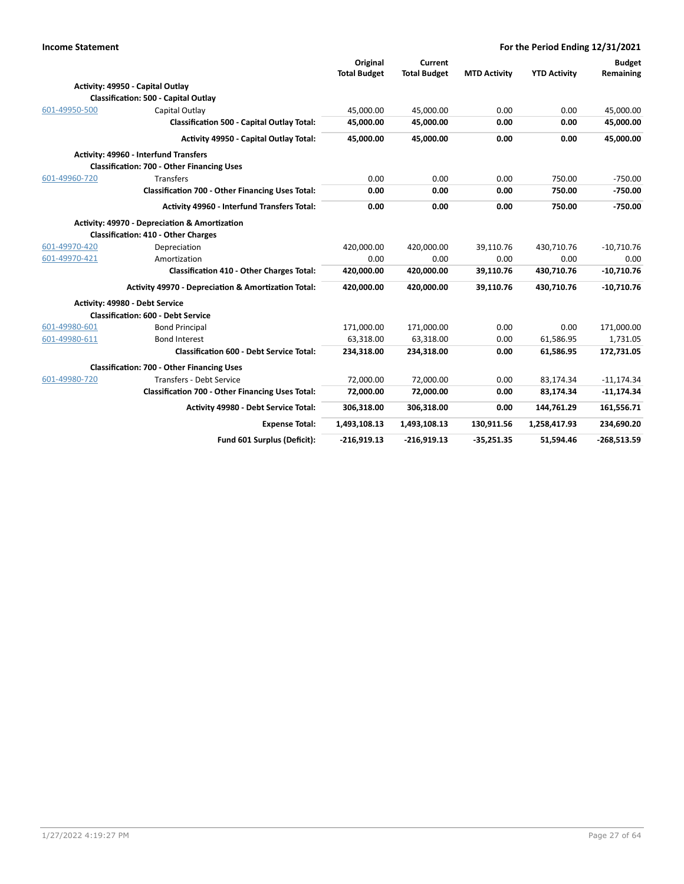| <b>Income Statement</b> |                                                                                             | For the Period Ending 12/31/2021 |                     |                     |                     |               |
|-------------------------|---------------------------------------------------------------------------------------------|----------------------------------|---------------------|---------------------|---------------------|---------------|
|                         |                                                                                             | Original                         | Current             |                     |                     | <b>Budget</b> |
|                         |                                                                                             | <b>Total Budget</b>              | <b>Total Budget</b> | <b>MTD Activity</b> | <b>YTD Activity</b> | Remaining     |
|                         | Activity: 49950 - Capital Outlay                                                            |                                  |                     |                     |                     |               |
|                         | <b>Classification: 500 - Capital Outlay</b>                                                 |                                  |                     |                     |                     |               |
| 601-49950-500           | Capital Outlay                                                                              | 45,000.00                        | 45,000.00           | 0.00                | 0.00                | 45,000.00     |
|                         | <b>Classification 500 - Capital Outlay Total:</b>                                           | 45,000.00                        | 45,000.00           | 0.00                | 0.00                | 45,000.00     |
|                         | Activity 49950 - Capital Outlay Total:                                                      | 45,000.00                        | 45,000.00           | 0.00                | 0.00                | 45,000.00     |
|                         | Activity: 49960 - Interfund Transfers                                                       |                                  |                     |                     |                     |               |
|                         | <b>Classification: 700 - Other Financing Uses</b>                                           |                                  |                     |                     |                     |               |
| 601-49960-720           | Transfers                                                                                   | 0.00                             | 0.00                | 0.00                | 750.00              | $-750.00$     |
|                         | <b>Classification 700 - Other Financing Uses Total:</b>                                     | 0.00                             | 0.00                | 0.00                | 750.00              | $-750.00$     |
|                         | Activity 49960 - Interfund Transfers Total:                                                 | 0.00                             | 0.00                | 0.00                | 750.00              | $-750.00$     |
|                         | Activity: 49970 - Depreciation & Amortization<br><b>Classification: 410 - Other Charges</b> |                                  |                     |                     |                     |               |
| 601-49970-420           | Depreciation                                                                                | 420,000.00                       | 420,000.00          | 39,110.76           | 430,710.76          | $-10,710.76$  |
| 601-49970-421           | Amortization                                                                                | 0.00                             | 0.00                | 0.00                | 0.00                | 0.00          |
|                         | <b>Classification 410 - Other Charges Total:</b>                                            | 420,000.00                       | 420,000.00          | 39,110.76           | 430,710.76          | $-10,710.76$  |
|                         | Activity 49970 - Depreciation & Amortization Total:                                         | 420,000.00                       | 420,000.00          | 39,110.76           | 430,710.76          | $-10,710.76$  |
|                         | Activity: 49980 - Debt Service                                                              |                                  |                     |                     |                     |               |
|                         | <b>Classification: 600 - Debt Service</b>                                                   |                                  |                     |                     |                     |               |
| 601-49980-601           | <b>Bond Principal</b>                                                                       | 171,000.00                       | 171,000.00          | 0.00                | 0.00                | 171,000.00    |
| 601-49980-611           | <b>Bond Interest</b>                                                                        | 63,318.00                        | 63,318.00           | 0.00                | 61,586.95           | 1,731.05      |
|                         | <b>Classification 600 - Debt Service Total:</b>                                             | 234,318.00                       | 234,318.00          | 0.00                | 61,586.95           | 172,731.05    |
|                         | <b>Classification: 700 - Other Financing Uses</b>                                           |                                  |                     |                     |                     |               |
| 601-49980-720           | Transfers - Debt Service                                                                    | 72,000.00                        | 72,000.00           | 0.00                | 83,174.34           | $-11,174.34$  |
|                         | <b>Classification 700 - Other Financing Uses Total:</b>                                     | 72,000.00                        | 72,000.00           | 0.00                | 83,174.34           | $-11,174.34$  |
|                         | Activity 49980 - Debt Service Total:                                                        | 306,318.00                       | 306,318.00          | 0.00                | 144,761.29          | 161,556.71    |
|                         | <b>Expense Total:</b>                                                                       | 1,493,108.13                     | 1,493,108.13        | 130,911.56          | 1,258,417.93        | 234,690.20    |
|                         | Fund 601 Surplus (Deficit):                                                                 | $-216,919.13$                    | $-216,919.13$       | $-35,251.35$        | 51,594.46           | $-268,513.59$ |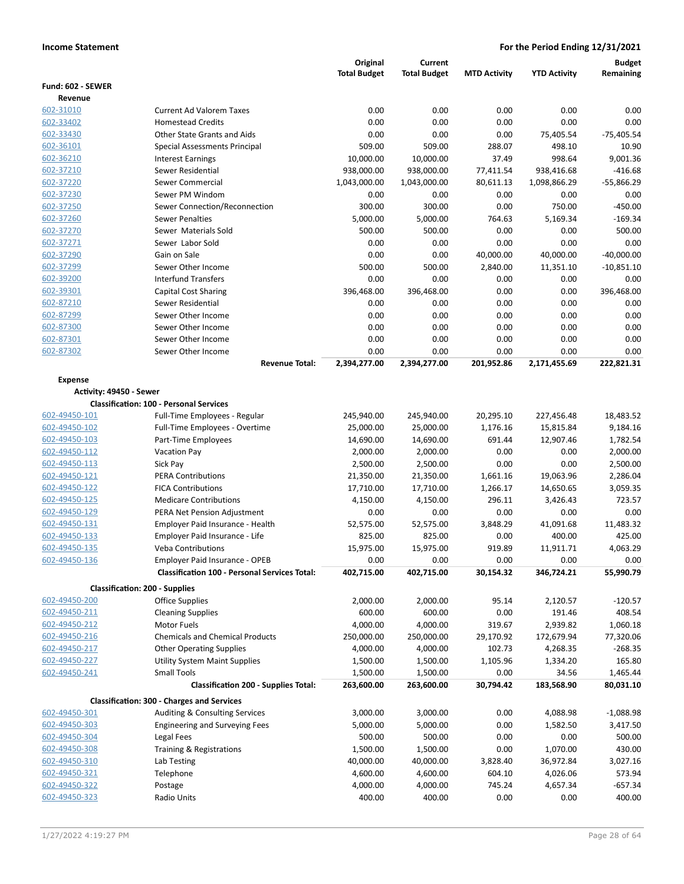|                                |                                                                 | Original              | Current               |                     |                       | <b>Budget</b>      |
|--------------------------------|-----------------------------------------------------------------|-----------------------|-----------------------|---------------------|-----------------------|--------------------|
| Fund: 602 - SEWER              |                                                                 | <b>Total Budget</b>   | <b>Total Budget</b>   | <b>MTD Activity</b> | <b>YTD Activity</b>   | Remaining          |
| Revenue                        |                                                                 |                       |                       |                     |                       |                    |
| 602-31010                      | <b>Current Ad Valorem Taxes</b>                                 | 0.00                  | 0.00                  | 0.00                | 0.00                  | 0.00               |
| 602-33402                      | <b>Homestead Credits</b>                                        | 0.00                  | 0.00                  | 0.00                | 0.00                  | 0.00               |
| 602-33430                      | Other State Grants and Aids                                     | 0.00                  | 0.00                  | 0.00                | 75,405.54             | $-75,405.54$       |
| 602-36101                      | Special Assessments Principal                                   | 509.00                | 509.00                | 288.07              | 498.10                | 10.90              |
| 602-36210                      | <b>Interest Earnings</b>                                        | 10,000.00             | 10,000.00             | 37.49               | 998.64                | 9,001.36           |
| 602-37210                      | Sewer Residential                                               | 938,000.00            | 938,000.00            | 77,411.54           | 938,416.68            | $-416.68$          |
| 602-37220                      | Sewer Commercial                                                | 1,043,000.00          | 1,043,000.00          | 80,611.13           | 1,098,866.29          | $-55,866.29$       |
| 602-37230                      | Sewer PM Windom                                                 | 0.00                  | 0.00                  | 0.00                | 0.00                  | 0.00               |
| 602-37250                      | Sewer Connection/Reconnection                                   | 300.00                | 300.00                | 0.00                | 750.00                | $-450.00$          |
| 602-37260                      | <b>Sewer Penalties</b>                                          | 5,000.00              | 5,000.00              | 764.63              | 5,169.34              | $-169.34$          |
| 602-37270                      | Sewer Materials Sold                                            | 500.00                | 500.00                | 0.00                | 0.00                  | 500.00             |
| 602-37271                      | Sewer Labor Sold                                                | 0.00                  | 0.00                  | 0.00                | 0.00                  | 0.00               |
| 602-37290                      | Gain on Sale                                                    | 0.00                  | 0.00                  | 40,000.00           | 40,000.00             | $-40,000.00$       |
| 602-37299                      | Sewer Other Income                                              | 500.00                | 500.00                | 2,840.00            | 11,351.10             | $-10,851.10$       |
| 602-39200                      | <b>Interfund Transfers</b>                                      | 0.00                  | 0.00                  | 0.00                | 0.00                  | 0.00               |
| 602-39301                      | <b>Capital Cost Sharing</b>                                     | 396,468.00            | 396,468.00            | 0.00                | 0.00                  | 396,468.00         |
| 602-87210                      | Sewer Residential                                               | 0.00                  | 0.00                  | 0.00                | 0.00                  | 0.00               |
| 602-87299                      | Sewer Other Income                                              | 0.00                  | 0.00                  | 0.00                | 0.00                  | 0.00               |
| 602-87300                      | Sewer Other Income                                              | 0.00                  | 0.00                  | 0.00                | 0.00                  | 0.00               |
| 602-87301                      | Sewer Other Income                                              | 0.00                  | 0.00                  | 0.00                | 0.00                  | 0.00               |
| 602-87302                      | Sewer Other Income                                              | 0.00                  | 0.00                  | 0.00                | 0.00                  | 0.00               |
|                                | <b>Revenue Total:</b>                                           | 2,394,277.00          | 2,394,277.00          | 201,952.86          | 2,171,455.69          | 222,821.31         |
| <b>Expense</b>                 |                                                                 |                       |                       |                     |                       |                    |
| Activity: 49450 - Sewer        |                                                                 |                       |                       |                     |                       |                    |
|                                | <b>Classification: 100 - Personal Services</b>                  |                       |                       |                     |                       |                    |
| 602-49450-101                  | Full-Time Employees - Regular                                   | 245,940.00            | 245,940.00            | 20,295.10           | 227,456.48            | 18,483.52          |
| 602-49450-102                  | Full-Time Employees - Overtime                                  | 25,000.00             | 25,000.00             | 1,176.16            | 15,815.84             | 9,184.16           |
| 602-49450-103                  | Part-Time Employees                                             | 14,690.00             | 14,690.00             | 691.44              | 12,907.46             | 1,782.54           |
| 602-49450-112                  | <b>Vacation Pay</b>                                             | 2,000.00              | 2,000.00              | 0.00                | 0.00                  | 2,000.00           |
| 602-49450-113                  | Sick Pay                                                        | 2,500.00              | 2,500.00              | 0.00                | 0.00                  | 2,500.00           |
| 602-49450-121                  | <b>PERA Contributions</b><br><b>FICA Contributions</b>          | 21,350.00             | 21,350.00             | 1,661.16            | 19,063.96             | 2,286.04           |
| 602-49450-122<br>602-49450-125 | <b>Medicare Contributions</b>                                   | 17,710.00             | 17,710.00<br>4,150.00 | 1,266.17<br>296.11  | 14,650.65<br>3,426.43 | 3,059.35<br>723.57 |
| 602-49450-129                  | PERA Net Pension Adjustment                                     | 4,150.00<br>0.00      | 0.00                  | 0.00                | 0.00                  | 0.00               |
| 602-49450-131                  | Employer Paid Insurance - Health                                | 52,575.00             | 52,575.00             | 3,848.29            | 41,091.68             | 11,483.32          |
| 602-49450-133                  | Employer Paid Insurance - Life                                  | 825.00                | 825.00                | 0.00                | 400.00                | 425.00             |
| 602-49450-135                  | <b>Veba Contributions</b>                                       | 15,975.00             | 15,975.00             | 919.89              | 11,911.71             | 4,063.29           |
| 602-49450-136                  | Employer Paid Insurance - OPEB                                  | 0.00                  | 0.00                  | 0.00                | 0.00                  | 0.00               |
|                                | <b>Classification 100 - Personal Services Total:</b>            | 402,715.00            | 402,715.00            | 30,154.32           | 346,724.21            | 55,990.79          |
|                                |                                                                 |                       |                       |                     |                       |                    |
| 602-49450-200                  | <b>Classification: 200 - Supplies</b><br><b>Office Supplies</b> | 2,000.00              | 2,000.00              | 95.14               | 2,120.57              | $-120.57$          |
| 602-49450-211                  | <b>Cleaning Supplies</b>                                        | 600.00                | 600.00                | 0.00                | 191.46                | 408.54             |
| 602-49450-212                  | Motor Fuels                                                     | 4,000.00              | 4,000.00              | 319.67              | 2,939.82              | 1,060.18           |
| 602-49450-216                  | <b>Chemicals and Chemical Products</b>                          | 250,000.00            | 250,000.00            | 29,170.92           | 172,679.94            | 77,320.06          |
| 602-49450-217                  | <b>Other Operating Supplies</b>                                 | 4,000.00              | 4,000.00              | 102.73              | 4,268.35              | $-268.35$          |
| 602-49450-227                  | <b>Utility System Maint Supplies</b>                            | 1,500.00              | 1,500.00              | 1,105.96            | 1,334.20              | 165.80             |
| 602-49450-241                  | <b>Small Tools</b>                                              | 1,500.00              | 1,500.00              | 0.00                | 34.56                 | 1,465.44           |
|                                | <b>Classification 200 - Supplies Total:</b>                     | 263,600.00            | 263,600.00            | 30,794.42           | 183,568.90            | 80,031.10          |
|                                |                                                                 |                       |                       |                     |                       |                    |
|                                | <b>Classification: 300 - Charges and Services</b>               |                       |                       |                     |                       |                    |
| 602-49450-301                  | Auditing & Consulting Services                                  | 3,000.00              | 3,000.00              | 0.00                | 4,088.98              | $-1,088.98$        |
| 602-49450-303<br>602-49450-304 | <b>Engineering and Surveying Fees</b>                           | 5,000.00              | 5,000.00              | 0.00                | 1,582.50              | 3,417.50           |
| 602-49450-308                  | Legal Fees<br>Training & Registrations                          | 500.00                | 500.00                | 0.00<br>0.00        | 0.00                  | 500.00             |
| 602-49450-310                  |                                                                 | 1,500.00<br>40,000.00 | 1,500.00<br>40,000.00 | 3,828.40            | 1,070.00              | 430.00<br>3,027.16 |
| 602-49450-321                  | Lab Testing                                                     | 4,600.00              | 4,600.00              | 604.10              | 36,972.84             | 573.94             |
| 602-49450-322                  | Telephone                                                       | 4,000.00              | 4,000.00              | 745.24              | 4,026.06<br>4,657.34  | $-657.34$          |
| 602-49450-323                  | Postage<br>Radio Units                                          | 400.00                | 400.00                | 0.00                | 0.00                  | 400.00             |
|                                |                                                                 |                       |                       |                     |                       |                    |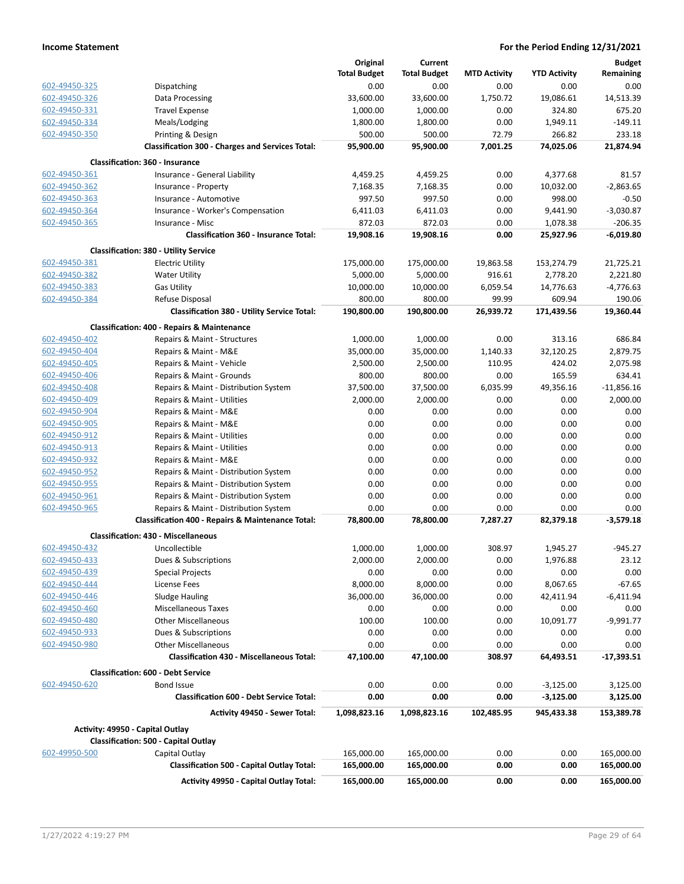|               |                                                         | Original            | Current             |                     |                     | <b>Budget</b> |
|---------------|---------------------------------------------------------|---------------------|---------------------|---------------------|---------------------|---------------|
|               |                                                         | <b>Total Budget</b> | <b>Total Budget</b> | <b>MTD Activity</b> | <b>YTD Activity</b> | Remaining     |
| 602-49450-325 | Dispatching                                             | 0.00                | 0.00                | 0.00                | 0.00                | 0.00          |
| 602-49450-326 | Data Processing                                         | 33,600.00           | 33,600.00           | 1,750.72            | 19,086.61           | 14,513.39     |
| 602-49450-331 | <b>Travel Expense</b>                                   | 1,000.00            | 1,000.00            | 0.00                | 324.80              | 675.20        |
| 602-49450-334 | Meals/Lodging                                           | 1,800.00            | 1,800.00            | 0.00                | 1,949.11            | $-149.11$     |
|               |                                                         |                     |                     |                     |                     | 233.18        |
| 602-49450-350 | Printing & Design                                       | 500.00              | 500.00              | 72.79               | 266.82              |               |
|               | <b>Classification 300 - Charges and Services Total:</b> | 95,900.00           | 95,900.00           | 7,001.25            | 74,025.06           | 21,874.94     |
|               | <b>Classification: 360 - Insurance</b>                  |                     |                     |                     |                     |               |
| 602-49450-361 | Insurance - General Liability                           | 4,459.25            | 4,459.25            | 0.00                | 4,377.68            | 81.57         |
| 602-49450-362 | Insurance - Property                                    | 7,168.35            | 7,168.35            | 0.00                | 10,032.00           | $-2,863.65$   |
| 602-49450-363 | Insurance - Automotive                                  | 997.50              | 997.50              | 0.00                | 998.00              | $-0.50$       |
| 602-49450-364 | Insurance - Worker's Compensation                       | 6,411.03            | 6,411.03            | 0.00                | 9,441.90            | $-3,030.87$   |
| 602-49450-365 | Insurance - Misc                                        | 872.03              | 872.03              | 0.00                | 1,078.38            | $-206.35$     |
|               | <b>Classification 360 - Insurance Total:</b>            | 19,908.16           | 19,908.16           | 0.00                | 25,927.96           | $-6,019.80$   |
|               | <b>Classification: 380 - Utility Service</b>            |                     |                     |                     |                     |               |
| 602-49450-381 | <b>Electric Utility</b>                                 | 175,000.00          | 175,000.00          | 19,863.58           | 153,274.79          | 21,725.21     |
| 602-49450-382 | <b>Water Utility</b>                                    | 5,000.00            | 5,000.00            | 916.61              | 2,778.20            | 2,221.80      |
| 602-49450-383 | <b>Gas Utility</b>                                      | 10,000.00           | 10,000.00           | 6,059.54            | 14,776.63           | $-4,776.63$   |
| 602-49450-384 | Refuse Disposal                                         | 800.00              | 800.00              | 99.99               | 609.94              | 190.06        |
|               | <b>Classification 380 - Utility Service Total:</b>      | 190,800.00          | 190,800.00          | 26,939.72           | 171,439.56          | 19,360.44     |
|               | <b>Classification: 400 - Repairs &amp; Maintenance</b>  |                     |                     |                     |                     |               |
| 602-49450-402 | Repairs & Maint - Structures                            | 1,000.00            | 1,000.00            | 0.00                | 313.16              | 686.84        |
| 602-49450-404 | Repairs & Maint - M&E                                   | 35,000.00           | 35,000.00           | 1,140.33            | 32,120.25           | 2,879.75      |
| 602-49450-405 | Repairs & Maint - Vehicle                               | 2,500.00            | 2,500.00            | 110.95              | 424.02              | 2,075.98      |
| 602-49450-406 | Repairs & Maint - Grounds                               | 800.00              | 800.00              | 0.00                | 165.59              | 634.41        |
|               |                                                         |                     |                     |                     |                     |               |
| 602-49450-408 | Repairs & Maint - Distribution System                   | 37,500.00           | 37,500.00           | 6,035.99            | 49,356.16           | $-11,856.16$  |
| 602-49450-409 | Repairs & Maint - Utilities                             | 2,000.00            | 2,000.00            | 0.00                | 0.00                | 2,000.00      |
| 602-49450-904 | Repairs & Maint - M&E                                   | 0.00                | 0.00                | 0.00                | 0.00                | 0.00          |
| 602-49450-905 | Repairs & Maint - M&E                                   | 0.00                | 0.00                | 0.00                | 0.00                | 0.00          |
| 602-49450-912 | Repairs & Maint - Utilities                             | 0.00                | 0.00                | 0.00                | 0.00                | 0.00          |
| 602-49450-913 | Repairs & Maint - Utilities                             | 0.00                | 0.00                | 0.00                | 0.00                | 0.00          |
| 602-49450-932 | Repairs & Maint - M&E                                   | 0.00                | 0.00                | 0.00                | 0.00                | 0.00          |
| 602-49450-952 | Repairs & Maint - Distribution System                   | 0.00                | 0.00                | 0.00                | 0.00                | 0.00          |
| 602-49450-955 | Repairs & Maint - Distribution System                   | 0.00                | 0.00                | 0.00                | 0.00                | 0.00          |
| 602-49450-961 | Repairs & Maint - Distribution System                   | 0.00                | 0.00                | 0.00                | 0.00                | 0.00          |
| 602-49450-965 | Repairs & Maint - Distribution System                   | 0.00                | 0.00                | 0.00                | 0.00                | 0.00          |
|               | Classification 400 - Repairs & Maintenance Total:       | 78,800.00           | 78,800.00           | 7,287.27            | 82,379.18           | $-3,579.18$   |
|               | <b>Classification: 430 - Miscellaneous</b>              |                     |                     |                     |                     |               |
| 602-49450-432 | Uncollectible                                           | 1,000.00            | 1,000.00            | 308.97              | 1,945.27            | -945.27       |
| 602-49450-433 | Dues & Subscriptions                                    | 2,000.00            | 2,000.00            | 0.00                | 1,976.88            | 23.12         |
| 602-49450-439 | <b>Special Projects</b>                                 | 0.00                | 0.00                | 0.00                | 0.00                | 0.00          |
| 602-49450-444 | License Fees                                            | 8,000.00            | 8,000.00            | 0.00                | 8,067.65            | $-67.65$      |
| 602-49450-446 | <b>Sludge Hauling</b>                                   | 36,000.00           | 36,000.00           | 0.00                | 42,411.94           | $-6,411.94$   |
|               |                                                         |                     |                     |                     |                     |               |
| 602-49450-460 | <b>Miscellaneous Taxes</b>                              | 0.00                | 0.00                | 0.00                | 0.00                | 0.00          |
| 602-49450-480 | <b>Other Miscellaneous</b>                              | 100.00              | 100.00              | 0.00                | 10,091.77           | $-9,991.77$   |
| 602-49450-933 | Dues & Subscriptions                                    | 0.00                | 0.00                | 0.00                | 0.00                | 0.00          |
| 602-49450-980 | <b>Other Miscellaneous</b>                              | 0.00                | 0.00                | 0.00                | 0.00                | 0.00          |
|               | <b>Classification 430 - Miscellaneous Total:</b>        | 47,100.00           | 47,100.00           | 308.97              | 64,493.51           | $-17,393.51$  |
|               | <b>Classification: 600 - Debt Service</b>               |                     |                     |                     |                     |               |
| 602-49450-620 | <b>Bond Issue</b>                                       | 0.00                | 0.00                | 0.00                | $-3,125.00$         | 3,125.00      |
|               | <b>Classification 600 - Debt Service Total:</b>         | 0.00                | 0.00                | 0.00                | $-3,125.00$         | 3,125.00      |
|               | Activity 49450 - Sewer Total:                           | 1,098,823.16        | 1,098,823.16        | 102,485.95          | 945,433.38          | 153,389.78    |
|               | Activity: 49950 - Capital Outlay                        |                     |                     |                     |                     |               |
|               | <b>Classification: 500 - Capital Outlay</b>             |                     |                     |                     |                     |               |
| 602-49950-500 | Capital Outlay                                          | 165,000.00          | 165,000.00          | 0.00                | 0.00                | 165,000.00    |
|               | <b>Classification 500 - Capital Outlay Total:</b>       | 165,000.00          | 165,000.00          | 0.00                | 0.00                | 165,000.00    |
|               | Activity 49950 - Capital Outlay Total:                  | 165,000.00          | 165,000.00          | 0.00                | 0.00                | 165,000.00    |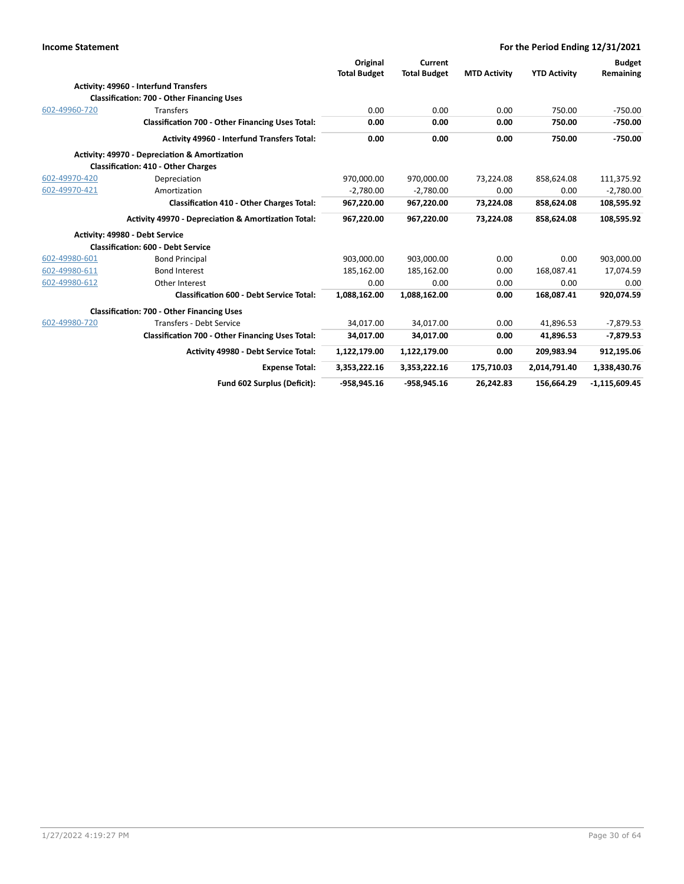| <b>Income Statement</b> |                                                         |                     |                     |                     | For the Period Ending 12/31/2021 |                 |
|-------------------------|---------------------------------------------------------|---------------------|---------------------|---------------------|----------------------------------|-----------------|
|                         |                                                         | Original            | Current             |                     |                                  | <b>Budget</b>   |
|                         |                                                         | <b>Total Budget</b> | <b>Total Budget</b> | <b>MTD Activity</b> | <b>YTD Activity</b>              | Remaining       |
|                         | Activity: 49960 - Interfund Transfers                   |                     |                     |                     |                                  |                 |
|                         | <b>Classification: 700 - Other Financing Uses</b>       |                     |                     |                     |                                  |                 |
| 602-49960-720           | <b>Transfers</b>                                        | 0.00                | 0.00                | 0.00                | 750.00                           | $-750.00$       |
|                         | <b>Classification 700 - Other Financing Uses Total:</b> | 0.00                | 0.00                | 0.00                | 750.00                           | $-750.00$       |
|                         | Activity 49960 - Interfund Transfers Total:             | 0.00                | 0.00                | 0.00                | 750.00                           | $-750.00$       |
|                         | Activity: 49970 - Depreciation & Amortization           |                     |                     |                     |                                  |                 |
|                         | <b>Classification: 410 - Other Charges</b>              |                     |                     |                     |                                  |                 |
| 602-49970-420           | Depreciation                                            | 970,000.00          | 970,000.00          | 73,224.08           | 858,624.08                       | 111,375.92      |
| 602-49970-421           | Amortization                                            | $-2,780.00$         | $-2,780.00$         | 0.00                | 0.00                             | $-2,780.00$     |
|                         | <b>Classification 410 - Other Charges Total:</b>        | 967,220.00          | 967,220.00          | 73,224.08           | 858,624.08                       | 108,595.92      |
|                         | Activity 49970 - Depreciation & Amortization Total:     | 967,220.00          | 967,220.00          | 73,224.08           | 858,624.08                       | 108,595.92      |
|                         | Activity: 49980 - Debt Service                          |                     |                     |                     |                                  |                 |
|                         | <b>Classification: 600 - Debt Service</b>               |                     |                     |                     |                                  |                 |
| 602-49980-601           | <b>Bond Principal</b>                                   | 903,000.00          | 903,000.00          | 0.00                | 0.00                             | 903,000.00      |
| 602-49980-611           | <b>Bond Interest</b>                                    | 185,162.00          | 185,162.00          | 0.00                | 168,087.41                       | 17,074.59       |
| 602-49980-612           | Other Interest                                          | 0.00                | 0.00                | 0.00                | 0.00                             | 0.00            |
|                         | <b>Classification 600 - Debt Service Total:</b>         | 1,088,162.00        | 1,088,162.00        | 0.00                | 168,087.41                       | 920,074.59      |
|                         | <b>Classification: 700 - Other Financing Uses</b>       |                     |                     |                     |                                  |                 |
| 602-49980-720           | <b>Transfers - Debt Service</b>                         | 34,017.00           | 34,017.00           | 0.00                | 41,896.53                        | $-7,879.53$     |
|                         | <b>Classification 700 - Other Financing Uses Total:</b> | 34,017.00           | 34,017.00           | 0.00                | 41,896.53                        | $-7,879.53$     |
|                         | <b>Activity 49980 - Debt Service Total:</b>             | 1,122,179.00        | 1,122,179.00        | 0.00                | 209,983.94                       | 912,195.06      |
|                         | <b>Expense Total:</b>                                   | 3,353,222.16        | 3,353,222.16        | 175,710.03          | 2,014,791.40                     | 1,338,430.76    |
|                         | Fund 602 Surplus (Deficit):                             | $-958,945.16$       | $-958,945.16$       | 26,242.83           | 156,664.29                       | $-1,115,609.45$ |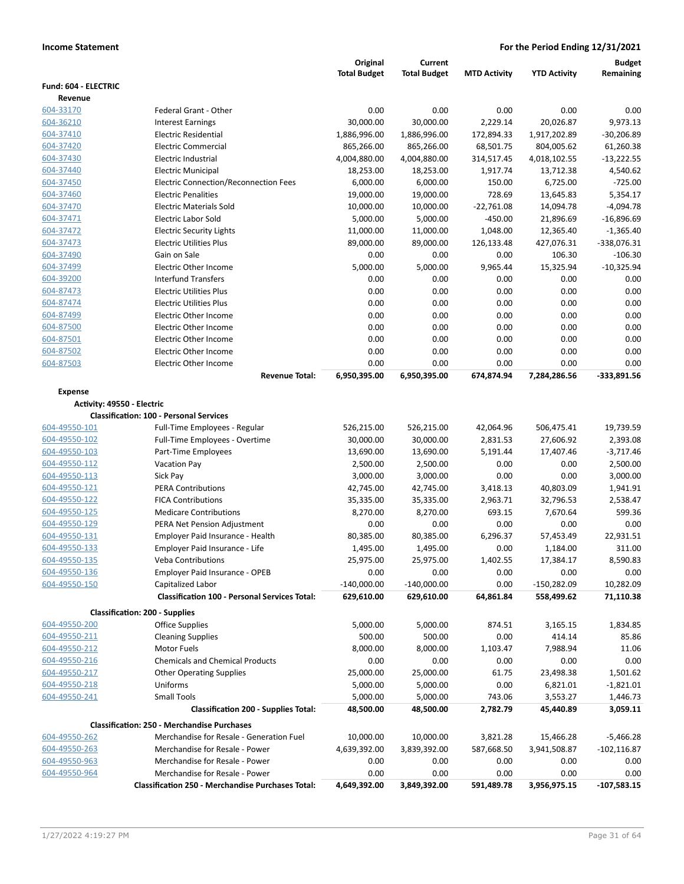|                                 |                                                                           | Original                    | <b>Current</b>              |                     |                       | Budget                 |
|---------------------------------|---------------------------------------------------------------------------|-----------------------------|-----------------------------|---------------------|-----------------------|------------------------|
|                                 |                                                                           | <b>Total Budget</b>         | <b>Total Budget</b>         | <b>MTD Activity</b> | <b>YTD Activity</b>   | Remaining              |
| Fund: 604 - ELECTRIC<br>Revenue |                                                                           |                             |                             |                     |                       |                        |
| 604-33170                       | <b>Federal Grant - Other</b>                                              | 0.00                        | 0.00                        | 0.00                | 0.00                  | 0.00                   |
| 604-36210                       | <b>Interest Earnings</b>                                                  | 30,000.00                   | 30,000.00                   | 2,229.14            | 20,026.87             | 9,973.13               |
| 604-37410                       | Electric Residential                                                      | 1,886,996.00                | 1,886,996.00                | 172,894.33          | 1,917,202.89          | $-30,206.89$           |
| 604-37420                       | <b>Electric Commercial</b>                                                | 865,266.00                  | 865,266.00                  | 68,501.75           | 804,005.62            | 61,260.38              |
| 604-37430                       | Electric Industrial                                                       | 4,004,880.00                | 4,004,880.00                | 314,517.45          | 4,018,102.55          | $-13,222.55$           |
| 604-37440                       | <b>Electric Municipal</b>                                                 | 18,253.00                   | 18,253.00                   | 1,917.74            | 13,712.38             | 4,540.62               |
| 604-37450                       | <b>Electric Connection/Reconnection Fees</b>                              | 6,000.00                    | 6,000.00                    | 150.00              | 6,725.00              | $-725.00$              |
| 604-37460                       | <b>Electric Penalities</b>                                                | 19,000.00                   | 19,000.00                   | 728.69              | 13,645.83             | 5,354.17               |
| 604-37470                       | <b>Electric Materials Sold</b>                                            | 10,000.00                   | 10,000.00                   | $-22,761.08$        | 14,094.78             | $-4,094.78$            |
| 604-37471                       | <b>Electric Labor Sold</b>                                                | 5,000.00                    | 5,000.00                    | $-450.00$           | 21,896.69             | $-16,896.69$           |
| 604-37472                       | <b>Electric Security Lights</b>                                           | 11,000.00                   | 11,000.00                   | 1,048.00            | 12,365.40             | $-1,365.40$            |
| 604-37473                       | <b>Electric Utilities Plus</b>                                            | 89,000.00                   | 89,000.00                   | 126,133.48          | 427,076.31            | -338,076.31            |
| 604-37490                       | Gain on Sale                                                              | 0.00                        | 0.00                        | 0.00                | 106.30                | $-106.30$              |
| 604-37499                       | Electric Other Income                                                     | 5,000.00                    | 5,000.00                    | 9,965.44            | 15,325.94             | $-10,325.94$           |
| 604-39200                       | <b>Interfund Transfers</b>                                                | 0.00                        | 0.00                        | 0.00                | 0.00                  | 0.00                   |
| 604-87473                       | <b>Electric Utilities Plus</b>                                            | 0.00                        | 0.00                        | 0.00                | 0.00                  | 0.00                   |
| 604-87474                       | <b>Electric Utilities Plus</b>                                            | 0.00                        | 0.00                        | 0.00                | 0.00                  | 0.00                   |
| 604-87499                       | <b>Electric Other Income</b>                                              | 0.00                        | 0.00                        | 0.00                | 0.00                  | 0.00                   |
| 604-87500                       | Electric Other Income                                                     | 0.00                        | 0.00                        | 0.00                | 0.00                  | 0.00                   |
| 604-87501                       | <b>Electric Other Income</b>                                              | 0.00                        | 0.00                        | 0.00                | 0.00                  | 0.00                   |
| 604-87502                       | Electric Other Income                                                     | 0.00                        | 0.00                        | 0.00                | 0.00                  | 0.00                   |
| 604-87503                       | <b>Electric Other Income</b>                                              | 0.00                        | 0.00                        | 0.00                | 0.00                  | 0.00                   |
|                                 | <b>Revenue Total:</b>                                                     | 6,950,395.00                | 6,950,395.00                | 674,874.94          | 7,284,286.56          | -333,891.56            |
| <b>Expense</b>                  |                                                                           |                             |                             |                     |                       |                        |
| Activity: 49550 - Electric      |                                                                           |                             |                             |                     |                       |                        |
|                                 | <b>Classification: 100 - Personal Services</b>                            |                             |                             |                     |                       |                        |
| 604-49550-101                   | Full-Time Employees - Regular                                             | 526,215.00                  | 526,215.00                  | 42,064.96           | 506,475.41            | 19,739.59              |
| 604-49550-102                   | Full-Time Employees - Overtime                                            | 30,000.00                   | 30,000.00                   | 2,831.53            | 27,606.92             | 2,393.08               |
| 604-49550-103                   | Part-Time Employees                                                       | 13,690.00                   | 13,690.00                   | 5,191.44            | 17,407.46             | $-3,717.46$            |
| 604-49550-112                   | <b>Vacation Pay</b>                                                       | 2,500.00                    | 2,500.00                    | 0.00                | 0.00                  | 2,500.00               |
| 604-49550-113                   | Sick Pay                                                                  | 3,000.00                    | 3,000.00                    | 0.00                | 0.00                  | 3,000.00               |
| 604-49550-121                   | <b>PERA Contributions</b>                                                 | 42,745.00                   | 42,745.00                   | 3,418.13            | 40,803.09             | 1,941.91               |
| 604-49550-122                   | <b>FICA Contributions</b>                                                 | 35,335.00                   | 35,335.00                   | 2,963.71            | 32,796.53             | 2,538.47               |
| 604-49550-125                   | <b>Medicare Contributions</b>                                             | 8,270.00                    | 8,270.00                    | 693.15              | 7,670.64              | 599.36                 |
| 604-49550-129                   | PERA Net Pension Adjustment                                               | 0.00                        | 0.00                        | 0.00                | 0.00                  | 0.00                   |
| 604-49550-131                   | Employer Paid Insurance - Health                                          | 80,385.00                   | 80,385.00                   | 6,296.37            | 57,453.49             | 22,931.51              |
| 604-49550-133                   | Employer Paid Insurance - Life                                            | 1,495.00                    | 1,495.00                    | 0.00                | 1,184.00              | 311.00                 |
| 604-49550-135                   | <b>Veba Contributions</b><br>Employer Paid Insurance - OPEB               | 25,975.00                   | 25,975.00                   | 1,402.55            | 17,384.17             | 8,590.83               |
| 604-49550-136<br>604-49550-150  |                                                                           | 0.00                        | 0.00                        | 0.00                | 0.00<br>$-150,282.09$ | 0.00                   |
|                                 | Capitalized Labor<br><b>Classification 100 - Personal Services Total:</b> | $-140,000.00$<br>629,610.00 | $-140,000.00$<br>629,610.00 | 0.00<br>64,861.84   | 558,499.62            | 10,282.09<br>71,110.38 |
|                                 |                                                                           |                             |                             |                     |                       |                        |
|                                 | <b>Classification: 200 - Supplies</b>                                     |                             |                             |                     |                       |                        |
| 604-49550-200                   | Office Supplies                                                           | 5,000.00                    | 5,000.00                    | 874.51              | 3,165.15              | 1,834.85               |
| 604-49550-211                   | <b>Cleaning Supplies</b>                                                  | 500.00                      | 500.00                      | 0.00                | 414.14                | 85.86                  |
| 604-49550-212                   | <b>Motor Fuels</b>                                                        | 8,000.00                    | 8,000.00                    | 1,103.47            | 7,988.94              | 11.06                  |
| 604-49550-216                   | <b>Chemicals and Chemical Products</b>                                    | 0.00                        | 0.00                        | 0.00                | 0.00                  | 0.00                   |
| 604-49550-217                   | <b>Other Operating Supplies</b>                                           | 25,000.00                   | 25,000.00                   | 61.75               | 23,498.38             | 1,501.62               |
| 604-49550-218                   | Uniforms                                                                  | 5,000.00                    | 5,000.00                    | 0.00                | 6,821.01              | $-1,821.01$            |
| 604-49550-241                   | <b>Small Tools</b>                                                        | 5,000.00                    | 5,000.00                    | 743.06              | 3,553.27              | 1,446.73               |
|                                 | <b>Classification 200 - Supplies Total:</b>                               | 48,500.00                   | 48,500.00                   | 2,782.79            | 45,440.89             | 3,059.11               |
|                                 | <b>Classification: 250 - Merchandise Purchases</b>                        |                             |                             |                     |                       |                        |
| 604-49550-262                   | Merchandise for Resale - Generation Fuel                                  | 10,000.00                   | 10,000.00                   | 3,821.28            | 15,466.28             | $-5,466.28$            |
| 604-49550-263                   | Merchandise for Resale - Power                                            | 4,639,392.00                | 3,839,392.00                | 587,668.50          | 3,941,508.87          | $-102, 116.87$         |
| 604-49550-963                   | Merchandise for Resale - Power                                            | 0.00                        | 0.00                        | 0.00                | 0.00                  | 0.00                   |
| 604-49550-964                   | Merchandise for Resale - Power                                            | 0.00                        | 0.00                        | 0.00                | 0.00                  | 0.00                   |
|                                 | <b>Classification 250 - Merchandise Purchases Total:</b>                  | 4,649,392.00                | 3,849,392.00                | 591,489.78          | 3,956,975.15          | $-107,583.15$          |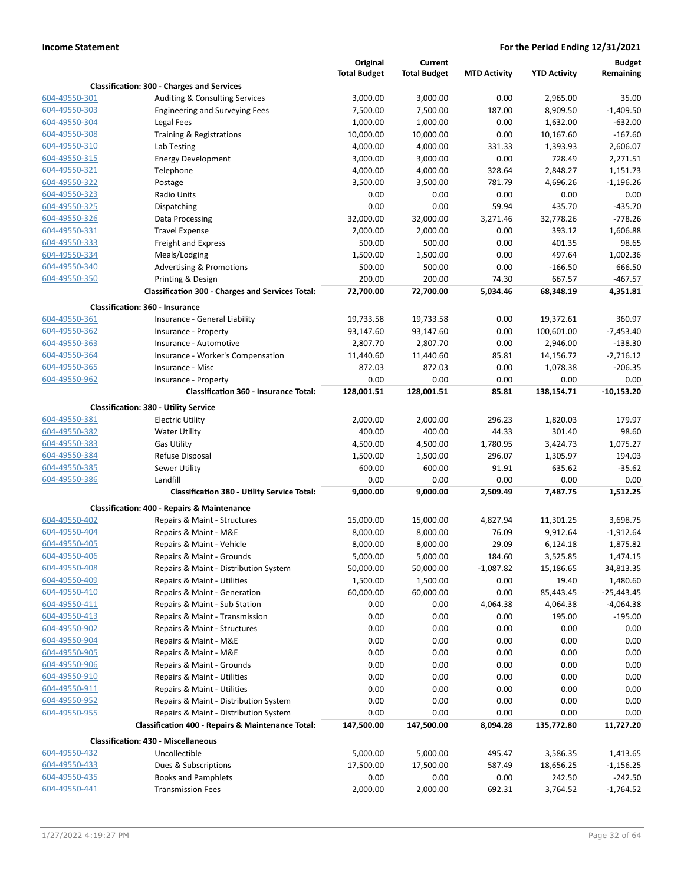|                                |                                                         | Original            | Current             |                     |                     | <b>Budget</b>      |
|--------------------------------|---------------------------------------------------------|---------------------|---------------------|---------------------|---------------------|--------------------|
|                                | <b>Classification: 300 - Charges and Services</b>       | <b>Total Budget</b> | <b>Total Budget</b> | <b>MTD Activity</b> | <b>YTD Activity</b> | Remaining          |
| 604-49550-301                  | Auditing & Consulting Services                          | 3,000.00            | 3,000.00            | 0.00                | 2,965.00            | 35.00              |
| 604-49550-303                  | <b>Engineering and Surveying Fees</b>                   | 7,500.00            | 7,500.00            | 187.00              | 8,909.50            | $-1,409.50$        |
| 604-49550-304                  | Legal Fees                                              | 1,000.00            | 1,000.00            | 0.00                | 1,632.00            | $-632.00$          |
| 604-49550-308                  | Training & Registrations                                | 10,000.00           | 10,000.00           | 0.00                | 10,167.60           | $-167.60$          |
| 604-49550-310                  | Lab Testing                                             | 4,000.00            | 4,000.00            | 331.33              | 1,393.93            | 2,606.07           |
| 604-49550-315                  | <b>Energy Development</b>                               | 3,000.00            | 3,000.00            | 0.00                | 728.49              | 2,271.51           |
| 604-49550-321                  | Telephone                                               | 4,000.00            | 4,000.00            | 328.64              | 2,848.27            | 1,151.73           |
| 604-49550-322                  | Postage                                                 | 3,500.00            | 3,500.00            | 781.79              | 4,696.26            | $-1,196.26$        |
| 604-49550-323                  | Radio Units                                             | 0.00                | 0.00                | 0.00                | 0.00                | 0.00               |
| 604-49550-325                  | Dispatching                                             | 0.00                | 0.00                | 59.94               | 435.70              | $-435.70$          |
| 604-49550-326                  | Data Processing                                         | 32,000.00           | 32,000.00           | 3,271.46            | 32,778.26           | $-778.26$          |
| 604-49550-331                  | <b>Travel Expense</b>                                   | 2,000.00            | 2,000.00            | 0.00                | 393.12              | 1,606.88           |
| 604-49550-333                  | Freight and Express                                     | 500.00              | 500.00              | 0.00                | 401.35              | 98.65              |
| 604-49550-334                  | Meals/Lodging                                           | 1,500.00            | 1,500.00            | 0.00                | 497.64              | 1,002.36           |
| 604-49550-340                  | <b>Advertising &amp; Promotions</b>                     | 500.00              | 500.00              | 0.00                | -166.50             | 666.50             |
| 604-49550-350                  | Printing & Design                                       | 200.00              | 200.00              | 74.30               | 667.57              | $-467.57$          |
|                                | <b>Classification 300 - Charges and Services Total:</b> | 72,700.00           | 72,700.00           | 5,034.46            | 68,348.19           | 4,351.81           |
|                                | Classification: 360 - Insurance                         |                     |                     |                     |                     |                    |
| 604-49550-361                  | Insurance - General Liability                           | 19,733.58           | 19,733.58           | 0.00                | 19,372.61           | 360.97             |
| 604-49550-362                  | Insurance - Property                                    | 93,147.60           | 93,147.60           | 0.00                | 100,601.00          | $-7,453.40$        |
| 604-49550-363                  | Insurance - Automotive                                  | 2,807.70            | 2,807.70            | 0.00                | 2,946.00            | $-138.30$          |
| 604-49550-364                  | Insurance - Worker's Compensation                       | 11,440.60           | 11,440.60           | 85.81               | 14,156.72           | $-2,716.12$        |
| 604-49550-365                  | Insurance - Misc                                        | 872.03              | 872.03              | 0.00                | 1,078.38            | $-206.35$          |
| 604-49550-962                  | Insurance - Property                                    | 0.00                | 0.00                | 0.00                | 0.00                | 0.00               |
|                                | <b>Classification 360 - Insurance Total:</b>            | 128,001.51          | 128,001.51          | 85.81               | 138,154.71          | $-10,153.20$       |
|                                | <b>Classification: 380 - Utility Service</b>            |                     |                     |                     |                     |                    |
| 604-49550-381                  | <b>Electric Utility</b>                                 | 2,000.00            | 2,000.00            | 296.23              | 1,820.03            | 179.97             |
| 604-49550-382                  | <b>Water Utility</b>                                    | 400.00              | 400.00              | 44.33               | 301.40              | 98.60              |
| 604-49550-383<br>604-49550-384 | <b>Gas Utility</b>                                      | 4,500.00            | 4,500.00            | 1,780.95            | 3,424.73            | 1,075.27           |
| 604-49550-385                  | Refuse Disposal<br>Sewer Utility                        | 1,500.00<br>600.00  | 1,500.00<br>600.00  | 296.07<br>91.91     | 1,305.97<br>635.62  | 194.03<br>$-35.62$ |
| 604-49550-386                  | Landfill                                                | 0.00                | 0.00                | 0.00                | 0.00                | 0.00               |
|                                | <b>Classification 380 - Utility Service Total:</b>      | 9,000.00            | 9,000.00            | 2,509.49            | 7,487.75            | 1,512.25           |
|                                | <b>Classification: 400 - Repairs &amp; Maintenance</b>  |                     |                     |                     |                     |                    |
| 604-49550-402                  | Repairs & Maint - Structures                            | 15,000.00           | 15,000.00           | 4,827.94            | 11,301.25           | 3,698.75           |
| 604-49550-404                  | Repairs & Maint - M&E                                   | 8,000.00            | 8,000.00            | 76.09               | 9,912.64            | $-1,912.64$        |
| 604-49550-405                  | Repairs & Maint - Vehicle                               | 8,000.00            | 8,000.00            | 29.09               | 6,124.18            | 1,875.82           |
| 604-49550-406                  | Repairs & Maint - Grounds                               | 5,000.00            | 5,000.00            | 184.60              | 3,525.85            | 1,474.15           |
| 604-49550-408                  | Repairs & Maint - Distribution System                   | 50,000.00           | 50,000.00           | $-1,087.82$         | 15,186.65           | 34,813.35          |
| 604-49550-409                  | Repairs & Maint - Utilities                             | 1,500.00            | 1,500.00            | 0.00                | 19.40               | 1,480.60           |
| 604-49550-410                  | Repairs & Maint - Generation                            | 60,000.00           | 60,000.00           | 0.00                | 85,443.45           | -25,443.45         |
| 604-49550-411                  | Repairs & Maint - Sub Station                           | 0.00                | 0.00                | 4,064.38            | 4,064.38            | $-4,064.38$        |
| 604-49550-413                  | Repairs & Maint - Transmission                          | 0.00                | 0.00                | 0.00                | 195.00              | $-195.00$          |
| 604-49550-902                  | Repairs & Maint - Structures                            | 0.00                | 0.00                | 0.00                | 0.00                | 0.00               |
| 604-49550-904                  | Repairs & Maint - M&E                                   | 0.00                | 0.00                | 0.00                | 0.00                | 0.00               |
| 604-49550-905                  | Repairs & Maint - M&E                                   | 0.00                | 0.00                | 0.00                | 0.00                | 0.00               |
| 604-49550-906                  | Repairs & Maint - Grounds                               | 0.00                | 0.00                | 0.00                | 0.00                | 0.00               |
| 604-49550-910                  | Repairs & Maint - Utilities                             | 0.00                | 0.00                | 0.00                | 0.00                | 0.00               |
| 604-49550-911                  | Repairs & Maint - Utilities                             | 0.00                | 0.00                | 0.00                | 0.00                | 0.00               |
| 604-49550-952                  | Repairs & Maint - Distribution System                   | 0.00                | 0.00                | 0.00                | 0.00                | 0.00               |
| 604-49550-955                  | Repairs & Maint - Distribution System                   | 0.00                | 0.00                | 0.00                | 0.00                | 0.00               |
|                                | Classification 400 - Repairs & Maintenance Total:       | 147,500.00          | 147,500.00          | 8,094.28            | 135,772.80          | 11,727.20          |
|                                | <b>Classification: 430 - Miscellaneous</b>              |                     |                     |                     |                     |                    |
| 604-49550-432                  | Uncollectible                                           | 5,000.00            | 5,000.00            | 495.47              | 3,586.35            | 1,413.65           |
| 604-49550-433                  | Dues & Subscriptions                                    | 17,500.00           | 17,500.00           | 587.49              | 18,656.25           | $-1,156.25$        |
| 604-49550-435                  | <b>Books and Pamphlets</b>                              | 0.00                | 0.00                | 0.00                | 242.50              | $-242.50$          |
| 604-49550-441                  | <b>Transmission Fees</b>                                | 2,000.00            | 2,000.00            | 692.31              | 3,764.52            | $-1,764.52$        |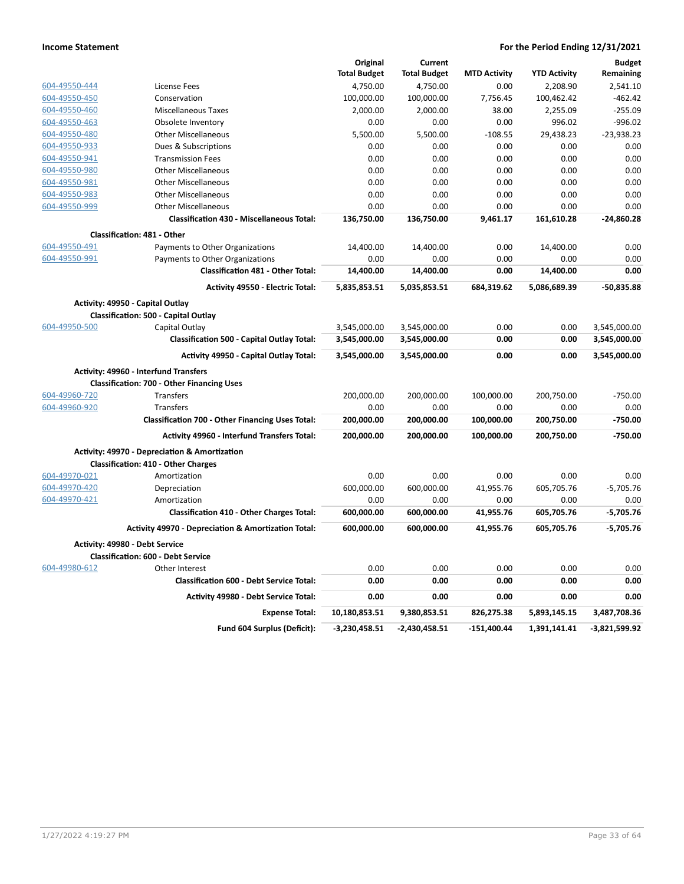|               |                                                          | Original            | Current             |                     |                     | <b>Budget</b>   |
|---------------|----------------------------------------------------------|---------------------|---------------------|---------------------|---------------------|-----------------|
|               |                                                          | <b>Total Budget</b> | <b>Total Budget</b> | <b>MTD Activity</b> | <b>YTD Activity</b> | Remaining       |
| 604-49550-444 | License Fees                                             | 4,750.00            | 4,750.00            | 0.00                | 2,208.90            | 2,541.10        |
| 604-49550-450 | Conservation                                             | 100,000.00          | 100,000.00          | 7,756.45            | 100,462.42          | $-462.42$       |
| 604-49550-460 | <b>Miscellaneous Taxes</b>                               | 2,000.00            | 2,000.00            | 38.00               | 2,255.09            | $-255.09$       |
| 604-49550-463 | Obsolete Inventory                                       | 0.00                | 0.00                | 0.00                | 996.02              | $-996.02$       |
| 604-49550-480 | <b>Other Miscellaneous</b>                               | 5,500.00            | 5,500.00            | $-108.55$           | 29,438.23           | $-23,938.23$    |
| 604-49550-933 | Dues & Subscriptions                                     | 0.00                | 0.00                | 0.00                | 0.00                | 0.00            |
| 604-49550-941 | <b>Transmission Fees</b>                                 | 0.00                | 0.00                | 0.00                | 0.00                | 0.00            |
| 604-49550-980 | <b>Other Miscellaneous</b>                               | 0.00                | 0.00                | 0.00                | 0.00                | 0.00            |
| 604-49550-981 | <b>Other Miscellaneous</b>                               | 0.00                | 0.00                | 0.00                | 0.00                | 0.00            |
| 604-49550-983 | <b>Other Miscellaneous</b>                               | 0.00                | 0.00                | 0.00                | 0.00                | 0.00            |
| 604-49550-999 | <b>Other Miscellaneous</b>                               | 0.00                | 0.00                | 0.00                | 0.00                | 0.00            |
|               | <b>Classification 430 - Miscellaneous Total:</b>         | 136,750.00          | 136,750.00          | 9,461.17            | 161,610.28          | $-24,860.28$    |
|               |                                                          |                     |                     |                     |                     |                 |
|               | Classification: 481 - Other                              |                     |                     |                     |                     |                 |
| 604-49550-491 | Payments to Other Organizations                          | 14,400.00           | 14,400.00           | 0.00                | 14,400.00           | 0.00            |
| 604-49550-991 | Payments to Other Organizations                          | 0.00                | 0.00                | 0.00                | 0.00                | 0.00            |
|               | Classification 481 - Other Total:                        | 14,400.00           | 14,400.00           | 0.00                | 14,400.00           | 0.00            |
|               | Activity 49550 - Electric Total:                         | 5,835,853.51        | 5,035,853.51        | 684,319.62          | 5,086,689.39        | $-50,835.88$    |
|               | Activity: 49950 - Capital Outlay                         |                     |                     |                     |                     |                 |
|               | <b>Classification: 500 - Capital Outlay</b>              |                     |                     |                     |                     |                 |
| 604-49950-500 | Capital Outlay                                           | 3,545,000.00        | 3,545,000.00        | 0.00                | 0.00                | 3,545,000.00    |
|               | <b>Classification 500 - Capital Outlay Total:</b>        | 3,545,000.00        | 3,545,000.00        | 0.00                | 0.00                | 3,545,000.00    |
|               | Activity 49950 - Capital Outlay Total:                   | 3,545,000.00        | 3,545,000.00        | 0.00                | 0.00                | 3,545,000.00    |
|               | Activity: 49960 - Interfund Transfers                    |                     |                     |                     |                     |                 |
|               | <b>Classification: 700 - Other Financing Uses</b>        |                     |                     |                     |                     |                 |
| 604-49960-720 | <b>Transfers</b>                                         | 200,000.00          | 200,000.00          | 100,000.00          | 200,750.00          | $-750.00$       |
| 604-49960-920 | Transfers                                                | 0.00                | 0.00                | 0.00                | 0.00                | 0.00            |
|               | Classification 700 - Other Financing Uses Total:         | 200,000.00          | 200,000.00          | 100,000.00          | 200,750.00          | $-750.00$       |
|               | <b>Activity 49960 - Interfund Transfers Total:</b>       | 200,000.00          | 200,000.00          | 100,000.00          | 200,750.00          | -750.00         |
|               |                                                          |                     |                     |                     |                     |                 |
|               | <b>Activity: 49970 - Depreciation &amp; Amortization</b> |                     |                     |                     |                     |                 |
|               | <b>Classification: 410 - Other Charges</b>               |                     |                     |                     |                     |                 |
| 604-49970-021 | Amortization                                             | 0.00                | 0.00                | 0.00                | 0.00                | 0.00            |
| 604-49970-420 | Depreciation                                             | 600,000.00          | 600,000.00          | 41,955.76           | 605,705.76          | $-5,705.76$     |
| 604-49970-421 | Amortization                                             | 0.00                | 0.00                | 0.00                | 0.00                | 0.00            |
|               | <b>Classification 410 - Other Charges Total:</b>         | 600,000.00          | 600,000.00          | 41,955.76           | 605,705.76          | $-5,705.76$     |
|               | Activity 49970 - Depreciation & Amortization Total:      | 600,000.00          | 600,000.00          | 41,955.76           | 605,705.76          | $-5,705.76$     |
|               | Activity: 49980 - Debt Service                           |                     |                     |                     |                     |                 |
|               | <b>Classification: 600 - Debt Service</b>                |                     |                     |                     |                     |                 |
| 604-49980-612 | Other Interest                                           | 0.00                | 0.00                | 0.00                | 0.00                | 0.00            |
|               | <b>Classification 600 - Debt Service Total:</b>          | 0.00                | 0.00                | 0.00                | 0.00                | 0.00            |
|               | Activity 49980 - Debt Service Total:                     | 0.00                | 0.00                | 0.00                | 0.00                | 0.00            |
|               | <b>Expense Total:</b>                                    | 10,180,853.51       | 9,380,853.51        | 826,275.38          | 5,893,145.15        | 3,487,708.36    |
|               | Fund 604 Surplus (Deficit):                              | $-3,230,458.51$     | $-2,430,458.51$     | $-151,400.44$       | 1,391,141.41        | $-3,821,599.92$ |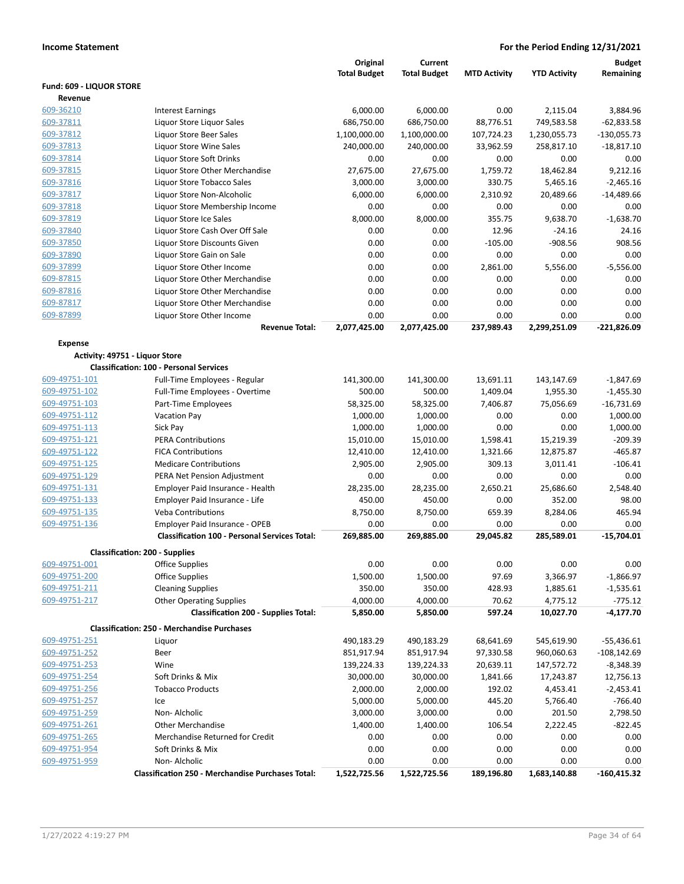|                          |                                                          | Original            | Current             |                     |                     | <b>Budget</b>  |
|--------------------------|----------------------------------------------------------|---------------------|---------------------|---------------------|---------------------|----------------|
|                          |                                                          | <b>Total Budget</b> | <b>Total Budget</b> | <b>MTD Activity</b> | <b>YTD Activity</b> | Remaining      |
| Fund: 609 - LIQUOR STORE |                                                          |                     |                     |                     |                     |                |
| Revenue                  |                                                          |                     |                     |                     |                     |                |
| 609-36210                | <b>Interest Earnings</b>                                 | 6,000.00            | 6,000.00            | 0.00                | 2,115.04            | 3,884.96       |
| 609-37811                | Liquor Store Liquor Sales                                | 686,750.00          | 686,750.00          | 88.776.51           | 749,583.58          | $-62,833.58$   |
| 609-37812                | Liquor Store Beer Sales                                  | 1,100,000.00        | 1,100,000.00        | 107,724.23          | 1,230,055.73        | $-130,055.73$  |
| 609-37813                | Liquor Store Wine Sales                                  | 240,000.00          | 240,000.00          | 33,962.59           | 258,817.10          | $-18,817.10$   |
| 609-37814                | Liquor Store Soft Drinks                                 | 0.00                | 0.00                | 0.00                | 0.00                | 0.00           |
| 609-37815                | Liquor Store Other Merchandise                           | 27,675.00           | 27,675.00           | 1,759.72            | 18,462.84           | 9,212.16       |
| 609-37816                | Liquor Store Tobacco Sales                               | 3,000.00            | 3,000.00            | 330.75              | 5,465.16            | $-2,465.16$    |
| 609-37817                | Liquor Store Non-Alcoholic                               | 6,000.00            | 6,000.00            | 2,310.92            | 20,489.66           | $-14,489.66$   |
| 609-37818                | Liquor Store Membership Income                           | 0.00                | 0.00                | 0.00                | 0.00                | 0.00           |
| 609-37819                | Liquor Store Ice Sales                                   | 8,000.00            | 8,000.00            | 355.75              | 9,638.70            | $-1,638.70$    |
| 609-37840                | Liquor Store Cash Over Off Sale                          | 0.00                | 0.00                | 12.96               | $-24.16$            | 24.16          |
| 609-37850                | Liquor Store Discounts Given                             | 0.00                | 0.00                | $-105.00$           | $-908.56$           | 908.56         |
| 609-37890                | Liquor Store Gain on Sale                                | 0.00                | 0.00                | 0.00                | 0.00                | 0.00           |
| 609-37899                | Liquor Store Other Income                                | 0.00                | 0.00                | 2,861.00            | 5,556.00            | $-5,556.00$    |
| 609-87815                | Liquor Store Other Merchandise                           | 0.00                | 0.00                | 0.00                | 0.00                | 0.00           |
| 609-87816                | Liquor Store Other Merchandise                           | 0.00                | 0.00                | 0.00                | 0.00                | 0.00           |
| 609-87817                | Liquor Store Other Merchandise                           | 0.00                | 0.00                | 0.00                | 0.00                | 0.00           |
| 609-87899                | Liquor Store Other Income                                | 0.00                | 0.00                | 0.00                | 0.00                | 0.00           |
|                          | <b>Revenue Total:</b>                                    | 2,077,425.00        | 2,077,425.00        | 237,989.43          | 2,299,251.09        | $-221,826.09$  |
| <b>Expense</b>           |                                                          |                     |                     |                     |                     |                |
|                          | Activity: 49751 - Liquor Store                           |                     |                     |                     |                     |                |
|                          | <b>Classification: 100 - Personal Services</b>           |                     |                     |                     |                     |                |
| 609-49751-101            | Full-Time Employees - Regular                            | 141,300.00          | 141,300.00          | 13,691.11           | 143,147.69          | $-1,847.69$    |
| 609-49751-102            | Full-Time Employees - Overtime                           | 500.00              | 500.00              | 1,409.04            | 1,955.30            | $-1,455.30$    |
| 609-49751-103            | Part-Time Employees                                      | 58,325.00           | 58,325.00           | 7,406.87            | 75,056.69           | $-16,731.69$   |
| 609-49751-112            | Vacation Pay                                             | 1,000.00            | 1,000.00            | 0.00                | 0.00                | 1,000.00       |
| 609-49751-113            | Sick Pay                                                 | 1,000.00            | 1,000.00            | 0.00                | 0.00                | 1,000.00       |
| 609-49751-121            | <b>PERA Contributions</b>                                | 15,010.00           | 15,010.00           | 1,598.41            | 15,219.39           | $-209.39$      |
| 609-49751-122            | <b>FICA Contributions</b>                                | 12,410.00           | 12,410.00           | 1,321.66            | 12,875.87           | $-465.87$      |
| 609-49751-125            | <b>Medicare Contributions</b>                            | 2,905.00            | 2,905.00            | 309.13              | 3,011.41            | $-106.41$      |
| 609-49751-129            | PERA Net Pension Adjustment                              | 0.00                | 0.00                | 0.00                | 0.00                | 0.00           |
| 609-49751-131            | Employer Paid Insurance - Health                         | 28,235.00           | 28,235.00           | 2,650.21            | 25,686.60           | 2,548.40       |
| 609-49751-133            | Employer Paid Insurance - Life                           | 450.00              | 450.00              | 0.00                | 352.00              | 98.00          |
| 609-49751-135            | <b>Veba Contributions</b>                                | 8,750.00            | 8,750.00            | 659.39              | 8,284.06            | 465.94         |
| 609-49751-136            | Employer Paid Insurance - OPEB                           | 0.00                | 0.00                | 0.00                | 0.00                | 0.00           |
|                          | <b>Classification 100 - Personal Services Total:</b>     | 269,885.00          | 269,885.00          | 29,045.82           | 285,589.01          | $-15,704.01$   |
|                          | <b>Classification: 200 - Supplies</b>                    |                     |                     |                     |                     |                |
| 609-49751-001            | <b>Office Supplies</b>                                   | 0.00                | 0.00                | 0.00                | 0.00                | 0.00           |
| 609-49751-200            | Office Supplies                                          | 1,500.00            | 1,500.00            | 97.69               | 3,366.97            | $-1,866.97$    |
| 609-49751-211            | <b>Cleaning Supplies</b>                                 | 350.00              | 350.00              | 428.93              | 1,885.61            | $-1,535.61$    |
| 609-49751-217            | <b>Other Operating Supplies</b>                          | 4,000.00            | 4,000.00            | 70.62               | 4,775.12            | $-775.12$      |
|                          | <b>Classification 200 - Supplies Total:</b>              | 5,850.00            | 5,850.00            | 597.24              | 10,027.70           | $-4,177.70$    |
|                          |                                                          |                     |                     |                     |                     |                |
|                          | <b>Classification: 250 - Merchandise Purchases</b>       |                     |                     |                     |                     |                |
| 609-49751-251            | Liquor                                                   | 490,183.29          | 490,183.29          | 68,641.69           | 545,619.90          | $-55,436.61$   |
| 609-49751-252            | Beer                                                     | 851,917.94          | 851,917.94          | 97,330.58           | 960,060.63          | $-108, 142.69$ |
| 609-49751-253            | Wine                                                     | 139,224.33          | 139,224.33          | 20,639.11           | 147,572.72          | $-8,348.39$    |
| 609-49751-254            | Soft Drinks & Mix                                        | 30,000.00           | 30,000.00           | 1,841.66            | 17,243.87           | 12,756.13      |
| 609-49751-256            | <b>Tobacco Products</b>                                  | 2,000.00            | 2,000.00            | 192.02              | 4,453.41            | $-2,453.41$    |
| 609-49751-257            | Ice                                                      | 5,000.00            | 5,000.00            | 445.20              | 5,766.40            | $-766.40$      |
| 609-49751-259            | Non-Alcholic                                             | 3,000.00            | 3,000.00            | 0.00                | 201.50              | 2,798.50       |
| 609-49751-261            | <b>Other Merchandise</b>                                 | 1,400.00            | 1,400.00            | 106.54              | 2,222.45            | $-822.45$      |
| 609-49751-265            | Merchandise Returned for Credit                          | 0.00                | 0.00                | 0.00                | 0.00                | 0.00           |
| 609-49751-954            | Soft Drinks & Mix                                        | 0.00                | 0.00                | 0.00                | 0.00                | 0.00           |
| 609-49751-959            | Non-Alcholic                                             | 0.00                | 0.00                | 0.00                | 0.00                | 0.00           |
|                          | <b>Classification 250 - Merchandise Purchases Total:</b> | 1,522,725.56        | 1,522,725.56        | 189,196.80          | 1,683,140.88        | $-160,415.32$  |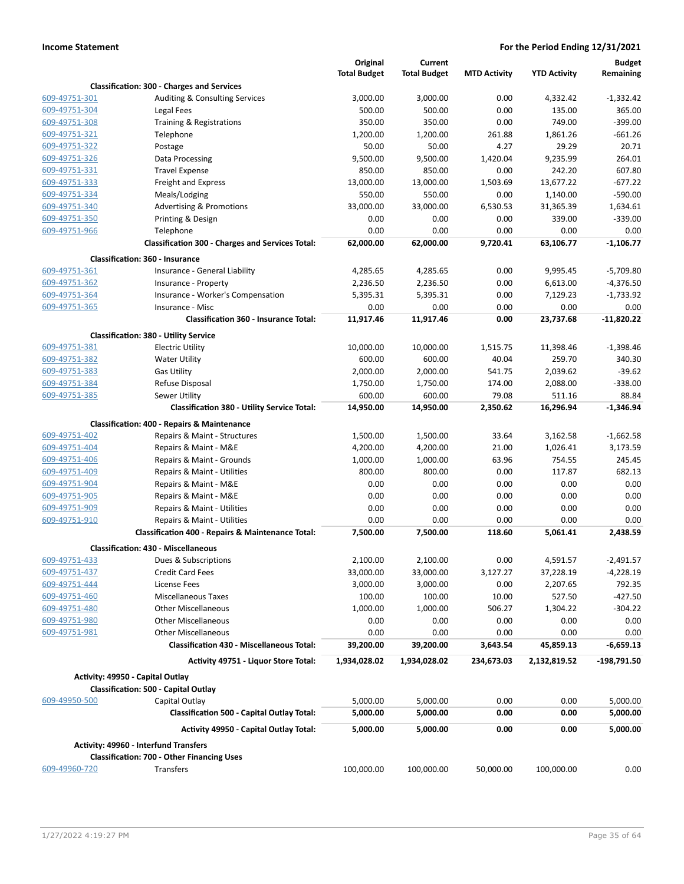|               |                                                         | Original<br><b>Total Budget</b> | Current<br><b>Total Budget</b> | <b>MTD Activity</b> | <b>YTD Activity</b> | <b>Budget</b><br>Remaining |
|---------------|---------------------------------------------------------|---------------------------------|--------------------------------|---------------------|---------------------|----------------------------|
|               | <b>Classification: 300 - Charges and Services</b>       |                                 |                                |                     |                     |                            |
| 609-49751-301 | Auditing & Consulting Services                          | 3,000.00                        | 3,000.00                       | 0.00                | 4,332.42            | $-1,332.42$                |
| 609-49751-304 | Legal Fees                                              | 500.00                          | 500.00                         | 0.00                | 135.00              | 365.00                     |
| 609-49751-308 | Training & Registrations                                | 350.00                          | 350.00                         | 0.00                | 749.00              | $-399.00$                  |
| 609-49751-321 | Telephone                                               | 1,200.00                        | 1,200.00                       | 261.88              | 1,861.26            | $-661.26$                  |
| 609-49751-322 | Postage                                                 | 50.00                           | 50.00                          | 4.27                | 29.29               | 20.71                      |
| 609-49751-326 | Data Processing                                         | 9,500.00                        | 9,500.00                       | 1,420.04            | 9,235.99            | 264.01                     |
| 609-49751-331 | <b>Travel Expense</b>                                   | 850.00                          | 850.00                         | 0.00                | 242.20              | 607.80                     |
| 609-49751-333 | <b>Freight and Express</b>                              | 13,000.00                       | 13,000.00                      | 1,503.69            | 13,677.22           | $-677.22$                  |
| 609-49751-334 | Meals/Lodging                                           | 550.00                          | 550.00                         | 0.00                | 1,140.00            | $-590.00$                  |
| 609-49751-340 | <b>Advertising &amp; Promotions</b>                     | 33,000.00                       | 33,000.00                      | 6,530.53            | 31,365.39           | 1,634.61                   |
| 609-49751-350 | Printing & Design                                       | 0.00                            | 0.00                           | 0.00                | 339.00              | $-339.00$                  |
| 609-49751-966 | Telephone                                               | 0.00                            | 0.00                           | 0.00                | 0.00                | 0.00                       |
|               | <b>Classification 300 - Charges and Services Total:</b> | 62,000.00                       | 62,000.00                      | 9,720.41            | 63,106.77           | $-1,106.77$                |
|               | <b>Classification: 360 - Insurance</b>                  |                                 |                                |                     |                     |                            |
| 609-49751-361 | Insurance - General Liability                           | 4,285.65                        | 4,285.65                       | 0.00                | 9,995.45            | $-5,709.80$                |
| 609-49751-362 | Insurance - Property                                    | 2,236.50                        | 2,236.50                       | 0.00                | 6,613.00            | $-4,376.50$                |
| 609-49751-364 | Insurance - Worker's Compensation                       | 5,395.31                        | 5,395.31                       | 0.00                | 7,129.23            | $-1,733.92$                |
| 609-49751-365 | Insurance - Misc                                        | 0.00                            | 0.00                           | 0.00                | 0.00                | 0.00                       |
|               | <b>Classification 360 - Insurance Total:</b>            | 11,917.46                       | 11,917.46                      | 0.00                | 23,737.68           | $-11,820.22$               |
|               | <b>Classification: 380 - Utility Service</b>            |                                 |                                |                     |                     |                            |
| 609-49751-381 | <b>Electric Utility</b>                                 | 10,000.00                       | 10,000.00                      | 1,515.75            | 11,398.46           | $-1,398.46$                |
| 609-49751-382 | <b>Water Utility</b>                                    | 600.00                          | 600.00                         | 40.04               | 259.70              | 340.30                     |
| 609-49751-383 | <b>Gas Utility</b>                                      | 2,000.00                        | 2,000.00                       | 541.75              | 2,039.62            | $-39.62$                   |
| 609-49751-384 | Refuse Disposal                                         | 1,750.00                        | 1,750.00                       | 174.00              | 2,088.00            | $-338.00$                  |
| 609-49751-385 | Sewer Utility                                           | 600.00                          | 600.00                         | 79.08               | 511.16              | 88.84                      |
|               | <b>Classification 380 - Utility Service Total:</b>      | 14,950.00                       | 14,950.00                      | 2,350.62            | 16,296.94           | $-1,346.94$                |
|               |                                                         |                                 |                                |                     |                     |                            |
|               | <b>Classification: 400 - Repairs &amp; Maintenance</b>  |                                 |                                |                     |                     |                            |
| 609-49751-402 | Repairs & Maint - Structures                            | 1,500.00                        | 1,500.00                       | 33.64               | 3,162.58            | $-1,662.58$                |
| 609-49751-404 | Repairs & Maint - M&E                                   | 4,200.00                        | 4,200.00                       | 21.00               | 1,026.41            | 3,173.59                   |
| 609-49751-406 | Repairs & Maint - Grounds                               | 1,000.00                        | 1,000.00                       | 63.96               | 754.55              | 245.45                     |
| 609-49751-409 | Repairs & Maint - Utilities                             | 800.00                          | 800.00                         | 0.00                | 117.87              | 682.13                     |
| 609-49751-904 | Repairs & Maint - M&E                                   | 0.00                            | 0.00                           | 0.00                | 0.00                | 0.00                       |
| 609-49751-905 | Repairs & Maint - M&E                                   | 0.00                            | 0.00                           | 0.00                | 0.00                | 0.00                       |
| 609-49751-909 | Repairs & Maint - Utilities                             | 0.00                            | 0.00                           | 0.00                | 0.00                | 0.00                       |
| 609-49751-910 | Repairs & Maint - Utilities                             | 0.00                            | 0.00                           | 0.00                | 0.00                | 0.00                       |
|               | Classification 400 - Repairs & Maintenance Total:       | 7,500.00                        | 7,500.00                       | 118.60              | 5,061.41            | 2,438.59                   |
|               | <b>Classification: 430 - Miscellaneous</b>              |                                 |                                |                     |                     |                            |
| 609-49751-433 | Dues & Subscriptions                                    | 2,100.00                        | 2,100.00                       | 0.00                | 4,591.57            | $-2,491.57$                |
| 609-49751-437 | <b>Credit Card Fees</b>                                 | 33,000.00                       | 33,000.00                      | 3,127.27            | 37,228.19           | $-4,228.19$                |
| 609-49751-444 | License Fees                                            | 3,000.00                        | 3,000.00                       | 0.00                | 2,207.65            | 792.35                     |
| 609-49751-460 | Miscellaneous Taxes                                     | 100.00                          | 100.00                         | 10.00               | 527.50              | $-427.50$                  |
| 609-49751-480 | <b>Other Miscellaneous</b>                              | 1,000.00                        | 1,000.00                       | 506.27              | 1,304.22            | $-304.22$                  |
| 609-49751-980 | <b>Other Miscellaneous</b>                              | 0.00                            | 0.00                           | 0.00                | 0.00                | 0.00                       |
| 609-49751-981 | <b>Other Miscellaneous</b>                              | 0.00                            | 0.00                           | 0.00                | 0.00                | 0.00                       |
|               | <b>Classification 430 - Miscellaneous Total:</b>        | 39,200.00                       | 39,200.00                      | 3,643.54            | 45,859.13           | $-6,659.13$                |
|               | Activity 49751 - Liquor Store Total:                    | 1,934,028.02                    | 1,934,028.02                   | 234,673.03          | 2,132,819.52        | -198,791.50                |
|               | Activity: 49950 - Capital Outlay                        |                                 |                                |                     |                     |                            |
|               | Classification: 500 - Capital Outlay                    |                                 |                                |                     |                     |                            |
| 609-49950-500 | Capital Outlay                                          | 5,000.00                        | 5,000.00                       | 0.00                | 0.00                | 5,000.00                   |
|               | <b>Classification 500 - Capital Outlay Total:</b>       | 5,000.00                        | 5,000.00                       | 0.00                | 0.00                | 5,000.00                   |
|               | <b>Activity 49950 - Capital Outlay Total:</b>           | 5,000.00                        | 5,000.00                       | 0.00                | 0.00                | 5,000.00                   |
|               | <b>Activity: 49960 - Interfund Transfers</b>            |                                 |                                |                     |                     |                            |
|               | <b>Classification: 700 - Other Financing Uses</b>       |                                 |                                |                     |                     |                            |
| 609-49960-720 | Transfers                                               | 100,000.00                      | 100,000.00                     | 50,000.00           | 100,000.00          | 0.00                       |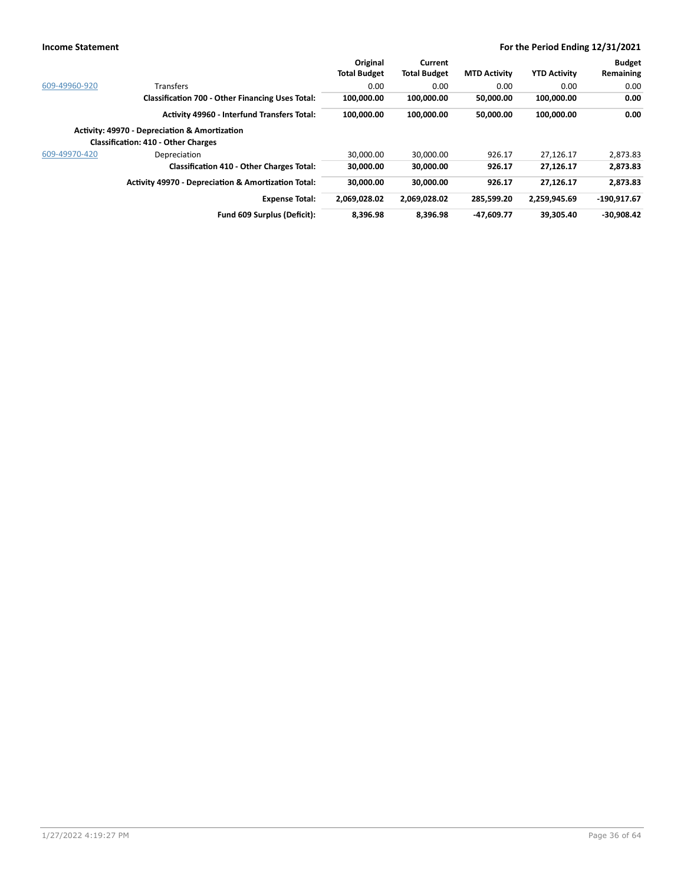|               |                                                                | Original            | Current             |                     |                     | <b>Budget</b> |
|---------------|----------------------------------------------------------------|---------------------|---------------------|---------------------|---------------------|---------------|
|               |                                                                | <b>Total Budget</b> | <b>Total Budget</b> | <b>MTD Activity</b> | <b>YTD Activity</b> | Remaining     |
| 609-49960-920 | <b>Transfers</b>                                               | 0.00                | 0.00                | 0.00                | 0.00                | 0.00          |
|               | <b>Classification 700 - Other Financing Uses Total:</b>        | 100,000.00          | 100,000.00          | 50,000.00           | 100,000.00          | 0.00          |
|               | <b>Activity 49960 - Interfund Transfers Total:</b>             | 100.000.00          | 100,000.00          | 50,000.00           | 100,000.00          | 0.00          |
|               | <b>Activity: 49970 - Depreciation &amp; Amortization</b>       |                     |                     |                     |                     |               |
|               | <b>Classification: 410 - Other Charges</b>                     |                     |                     |                     |                     |               |
| 609-49970-420 | Depreciation                                                   | 30.000.00           | 30.000.00           | 926.17              | 27.126.17           | 2.873.83      |
|               | <b>Classification 410 - Other Charges Total:</b>               | 30,000.00           | 30,000.00           | 926.17              | 27,126.17           | 2,873.83      |
|               | <b>Activity 49970 - Depreciation &amp; Amortization Total:</b> | 30,000.00           | 30,000.00           | 926.17              | 27.126.17           | 2.873.83      |
|               | <b>Expense Total:</b>                                          | 2.069.028.02        | 2,069,028.02        | 285.599.20          | 2.259.945.69        | 190.917.67    |
|               | Fund 609 Surplus (Deficit):                                    | 8.396.98            | 8.396.98            | $-47.609.77$        | 39.305.40           | $-30.908.42$  |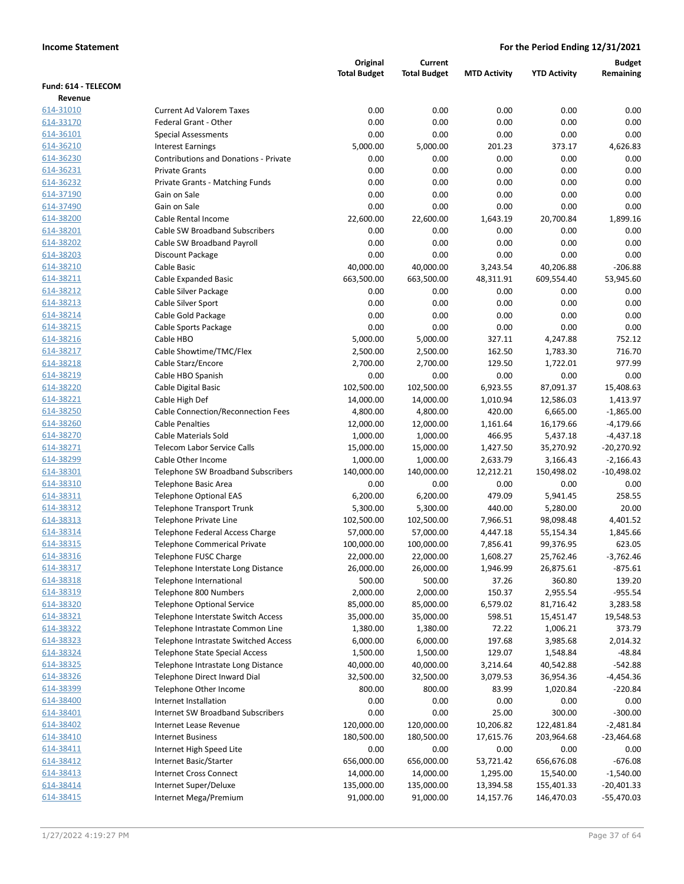|                        |                                                                          | Original               | Current                |                      |                        | <b>Budget</b>            |
|------------------------|--------------------------------------------------------------------------|------------------------|------------------------|----------------------|------------------------|--------------------------|
|                        |                                                                          | <b>Total Budget</b>    | <b>Total Budget</b>    | <b>MTD Activity</b>  | <b>YTD Activity</b>    | Remaining                |
| Fund: 614 - TELECOM    |                                                                          |                        |                        |                      |                        |                          |
| Revenue                |                                                                          |                        |                        |                      |                        |                          |
| 614-31010              | <b>Current Ad Valorem Taxes</b>                                          | 0.00                   | 0.00                   | 0.00                 | 0.00                   | 0.00                     |
| 614-33170              | Federal Grant - Other                                                    | 0.00                   | 0.00                   | 0.00                 | 0.00                   | 0.00                     |
| 614-36101              | <b>Special Assessments</b>                                               | 0.00                   | 0.00                   | 0.00                 | 0.00                   | 0.00                     |
| 614-36210              | <b>Interest Earnings</b>                                                 | 5,000.00               | 5,000.00               | 201.23               | 373.17                 | 4,626.83                 |
| 614-36230              | <b>Contributions and Donations - Private</b>                             | 0.00                   | 0.00                   | 0.00                 | 0.00                   | 0.00                     |
| 614-36231              | <b>Private Grants</b>                                                    | 0.00                   | 0.00                   | 0.00                 | 0.00                   | 0.00                     |
| 614-36232              | Private Grants - Matching Funds                                          | 0.00                   | 0.00                   | 0.00                 | 0.00                   | 0.00                     |
| 614-37190              | Gain on Sale                                                             | 0.00                   | 0.00                   | 0.00                 | 0.00                   | 0.00                     |
| 614-37490              | Gain on Sale                                                             | 0.00                   | 0.00                   | 0.00                 | 0.00                   | 0.00                     |
| 614-38200              | Cable Rental Income                                                      | 22,600.00              | 22,600.00              | 1,643.19             | 20,700.84              | 1,899.16                 |
| 614-38201              | <b>Cable SW Broadband Subscribers</b>                                    | 0.00                   | 0.00                   | 0.00                 | 0.00                   | 0.00                     |
| 614-38202              | Cable SW Broadband Payroll                                               | 0.00                   | 0.00                   | 0.00                 | 0.00                   | 0.00                     |
| 614-38203              | Discount Package                                                         | 0.00                   | 0.00                   | 0.00                 | 0.00                   | 0.00                     |
| 614-38210              | Cable Basic                                                              | 40,000.00              | 40,000.00              | 3,243.54             | 40,206.88              | $-206.88$                |
| 614-38211              | Cable Expanded Basic                                                     | 663,500.00             | 663,500.00             | 48,311.91            | 609,554.40             | 53,945.60                |
| 614-38212              | Cable Silver Package                                                     | 0.00                   | 0.00                   | 0.00                 | 0.00                   | 0.00                     |
| 614-38213              | Cable Silver Sport                                                       | 0.00                   | 0.00                   | 0.00                 | 0.00                   | 0.00                     |
| 614-38214              | Cable Gold Package                                                       | 0.00                   | 0.00                   | 0.00                 | 0.00                   | 0.00                     |
| 614-38215              | Cable Sports Package                                                     | 0.00                   | 0.00                   | 0.00                 | 0.00                   | 0.00                     |
| 614-38216              | Cable HBO                                                                | 5,000.00               | 5,000.00               | 327.11               | 4,247.88               | 752.12                   |
| 614-38217              | Cable Showtime/TMC/Flex                                                  | 2,500.00               | 2,500.00               | 162.50               | 1,783.30               | 716.70                   |
| 614-38218              | Cable Starz/Encore                                                       | 2,700.00               | 2,700.00               | 129.50               | 1,722.01               | 977.99                   |
| 614-38219              | Cable HBO Spanish                                                        | 0.00                   | 0.00                   | 0.00                 | 0.00                   | 0.00                     |
| 614-38220              | Cable Digital Basic                                                      | 102,500.00             | 102,500.00             | 6,923.55             | 87,091.37              | 15,408.63                |
| 614-38221              | Cable High Def                                                           | 14,000.00              | 14,000.00              | 1,010.94             | 12,586.03              | 1,413.97                 |
| 614-38250              | <b>Cable Connection/Reconnection Fees</b>                                | 4,800.00               | 4,800.00               | 420.00               | 6,665.00               | $-1,865.00$              |
| 614-38260              | <b>Cable Penalties</b>                                                   | 12,000.00              | 12,000.00              | 1,161.64             | 16,179.66              | $-4,179.66$              |
| 614-38270              | Cable Materials Sold                                                     | 1,000.00               | 1,000.00               | 466.95               | 5,437.18               | $-4,437.18$              |
| 614-38271              | <b>Telecom Labor Service Calls</b>                                       | 15,000.00              | 15,000.00              | 1,427.50             | 35,270.92              | $-20,270.92$             |
| 614-38299              | Cable Other Income                                                       | 1,000.00               | 1,000.00               | 2,633.79             | 3,166.43               | $-2,166.43$              |
| 614-38301              | Telephone SW Broadband Subscribers                                       | 140,000.00             | 140,000.00             | 12,212.21            | 150,498.02             | $-10,498.02$             |
| 614-38310              | <b>Telephone Basic Area</b>                                              | 0.00                   | 0.00                   | 0.00                 | 0.00                   | 0.00                     |
| 614-38311              | <b>Telephone Optional EAS</b>                                            | 6,200.00               | 6,200.00               | 479.09               | 5,941.45               | 258.55                   |
| 614-38312              | <b>Telephone Transport Trunk</b>                                         | 5,300.00               | 5,300.00               | 440.00               | 5,280.00               | 20.00                    |
| 614-38313              | Telephone Private Line                                                   | 102,500.00             | 102,500.00             | 7,966.51             | 98,098.48              | 4,401.52                 |
| 614-38314              | Telephone Federal Access Charge                                          | 57,000.00              | 57,000.00              | 4,447.18             | 55,154.34              | 1,845.66                 |
| 614-38315<br>614-38316 | <b>Telephone Commerical Private</b>                                      | 100,000.00             | 100,000.00             | 7,856.41             | 99,376.95              | 623.05                   |
|                        | Telephone FUSC Charge                                                    | 22,000.00              | 22,000.00              | 1,608.27             | 25,762.46              | $-3,762.46$              |
| 614-38317              | Telephone Interstate Long Distance                                       | 26,000.00              | 26,000.00              | 1,946.99             | 26,875.61              | -875.61                  |
| 614-38318              | Telephone International                                                  | 500.00                 | 500.00                 | 37.26                | 360.80                 | 139.20                   |
| 614-38319              | Telephone 800 Numbers                                                    | 2,000.00               | 2,000.00               | 150.37               | 2,955.54               | $-955.54$                |
| 614-38320              | <b>Telephone Optional Service</b>                                        | 85,000.00              | 85,000.00              | 6,579.02             | 81,716.42              | 3,283.58                 |
| 614-38321              | Telephone Interstate Switch Access                                       | 35,000.00              | 35,000.00              | 598.51               | 15,451.47              | 19,548.53                |
| 614-38322              | Telephone Intrastate Common Line<br>Telephone Intrastate Switched Access | 1,380.00               | 1,380.00<br>6,000.00   | 72.22                | 1,006.21               | 373.79                   |
| 614-38323              |                                                                          | 6,000.00               |                        | 197.68               | 3,985.68               | 2,014.32                 |
| 614-38324              | <b>Telephone State Special Access</b>                                    | 1,500.00               | 1,500.00               | 129.07               | 1,548.84               | $-48.84$                 |
| 614-38325<br>614-38326 | Telephone Intrastate Long Distance<br>Telephone Direct Inward Dial       | 40,000.00<br>32,500.00 | 40,000.00<br>32,500.00 | 3,214.64<br>3,079.53 | 40,542.88<br>36,954.36 | $-542.88$<br>$-4,454.36$ |
| 614-38399              |                                                                          | 800.00                 | 800.00                 | 83.99                | 1,020.84               | $-220.84$                |
| 614-38400              | Telephone Other Income<br>Internet Installation                          | 0.00                   | 0.00                   | 0.00                 |                        |                          |
| 614-38401              | Internet SW Broadband Subscribers                                        | 0.00                   | 0.00                   | 25.00                | 0.00<br>300.00         | 0.00<br>$-300.00$        |
| 614-38402              | Internet Lease Revenue                                                   | 120,000.00             | 120,000.00             | 10,206.82            | 122,481.84             | $-2,481.84$              |
| 614-38410              | <b>Internet Business</b>                                                 | 180,500.00             | 180,500.00             | 17,615.76            | 203,964.68             | $-23,464.68$             |
| 614-38411              | Internet High Speed Lite                                                 | 0.00                   | 0.00                   | 0.00                 | 0.00                   | 0.00                     |
| 614-38412              | Internet Basic/Starter                                                   | 656,000.00             | 656,000.00             | 53,721.42            | 656,676.08             | $-676.08$                |
| 614-38413              | Internet Cross Connect                                                   | 14,000.00              | 14,000.00              | 1,295.00             | 15,540.00              | $-1,540.00$              |
| 614-38414              | Internet Super/Deluxe                                                    | 135,000.00             | 135,000.00             | 13,394.58            | 155,401.33             | $-20,401.33$             |
| 614-38415              | Internet Mega/Premium                                                    | 91,000.00              | 91,000.00              | 14,157.76            | 146,470.03             | $-55,470.03$             |
|                        |                                                                          |                        |                        |                      |                        |                          |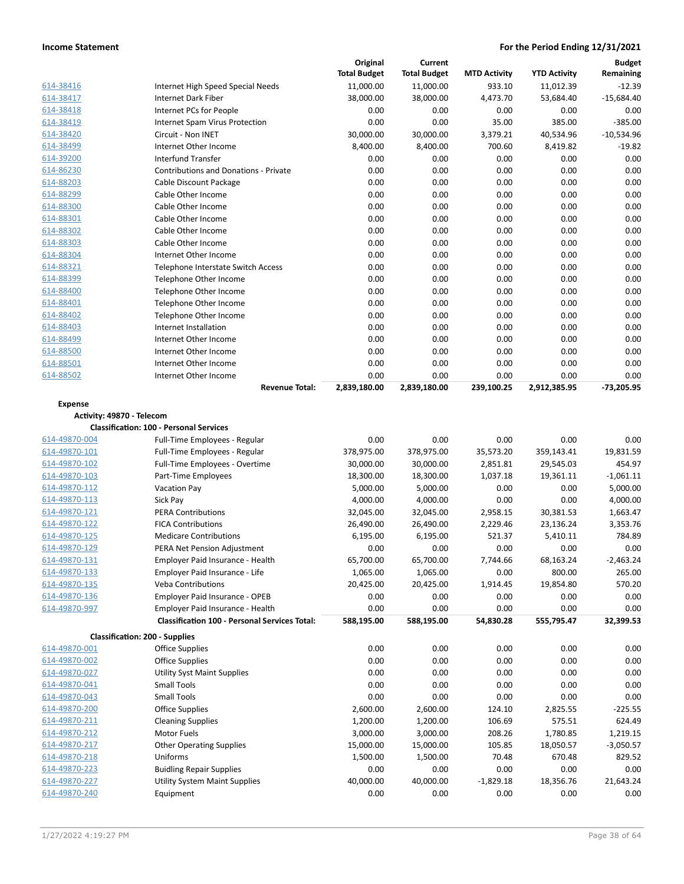|                                       |                                                      | Original            | Current             |                     |                     | <b>Budget</b>     |
|---------------------------------------|------------------------------------------------------|---------------------|---------------------|---------------------|---------------------|-------------------|
|                                       |                                                      | <b>Total Budget</b> | <b>Total Budget</b> | <b>MTD Activity</b> | <b>YTD Activity</b> | Remaining         |
| 614-38416                             | Internet High Speed Special Needs                    | 11,000.00           | 11,000.00           | 933.10              | 11,012.39           | $-12.39$          |
| 614-38417                             | Internet Dark Fiber                                  | 38,000.00           | 38,000.00           | 4,473.70            | 53,684.40           | $-15,684.40$      |
| 614-38418                             | Internet PCs for People                              | 0.00                | 0.00                | 0.00                | 0.00                | 0.00              |
| 614-38419                             | Internet Spam Virus Protection                       | 0.00                | 0.00                | 35.00               | 385.00              | $-385.00$         |
| 614-38420                             | Circuit - Non INET                                   | 30,000.00           | 30,000.00           | 3,379.21            | 40,534.96           | $-10,534.96$      |
| 614-38499                             | Internet Other Income                                | 8,400.00            | 8,400.00            | 700.60              | 8,419.82            | $-19.82$          |
| 614-39200                             | <b>Interfund Transfer</b>                            | 0.00                | 0.00                | 0.00                | 0.00                | 0.00              |
| 614-86230                             | <b>Contributions and Donations - Private</b>         | 0.00                | 0.00                | 0.00                | 0.00                | 0.00              |
| 614-88203                             | Cable Discount Package                               | 0.00                | 0.00                | 0.00                | 0.00                | 0.00              |
| 614-88299                             | Cable Other Income                                   | 0.00                | 0.00                | 0.00                | 0.00                | 0.00              |
| 614-88300                             | Cable Other Income                                   | 0.00                | 0.00                | 0.00                | 0.00                | 0.00              |
| 614-88301                             | Cable Other Income                                   | 0.00                | 0.00                | 0.00                | 0.00                | 0.00              |
| 614-88302                             | Cable Other Income                                   | 0.00                | 0.00                | 0.00                | 0.00                | 0.00              |
| 614-88303                             | Cable Other Income                                   | 0.00                | 0.00                | 0.00                | 0.00                | 0.00              |
| 614-88304                             | Internet Other Income                                | 0.00                | 0.00                | 0.00                | 0.00                | 0.00              |
| 614-88321                             | Telephone Interstate Switch Access                   | 0.00                | 0.00                | 0.00                | 0.00                | 0.00              |
| 614-88399                             | Telephone Other Income                               | 0.00                | 0.00                | 0.00                | 0.00                | 0.00              |
| 614-88400                             | Telephone Other Income                               | 0.00                | 0.00                | 0.00                | 0.00                | 0.00              |
| 614-88401                             | Telephone Other Income                               | 0.00                | 0.00                | 0.00                | 0.00                | 0.00              |
| 614-88402                             | Telephone Other Income                               | 0.00                | 0.00                | 0.00                | 0.00                | 0.00              |
| 614-88403                             | Internet Installation                                | 0.00                | 0.00                | 0.00                | 0.00                | 0.00              |
| 614-88499                             | Internet Other Income                                | 0.00                | 0.00                | 0.00                | 0.00                | 0.00              |
| 614-88500                             | Internet Other Income                                | 0.00                | 0.00                | 0.00                | 0.00                | 0.00              |
| 614-88501                             | Internet Other Income                                | 0.00                | 0.00                | 0.00                | 0.00                | 0.00              |
| 614-88502                             | Internet Other Income                                | 0.00                | 0.00                | 0.00                | 0.00                | 0.00              |
|                                       | <b>Revenue Total:</b>                                | 2,839,180.00        | 2,839,180.00        | 239,100.25          | 2,912,385.95        | $-73,205.95$      |
|                                       |                                                      |                     |                     |                     |                     |                   |
| <b>Expense</b>                        |                                                      |                     |                     |                     |                     |                   |
| Activity: 49870 - Telecom             |                                                      |                     |                     |                     |                     |                   |
|                                       | <b>Classification: 100 - Personal Services</b>       |                     |                     |                     |                     |                   |
| 614-49870-004                         | Full-Time Employees - Regular                        | 0.00                | 0.00                | 0.00                |                     |                   |
|                                       |                                                      |                     |                     |                     | 0.00                | 0.00              |
| 614-49870-101                         | Full-Time Employees - Regular                        | 378,975.00          | 378,975.00          | 35,573.20           | 359,143.41          | 19,831.59         |
| 614-49870-102                         | Full-Time Employees - Overtime                       | 30,000.00           | 30,000.00           | 2,851.81            | 29,545.03           | 454.97            |
| 614-49870-103                         | Part-Time Employees                                  | 18,300.00           | 18,300.00           | 1,037.18            | 19,361.11           | $-1,061.11$       |
| 614-49870-112                         | Vacation Pay                                         | 5,000.00            | 5,000.00            | 0.00                | 0.00                | 5,000.00          |
| 614-49870-113                         | Sick Pay                                             | 4,000.00            | 4,000.00            | 0.00                | 0.00                | 4,000.00          |
| 614-49870-121                         | <b>PERA Contributions</b>                            | 32,045.00           | 32,045.00           | 2,958.15            | 30,381.53           | 1,663.47          |
| 614-49870-122                         | <b>FICA Contributions</b>                            | 26,490.00           | 26,490.00           | 2,229.46            | 23,136.24           | 3,353.76          |
| 614-49870-125                         | <b>Medicare Contributions</b>                        | 6,195.00            | 6,195.00            | 521.37              | 5,410.11            | 784.89            |
| 614-49870-129                         | PERA Net Pension Adjustment                          | 0.00                | 0.00                | 0.00                | 0.00                | 0.00              |
| 614-49870-131                         | Employer Paid Insurance - Health                     | 65,700.00           | 65,700.00           | 7,744.66            | 68,163.24           | $-2,463.24$       |
| 614-49870-133                         | Employer Paid Insurance - Life                       | 1,065.00            | 1,065.00            | 0.00                | 800.00              | 265.00            |
| 614-49870-135                         | <b>Veba Contributions</b>                            | 20,425.00           | 20,425.00           | 1,914.45            | 19,854.80           | 570.20            |
| 614-49870-136                         | Employer Paid Insurance - OPEB                       | 0.00                | 0.00                | 0.00                | 0.00                | 0.00              |
| 614-49870-997                         | Employer Paid Insurance - Health                     | 0.00                | 0.00                | 0.00                | 0.00                | 0.00              |
|                                       | <b>Classification 100 - Personal Services Total:</b> |                     |                     |                     |                     |                   |
|                                       |                                                      | 588,195.00          | 588,195.00          | 54,830.28           | 555,795.47          | 32,399.53         |
| <b>Classification: 200 - Supplies</b> |                                                      |                     |                     |                     |                     |                   |
| 614-49870-001                         | <b>Office Supplies</b>                               | 0.00                | 0.00                | 0.00                | 0.00                | 0.00              |
| 614-49870-002                         | <b>Office Supplies</b>                               | 0.00                | 0.00                | 0.00                | 0.00                | 0.00              |
| 614-49870-027                         | <b>Utility Syst Maint Supplies</b>                   | 0.00                | 0.00                | 0.00                | 0.00                | 0.00              |
| 614-49870-041                         | <b>Small Tools</b>                                   | 0.00                | 0.00                | 0.00                | 0.00                | 0.00              |
| 614-49870-043                         | <b>Small Tools</b>                                   | 0.00                | 0.00                | 0.00                | 0.00                | 0.00              |
| 614-49870-200                         | <b>Office Supplies</b>                               | 2,600.00            | 2,600.00            | 124.10              | 2,825.55            | $-225.55$         |
| 614-49870-211                         | <b>Cleaning Supplies</b>                             | 1,200.00            | 1,200.00            | 106.69              | 575.51              | 624.49            |
| 614-49870-212                         | Motor Fuels                                          | 3,000.00            | 3,000.00            | 208.26              | 1,780.85            | 1,219.15          |
| 614-49870-217                         | <b>Other Operating Supplies</b>                      | 15,000.00           | 15,000.00           | 105.85              | 18,050.57           | $-3,050.57$       |
| 614-49870-218                         | Uniforms                                             | 1,500.00            | 1,500.00            | 70.48               | 670.48              | 829.52            |
| 614-49870-223                         | <b>Buidling Repair Supplies</b>                      | 0.00                | 0.00                | 0.00                | 0.00                | 0.00              |
| 614-49870-227<br>614-49870-240        | <b>Utility System Maint Supplies</b><br>Equipment    | 40,000.00<br>0.00   | 40,000.00<br>0.00   | $-1,829.18$<br>0.00 | 18,356.76<br>0.00   | 21,643.24<br>0.00 |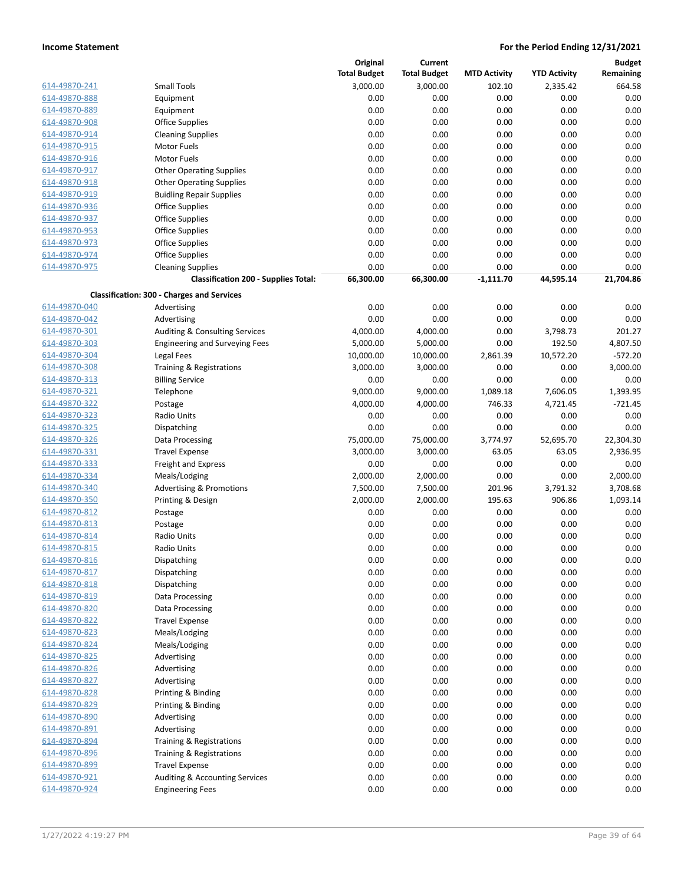|               |                                                   | Original            | <b>Current</b>      |                     |                     | <b>Budget</b> |
|---------------|---------------------------------------------------|---------------------|---------------------|---------------------|---------------------|---------------|
|               |                                                   | <b>Total Budget</b> | <b>Total Budget</b> | <b>MTD Activity</b> | <b>YTD Activity</b> | Remaining     |
| 614-49870-241 | Small Tools                                       | 3,000.00            | 3,000.00            | 102.10              | 2,335.42            | 664.58        |
| 614-49870-888 | Equipment                                         | 0.00                | 0.00                | 0.00                | 0.00                | 0.00          |
| 614-49870-889 | Equipment                                         | 0.00                | 0.00                | 0.00                | 0.00                | 0.00          |
| 614-49870-908 | <b>Office Supplies</b>                            | 0.00                | 0.00                | 0.00                | 0.00                | 0.00          |
| 614-49870-914 | <b>Cleaning Supplies</b>                          | 0.00                | 0.00                | 0.00                | 0.00                | 0.00          |
| 614-49870-915 | Motor Fuels                                       | 0.00                | 0.00                | 0.00                | 0.00                | 0.00          |
| 614-49870-916 | Motor Fuels                                       | 0.00                | 0.00                | 0.00                | 0.00                | 0.00          |
| 614-49870-917 | <b>Other Operating Supplies</b>                   | 0.00                | 0.00                | 0.00                | 0.00                | 0.00          |
| 614-49870-918 | <b>Other Operating Supplies</b>                   | 0.00                | 0.00                | 0.00                | 0.00                | 0.00          |
| 614-49870-919 | <b>Buidling Repair Supplies</b>                   | 0.00                | 0.00                | 0.00                | 0.00                | 0.00          |
| 614-49870-936 | <b>Office Supplies</b>                            | 0.00                | 0.00                | 0.00                | 0.00                | 0.00          |
| 614-49870-937 | <b>Office Supplies</b>                            | 0.00                | 0.00                | 0.00                | 0.00                | 0.00          |
| 614-49870-953 | <b>Office Supplies</b>                            | 0.00                | 0.00                | 0.00                | 0.00                | 0.00          |
| 614-49870-973 | <b>Office Supplies</b>                            | 0.00                | 0.00                | 0.00                | 0.00                | 0.00          |
| 614-49870-974 | <b>Office Supplies</b>                            | 0.00                | 0.00                | 0.00                | 0.00                | 0.00          |
| 614-49870-975 | <b>Cleaning Supplies</b>                          | 0.00                | 0.00                | 0.00                | 0.00                | 0.00          |
|               | <b>Classification 200 - Supplies Total:</b>       | 66,300.00           | 66,300.00           | $-1,111.70$         | 44,595.14           | 21,704.86     |
|               |                                                   |                     |                     |                     |                     |               |
|               | <b>Classification: 300 - Charges and Services</b> |                     |                     |                     |                     |               |
| 614-49870-040 | Advertising                                       | 0.00                | 0.00                | 0.00                | 0.00                | 0.00          |
| 614-49870-042 | Advertising                                       | 0.00                | 0.00                | 0.00                | 0.00                | 0.00          |
| 614-49870-301 | Auditing & Consulting Services                    | 4,000.00            | 4,000.00            | 0.00                | 3,798.73            | 201.27        |
| 614-49870-303 | <b>Engineering and Surveying Fees</b>             | 5,000.00            | 5,000.00            | 0.00                | 192.50              | 4,807.50      |
| 614-49870-304 | Legal Fees                                        | 10,000.00           | 10,000.00           | 2,861.39            | 10,572.20           | $-572.20$     |
| 614-49870-308 | Training & Registrations                          | 3,000.00            | 3,000.00            | 0.00                | 0.00                | 3,000.00      |
| 614-49870-313 | <b>Billing Service</b>                            | 0.00                | 0.00                | 0.00                | 0.00                | 0.00          |
| 614-49870-321 | Telephone                                         | 9,000.00            | 9,000.00            | 1,089.18            | 7,606.05            | 1,393.95      |
| 614-49870-322 | Postage                                           | 4,000.00            | 4,000.00            | 746.33              | 4,721.45            | $-721.45$     |
| 614-49870-323 | Radio Units                                       | 0.00                | 0.00                | 0.00                | 0.00                | 0.00          |
| 614-49870-325 | Dispatching                                       | 0.00                | 0.00                | 0.00                | 0.00                | 0.00          |
| 614-49870-326 | Data Processing                                   | 75,000.00           | 75,000.00           | 3,774.97            | 52,695.70           | 22,304.30     |
| 614-49870-331 | <b>Travel Expense</b>                             | 3,000.00            | 3,000.00            | 63.05               | 63.05               | 2,936.95      |
| 614-49870-333 | <b>Freight and Express</b>                        | 0.00                | 0.00                | 0.00                | 0.00                | 0.00          |
| 614-49870-334 | Meals/Lodging                                     | 2,000.00            | 2,000.00            | 0.00                | 0.00                | 2,000.00      |
| 614-49870-340 | <b>Advertising &amp; Promotions</b>               | 7,500.00            | 7,500.00            | 201.96              | 3,791.32            | 3,708.68      |
| 614-49870-350 | Printing & Design                                 | 2,000.00            | 2,000.00            | 195.63              | 906.86              | 1,093.14      |
| 614-49870-812 | Postage                                           | 0.00                | 0.00                | 0.00                | 0.00                | 0.00          |
| 614-49870-813 | Postage                                           | 0.00                | 0.00                | 0.00                | 0.00                | 0.00          |
| 614-49870-814 | Radio Units                                       | 0.00                | 0.00                | 0.00                | 0.00                | 0.00          |
| 614-49870-815 | Radio Units                                       | 0.00                | 0.00                | 0.00                | 0.00                | 0.00          |
| 614-49870-816 | Dispatching                                       | 0.00                | 0.00                | 0.00                | 0.00                | 0.00          |
| 614-49870-817 | Dispatching                                       | 0.00                | 0.00                | 0.00                | 0.00                | 0.00          |
| 614-49870-818 | Dispatching                                       | 0.00                | 0.00                | 0.00                | 0.00                | 0.00          |
| 614-49870-819 | Data Processing                                   | 0.00                | 0.00                | 0.00                | 0.00                | 0.00          |
| 614-49870-820 | Data Processing                                   | 0.00                | 0.00                | 0.00                | 0.00                | 0.00          |
| 614-49870-822 | <b>Travel Expense</b>                             | 0.00                | 0.00                | 0.00                | 0.00                | 0.00          |
| 614-49870-823 |                                                   | 0.00                | 0.00                | 0.00                |                     |               |
|               | Meals/Lodging                                     |                     |                     |                     | 0.00                | 0.00          |
| 614-49870-824 | Meals/Lodging                                     | 0.00                | 0.00                | 0.00                | 0.00                | 0.00          |
| 614-49870-825 | Advertising                                       | 0.00                | 0.00                | 0.00                | 0.00                | 0.00          |
| 614-49870-826 | Advertising                                       | 0.00                | 0.00                | 0.00                | 0.00                | 0.00          |
| 614-49870-827 | Advertising                                       | 0.00                | 0.00                | 0.00                | 0.00                | 0.00          |
| 614-49870-828 | Printing & Binding                                | 0.00                | 0.00                | 0.00                | 0.00                | 0.00          |
| 614-49870-829 | Printing & Binding                                | 0.00                | 0.00                | 0.00                | 0.00                | 0.00          |
| 614-49870-890 | Advertising                                       | 0.00                | 0.00                | 0.00                | 0.00                | 0.00          |
| 614-49870-891 | Advertising                                       | 0.00                | 0.00                | 0.00                | 0.00                | 0.00          |
| 614-49870-894 | Training & Registrations                          | 0.00                | 0.00                | 0.00                | 0.00                | 0.00          |
| 614-49870-896 | Training & Registrations                          | 0.00                | 0.00                | 0.00                | 0.00                | 0.00          |
| 614-49870-899 | <b>Travel Expense</b>                             | 0.00                | 0.00                | 0.00                | 0.00                | 0.00          |
| 614-49870-921 | Auditing & Accounting Services                    | 0.00                | 0.00                | 0.00                | 0.00                | 0.00          |
| 614-49870-924 | <b>Engineering Fees</b>                           | 0.00                | 0.00                | 0.00                | 0.00                | 0.00          |
|               |                                                   |                     |                     |                     |                     |               |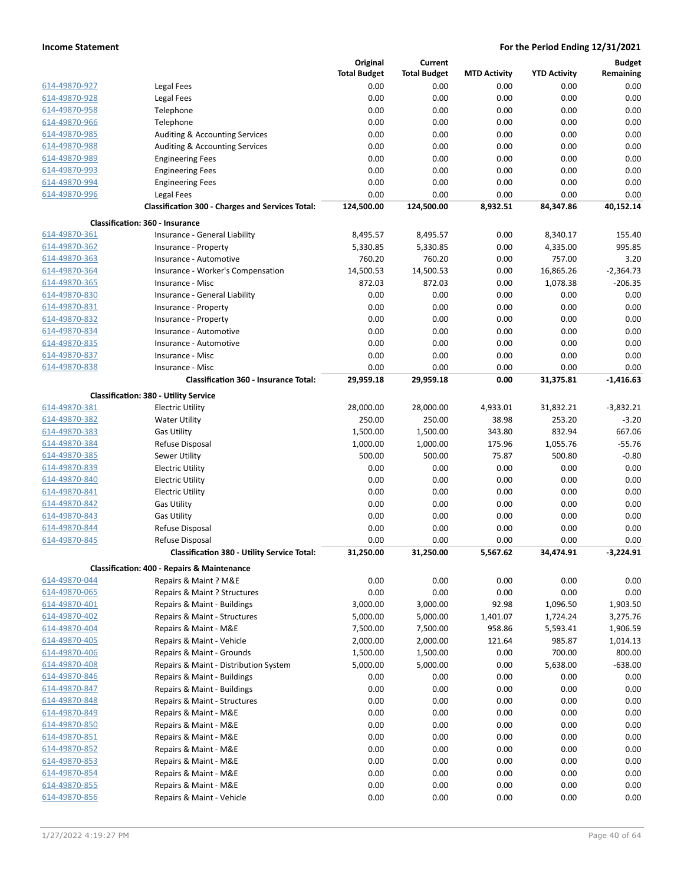|               |                                                                  | Original            | Current             |                     |                     | <b>Budget</b> |
|---------------|------------------------------------------------------------------|---------------------|---------------------|---------------------|---------------------|---------------|
|               |                                                                  | <b>Total Budget</b> | <b>Total Budget</b> | <b>MTD Activity</b> | <b>YTD Activity</b> | Remaining     |
| 614-49870-927 | Legal Fees                                                       | 0.00                | 0.00                | 0.00                | 0.00                | 0.00          |
| 614-49870-928 | Legal Fees                                                       | 0.00                | 0.00                | 0.00                | 0.00                | 0.00          |
| 614-49870-958 | Telephone                                                        | 0.00                | 0.00                | 0.00                | 0.00                | 0.00          |
| 614-49870-966 | Telephone                                                        | 0.00                | 0.00                | 0.00                | 0.00                | 0.00          |
| 614-49870-985 | Auditing & Accounting Services                                   | 0.00                | 0.00                | 0.00                | 0.00                | 0.00          |
| 614-49870-988 | <b>Auditing &amp; Accounting Services</b>                        | 0.00                | 0.00                | 0.00                | 0.00                | 0.00          |
| 614-49870-989 | <b>Engineering Fees</b>                                          | 0.00                | 0.00                | 0.00                | 0.00                | 0.00          |
| 614-49870-993 | <b>Engineering Fees</b>                                          | 0.00                | 0.00                | 0.00                | 0.00                | 0.00          |
| 614-49870-994 |                                                                  | 0.00                | 0.00                | 0.00                | 0.00                | 0.00          |
|               | <b>Engineering Fees</b>                                          |                     | 0.00                |                     |                     |               |
| 614-49870-996 | Legal Fees                                                       | 0.00                |                     | 0.00                | 0.00                | 0.00          |
|               | <b>Classification 300 - Charges and Services Total:</b>          | 124,500.00          | 124,500.00          | 8,932.51            | 84,347.86           | 40,152.14     |
|               | <b>Classification: 360 - Insurance</b>                           |                     |                     |                     |                     |               |
| 614-49870-361 | Insurance - General Liability                                    | 8,495.57            | 8,495.57            | 0.00                | 8,340.17            | 155.40        |
| 614-49870-362 | Insurance - Property                                             | 5,330.85            | 5,330.85            | 0.00                | 4,335.00            | 995.85        |
| 614-49870-363 | Insurance - Automotive                                           | 760.20              | 760.20              | 0.00                | 757.00              | 3.20          |
| 614-49870-364 | Insurance - Worker's Compensation                                | 14,500.53           | 14,500.53           | 0.00                | 16,865.26           | $-2,364.73$   |
| 614-49870-365 | Insurance - Misc                                                 | 872.03              | 872.03              | 0.00                | 1,078.38            | $-206.35$     |
| 614-49870-830 | Insurance - General Liability                                    | 0.00                | 0.00                | 0.00                | 0.00                | 0.00          |
| 614-49870-831 | Insurance - Property                                             | 0.00                | 0.00                | 0.00                | 0.00                | 0.00          |
| 614-49870-832 | Insurance - Property                                             | 0.00                | 0.00                | 0.00                | 0.00                | 0.00          |
| 614-49870-834 | Insurance - Automotive                                           | 0.00                | 0.00                | 0.00                | 0.00                | 0.00          |
| 614-49870-835 | Insurance - Automotive                                           | 0.00                | 0.00                | 0.00                | 0.00                | 0.00          |
| 614-49870-837 | Insurance - Misc                                                 | 0.00                | 0.00                | 0.00                | 0.00                | 0.00          |
| 614-49870-838 |                                                                  | 0.00                | 0.00                |                     |                     | 0.00          |
|               | Insurance - Misc<br><b>Classification 360 - Insurance Total:</b> |                     |                     | 0.00                | 0.00                | $-1.416.63$   |
|               |                                                                  | 29,959.18           | 29,959.18           | 0.00                | 31,375.81           |               |
|               | <b>Classification: 380 - Utility Service</b>                     |                     |                     |                     |                     |               |
| 614-49870-381 | <b>Electric Utility</b>                                          | 28,000.00           | 28,000.00           | 4,933.01            | 31,832.21           | $-3,832.21$   |
| 614-49870-382 | <b>Water Utility</b>                                             | 250.00              | 250.00              | 38.98               | 253.20              | $-3.20$       |
| 614-49870-383 | <b>Gas Utility</b>                                               | 1,500.00            | 1,500.00            | 343.80              | 832.94              | 667.06        |
| 614-49870-384 | Refuse Disposal                                                  | 1,000.00            | 1,000.00            | 175.96              | 1,055.76            | $-55.76$      |
| 614-49870-385 | Sewer Utility                                                    | 500.00              | 500.00              | 75.87               | 500.80              | $-0.80$       |
| 614-49870-839 | <b>Electric Utility</b>                                          | 0.00                | 0.00                | 0.00                | 0.00                | 0.00          |
| 614-49870-840 | <b>Electric Utility</b>                                          | 0.00                | 0.00                | 0.00                | 0.00                | 0.00          |
| 614-49870-841 | <b>Electric Utility</b>                                          | 0.00                | 0.00                | 0.00                | 0.00                | 0.00          |
| 614-49870-842 | <b>Gas Utility</b>                                               | 0.00                | 0.00                | 0.00                | 0.00                | 0.00          |
| 614-49870-843 | <b>Gas Utility</b>                                               | 0.00                | 0.00                | 0.00                | 0.00                | 0.00          |
| 614-49870-844 | Refuse Disposal                                                  | 0.00                | 0.00                | 0.00                | 0.00                | 0.00          |
| 614-49870-845 | Refuse Disposal                                                  | 0.00                | 0.00                | 0.00                | 0.00                | 0.00          |
|               | <b>Classification 380 - Utility Service Total:</b>               | 31.250.00           | 31,250.00           | 5,567.62            | 34,474.91           | $-3.224.91$   |
|               |                                                                  |                     |                     |                     |                     |               |
|               | <b>Classification: 400 - Repairs &amp; Maintenance</b>           |                     |                     |                     |                     |               |
| 614-49870-044 | Repairs & Maint ? M&E                                            | 0.00                | 0.00                | 0.00                | 0.00                | 0.00          |
| 614-49870-065 | Repairs & Maint ? Structures                                     | 0.00                | 0.00                | 0.00                | 0.00                | 0.00          |
| 614-49870-401 | Repairs & Maint - Buildings                                      | 3,000.00            | 3,000.00            | 92.98               | 1,096.50            | 1,903.50      |
| 614-49870-402 | Repairs & Maint - Structures                                     | 5,000.00            | 5,000.00            | 1,401.07            | 1,724.24            | 3,275.76      |
| 614-49870-404 | Repairs & Maint - M&E                                            | 7,500.00            | 7,500.00            | 958.86              | 5,593.41            | 1,906.59      |
| 614-49870-405 | Repairs & Maint - Vehicle                                        | 2,000.00            | 2,000.00            | 121.64              | 985.87              | 1,014.13      |
| 614-49870-406 | Repairs & Maint - Grounds                                        | 1,500.00            | 1,500.00            | 0.00                | 700.00              | 800.00        |
| 614-49870-408 | Repairs & Maint - Distribution System                            | 5,000.00            | 5,000.00            | 0.00                | 5,638.00            | $-638.00$     |
| 614-49870-846 | Repairs & Maint - Buildings                                      | 0.00                | 0.00                | 0.00                | 0.00                | 0.00          |
| 614-49870-847 | Repairs & Maint - Buildings                                      | 0.00                | 0.00                | 0.00                | 0.00                | 0.00          |
| 614-49870-848 | Repairs & Maint - Structures                                     | 0.00                | 0.00                | 0.00                | 0.00                | 0.00          |
| 614-49870-849 | Repairs & Maint - M&E                                            | 0.00                | 0.00                | 0.00                | 0.00                | 0.00          |
| 614-49870-850 | Repairs & Maint - M&E                                            | 0.00                | 0.00                | 0.00                | 0.00                | 0.00          |
| 614-49870-851 | Repairs & Maint - M&E                                            | 0.00                | 0.00                | 0.00                | 0.00                | 0.00          |
| 614-49870-852 | Repairs & Maint - M&E                                            | 0.00                | 0.00                | 0.00                | 0.00                | 0.00          |
| 614-49870-853 | Repairs & Maint - M&E                                            | 0.00                | 0.00                | 0.00                | 0.00                | 0.00          |
| 614-49870-854 | Repairs & Maint - M&E                                            | 0.00                | 0.00                | 0.00                | 0.00                | 0.00          |
| 614-49870-855 | Repairs & Maint - M&E                                            | 0.00                | 0.00                | 0.00                | 0.00                | 0.00          |
| 614-49870-856 | Repairs & Maint - Vehicle                                        | 0.00                | 0.00                | 0.00                | 0.00                | 0.00          |
|               |                                                                  |                     |                     |                     |                     |               |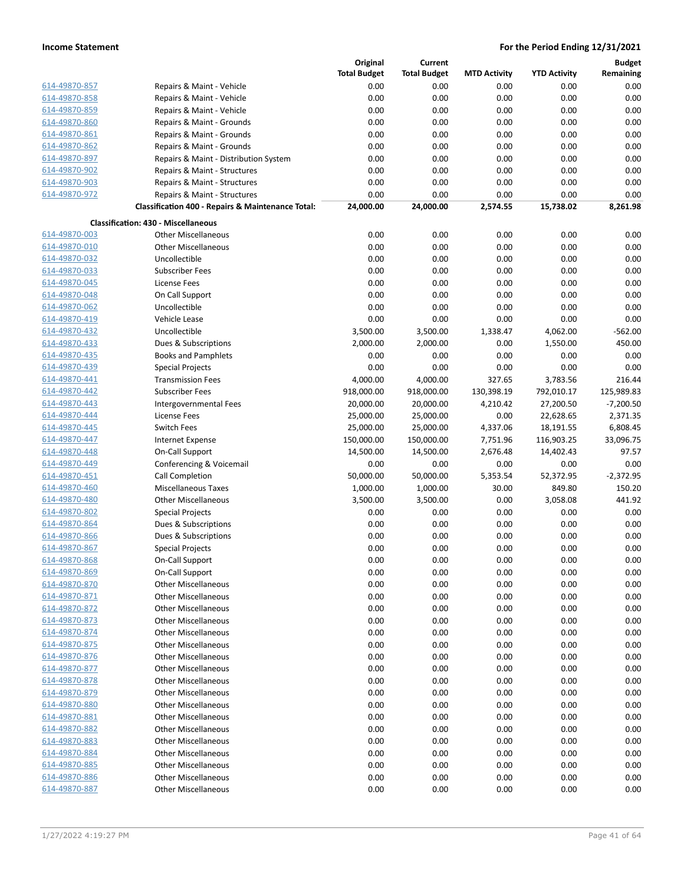|               |                                                   | Original            | <b>Current</b>      |                     |                     | <b>Budget</b> |
|---------------|---------------------------------------------------|---------------------|---------------------|---------------------|---------------------|---------------|
|               |                                                   | <b>Total Budget</b> | <b>Total Budget</b> | <b>MTD Activity</b> | <b>YTD Activity</b> | Remaining     |
| 614-49870-857 | Repairs & Maint - Vehicle                         | 0.00                | 0.00                | 0.00                | 0.00                | 0.00          |
| 614-49870-858 | Repairs & Maint - Vehicle                         | 0.00                | 0.00                | 0.00                | 0.00                | 0.00          |
| 614-49870-859 | Repairs & Maint - Vehicle                         | 0.00                | 0.00                | 0.00                | 0.00                | 0.00          |
| 614-49870-860 | Repairs & Maint - Grounds                         | 0.00                | 0.00                | 0.00                | 0.00                | 0.00          |
| 614-49870-861 | Repairs & Maint - Grounds                         | 0.00                | 0.00                | 0.00                | 0.00                | 0.00          |
| 614-49870-862 | Repairs & Maint - Grounds                         | 0.00                | 0.00                | 0.00                | 0.00                | 0.00          |
| 614-49870-897 | Repairs & Maint - Distribution System             | 0.00                | 0.00                | 0.00                | 0.00                | 0.00          |
| 614-49870-902 | Repairs & Maint - Structures                      | 0.00                | 0.00                | 0.00                | 0.00                | 0.00          |
| 614-49870-903 | Repairs & Maint - Structures                      | 0.00                | 0.00                | 0.00                | 0.00                | 0.00          |
| 614-49870-972 | Repairs & Maint - Structures                      | 0.00                | 0.00                | 0.00                | 0.00                | 0.00          |
|               | Classification 400 - Repairs & Maintenance Total: | 24,000.00           | 24,000.00           | 2,574.55            | 15,738.02           | 8,261.98      |
|               |                                                   |                     |                     |                     |                     |               |
|               | <b>Classification: 430 - Miscellaneous</b>        |                     |                     |                     |                     |               |
| 614-49870-003 | <b>Other Miscellaneous</b>                        | 0.00                | 0.00                | 0.00                | 0.00                | 0.00          |
| 614-49870-010 | <b>Other Miscellaneous</b>                        | 0.00                | 0.00                | 0.00                | 0.00                | 0.00          |
| 614-49870-032 | Uncollectible                                     | 0.00                | 0.00                | 0.00                | 0.00                | 0.00          |
| 614-49870-033 | <b>Subscriber Fees</b>                            | 0.00                | 0.00                | 0.00                | 0.00                | 0.00          |
| 614-49870-045 | <b>License Fees</b>                               | 0.00                | 0.00                | 0.00                | 0.00                | 0.00          |
| 614-49870-048 | On Call Support                                   | 0.00                | 0.00                | 0.00                | 0.00                | 0.00          |
| 614-49870-062 | Uncollectible                                     | 0.00                | 0.00                | 0.00                | 0.00                | 0.00          |
| 614-49870-419 | Vehicle Lease                                     | 0.00                | 0.00                | 0.00                | 0.00                | 0.00          |
| 614-49870-432 | Uncollectible                                     | 3,500.00            | 3,500.00            | 1,338.47            | 4,062.00            | $-562.00$     |
| 614-49870-433 | Dues & Subscriptions                              | 2,000.00            | 2,000.00            | 0.00                | 1,550.00            | 450.00        |
| 614-49870-435 | <b>Books and Pamphlets</b>                        | 0.00                | 0.00                | 0.00                | 0.00                | 0.00          |
| 614-49870-439 | <b>Special Projects</b>                           | 0.00                | 0.00                | 0.00                | 0.00                | 0.00          |
| 614-49870-441 | <b>Transmission Fees</b>                          | 4,000.00            | 4,000.00            | 327.65              | 3,783.56            | 216.44        |
| 614-49870-442 | <b>Subscriber Fees</b>                            | 918,000.00          | 918,000.00          | 130,398.19          | 792,010.17          | 125,989.83    |
| 614-49870-443 | Intergovernmental Fees                            | 20,000.00           | 20,000.00           | 4,210.42            | 27,200.50           | $-7,200.50$   |
| 614-49870-444 | License Fees                                      | 25,000.00           | 25,000.00           | 0.00                | 22,628.65           | 2,371.35      |
| 614-49870-445 | Switch Fees                                       | 25,000.00           | 25,000.00           | 4,337.06            | 18,191.55           | 6,808.45      |
| 614-49870-447 | <b>Internet Expense</b>                           | 150,000.00          | 150,000.00          | 7,751.96            | 116,903.25          | 33,096.75     |
| 614-49870-448 | On-Call Support                                   | 14,500.00           | 14,500.00           | 2,676.48            | 14,402.43           | 97.57         |
| 614-49870-449 | Conferencing & Voicemail                          | 0.00                | 0.00                | 0.00                | 0.00                | 0.00          |
| 614-49870-451 | Call Completion                                   | 50,000.00           | 50,000.00           | 5,353.54            | 52,372.95           | $-2,372.95$   |
| 614-49870-460 | <b>Miscellaneous Taxes</b>                        | 1,000.00            | 1,000.00            | 30.00               | 849.80              | 150.20        |
| 614-49870-480 | <b>Other Miscellaneous</b>                        | 3,500.00            | 3,500.00            | 0.00                | 3,058.08            | 441.92        |
| 614-49870-802 | <b>Special Projects</b>                           | 0.00                | 0.00                | 0.00                | 0.00                | 0.00          |
| 614-49870-864 | Dues & Subscriptions                              | 0.00                | 0.00                | 0.00                | 0.00                | 0.00          |
| 614-49870-866 | Dues & Subscriptions                              | 0.00                | 0.00                | 0.00                | 0.00                | 0.00          |
| 614-49870-867 | <b>Special Projects</b>                           | 0.00                | 0.00                | 0.00                | 0.00                | 0.00          |
| 614-49870-868 | On-Call Support                                   | 0.00                | 0.00                | 0.00                | 0.00                | 0.00          |
| 614-49870-869 | On-Call Support                                   | 0.00                | 0.00                | 0.00                | 0.00                | 0.00          |
| 614-49870-870 | <b>Other Miscellaneous</b>                        | 0.00                | 0.00                | 0.00                | 0.00                | 0.00          |
| 614-49870-871 | <b>Other Miscellaneous</b>                        | 0.00                | 0.00                | 0.00                | 0.00                | 0.00          |
| 614-49870-872 | <b>Other Miscellaneous</b>                        | 0.00                | 0.00                | 0.00                | 0.00                | 0.00          |
| 614-49870-873 | <b>Other Miscellaneous</b>                        | 0.00                | 0.00                | 0.00                | 0.00                | 0.00          |
| 614-49870-874 | <b>Other Miscellaneous</b>                        | 0.00                | 0.00                | 0.00                | 0.00                | 0.00          |
| 614-49870-875 | <b>Other Miscellaneous</b>                        | 0.00                | 0.00                | 0.00                | 0.00                | 0.00          |
| 614-49870-876 | <b>Other Miscellaneous</b>                        | 0.00                | 0.00                | 0.00                | 0.00                | 0.00          |
| 614-49870-877 | <b>Other Miscellaneous</b>                        | 0.00                | 0.00                | 0.00                | 0.00                | 0.00          |
| 614-49870-878 | <b>Other Miscellaneous</b>                        | 0.00                | 0.00                | 0.00                | 0.00                | 0.00          |
| 614-49870-879 | <b>Other Miscellaneous</b>                        | 0.00                | 0.00                | 0.00                | 0.00                | 0.00          |
| 614-49870-880 | <b>Other Miscellaneous</b>                        | 0.00                | 0.00                | 0.00                | 0.00                | 0.00          |
| 614-49870-881 | <b>Other Miscellaneous</b>                        | 0.00                | 0.00                | 0.00                | 0.00                | 0.00          |
| 614-49870-882 | <b>Other Miscellaneous</b>                        | 0.00                | 0.00                | 0.00                | 0.00                | 0.00          |
| 614-49870-883 | <b>Other Miscellaneous</b>                        | 0.00                | 0.00                | 0.00                | 0.00                | 0.00          |
| 614-49870-884 | <b>Other Miscellaneous</b>                        | 0.00                | 0.00                | 0.00                | 0.00                | 0.00          |
| 614-49870-885 | <b>Other Miscellaneous</b>                        | 0.00                | 0.00                | 0.00                | 0.00                | 0.00          |
| 614-49870-886 | <b>Other Miscellaneous</b>                        | 0.00                | 0.00                | 0.00                | 0.00                | 0.00          |
| 614-49870-887 | <b>Other Miscellaneous</b>                        | 0.00                | 0.00                | 0.00                | 0.00                | 0.00          |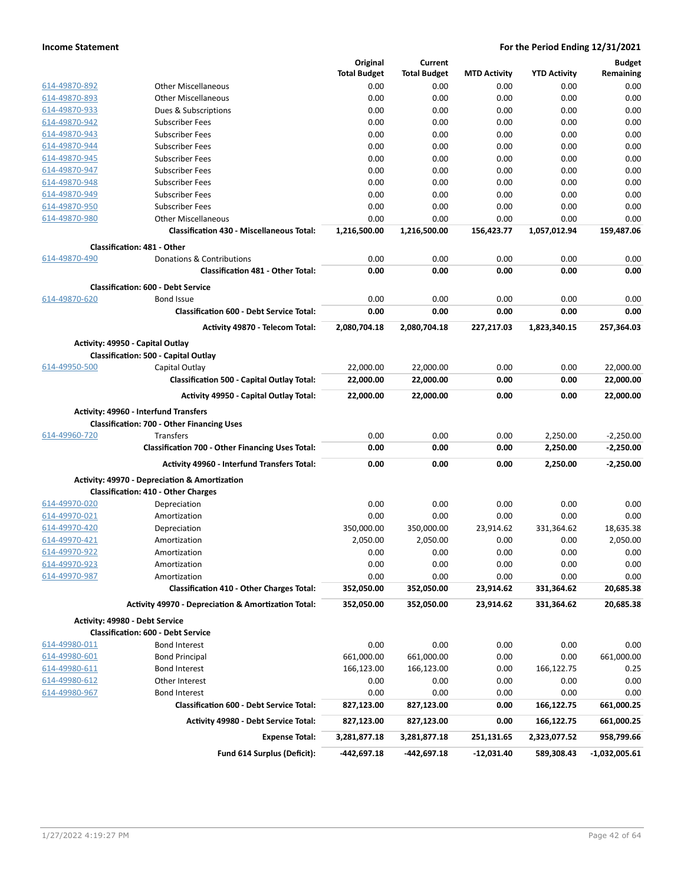|               |                                                                | Original            | Current             |                     |                     | <b>Budget</b>   |
|---------------|----------------------------------------------------------------|---------------------|---------------------|---------------------|---------------------|-----------------|
|               |                                                                | <b>Total Budget</b> | <b>Total Budget</b> | <b>MTD Activity</b> | <b>YTD Activity</b> | Remaining       |
| 614-49870-892 | <b>Other Miscellaneous</b>                                     | 0.00                | 0.00                | 0.00                | 0.00                | 0.00            |
| 614-49870-893 | <b>Other Miscellaneous</b>                                     | 0.00                | 0.00                | 0.00                | 0.00                | 0.00            |
| 614-49870-933 | Dues & Subscriptions                                           | 0.00                | 0.00                | 0.00                | 0.00                | 0.00            |
| 614-49870-942 | <b>Subscriber Fees</b>                                         | 0.00                | 0.00                | 0.00                | 0.00                | 0.00            |
| 614-49870-943 | <b>Subscriber Fees</b>                                         | 0.00                | 0.00                | 0.00                | 0.00                | 0.00            |
| 614-49870-944 | <b>Subscriber Fees</b>                                         | 0.00                | 0.00                | 0.00                | 0.00                | 0.00            |
| 614-49870-945 | <b>Subscriber Fees</b>                                         | 0.00                | 0.00                | 0.00                | 0.00                | 0.00            |
| 614-49870-947 | <b>Subscriber Fees</b>                                         | 0.00                | 0.00                | 0.00                | 0.00                | 0.00            |
| 614-49870-948 | <b>Subscriber Fees</b>                                         | 0.00                | 0.00                | 0.00                | 0.00                | 0.00            |
| 614-49870-949 | <b>Subscriber Fees</b>                                         | 0.00                | 0.00                | 0.00                | 0.00                | 0.00            |
| 614-49870-950 | <b>Subscriber Fees</b>                                         | 0.00                | 0.00                | 0.00                | 0.00                | 0.00            |
| 614-49870-980 | <b>Other Miscellaneous</b>                                     | 0.00                | 0.00                | 0.00                | 0.00                | 0.00            |
|               |                                                                |                     |                     |                     |                     |                 |
|               | <b>Classification 430 - Miscellaneous Total:</b>               | 1,216,500.00        | 1,216,500.00        | 156,423.77          | 1,057,012.94        | 159,487.06      |
|               | <b>Classification: 481 - Other</b>                             |                     |                     |                     |                     |                 |
| 614-49870-490 | Donations & Contributions                                      | 0.00                | 0.00                | 0.00                | 0.00                | 0.00            |
|               | <b>Classification 481 - Other Total:</b>                       | 0.00                | 0.00                | 0.00                | 0.00                | 0.00            |
|               | <b>Classification: 600 - Debt Service</b>                      |                     |                     |                     |                     |                 |
| 614-49870-620 | <b>Bond Issue</b>                                              | 0.00                | 0.00                | 0.00                | 0.00                | 0.00            |
|               | <b>Classification 600 - Debt Service Total:</b>                | 0.00                | 0.00                | 0.00                | 0.00                | 0.00            |
|               | Activity 49870 - Telecom Total:                                | 2,080,704.18        | 2,080,704.18        | 227,217.03          | 1,823,340.15        | 257,364.03      |
|               |                                                                |                     |                     |                     |                     |                 |
|               | Activity: 49950 - Capital Outlay                               |                     |                     |                     |                     |                 |
|               | <b>Classification: 500 - Capital Outlay</b>                    |                     |                     |                     |                     |                 |
| 614-49950-500 | Capital Outlay                                                 | 22,000.00           | 22,000.00           | 0.00                | 0.00                | 22,000.00       |
|               | <b>Classification 500 - Capital Outlay Total:</b>              | 22,000.00           | 22,000.00           | 0.00                | 0.00                | 22,000.00       |
|               | <b>Activity 49950 - Capital Outlay Total:</b>                  | 22,000.00           | 22,000.00           | 0.00                | 0.00                | 22,000.00       |
|               | Activity: 49960 - Interfund Transfers                          |                     |                     |                     |                     |                 |
|               | <b>Classification: 700 - Other Financing Uses</b>              |                     |                     |                     |                     |                 |
| 614-49960-720 | <b>Transfers</b>                                               | 0.00                | 0.00                | 0.00                | 2,250.00            | $-2,250.00$     |
|               | <b>Classification 700 - Other Financing Uses Total:</b>        | 0.00                | 0.00                | 0.00                | 2,250.00            | $-2,250.00$     |
|               | Activity 49960 - Interfund Transfers Total:                    | 0.00                | 0.00                | 0.00                | 2,250.00            | $-2,250.00$     |
|               |                                                                |                     |                     |                     |                     |                 |
|               | <b>Activity: 49970 - Depreciation &amp; Amortization</b>       |                     |                     |                     |                     |                 |
|               | <b>Classification: 410 - Other Charges</b>                     |                     |                     |                     |                     |                 |
| 614-49970-020 | Depreciation                                                   | 0.00                | 0.00                | 0.00                | 0.00                | 0.00            |
| 614-49970-021 | Amortization                                                   | 0.00                | 0.00                | 0.00                | 0.00                | 0.00            |
| 614-49970-420 | Depreciation                                                   | 350,000.00          | 350,000.00          | 23,914.62           | 331,364.62          | 18,635.38       |
| 614-49970-421 | Amortization                                                   | 2,050.00            | 2,050.00            | 0.00                | 0.00                | 2,050.00        |
| 614-49970-922 | Amortization                                                   | 0.00                | 0.00                | 0.00                | 0.00                | 0.00            |
| 614-49970-923 | Amortization                                                   | 0.00                | 0.00                | 0.00                | 0.00                | 0.00            |
| 614-49970-987 | Amortization                                                   | 0.00                | 0.00                | 0.00                | 0.00                | 0.00            |
|               | <b>Classification 410 - Other Charges Total:</b>               | 352,050.00          | 352,050.00          | 23,914.62           | 331,364.62          | 20,685.38       |
|               | <b>Activity 49970 - Depreciation &amp; Amortization Total:</b> | 352,050.00          | 352,050.00          | 23,914.62           | 331,364.62          | 20,685.38       |
|               | Activity: 49980 - Debt Service                                 |                     |                     |                     |                     |                 |
|               | <b>Classification: 600 - Debt Service</b>                      |                     |                     |                     |                     |                 |
| 614-49980-011 | <b>Bond Interest</b>                                           | 0.00                | 0.00                | 0.00                | 0.00                | 0.00            |
| 614-49980-601 | <b>Bond Principal</b>                                          | 661,000.00          | 661,000.00          | 0.00                | 0.00                | 661,000.00      |
| 614-49980-611 | <b>Bond Interest</b>                                           | 166,123.00          | 166,123.00          | 0.00                | 166,122.75          | 0.25            |
| 614-49980-612 | Other Interest                                                 | 0.00                | 0.00                | 0.00                | 0.00                | 0.00            |
| 614-49980-967 | <b>Bond Interest</b>                                           | 0.00                | 0.00                | 0.00                | 0.00                | 0.00            |
|               | <b>Classification 600 - Debt Service Total:</b>                | 827,123.00          | 827,123.00          | 0.00                | 166,122.75          | 661,000.25      |
|               |                                                                |                     |                     |                     |                     |                 |
|               | <b>Activity 49980 - Debt Service Total:</b>                    | 827,123.00          | 827,123.00          | 0.00                | 166,122.75          | 661,000.25      |
|               | <b>Expense Total:</b>                                          | 3,281,877.18        | 3,281,877.18        | 251,131.65          | 2,323,077.52        | 958,799.66      |
|               | Fund 614 Surplus (Deficit):                                    | -442,697.18         | -442,697.18         | $-12,031.40$        | 589,308.43          | $-1,032,005.61$ |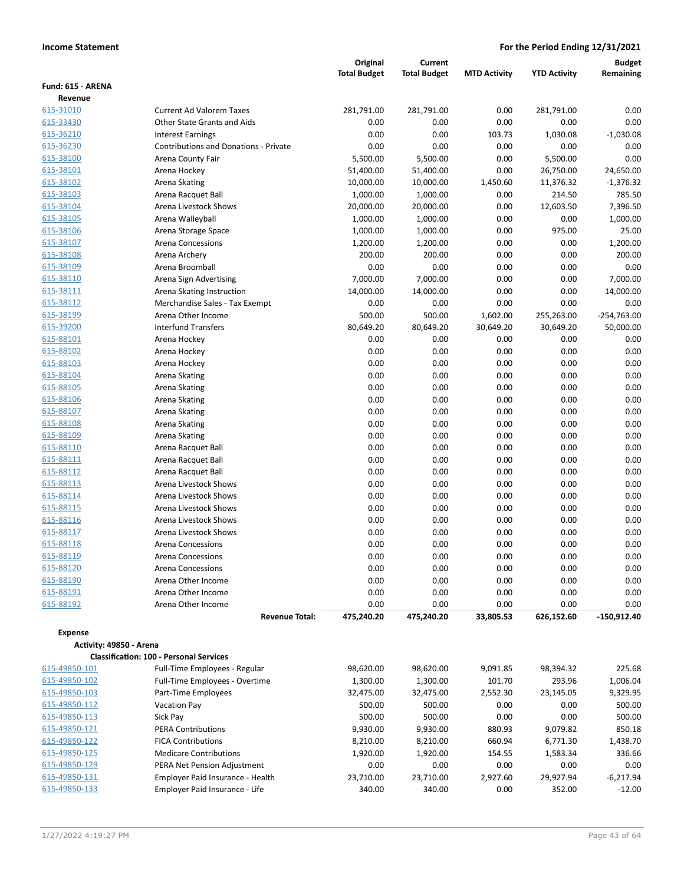|                         |                                                | Original            | <b>Current</b>      |                     |                     | <b>Budget</b>         |
|-------------------------|------------------------------------------------|---------------------|---------------------|---------------------|---------------------|-----------------------|
|                         |                                                | <b>Total Budget</b> | <b>Total Budget</b> | <b>MTD Activity</b> | <b>YTD Activity</b> | Remaining             |
| Fund: 615 - ARENA       |                                                |                     |                     |                     |                     |                       |
| Revenue<br>615-31010    | <b>Current Ad Valorem Taxes</b>                | 281,791.00          | 281,791.00          | 0.00                | 281,791.00          | 0.00                  |
| 615-33430               | Other State Grants and Aids                    | 0.00                | 0.00                | 0.00                | 0.00                | 0.00                  |
| 615-36210               | <b>Interest Earnings</b>                       | 0.00                | 0.00                | 103.73              | 1,030.08            | $-1,030.08$           |
| 615-36230               | <b>Contributions and Donations - Private</b>   | 0.00                | 0.00                | 0.00                | 0.00                | 0.00                  |
| 615-38100               | Arena County Fair                              | 5,500.00            | 5,500.00            | 0.00                | 5,500.00            | 0.00                  |
| 615-38101               | Arena Hockey                                   | 51,400.00           | 51,400.00           | 0.00                | 26,750.00           | 24,650.00             |
| 615-38102               | Arena Skating                                  | 10,000.00           | 10,000.00           | 1,450.60            | 11,376.32           | $-1,376.32$           |
| 615-38103               | Arena Racquet Ball                             | 1,000.00            | 1,000.00            | 0.00                | 214.50              | 785.50                |
| 615-38104               | Arena Livestock Shows                          | 20,000.00           | 20,000.00           | 0.00                | 12,603.50           | 7,396.50              |
| 615-38105               | Arena Walleyball                               | 1,000.00            | 1,000.00            | 0.00                | 0.00                | 1,000.00              |
| 615-38106               | Arena Storage Space                            | 1,000.00            | 1,000.00            | 0.00                | 975.00              | 25.00                 |
| 615-38107               | <b>Arena Concessions</b>                       | 1,200.00            | 1,200.00            | 0.00                | 0.00                | 1,200.00              |
| 615-38108               | Arena Archery                                  | 200.00              | 200.00              | 0.00                | 0.00                | 200.00                |
| 615-38109               | Arena Broomball                                | 0.00                | 0.00                | 0.00                | 0.00                | 0.00                  |
| 615-38110               | Arena Sign Advertising                         | 7,000.00            | 7,000.00            | 0.00                | 0.00                | 7,000.00              |
| 615-38111               | Arena Skating Instruction                      | 14,000.00           | 14,000.00           | 0.00                | 0.00                | 14,000.00             |
| 615-38112               | Merchandise Sales - Tax Exempt                 | 0.00                | 0.00                | 0.00                | 0.00                | 0.00                  |
| 615-38199               | Arena Other Income                             | 500.00              | 500.00              | 1,602.00            | 255,263.00          | $-254,763.00$         |
| 615-39200               | <b>Interfund Transfers</b>                     | 80,649.20           | 80,649.20           | 30,649.20           | 30,649.20           | 50,000.00             |
| 615-88101               | Arena Hockey                                   | 0.00                | 0.00                | 0.00                | 0.00                | 0.00                  |
| 615-88102               | Arena Hockey                                   | 0.00                | 0.00                | 0.00                | 0.00                | 0.00                  |
| 615-88103<br>615-88104  | Arena Hockey<br>Arena Skating                  | 0.00<br>0.00        | 0.00<br>0.00        | 0.00<br>0.00        | 0.00<br>0.00        | 0.00<br>0.00          |
| 615-88105               | Arena Skating                                  | 0.00                | 0.00                | 0.00                | 0.00                | 0.00                  |
| 615-88106               | Arena Skating                                  | 0.00                | 0.00                | 0.00                | 0.00                | 0.00                  |
| 615-88107               | Arena Skating                                  | 0.00                | 0.00                | 0.00                | 0.00                | 0.00                  |
| 615-88108               | Arena Skating                                  | 0.00                | 0.00                | 0.00                | 0.00                | 0.00                  |
| 615-88109               | Arena Skating                                  | 0.00                | 0.00                | 0.00                | 0.00                | 0.00                  |
| 615-88110               | Arena Racquet Ball                             | 0.00                | 0.00                | 0.00                | 0.00                | 0.00                  |
| 615-88111               | Arena Racquet Ball                             | 0.00                | 0.00                | 0.00                | 0.00                | 0.00                  |
| 615-88112               | Arena Racquet Ball                             | 0.00                | 0.00                | 0.00                | 0.00                | 0.00                  |
| 615-88113               | Arena Livestock Shows                          | 0.00                | 0.00                | 0.00                | 0.00                | 0.00                  |
| 615-88114               | Arena Livestock Shows                          | 0.00                | 0.00                | 0.00                | 0.00                | 0.00                  |
| 615-88115               | Arena Livestock Shows                          | 0.00                | 0.00                | 0.00                | 0.00                | 0.00                  |
| 615-88116               | Arena Livestock Shows                          | 0.00                | 0.00                | 0.00                | 0.00                | 0.00                  |
| 615-88117               | Arena Livestock Shows                          | 0.00                | 0.00                | 0.00                | 0.00                | 0.00                  |
| 615-88118               | <b>Arena Concessions</b>                       | 0.00                | 0.00                | 0.00                | 0.00                | 0.00                  |
| 615-88119               | Arena Concessions                              | 0.00                | 0.00                | 0.00                | 0.00                | 0.00                  |
| 615-88120               | <b>Arena Concessions</b>                       | 0.00                | 0.00                | 0.00                | 0.00                | 0.00                  |
| 615-88190               | Arena Other Income                             | 0.00                | 0.00                | 0.00                | 0.00                | 0.00                  |
| 615-88191               | Arena Other Income                             | 0.00                | 0.00                | 0.00                | 0.00                | 0.00                  |
| 615-88192               | Arena Other Income<br><b>Revenue Total:</b>    | 0.00<br>475,240.20  | 0.00<br>475,240.20  | 0.00                | 0.00<br>626,152.60  | 0.00<br>$-150,912.40$ |
|                         |                                                |                     |                     | 33,805.53           |                     |                       |
| <b>Expense</b>          |                                                |                     |                     |                     |                     |                       |
| Activity: 49850 - Arena | <b>Classification: 100 - Personal Services</b> |                     |                     |                     |                     |                       |
| 615-49850-101           | Full-Time Employees - Regular                  | 98,620.00           | 98,620.00           | 9,091.85            | 98,394.32           | 225.68                |
| 615-49850-102           | Full-Time Employees - Overtime                 | 1,300.00            | 1,300.00            | 101.70              | 293.96              | 1,006.04              |
| 615-49850-103           | Part-Time Employees                            | 32,475.00           | 32,475.00           | 2,552.30            | 23,145.05           | 9,329.95              |
| 615-49850-112           | <b>Vacation Pay</b>                            | 500.00              | 500.00              | 0.00                | 0.00                | 500.00                |
| 615-49850-113           | Sick Pay                                       | 500.00              | 500.00              | 0.00                | 0.00                | 500.00                |
| 615-49850-121           | <b>PERA Contributions</b>                      | 9,930.00            | 9,930.00            | 880.93              | 9,079.82            | 850.18                |
| 615-49850-122           | <b>FICA Contributions</b>                      | 8,210.00            | 8,210.00            | 660.94              | 6,771.30            | 1,438.70              |
| 615-49850-125           | <b>Medicare Contributions</b>                  | 1,920.00            | 1,920.00            | 154.55              | 1,583.34            | 336.66                |
| 615-49850-129           | PERA Net Pension Adjustment                    | 0.00                | 0.00                | 0.00                | 0.00                | 0.00                  |
| 615-49850-131           | Employer Paid Insurance - Health               | 23,710.00           | 23,710.00           | 2,927.60            | 29,927.94           | $-6,217.94$           |
| 615-49850-133           | Employer Paid Insurance - Life                 | 340.00              | 340.00              | 0.00                | 352.00              | $-12.00$              |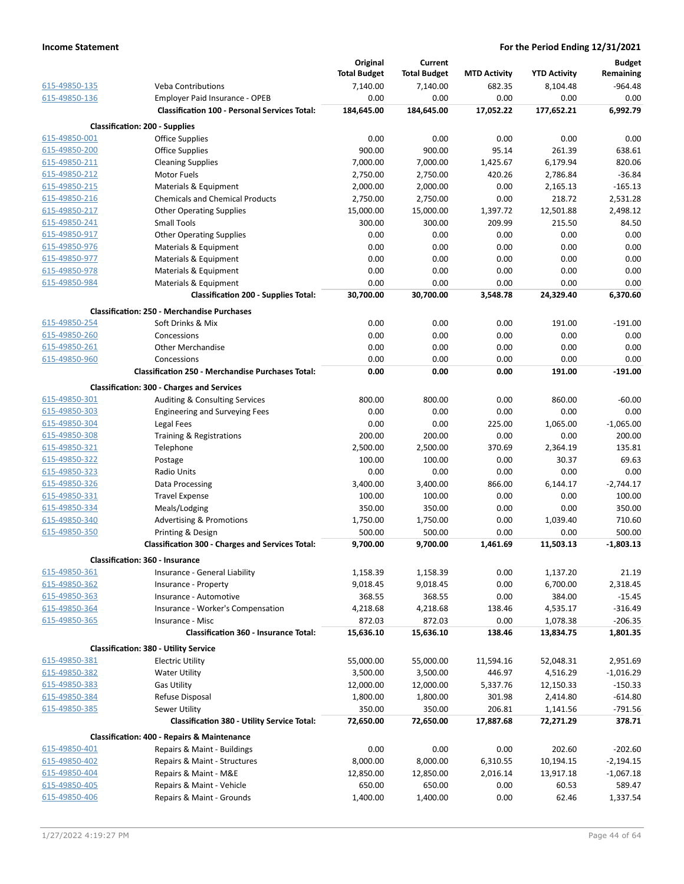|                                |                                                          | Original            | Current             |                     |                       | <b>Budget</b>         |
|--------------------------------|----------------------------------------------------------|---------------------|---------------------|---------------------|-----------------------|-----------------------|
|                                |                                                          | <b>Total Budget</b> | <b>Total Budget</b> | <b>MTD Activity</b> | <b>YTD Activity</b>   | Remaining             |
| 615-49850-135                  | <b>Veba Contributions</b>                                | 7,140.00            | 7,140.00            | 682.35              | 8,104.48              | $-964.48$             |
| 615-49850-136                  | Employer Paid Insurance - OPEB                           | 0.00                | 0.00                | 0.00                | 0.00                  | 0.00                  |
|                                | <b>Classification 100 - Personal Services Total:</b>     | 184,645.00          | 184,645.00          | 17,052.22           | 177,652.21            | 6,992.79              |
|                                | <b>Classification: 200 - Supplies</b>                    |                     |                     |                     |                       |                       |
| 615-49850-001                  | <b>Office Supplies</b>                                   | 0.00                | 0.00                | 0.00                | 0.00                  | 0.00                  |
| 615-49850-200                  | <b>Office Supplies</b>                                   | 900.00              | 900.00              | 95.14               | 261.39                | 638.61                |
| 615-49850-211                  | <b>Cleaning Supplies</b>                                 | 7,000.00            | 7,000.00            | 1,425.67            | 6,179.94              | 820.06                |
| 615-49850-212                  | <b>Motor Fuels</b>                                       | 2,750.00            | 2,750.00            | 420.26              | 2,786.84              | $-36.84$              |
| 615-49850-215                  | Materials & Equipment                                    | 2,000.00            | 2,000.00            | 0.00                | 2,165.13              | $-165.13$             |
| 615-49850-216                  | <b>Chemicals and Chemical Products</b>                   | 2,750.00            | 2,750.00            | 0.00                | 218.72                | 2,531.28              |
| 615-49850-217                  | <b>Other Operating Supplies</b>                          | 15,000.00           | 15,000.00           | 1,397.72            | 12,501.88             | 2,498.12              |
| 615-49850-241                  | <b>Small Tools</b>                                       | 300.00              | 300.00              | 209.99              | 215.50                | 84.50                 |
| 615-49850-917                  | <b>Other Operating Supplies</b>                          | 0.00                | 0.00                | 0.00                | 0.00                  | 0.00                  |
| 615-49850-976                  | Materials & Equipment                                    | 0.00                | 0.00                | 0.00                | 0.00                  | 0.00                  |
| 615-49850-977                  | Materials & Equipment                                    | 0.00                | 0.00                | 0.00                | 0.00                  | 0.00                  |
| 615-49850-978                  | Materials & Equipment                                    | 0.00                | 0.00                | 0.00                | 0.00                  | 0.00                  |
| 615-49850-984                  | Materials & Equipment                                    | 0.00                | 0.00                | 0.00                | 0.00                  | 0.00                  |
|                                | <b>Classification 200 - Supplies Total:</b>              | 30,700.00           | 30,700.00           | 3,548.78            | 24,329.40             | 6,370.60              |
|                                | <b>Classification: 250 - Merchandise Purchases</b>       |                     |                     |                     |                       |                       |
| 615-49850-254                  | Soft Drinks & Mix                                        | 0.00                | 0.00                | 0.00                | 191.00                | $-191.00$             |
| 615-49850-260                  | Concessions                                              | 0.00                | 0.00                | 0.00                | 0.00                  | 0.00                  |
| 615-49850-261                  | <b>Other Merchandise</b>                                 | 0.00                | 0.00                | 0.00                | 0.00                  | 0.00                  |
| 615-49850-960                  | Concessions                                              | 0.00                | 0.00                | 0.00                | 0.00                  | 0.00                  |
|                                | <b>Classification 250 - Merchandise Purchases Total:</b> | 0.00                | 0.00                | 0.00                | 191.00                | $-191.00$             |
|                                | <b>Classification: 300 - Charges and Services</b>        |                     |                     |                     |                       |                       |
| 615-49850-301                  | Auditing & Consulting Services                           | 800.00              | 800.00              | 0.00                | 860.00                | $-60.00$              |
| 615-49850-303                  | <b>Engineering and Surveying Fees</b>                    | 0.00                | 0.00                | 0.00                | 0.00                  | 0.00                  |
| 615-49850-304                  | Legal Fees                                               | 0.00                | 0.00                | 225.00              | 1,065.00              | $-1,065.00$           |
| 615-49850-308                  | Training & Registrations                                 | 200.00              | 200.00              | 0.00                | 0.00                  | 200.00                |
| 615-49850-321                  | Telephone                                                | 2,500.00            | 2,500.00            | 370.69              | 2,364.19              | 135.81                |
| 615-49850-322                  | Postage                                                  | 100.00              | 100.00              | 0.00                | 30.37                 | 69.63                 |
| 615-49850-323                  | Radio Units                                              | 0.00                | 0.00                | 0.00                | 0.00                  | 0.00                  |
| 615-49850-326                  | Data Processing                                          | 3,400.00            | 3,400.00            | 866.00              | 6,144.17              | $-2,744.17$           |
| 615-49850-331                  | <b>Travel Expense</b>                                    | 100.00              | 100.00              | 0.00                | 0.00                  | 100.00                |
| 615-49850-334                  | Meals/Lodging                                            | 350.00              | 350.00              | 0.00                | 0.00                  | 350.00                |
| 615-49850-340                  | <b>Advertising &amp; Promotions</b>                      | 1,750.00            | 1,750.00            | 0.00                | 1,039.40              | 710.60                |
| 615-49850-350                  | Printing & Design                                        | 500.00              | 500.00              | 0.00                | 0.00                  | 500.00                |
|                                | <b>Classification 300 - Charges and Services Total:</b>  | 9,700.00            | 9,700.00            | 1,461.69            | 11,503.13             | $-1,803.13$           |
|                                | Classification: 360 - Insurance                          |                     |                     |                     |                       |                       |
| 615-49850-361<br>615-49850-362 | Insurance - General Liability<br>Insurance - Property    | 1,158.39            | 1,158.39            | 0.00<br>0.00        | 1,137.20              | 21.19                 |
| 615-49850-363                  | Insurance - Automotive                                   | 9,018.45<br>368.55  | 9,018.45<br>368.55  | 0.00                | 6,700.00<br>384.00    | 2,318.45              |
| 615-49850-364                  |                                                          |                     |                     | 138.46              |                       | $-15.45$<br>$-316.49$ |
| 615-49850-365                  | Insurance - Worker's Compensation<br>Insurance - Misc    | 4,218.68<br>872.03  | 4,218.68<br>872.03  | 0.00                | 4,535.17              | $-206.35$             |
|                                | <b>Classification 360 - Insurance Total:</b>             | 15,636.10           | 15,636.10           | 138.46              | 1,078.38<br>13,834.75 | 1,801.35              |
|                                | <b>Classification: 380 - Utility Service</b>             |                     |                     |                     |                       |                       |
| 615-49850-381                  | <b>Electric Utility</b>                                  | 55,000.00           | 55,000.00           | 11,594.16           | 52,048.31             | 2,951.69              |
| 615-49850-382                  | <b>Water Utility</b>                                     | 3,500.00            | 3,500.00            | 446.97              | 4,516.29              | $-1,016.29$           |
| 615-49850-383                  | <b>Gas Utility</b>                                       | 12,000.00           | 12,000.00           | 5,337.76            | 12,150.33             | $-150.33$             |
| 615-49850-384                  | Refuse Disposal                                          | 1,800.00            | 1,800.00            | 301.98              | 2,414.80              | $-614.80$             |
| 615-49850-385                  | Sewer Utility                                            | 350.00              | 350.00              | 206.81              | 1,141.56              | $-791.56$             |
|                                | <b>Classification 380 - Utility Service Total:</b>       | 72,650.00           | 72,650.00           | 17,887.68           | 72,271.29             | 378.71                |
|                                | <b>Classification: 400 - Repairs &amp; Maintenance</b>   |                     |                     |                     |                       |                       |
| 615-49850-401                  | Repairs & Maint - Buildings                              | 0.00                | 0.00                | 0.00                | 202.60                | $-202.60$             |
| 615-49850-402                  | Repairs & Maint - Structures                             | 8,000.00            | 8,000.00            | 6,310.55            | 10,194.15             | $-2,194.15$           |
| 615-49850-404                  | Repairs & Maint - M&E                                    | 12,850.00           | 12,850.00           | 2,016.14            | 13,917.18             | $-1,067.18$           |
| 615-49850-405                  | Repairs & Maint - Vehicle                                | 650.00              | 650.00              | 0.00                | 60.53                 | 589.47                |
| 615-49850-406                  | Repairs & Maint - Grounds                                | 1,400.00            | 1,400.00            | 0.00                | 62.46                 | 1,337.54              |
|                                |                                                          |                     |                     |                     |                       |                       |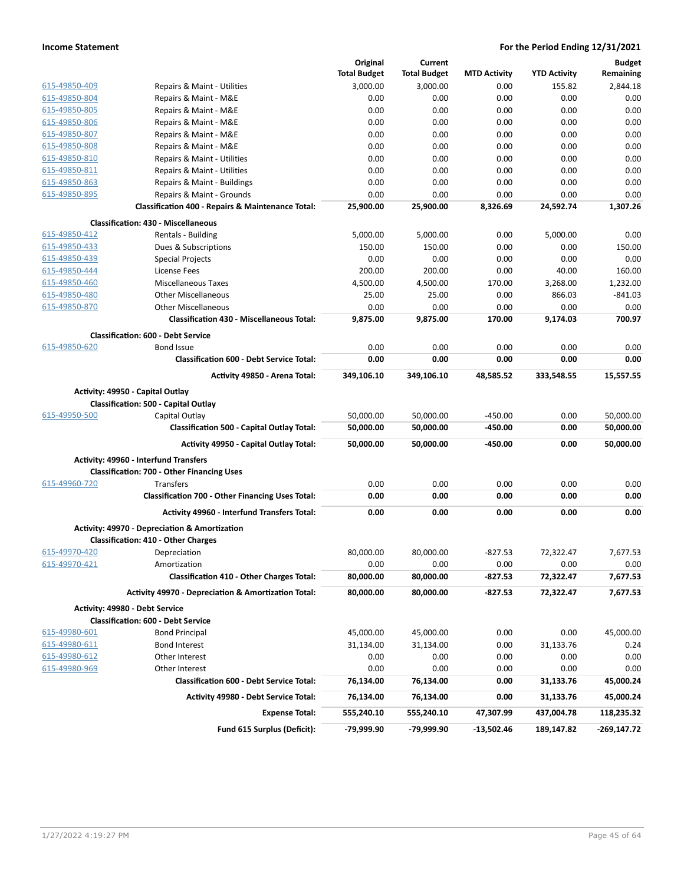|               |                                                                | Original            | Current             |                     |                     | <b>Budget</b> |
|---------------|----------------------------------------------------------------|---------------------|---------------------|---------------------|---------------------|---------------|
|               |                                                                | <b>Total Budget</b> | <b>Total Budget</b> | <b>MTD Activity</b> | <b>YTD Activity</b> | Remaining     |
| 615-49850-409 | Repairs & Maint - Utilities                                    | 3,000.00            | 3,000.00            | 0.00                | 155.82              | 2,844.18      |
| 615-49850-804 | Repairs & Maint - M&E                                          | 0.00                | 0.00                | 0.00                | 0.00                | 0.00          |
| 615-49850-805 | Repairs & Maint - M&E                                          | 0.00                | 0.00                | 0.00                | 0.00                | 0.00          |
| 615-49850-806 | Repairs & Maint - M&E                                          | 0.00                | 0.00                | 0.00                | 0.00                | 0.00          |
| 615-49850-807 | Repairs & Maint - M&E                                          | 0.00                | 0.00                | 0.00                | 0.00                | 0.00          |
| 615-49850-808 | Repairs & Maint - M&E                                          | 0.00                | 0.00                | 0.00                | 0.00                | 0.00          |
| 615-49850-810 | Repairs & Maint - Utilities                                    | 0.00                | 0.00                | 0.00                | 0.00                | 0.00          |
| 615-49850-811 | Repairs & Maint - Utilities                                    | 0.00                | 0.00                | 0.00                | 0.00                | 0.00          |
| 615-49850-863 | Repairs & Maint - Buildings                                    | 0.00                | 0.00                | 0.00                | 0.00                | 0.00          |
| 615-49850-895 | Repairs & Maint - Grounds                                      | 0.00                | 0.00                | 0.00                | 0.00                | 0.00          |
|               | Classification 400 - Repairs & Maintenance Total:              | 25,900.00           | 25,900.00           | 8,326.69            | 24,592.74           | 1,307.26      |
|               | <b>Classification: 430 - Miscellaneous</b>                     |                     |                     |                     |                     |               |
| 615-49850-412 | Rentals - Building                                             | 5,000.00            | 5,000.00            | 0.00                | 5,000.00            | 0.00          |
| 615-49850-433 | Dues & Subscriptions                                           | 150.00              | 150.00              | 0.00                | 0.00                | 150.00        |
| 615-49850-439 | <b>Special Projects</b>                                        | 0.00                | 0.00                | 0.00                | 0.00                | 0.00          |
| 615-49850-444 | License Fees                                                   | 200.00              | 200.00              | 0.00                | 40.00               | 160.00        |
| 615-49850-460 | <b>Miscellaneous Taxes</b>                                     | 4.500.00            | 4.500.00            | 170.00              | 3,268.00            | 1,232.00      |
| 615-49850-480 | <b>Other Miscellaneous</b>                                     | 25.00               | 25.00               | 0.00                | 866.03              | $-841.03$     |
| 615-49850-870 | <b>Other Miscellaneous</b>                                     | 0.00                | 0.00                | 0.00                | 0.00                | 0.00          |
|               | <b>Classification 430 - Miscellaneous Total:</b>               | 9,875.00            | 9,875.00            | 170.00              | 9.174.03            | 700.97        |
|               | <b>Classification: 600 - Debt Service</b>                      |                     |                     |                     |                     |               |
| 615-49850-620 | <b>Bond Issue</b>                                              | 0.00                | 0.00                | 0.00                | 0.00                | 0.00          |
|               | <b>Classification 600 - Debt Service Total:</b>                | 0.00                | 0.00                | 0.00                | 0.00                | 0.00          |
|               |                                                                |                     |                     |                     |                     |               |
|               | Activity 49850 - Arena Total:                                  | 349,106.10          | 349,106.10          | 48.585.52           | 333,548.55          | 15,557.55     |
|               | Activity: 49950 - Capital Outlay                               |                     |                     |                     |                     |               |
|               | Classification: 500 - Capital Outlay                           |                     |                     |                     |                     |               |
| 615-49950-500 | Capital Outlay                                                 | 50,000.00           | 50,000.00           | $-450.00$           | 0.00                | 50,000.00     |
|               | <b>Classification 500 - Capital Outlay Total:</b>              | 50,000.00           | 50,000.00           | $-450.00$           | 0.00                | 50,000.00     |
|               | Activity 49950 - Capital Outlay Total:                         | 50,000.00           | 50,000.00           | $-450.00$           | 0.00                | 50,000.00     |
|               | <b>Activity: 49960 - Interfund Transfers</b>                   |                     |                     |                     |                     |               |
|               | <b>Classification: 700 - Other Financing Uses</b>              |                     |                     |                     |                     |               |
| 615-49960-720 | Transfers                                                      | 0.00                | 0.00                | 0.00                | 0.00                | 0.00          |
|               | <b>Classification 700 - Other Financing Uses Total:</b>        | 0.00                | 0.00                | 0.00                | 0.00                | 0.00          |
|               |                                                                |                     |                     |                     |                     |               |
|               | <b>Activity 49960 - Interfund Transfers Total:</b>             | 0.00                | 0.00                | 0.00                | 0.00                | 0.00          |
|               | <b>Activity: 49970 - Depreciation &amp; Amortization</b>       |                     |                     |                     |                     |               |
|               | <b>Classification: 410 - Other Charges</b>                     |                     |                     |                     |                     |               |
| 615-49970-420 | Depreciation                                                   | 80,000.00           | 80,000.00           | $-827.53$           | 72,322.47           | 7.677.53      |
| 615-49970-421 | Amortization                                                   | 0.00                | 0.00                | 0.00                | 0.00                | 0.00          |
|               | <b>Classification 410 - Other Charges Total:</b>               | 80,000.00           | 80,000.00           | $-827.53$           | 72,322.47           | 7,677.53      |
|               | <b>Activity 49970 - Depreciation &amp; Amortization Total:</b> | 80,000.00           | 80,000.00           | $-827.53$           | 72,322.47           | 7,677.53      |
|               |                                                                |                     |                     |                     |                     |               |
|               | Activity: 49980 - Debt Service                                 |                     |                     |                     |                     |               |
|               | <b>Classification: 600 - Debt Service</b>                      |                     |                     |                     |                     |               |
| 615-49980-601 | <b>Bond Principal</b>                                          | 45,000.00           | 45,000.00           | 0.00                | 0.00                | 45,000.00     |
| 615-49980-611 | <b>Bond Interest</b>                                           | 31,134.00           | 31,134.00           | 0.00                | 31,133.76           | 0.24          |
| 615-49980-612 | Other Interest                                                 | 0.00                | 0.00                | 0.00                | 0.00                | 0.00          |
| 615-49980-969 | Other Interest                                                 | 0.00                | 0.00                | 0.00                | 0.00                | 0.00          |
|               | <b>Classification 600 - Debt Service Total:</b>                | 76,134.00           | 76,134.00           | 0.00                | 31,133.76           | 45,000.24     |
|               | <b>Activity 49980 - Debt Service Total:</b>                    | 76,134.00           | 76,134.00           | 0.00                | 31,133.76           | 45,000.24     |
|               | <b>Expense Total:</b>                                          | 555,240.10          | 555,240.10          | 47,307.99           | 437,004.78          | 118,235.32    |
|               | Fund 615 Surplus (Deficit):                                    | -79,999.90          | -79,999.90          | $-13,502.46$        | 189,147.82          | $-269,147.72$ |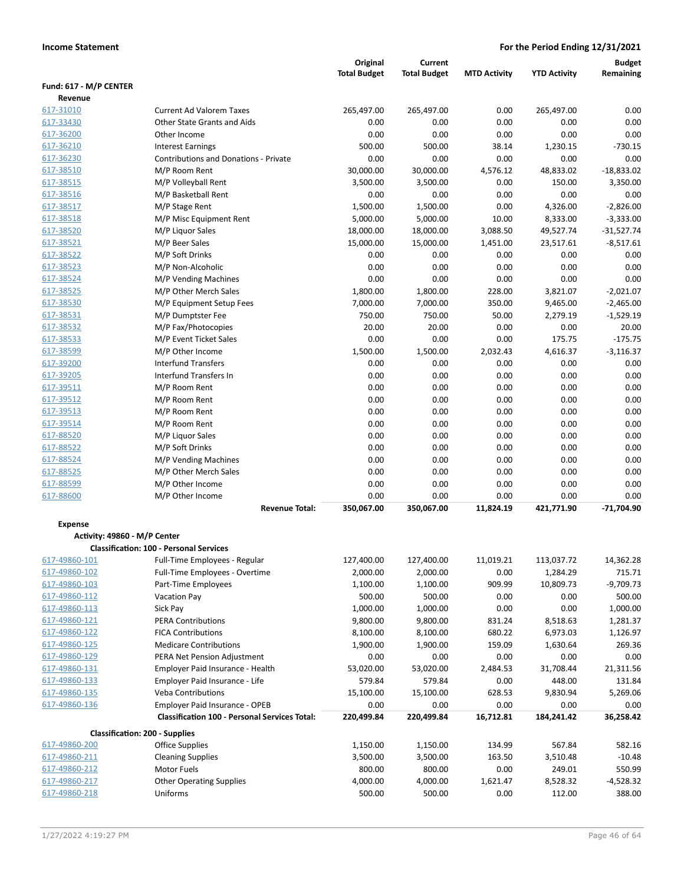|                                                |                                                      | Original            | <b>Current</b>      |                     |                     | <b>Budget</b>              |
|------------------------------------------------|------------------------------------------------------|---------------------|---------------------|---------------------|---------------------|----------------------------|
|                                                |                                                      | <b>Total Budget</b> | <b>Total Budget</b> | <b>MTD Activity</b> | <b>YTD Activity</b> | Remaining                  |
| Fund: 617 - M/P CENTER                         |                                                      |                     |                     |                     |                     |                            |
| Revenue                                        |                                                      |                     |                     |                     |                     |                            |
| 617-31010                                      | <b>Current Ad Valorem Taxes</b>                      | 265,497.00          | 265,497.00          | 0.00                | 265,497.00          | 0.00                       |
| 617-33430                                      | Other State Grants and Aids                          | 0.00                | 0.00                | 0.00                | 0.00                | 0.00                       |
| 617-36200                                      | Other Income                                         | 0.00                | 0.00                | 0.00                | 0.00                | 0.00                       |
| 617-36210                                      | <b>Interest Earnings</b>                             | 500.00              | 500.00              | 38.14               | 1,230.15            | $-730.15$                  |
| 617-36230                                      | Contributions and Donations - Private                | 0.00                | 0.00                | 0.00                | 0.00                | 0.00                       |
| 617-38510                                      | M/P Room Rent                                        | 30,000.00           | 30,000.00           | 4,576.12            | 48,833.02           | $-18,833.02$               |
| 617-38515                                      | M/P Volleyball Rent                                  | 3,500.00            | 3,500.00            | 0.00                | 150.00              | 3,350.00                   |
| 617-38516<br>617-38517                         | M/P Basketball Rent                                  | 0.00                | 0.00                | 0.00<br>0.00        | 0.00                | 0.00<br>$-2,826.00$        |
|                                                | M/P Stage Rent                                       | 1,500.00            | 1,500.00            |                     | 4,326.00            |                            |
| 617-38518                                      | M/P Misc Equipment Rent                              | 5,000.00            | 5,000.00            | 10.00               | 8,333.00            | $-3,333.00$                |
| 617-38520                                      | M/P Liquor Sales                                     | 18,000.00           | 18,000.00           | 3,088.50            | 49,527.74           | $-31,527.74$               |
| 617-38521<br>617-38522                         | M/P Beer Sales                                       | 15,000.00<br>0.00   | 15,000.00<br>0.00   | 1,451.00<br>0.00    | 23,517.61<br>0.00   | $-8,517.61$                |
| 617-38523                                      | M/P Soft Drinks                                      | 0.00                | 0.00                | 0.00                | 0.00                | 0.00                       |
| 617-38524                                      | M/P Non-Alcoholic                                    | 0.00                | 0.00                | 0.00                |                     | 0.00<br>0.00               |
|                                                | M/P Vending Machines                                 |                     | 1,800.00            |                     | 0.00                |                            |
| 617-38525                                      | M/P Other Merch Sales                                | 1,800.00            |                     | 228.00              | 3,821.07            | $-2,021.07$                |
| 617-38530                                      | M/P Equipment Setup Fees<br>M/P Dumptster Fee        | 7,000.00            | 7,000.00            | 350.00              | 9,465.00            | $-2,465.00$<br>$-1,529.19$ |
| 617-38531                                      |                                                      | 750.00              | 750.00              | 50.00               | 2,279.19            |                            |
| 617-38532                                      | M/P Fax/Photocopies                                  | 20.00<br>0.00       | 20.00<br>0.00       | 0.00                | 0.00                | 20.00<br>$-175.75$         |
| 617-38533                                      | M/P Event Ticket Sales                               | 1,500.00            |                     | 0.00                | 175.75              |                            |
| 617-38599<br>617-39200                         | M/P Other Income<br><b>Interfund Transfers</b>       |                     | 1,500.00            | 2,032.43            | 4,616.37            | $-3,116.37$                |
| 617-39205                                      | Interfund Transfers In                               | 0.00<br>0.00        | 0.00<br>0.00        | 0.00<br>0.00        | 0.00<br>0.00        | 0.00<br>0.00               |
| 617-39511                                      | M/P Room Rent                                        | 0.00                | 0.00                | 0.00                | 0.00                | 0.00                       |
| 617-39512                                      | M/P Room Rent                                        | 0.00                | 0.00                | 0.00                | 0.00                | 0.00                       |
| 617-39513                                      |                                                      | 0.00                | 0.00                | 0.00                | 0.00                | 0.00                       |
| 617-39514                                      | M/P Room Rent<br>M/P Room Rent                       | 0.00                | 0.00                | 0.00                | 0.00                | 0.00                       |
| 617-88520                                      | M/P Liquor Sales                                     | 0.00                | 0.00                | 0.00                | 0.00                | 0.00                       |
| 617-88522                                      | M/P Soft Drinks                                      | 0.00                | 0.00                | 0.00                | 0.00                | 0.00                       |
| 617-88524                                      | M/P Vending Machines                                 | 0.00                | 0.00                | 0.00                | 0.00                | 0.00                       |
| 617-88525                                      | M/P Other Merch Sales                                | 0.00                | 0.00                | 0.00                | 0.00                | 0.00                       |
| 617-88599                                      | M/P Other Income                                     | 0.00                | 0.00                | 0.00                | 0.00                | 0.00                       |
| 617-88600                                      | M/P Other Income                                     | 0.00                | 0.00                | 0.00                | 0.00                | 0.00                       |
|                                                | <b>Revenue Total:</b>                                | 350,067.00          | 350,067.00          | 11,824.19           | 421,771.90          | $-71,704.90$               |
|                                                |                                                      |                     |                     |                     |                     |                            |
| <b>Expense</b><br>Activity: 49860 - M/P Center |                                                      |                     |                     |                     |                     |                            |
|                                                | <b>Classification: 100 - Personal Services</b>       |                     |                     |                     |                     |                            |
| 617-49860-101                                  | Full-Time Employees - Regular                        | 127,400.00          | 127,400.00          | 11,019.21           | 113,037.72          | 14,362.28                  |
| 617-49860-102                                  | Full-Time Employees - Overtime                       | 2,000.00            | 2,000.00            | 0.00                | 1,284.29            | 715.71                     |
| 617-49860-103                                  | Part-Time Employees                                  | 1,100.00            | 1,100.00            | 909.99              | 10,809.73           | $-9,709.73$                |
| 617-49860-112                                  | <b>Vacation Pay</b>                                  | 500.00              | 500.00              | 0.00                | 0.00                | 500.00                     |
| 617-49860-113                                  | Sick Pay                                             | 1,000.00            | 1,000.00            | 0.00                | 0.00                | 1,000.00                   |
| 617-49860-121                                  | <b>PERA Contributions</b>                            | 9,800.00            | 9,800.00            | 831.24              | 8,518.63            | 1,281.37                   |
| 617-49860-122                                  | <b>FICA Contributions</b>                            | 8,100.00            | 8,100.00            | 680.22              | 6,973.03            | 1,126.97                   |
| 617-49860-125                                  | <b>Medicare Contributions</b>                        | 1,900.00            | 1,900.00            | 159.09              | 1,630.64            | 269.36                     |
| 617-49860-129                                  | PERA Net Pension Adjustment                          | 0.00                | 0.00                | 0.00                | 0.00                | 0.00                       |
| 617-49860-131                                  | Employer Paid Insurance - Health                     | 53,020.00           | 53,020.00           | 2,484.53            | 31,708.44           | 21,311.56                  |
| 617-49860-133                                  | Employer Paid Insurance - Life                       | 579.84              | 579.84              | 0.00                | 448.00              | 131.84                     |
| 617-49860-135                                  | <b>Veba Contributions</b>                            | 15,100.00           | 15,100.00           | 628.53              | 9,830.94            | 5,269.06                   |
| 617-49860-136                                  | Employer Paid Insurance - OPEB                       | 0.00                | 0.00                | 0.00                | 0.00                | 0.00                       |
|                                                | <b>Classification 100 - Personal Services Total:</b> | 220,499.84          | 220,499.84          | 16,712.81           | 184,241.42          | 36,258.42                  |
|                                                | <b>Classification: 200 - Supplies</b>                |                     |                     |                     |                     |                            |
| 617-49860-200                                  | Office Supplies                                      | 1,150.00            | 1,150.00            | 134.99              | 567.84              | 582.16                     |
| 617-49860-211                                  | <b>Cleaning Supplies</b>                             | 3,500.00            | 3,500.00            | 163.50              | 3,510.48            | $-10.48$                   |
| 617-49860-212                                  | Motor Fuels                                          | 800.00              | 800.00              | 0.00                | 249.01              | 550.99                     |
| 617-49860-217                                  | <b>Other Operating Supplies</b>                      | 4,000.00            | 4,000.00            | 1,621.47            | 8,528.32            | $-4,528.32$                |
| 617-49860-218                                  | Uniforms                                             | 500.00              | 500.00              | 0.00                | 112.00              | 388.00                     |
|                                                |                                                      |                     |                     |                     |                     |                            |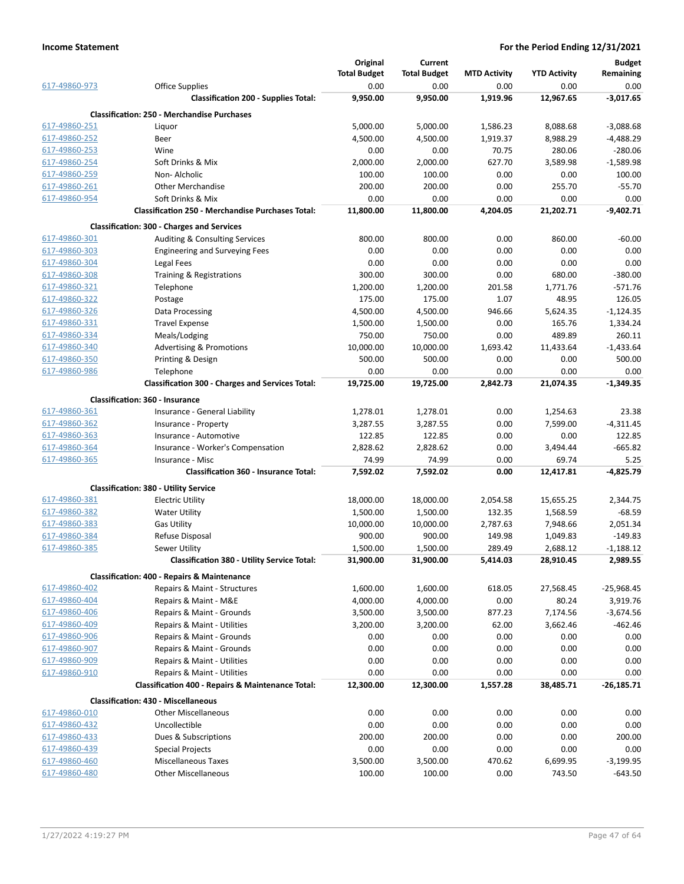|               |                                                          | Original            | <b>Current</b>      |                     |                     | <b>Budget</b> |
|---------------|----------------------------------------------------------|---------------------|---------------------|---------------------|---------------------|---------------|
|               |                                                          | <b>Total Budget</b> | <b>Total Budget</b> | <b>MTD Activity</b> | <b>YTD Activity</b> | Remaining     |
| 617-49860-973 | <b>Office Supplies</b>                                   | 0.00                | 0.00                | 0.00                | 0.00                | 0.00          |
|               | <b>Classification 200 - Supplies Total:</b>              | 9,950.00            | 9,950.00            | 1,919.96            | 12,967.65           | $-3,017.65$   |
|               | <b>Classification: 250 - Merchandise Purchases</b>       |                     |                     |                     |                     |               |
| 617-49860-251 | Liquor                                                   | 5,000.00            | 5,000.00            | 1,586.23            | 8,088.68            | $-3,088.68$   |
| 617-49860-252 | Beer                                                     | 4,500.00            | 4,500.00            | 1,919.37            | 8,988.29            | $-4,488.29$   |
| 617-49860-253 | Wine                                                     | 0.00                | 0.00                | 70.75               | 280.06              | $-280.06$     |
| 617-49860-254 | Soft Drinks & Mix                                        | 2,000.00            | 2,000.00            | 627.70              | 3,589.98            | $-1,589.98$   |
| 617-49860-259 | Non-Alcholic                                             | 100.00              | 100.00              | 0.00                | 0.00                | 100.00        |
| 617-49860-261 | <b>Other Merchandise</b>                                 | 200.00              | 200.00              | 0.00                | 255.70              | $-55.70$      |
| 617-49860-954 | Soft Drinks & Mix                                        | 0.00                | 0.00                | 0.00                | 0.00                | 0.00          |
|               | <b>Classification 250 - Merchandise Purchases Total:</b> | 11,800.00           | 11,800.00           | 4,204.05            | 21,202.71           | $-9,402.71$   |
|               | <b>Classification: 300 - Charges and Services</b>        |                     |                     |                     |                     |               |
| 617-49860-301 | Auditing & Consulting Services                           | 800.00              | 800.00              | 0.00                | 860.00              | $-60.00$      |
| 617-49860-303 | <b>Engineering and Surveying Fees</b>                    | 0.00                | 0.00                | 0.00                | 0.00                | 0.00          |
| 617-49860-304 | Legal Fees                                               | 0.00                | 0.00                | 0.00                | 0.00                | 0.00          |
| 617-49860-308 | Training & Registrations                                 | 300.00              | 300.00              | 0.00                | 680.00              | $-380.00$     |
| 617-49860-321 | Telephone                                                | 1,200.00            | 1,200.00            | 201.58              | 1,771.76            | $-571.76$     |
| 617-49860-322 | Postage                                                  | 175.00              | 175.00              | 1.07                | 48.95               | 126.05        |
| 617-49860-326 | Data Processing                                          |                     |                     |                     |                     |               |
|               |                                                          | 4,500.00            | 4,500.00            | 946.66              | 5,624.35            | $-1,124.35$   |
| 617-49860-331 | <b>Travel Expense</b>                                    | 1,500.00            | 1,500.00            | 0.00                | 165.76              | 1,334.24      |
| 617-49860-334 | Meals/Lodging                                            | 750.00              | 750.00              | 0.00                | 489.89              | 260.11        |
| 617-49860-340 | <b>Advertising &amp; Promotions</b>                      | 10,000.00           | 10,000.00           | 1,693.42            | 11,433.64           | $-1,433.64$   |
| 617-49860-350 | Printing & Design                                        | 500.00              | 500.00              | 0.00                | 0.00                | 500.00        |
| 617-49860-986 | Telephone                                                | 0.00                | 0.00                | 0.00                | 0.00                | 0.00          |
|               | <b>Classification 300 - Charges and Services Total:</b>  | 19,725.00           | 19,725.00           | 2,842.73            | 21,074.35           | $-1,349.35$   |
|               | Classification: 360 - Insurance                          |                     |                     |                     |                     |               |
| 617-49860-361 | Insurance - General Liability                            | 1,278.01            | 1,278.01            | 0.00                | 1,254.63            | 23.38         |
| 617-49860-362 | Insurance - Property                                     | 3,287.55            | 3,287.55            | 0.00                | 7,599.00            | $-4,311.45$   |
| 617-49860-363 | Insurance - Automotive                                   | 122.85              | 122.85              | 0.00                | 0.00                | 122.85        |
| 617-49860-364 | Insurance - Worker's Compensation                        | 2,828.62            | 2,828.62            | 0.00                | 3,494.44            | $-665.82$     |
| 617-49860-365 | Insurance - Misc                                         | 74.99               | 74.99               | 0.00                | 69.74               | 5.25          |
|               | Classification 360 - Insurance Total:                    | 7,592.02            | 7,592.02            | 0.00                | 12,417.81           | $-4,825.79$   |
|               | <b>Classification: 380 - Utility Service</b>             |                     |                     |                     |                     |               |
| 617-49860-381 | <b>Electric Utility</b>                                  | 18,000.00           | 18,000.00           | 2,054.58            | 15,655.25           | 2,344.75      |
| 617-49860-382 | <b>Water Utility</b>                                     | 1,500.00            | 1,500.00            | 132.35              | 1,568.59            | -68.59        |
| 617-49860-383 | <b>Gas Utility</b>                                       | 10,000.00           | 10,000.00           | 2,787.63            | 7,948.66            | 2,051.34      |
| 617-49860-384 | Refuse Disposal                                          | 900.00              | 900.00              | 149.98              | 1,049.83            | $-149.83$     |
| 617-49860-385 | Sewer Utility                                            | 1,500.00            | 1,500.00            | 289.49              | 2,688.12            | $-1,188.12$   |
|               | Classification 380 - Utility Service Total:              | 31,900.00           | 31,900.00           | 5,414.03            | 28,910.45           | 2,989.55      |
|               | <b>Classification: 400 - Repairs &amp; Maintenance</b>   |                     |                     |                     |                     |               |
| 617-49860-402 | Repairs & Maint - Structures                             | 1,600.00            | 1,600.00            | 618.05              | 27,568.45           | $-25,968.45$  |
| 617-49860-404 | Repairs & Maint - M&E                                    | 4,000.00            | 4,000.00            | 0.00                | 80.24               | 3,919.76      |
| 617-49860-406 | Repairs & Maint - Grounds                                | 3,500.00            | 3,500.00            | 877.23              | 7,174.56            | $-3,674.56$   |
| 617-49860-409 | Repairs & Maint - Utilities                              | 3,200.00            | 3,200.00            | 62.00               | 3,662.46            | $-462.46$     |
| 617-49860-906 | Repairs & Maint - Grounds                                | 0.00                | 0.00                | 0.00                | 0.00                | 0.00          |
| 617-49860-907 | Repairs & Maint - Grounds                                | 0.00                | 0.00                | 0.00                | 0.00                | 0.00          |
| 617-49860-909 | Repairs & Maint - Utilities                              | 0.00                | 0.00                | 0.00                | 0.00                | 0.00          |
| 617-49860-910 | Repairs & Maint - Utilities                              | 0.00                | 0.00                | 0.00                | 0.00                | 0.00          |
|               | Classification 400 - Repairs & Maintenance Total:        | 12,300.00           | 12,300.00           | 1,557.28            | 38,485.71           | $-26,185.71$  |
|               | <b>Classification: 430 - Miscellaneous</b>               |                     |                     |                     |                     |               |
| 617-49860-010 | <b>Other Miscellaneous</b>                               | 0.00                | 0.00                | 0.00                | 0.00                | 0.00          |
| 617-49860-432 | Uncollectible                                            | 0.00                | 0.00                | 0.00                | 0.00                | 0.00          |
| 617-49860-433 | Dues & Subscriptions                                     | 200.00              | 200.00              | 0.00                | 0.00                | 200.00        |
| 617-49860-439 | <b>Special Projects</b>                                  | 0.00                | 0.00                | 0.00                | 0.00                | 0.00          |
| 617-49860-460 | <b>Miscellaneous Taxes</b>                               | 3,500.00            | 3,500.00            | 470.62              |                     | $-3,199.95$   |
|               |                                                          |                     |                     |                     | 6,699.95            |               |
| 617-49860-480 | <b>Other Miscellaneous</b>                               | 100.00              | 100.00              | 0.00                | 743.50              | $-643.50$     |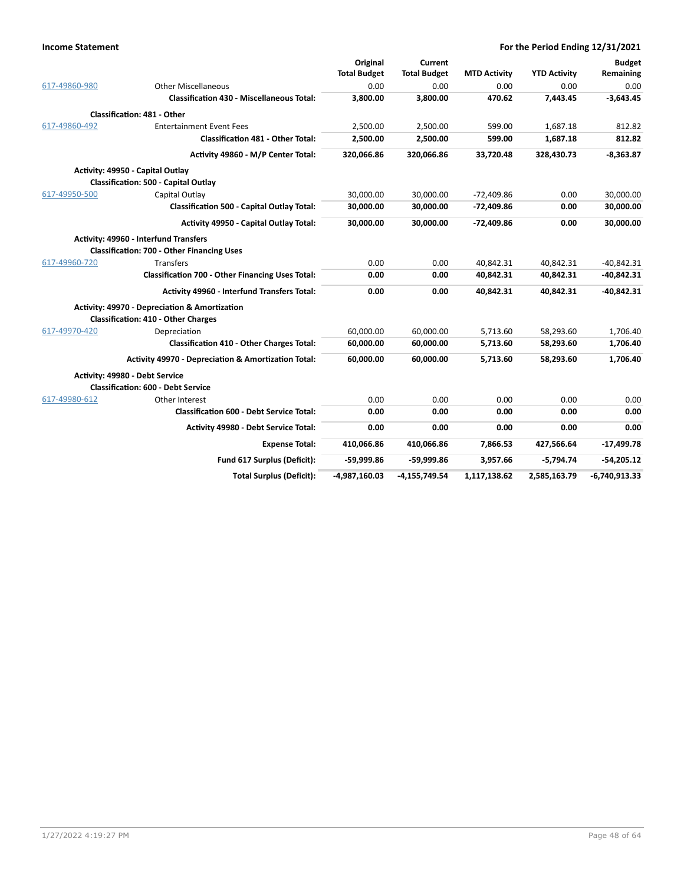|               |                                                         | Original            | Current             |                     |                     | <b>Budget</b>   |
|---------------|---------------------------------------------------------|---------------------|---------------------|---------------------|---------------------|-----------------|
|               |                                                         | <b>Total Budget</b> | <b>Total Budget</b> | <b>MTD Activity</b> | <b>YTD Activity</b> | Remaining       |
| 617-49860-980 | <b>Other Miscellaneous</b>                              | 0.00                | 0.00                | 0.00                | 0.00                | 0.00            |
|               | <b>Classification 430 - Miscellaneous Total:</b>        | 3,800.00            | 3,800.00            | 470.62              | 7,443.45            | $-3,643.45$     |
|               | <b>Classification: 481 - Other</b>                      |                     |                     |                     |                     |                 |
| 617-49860-492 | <b>Entertainment Event Fees</b>                         | 2,500.00            | 2,500.00            | 599.00              | 1,687.18            | 812.82          |
|               | <b>Classification 481 - Other Total:</b>                | 2,500.00            | 2,500.00            | 599.00              | 1,687.18            | 812.82          |
|               | Activity 49860 - M/P Center Total:                      | 320,066.86          | 320,066.86          | 33,720.48           | 328,430.73          | $-8,363.87$     |
|               | Activity: 49950 - Capital Outlay                        |                     |                     |                     |                     |                 |
|               | <b>Classification: 500 - Capital Outlay</b>             |                     |                     |                     |                     |                 |
| 617-49950-500 | Capital Outlay                                          | 30,000.00           | 30,000.00           | $-72,409.86$        | 0.00                | 30,000.00       |
|               | <b>Classification 500 - Capital Outlay Total:</b>       | 30,000.00           | 30,000.00           | $-72,409.86$        | 0.00                | 30,000.00       |
|               | Activity 49950 - Capital Outlay Total:                  | 30,000.00           | 30,000.00           | $-72,409.86$        | 0.00                | 30,000.00       |
|               | Activity: 49960 - Interfund Transfers                   |                     |                     |                     |                     |                 |
|               | <b>Classification: 700 - Other Financing Uses</b>       |                     |                     |                     |                     |                 |
| 617-49960-720 | <b>Transfers</b>                                        | 0.00                | 0.00                | 40,842.31           | 40,842.31           | $-40,842.31$    |
|               | <b>Classification 700 - Other Financing Uses Total:</b> | 0.00                | 0.00                | 40,842.31           | 40,842.31           | -40,842.31      |
|               | Activity 49960 - Interfund Transfers Total:             | 0.00                | 0.00                | 40,842.31           | 40.842.31           | -40,842.31      |
|               | Activity: 49970 - Depreciation & Amortization           |                     |                     |                     |                     |                 |
|               | <b>Classification: 410 - Other Charges</b>              |                     |                     |                     |                     |                 |
| 617-49970-420 | Depreciation                                            | 60,000.00           | 60,000.00           | 5,713.60            | 58,293.60           | 1,706.40        |
|               | <b>Classification 410 - Other Charges Total:</b>        | 60,000.00           | 60,000.00           | 5,713.60            | 58,293.60           | 1,706.40        |
|               | Activity 49970 - Depreciation & Amortization Total:     | 60,000.00           | 60,000.00           | 5,713.60            | 58,293.60           | 1,706.40        |
|               | Activity: 49980 - Debt Service                          |                     |                     |                     |                     |                 |
|               | <b>Classification: 600 - Debt Service</b>               |                     |                     |                     |                     |                 |
| 617-49980-612 | Other Interest                                          | 0.00                | 0.00                | 0.00                | 0.00                | 0.00            |
|               | <b>Classification 600 - Debt Service Total:</b>         | 0.00                | 0.00                | 0.00                | 0.00                | 0.00            |
|               | Activity 49980 - Debt Service Total:                    | 0.00                | 0.00                | 0.00                | 0.00                | 0.00            |
|               | <b>Expense Total:</b>                                   | 410,066.86          | 410,066.86          | 7,866.53            | 427,566.64          | $-17,499.78$    |
|               | Fund 617 Surplus (Deficit):                             | -59,999.86          | -59,999.86          | 3,957.66            | $-5.794.74$         | $-54,205.12$    |
|               | <b>Total Surplus (Deficit):</b>                         | -4,987,160.03       | $-4,155,749.54$     | 1,117,138.62        | 2,585,163.79        | $-6,740,913.33$ |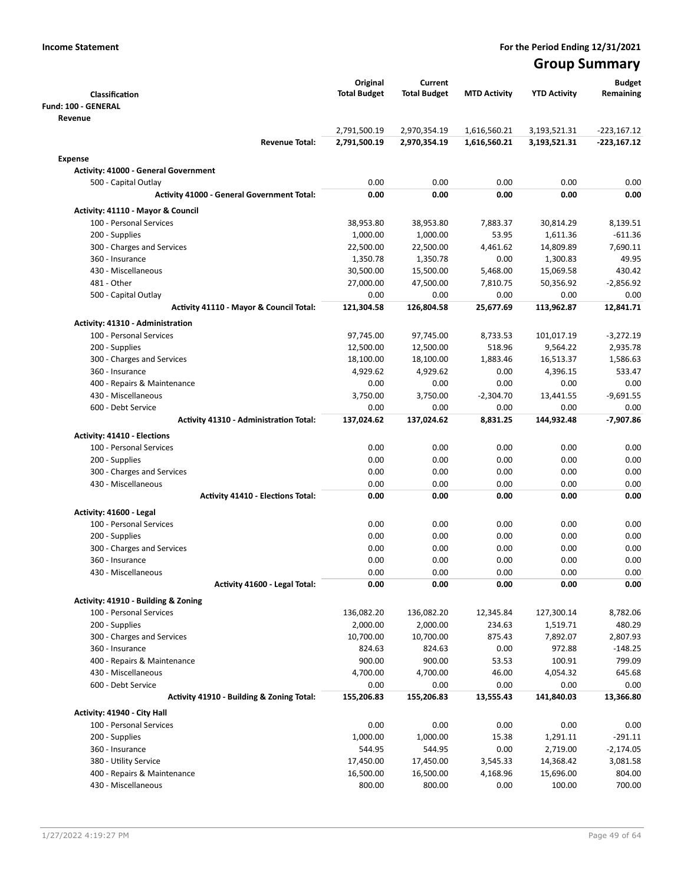# Group Summary

|                                                                    | Original            | Current             |                     |                        | <b>Budget</b> |
|--------------------------------------------------------------------|---------------------|---------------------|---------------------|------------------------|---------------|
| Classification                                                     | <b>Total Budget</b> | <b>Total Budget</b> | <b>MTD Activity</b> | <b>YTD Activity</b>    | Remaining     |
| Fund: 100 - GENERAL                                                |                     |                     |                     |                        |               |
| Revenue                                                            |                     |                     |                     |                        |               |
|                                                                    | 2,791,500.19        | 2,970,354.19        | 1,616,560.21        | 3,193,521.31           | $-223,167.12$ |
| <b>Revenue Total:</b>                                              | 2,791,500.19        | 2,970,354.19        | 1,616,560.21        | 3,193,521.31           | $-223,167.12$ |
| <b>Expense</b>                                                     |                     |                     |                     |                        |               |
| <b>Activity: 41000 - General Government</b>                        |                     |                     |                     |                        |               |
| 500 - Capital Outlay                                               | 0.00                | 0.00                | 0.00                | 0.00                   | 0.00          |
| <b>Activity 41000 - General Government Total:</b>                  | 0.00                | 0.00                | 0.00                | 0.00                   | 0.00          |
| Activity: 41110 - Mayor & Council                                  |                     |                     |                     |                        |               |
| 100 - Personal Services                                            | 38,953.80           | 38,953.80           | 7,883.37            | 30,814.29              | 8,139.51      |
| 200 - Supplies                                                     | 1,000.00            | 1,000.00            | 53.95               | 1,611.36               | $-611.36$     |
| 300 - Charges and Services                                         | 22,500.00           | 22,500.00           | 4,461.62            | 14,809.89              | 7,690.11      |
| 360 - Insurance                                                    | 1,350.78            | 1,350.78            | 0.00                | 1,300.83               | 49.95         |
| 430 - Miscellaneous                                                | 30,500.00           | 15,500.00           | 5,468.00            | 15,069.58              | 430.42        |
| 481 - Other                                                        | 27,000.00           | 47,500.00           | 7,810.75            | 50,356.92              | $-2,856.92$   |
| 500 - Capital Outlay                                               | 0.00                | 0.00                | 0.00                | 0.00                   | 0.00          |
| Activity 41110 - Mayor & Council Total:                            | 121,304.58          | 126,804.58          | 25,677.69           | 113,962.87             | 12,841.71     |
|                                                                    |                     |                     |                     |                        |               |
| <b>Activity: 41310 - Administration</b><br>100 - Personal Services |                     | 97,745.00           |                     |                        | $-3,272.19$   |
|                                                                    | 97,745.00           |                     | 8,733.53<br>518.96  | 101,017.19<br>9,564.22 | 2,935.78      |
| 200 - Supplies                                                     | 12,500.00           | 12,500.00           |                     |                        | 1,586.63      |
| 300 - Charges and Services                                         | 18,100.00           | 18,100.00           | 1,883.46            | 16,513.37              |               |
| 360 - Insurance                                                    | 4,929.62            | 4,929.62            | 0.00                | 4,396.15               | 533.47        |
| 400 - Repairs & Maintenance                                        | 0.00                | 0.00                | 0.00<br>$-2,304.70$ | 0.00                   | 0.00          |
| 430 - Miscellaneous                                                | 3,750.00            | 3,750.00            |                     | 13,441.55              | $-9,691.55$   |
| 600 - Debt Service                                                 | 0.00                | 0.00                | 0.00                | 0.00                   | 0.00          |
| <b>Activity 41310 - Administration Total:</b>                      | 137,024.62          | 137,024.62          | 8,831.25            | 144,932.48             | $-7,907.86$   |
| <b>Activity: 41410 - Elections</b>                                 |                     |                     |                     |                        |               |
| 100 - Personal Services                                            | 0.00                | 0.00                | 0.00                | 0.00                   | 0.00          |
| 200 - Supplies                                                     | 0.00                | 0.00                | 0.00                | 0.00                   | 0.00          |
| 300 - Charges and Services                                         | 0.00                | 0.00                | 0.00                | 0.00                   | 0.00          |
| 430 - Miscellaneous                                                | 0.00                | 0.00                | 0.00                | 0.00                   | 0.00          |
| <b>Activity 41410 - Elections Total:</b>                           | 0.00                | 0.00                | 0.00                | 0.00                   | 0.00          |
| Activity: 41600 - Legal                                            |                     |                     |                     |                        |               |
| 100 - Personal Services                                            | 0.00                | 0.00                | 0.00                | 0.00                   | 0.00          |
| 200 - Supplies                                                     | 0.00                | 0.00                | 0.00                | 0.00                   | 0.00          |
| 300 - Charges and Services                                         | 0.00                | 0.00                | 0.00                | 0.00                   | 0.00          |
| 360 - Insurance                                                    | 0.00                | 0.00                | 0.00                | 0.00                   | 0.00          |
| 430 - Miscellaneous                                                | 0.00                | 0.00                | 0.00                | 0.00                   | 0.00          |
| Activity 41600 - Legal Total:                                      | 0.00                | 0.00                | 0.00                | 0.00                   | 0.00          |
| Activity: 41910 - Building & Zoning                                |                     |                     |                     |                        |               |
| 100 - Personal Services                                            | 136,082.20          | 136,082.20          | 12,345.84           | 127,300.14             | 8,782.06      |
| 200 - Supplies                                                     | 2,000.00            | 2,000.00            | 234.63              | 1,519.71               | 480.29        |
| 300 - Charges and Services                                         | 10,700.00           | 10,700.00           | 875.43              | 7,892.07               | 2,807.93      |
| 360 - Insurance                                                    | 824.63              | 824.63              | 0.00                | 972.88                 | $-148.25$     |
| 400 - Repairs & Maintenance                                        | 900.00              | 900.00              | 53.53               | 100.91                 | 799.09        |
| 430 - Miscellaneous                                                | 4,700.00            | 4,700.00            | 46.00               | 4,054.32               | 645.68        |
| 600 - Debt Service                                                 | 0.00                | 0.00                | 0.00                | 0.00                   | 0.00          |
| Activity 41910 - Building & Zoning Total:                          | 155,206.83          | 155,206.83          | 13,555.43           | 141,840.03             | 13,366.80     |
|                                                                    |                     |                     |                     |                        |               |
| Activity: 41940 - City Hall                                        |                     |                     |                     |                        |               |
| 100 - Personal Services                                            | 0.00                | 0.00                | 0.00                | 0.00                   | 0.00          |
| 200 - Supplies                                                     | 1,000.00            | 1,000.00            | 15.38               | 1,291.11               | $-291.11$     |
| 360 - Insurance                                                    | 544.95              | 544.95              | 0.00                | 2,719.00               | $-2,174.05$   |
| 380 - Utility Service                                              | 17,450.00           | 17,450.00           | 3,545.33            | 14,368.42              | 3,081.58      |
| 400 - Repairs & Maintenance                                        | 16,500.00           | 16,500.00           | 4,168.96            | 15,696.00              | 804.00        |
| 430 - Miscellaneous                                                | 800.00              | 800.00              | 0.00                | 100.00                 | 700.00        |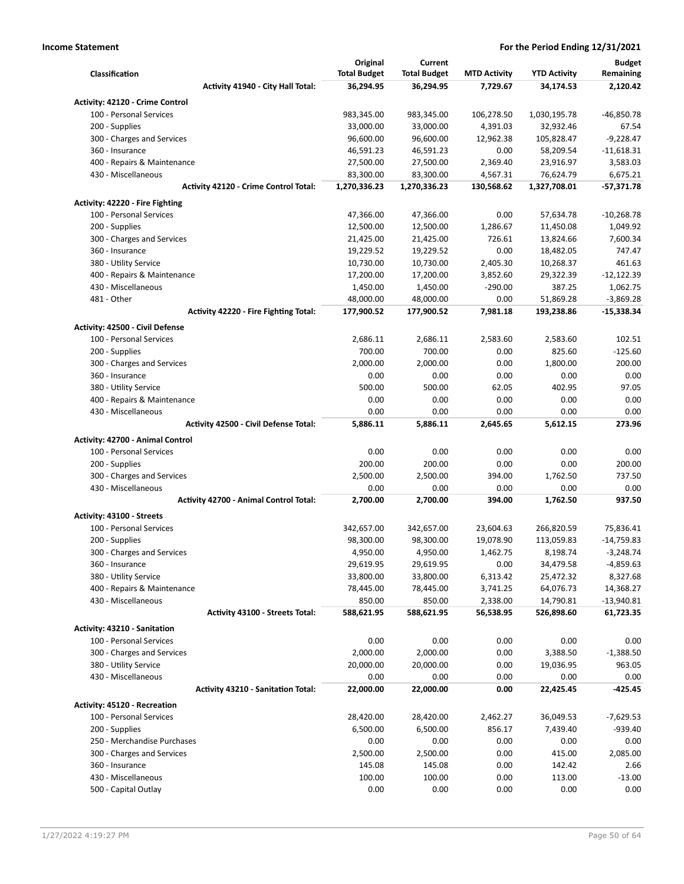|                                                                      | Original            | Current             |                     |                     | <b>Budget</b>  |
|----------------------------------------------------------------------|---------------------|---------------------|---------------------|---------------------|----------------|
| Classification                                                       | <b>Total Budget</b> | <b>Total Budget</b> | <b>MTD Activity</b> | <b>YTD Activity</b> | Remaining      |
| Activity 41940 - City Hall Total:                                    | 36,294.95           | 36,294.95           | 7,729.67            | 34,174.53           | 2,120.42       |
| Activity: 42120 - Crime Control                                      |                     |                     |                     |                     |                |
| 100 - Personal Services                                              | 983,345.00          | 983,345.00          | 106,278.50          | 1,030,195.78        | $-46,850.78$   |
| 200 - Supplies                                                       | 33,000.00           | 33,000.00           | 4,391.03            | 32,932.46           | 67.54          |
| 300 - Charges and Services                                           | 96,600.00           | 96,600.00           | 12,962.38           | 105,828.47          | $-9,228.47$    |
| 360 - Insurance                                                      | 46,591.23           | 46,591.23           | 0.00                | 58,209.54           | $-11,618.31$   |
| 400 - Repairs & Maintenance                                          | 27,500.00           | 27,500.00           | 2,369.40            | 23,916.97           | 3,583.03       |
| 430 - Miscellaneous                                                  | 83,300.00           | 83,300.00           | 4,567.31            | 76,624.79           | 6,675.21       |
| <b>Activity 42120 - Crime Control Total:</b>                         | 1,270,336.23        | 1,270,336.23        | 130,568.62          | 1,327,708.01        | -57,371.78     |
| Activity: 42220 - Fire Fighting                                      |                     |                     |                     |                     |                |
| 100 - Personal Services                                              | 47,366.00           | 47,366.00           | 0.00                | 57,634.78           | $-10,268.78$   |
| 200 - Supplies                                                       | 12,500.00           | 12,500.00           | 1,286.67            | 11,450.08           | 1,049.92       |
| 300 - Charges and Services                                           | 21,425.00           | 21,425.00           | 726.61              | 13,824.66           | 7,600.34       |
| 360 - Insurance                                                      | 19,229.52           | 19,229.52           | 0.00                | 18,482.05           | 747.47         |
| 380 - Utility Service                                                | 10,730.00           | 10,730.00           | 2,405.30            | 10,268.37           | 461.63         |
| 400 - Repairs & Maintenance                                          | 17,200.00           | 17,200.00           | 3,852.60            | 29,322.39           | $-12,122.39$   |
| 430 - Miscellaneous                                                  | 1,450.00            | 1,450.00            | $-290.00$           | 387.25              | 1,062.75       |
| 481 - Other                                                          | 48,000.00           | 48,000.00           | 0.00                | 51,869.28           | $-3,869.28$    |
| <b>Activity 42220 - Fire Fighting Total:</b>                         | 177,900.52          | 177,900.52          | 7,981.18            | 193,238.86          | $-15,338.34$   |
| Activity: 42500 - Civil Defense                                      |                     |                     |                     |                     |                |
| 100 - Personal Services                                              | 2,686.11            | 2,686.11            | 2,583.60            | 2,583.60            | 102.51         |
| 200 - Supplies                                                       | 700.00              | 700.00              | 0.00                | 825.60              | $-125.60$      |
| 300 - Charges and Services                                           | 2,000.00            | 2,000.00            | 0.00                | 1,800.00            | 200.00         |
| 360 - Insurance                                                      | 0.00                | 0.00                | 0.00                | 0.00                | 0.00           |
| 380 - Utility Service                                                | 500.00              | 500.00              | 62.05               | 402.95              | 97.05          |
| 400 - Repairs & Maintenance                                          | 0.00                | 0.00                | 0.00                | 0.00                | 0.00           |
| 430 - Miscellaneous                                                  | 0.00                | 0.00                | 0.00                | 0.00                | 0.00           |
| <b>Activity 42500 - Civil Defense Total:</b>                         | 5,886.11            | 5,886.11            | 2,645.65            | 5,612.15            | 273.96         |
|                                                                      |                     |                     |                     |                     |                |
| <b>Activity: 42700 - Animal Control</b>                              |                     |                     |                     |                     |                |
| 100 - Personal Services                                              | 0.00                | 0.00                | 0.00                | 0.00                | 0.00           |
| 200 - Supplies                                                       | 200.00              | 200.00              | 0.00                | 0.00                | 200.00         |
| 300 - Charges and Services                                           | 2,500.00            | 2,500.00            | 394.00              | 1,762.50            | 737.50         |
| 430 - Miscellaneous<br><b>Activity 42700 - Animal Control Total:</b> | 0.00<br>2,700.00    | 0.00<br>2,700.00    | 0.00<br>394.00      | 0.00<br>1,762.50    | 0.00<br>937.50 |
|                                                                      |                     |                     |                     |                     |                |
| Activity: 43100 - Streets                                            |                     |                     |                     |                     |                |
| 100 - Personal Services                                              | 342,657.00          | 342,657.00          | 23,604.63           | 266,820.59          | 75,836.41      |
| 200 - Supplies                                                       | 98,300.00           | 98,300.00           | 19,078.90           | 113,059.83          | $-14,759.83$   |
| 300 - Charges and Services                                           | 4,950.00            | 4,950.00            | 1,462.75            | 8,198.74            | $-3,248.74$    |
| 360 - Insurance                                                      | 29,619.95           | 29,619.95           | 0.00                | 34,479.58           | $-4,859.63$    |
| 380 - Utility Service                                                | 33,800.00           | 33,800.00           | 6,313.42            | 25,472.32           | 8,327.68       |
| 400 - Repairs & Maintenance                                          | 78,445.00           | 78,445.00           | 3,741.25            | 64,076.73           | 14,368.27      |
| 430 - Miscellaneous                                                  | 850.00              | 850.00              | 2,338.00            | 14,790.81           | $-13,940.81$   |
| <b>Activity 43100 - Streets Total:</b>                               | 588,621.95          | 588,621.95          | 56,538.95           | 526,898.60          | 61,723.35      |
| Activity: 43210 - Sanitation                                         |                     |                     |                     |                     |                |
| 100 - Personal Services                                              | 0.00                | 0.00                | 0.00                | 0.00                | 0.00           |
| 300 - Charges and Services                                           | 2,000.00            | 2,000.00            | 0.00                | 3,388.50            | $-1,388.50$    |
| 380 - Utility Service                                                | 20,000.00           | 20,000.00           | 0.00                | 19,036.95           | 963.05         |
| 430 - Miscellaneous                                                  | 0.00                | 0.00                | 0.00                | 0.00                | 0.00           |
| <b>Activity 43210 - Sanitation Total:</b>                            | 22,000.00           | 22,000.00           | 0.00                | 22,425.45           | $-425.45$      |
| Activity: 45120 - Recreation                                         |                     |                     |                     |                     |                |
| 100 - Personal Services                                              | 28,420.00           | 28,420.00           | 2,462.27            | 36,049.53           | $-7,629.53$    |
| 200 - Supplies                                                       | 6,500.00            | 6,500.00            | 856.17              | 7,439.40            | $-939.40$      |
| 250 - Merchandise Purchases                                          | 0.00                | 0.00                | 0.00                | 0.00                | 0.00           |
| 300 - Charges and Services                                           | 2,500.00            | 2,500.00            | 0.00                | 415.00              | 2,085.00       |
| 360 - Insurance                                                      | 145.08              | 145.08              | 0.00                | 142.42              | 2.66           |
| 430 - Miscellaneous                                                  | 100.00              | 100.00              | 0.00                | 113.00              | $-13.00$       |
| 500 - Capital Outlay                                                 | 0.00                | 0.00                | 0.00                | 0.00                | 0.00           |
|                                                                      |                     |                     |                     |                     |                |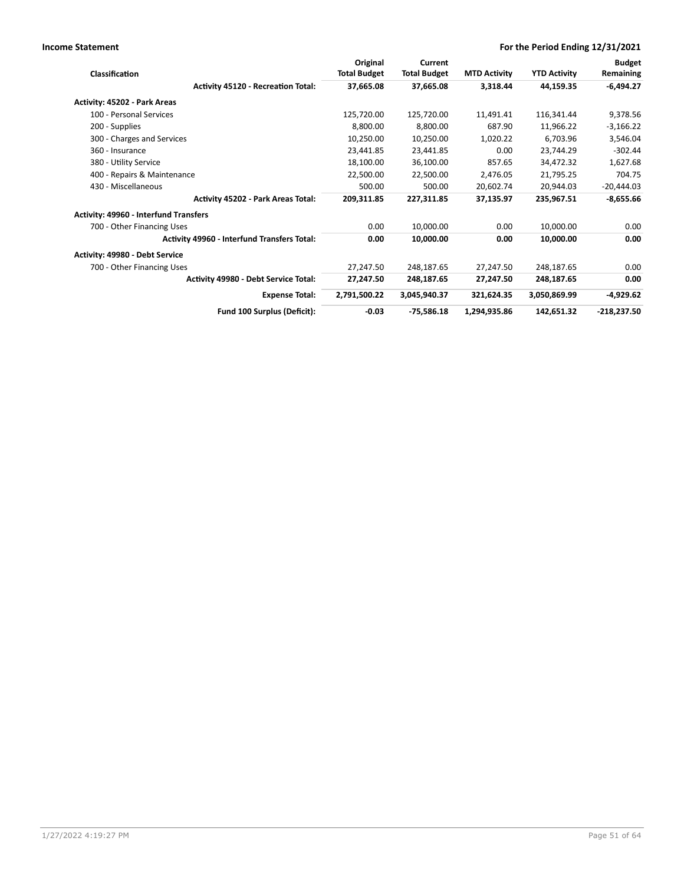| <b>Classification</b>                              | Original<br><b>Total Budget</b> | Current<br><b>Total Budget</b> | <b>MTD Activity</b> | <b>YTD Activity</b> | <b>Budget</b><br>Remaining |
|----------------------------------------------------|---------------------------------|--------------------------------|---------------------|---------------------|----------------------------|
| <b>Activity 45120 - Recreation Total:</b>          | 37,665.08                       | 37,665.08                      | 3,318.44            | 44,159.35           | $-6,494.27$                |
| Activity: 45202 - Park Areas                       |                                 |                                |                     |                     |                            |
| 100 - Personal Services                            | 125,720.00                      | 125,720.00                     | 11,491.41           | 116,341.44          | 9,378.56                   |
| 200 - Supplies                                     | 8,800.00                        | 8,800.00                       | 687.90              | 11,966.22           | $-3,166.22$                |
| 300 - Charges and Services                         | 10,250.00                       | 10,250.00                      | 1,020.22            | 6,703.96            | 3,546.04                   |
| 360 - Insurance                                    | 23,441.85                       | 23,441.85                      | 0.00                | 23,744.29           | $-302.44$                  |
| 380 - Utility Service                              | 18,100.00                       | 36,100.00                      | 857.65              | 34,472.32           | 1,627.68                   |
| 400 - Repairs & Maintenance                        | 22,500.00                       | 22,500.00                      | 2,476.05            | 21,795.25           | 704.75                     |
| 430 - Miscellaneous                                | 500.00                          | 500.00                         | 20,602.74           | 20,944.03           | $-20,444.03$               |
| <b>Activity 45202 - Park Areas Total:</b>          | 209,311.85                      | 227,311.85                     | 37,135.97           | 235,967.51          | $-8,655.66$                |
| Activity: 49960 - Interfund Transfers              |                                 |                                |                     |                     |                            |
| 700 - Other Financing Uses                         | 0.00                            | 10,000.00                      | 0.00                | 10,000.00           | 0.00                       |
| <b>Activity 49960 - Interfund Transfers Total:</b> | 0.00                            | 10,000.00                      | 0.00                | 10,000.00           | 0.00                       |
| Activity: 49980 - Debt Service                     |                                 |                                |                     |                     |                            |
| 700 - Other Financing Uses                         | 27,247.50                       | 248,187.65                     | 27,247.50           | 248,187.65          | 0.00                       |
| Activity 49980 - Debt Service Total:               | 27,247.50                       | 248,187.65                     | 27,247.50           | 248,187.65          | 0.00                       |
| <b>Expense Total:</b>                              | 2,791,500.22                    | 3,045,940.37                   | 321,624.35          | 3,050,869.99        | $-4,929.62$                |
| Fund 100 Surplus (Deficit):                        | $-0.03$                         | -75,586.18                     | 1,294,935.86        | 142,651.32          | $-218,237.50$              |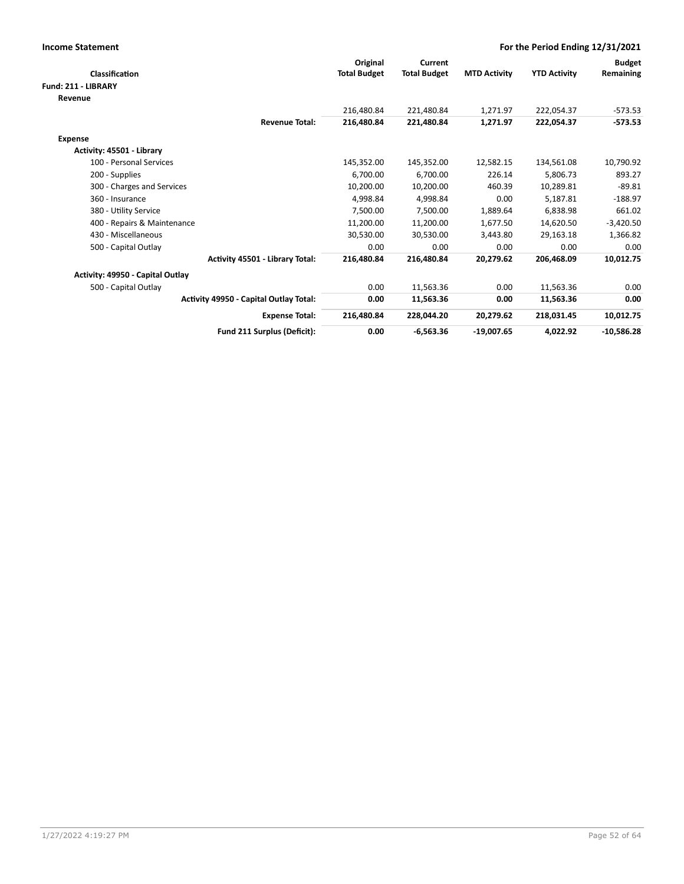| <b>Income Statement</b>                |                                 |                     |                     |                     | For the Period Ending 12/31/2021 |               |
|----------------------------------------|---------------------------------|---------------------|---------------------|---------------------|----------------------------------|---------------|
|                                        |                                 | Original            | Current             |                     |                                  | <b>Budget</b> |
| Classification                         |                                 | <b>Total Budget</b> | <b>Total Budget</b> | <b>MTD Activity</b> | <b>YTD Activity</b>              | Remaining     |
| Fund: 211 - LIBRARY                    |                                 |                     |                     |                     |                                  |               |
| Revenue                                |                                 |                     |                     |                     |                                  |               |
|                                        |                                 | 216,480.84          | 221,480.84          | 1,271.97            | 222,054.37                       | $-573.53$     |
|                                        | <b>Revenue Total:</b>           | 216,480.84          | 221.480.84          | 1,271.97            | 222,054.37                       | $-573.53$     |
| <b>Expense</b>                         |                                 |                     |                     |                     |                                  |               |
| Activity: 45501 - Library              |                                 |                     |                     |                     |                                  |               |
| 100 - Personal Services                |                                 | 145,352.00          | 145,352.00          | 12,582.15           | 134,561.08                       | 10,790.92     |
| 200 - Supplies                         |                                 | 6.700.00            | 6,700.00            | 226.14              | 5,806.73                         | 893.27        |
| 300 - Charges and Services             |                                 | 10,200.00           | 10,200.00           | 460.39              | 10,289.81                        | $-89.81$      |
| 360 - Insurance                        |                                 | 4,998.84            | 4,998.84            | 0.00                | 5,187.81                         | $-188.97$     |
| 380 - Utility Service                  |                                 | 7,500.00            | 7,500.00            | 1,889.64            | 6,838.98                         | 661.02        |
| 400 - Repairs & Maintenance            |                                 | 11,200.00           | 11,200.00           | 1,677.50            | 14,620.50                        | $-3,420.50$   |
| 430 - Miscellaneous                    |                                 | 30,530.00           | 30,530.00           | 3,443.80            | 29,163.18                        | 1,366.82      |
| 500 - Capital Outlay                   |                                 | 0.00                | 0.00                | 0.00                | 0.00                             | 0.00          |
|                                        | Activity 45501 - Library Total: | 216,480.84          | 216,480.84          | 20,279.62           | 206,468.09                       | 10,012.75     |
| Activity: 49950 - Capital Outlay       |                                 |                     |                     |                     |                                  |               |
| 500 - Capital Outlay                   |                                 | 0.00                | 11,563.36           | 0.00                | 11,563.36                        | 0.00          |
| Activity 49950 - Capital Outlay Total: |                                 | 0.00                | 11,563.36           | 0.00                | 11,563.36                        | 0.00          |
|                                        | <b>Expense Total:</b>           | 216,480.84          | 228,044.20          | 20,279.62           | 218,031.45                       | 10,012.75     |
|                                        | Fund 211 Surplus (Deficit):     | 0.00                | $-6,563.36$         | $-19,007.65$        | 4,022.92                         | $-10,586.28$  |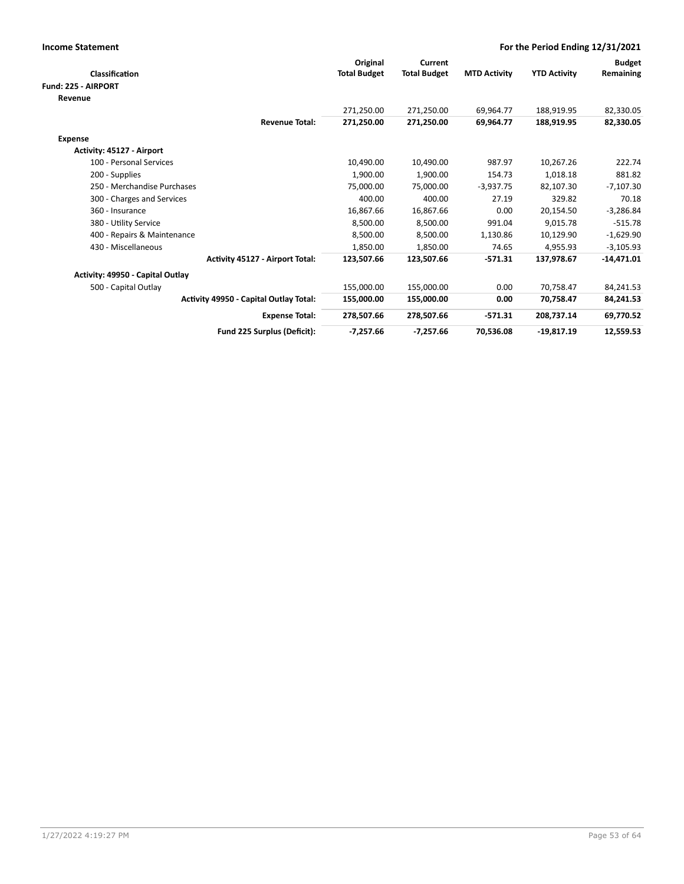| <b>Income Statement</b>                | For the Period Ending 12/31/2021 |                     |                     |                     |               |
|----------------------------------------|----------------------------------|---------------------|---------------------|---------------------|---------------|
|                                        | Original                         | Current             |                     |                     | <b>Budget</b> |
| <b>Classification</b>                  | <b>Total Budget</b>              | <b>Total Budget</b> | <b>MTD Activity</b> | <b>YTD Activity</b> | Remaining     |
| Fund: 225 - AIRPORT                    |                                  |                     |                     |                     |               |
| Revenue                                |                                  |                     |                     |                     |               |
|                                        | 271,250.00                       | 271,250.00          | 69,964.77           | 188,919.95          | 82,330.05     |
| <b>Revenue Total:</b>                  | 271,250.00                       | 271,250.00          | 69,964.77           | 188,919.95          | 82,330.05     |
| <b>Expense</b>                         |                                  |                     |                     |                     |               |
| Activity: 45127 - Airport              |                                  |                     |                     |                     |               |
| 100 - Personal Services                | 10,490.00                        | 10,490.00           | 987.97              | 10,267.26           | 222.74        |
| 200 - Supplies                         | 1,900.00                         | 1,900.00            | 154.73              | 1,018.18            | 881.82        |
| 250 - Merchandise Purchases            | 75,000.00                        | 75,000.00           | $-3,937.75$         | 82,107.30           | $-7,107.30$   |
| 300 - Charges and Services             | 400.00                           | 400.00              | 27.19               | 329.82              | 70.18         |
| 360 - Insurance                        | 16,867.66                        | 16,867.66           | 0.00                | 20,154.50           | $-3,286.84$   |
| 380 - Utility Service                  | 8,500.00                         | 8,500.00            | 991.04              | 9,015.78            | $-515.78$     |
| 400 - Repairs & Maintenance            | 8,500.00                         | 8,500.00            | 1,130.86            | 10,129.90           | $-1,629.90$   |
| 430 - Miscellaneous                    | 1,850.00                         | 1,850.00            | 74.65               | 4,955.93            | $-3,105.93$   |
| <b>Activity 45127 - Airport Total:</b> | 123,507.66                       | 123,507.66          | $-571.31$           | 137,978.67          | $-14,471.01$  |
| Activity: 49950 - Capital Outlay       |                                  |                     |                     |                     |               |
| 500 - Capital Outlay                   | 155.000.00                       | 155,000.00          | 0.00                | 70.758.47           | 84,241.53     |
| Activity 49950 - Capital Outlay Total: | 155,000.00                       | 155,000.00          | 0.00                | 70,758.47           | 84,241.53     |
| <b>Expense Total:</b>                  | 278,507.66                       | 278,507.66          | $-571.31$           | 208,737.14          | 69,770.52     |
| Fund 225 Surplus (Deficit):            | $-7,257.66$                      | $-7,257.66$         | 70,536.08           | $-19,817.19$        | 12,559.53     |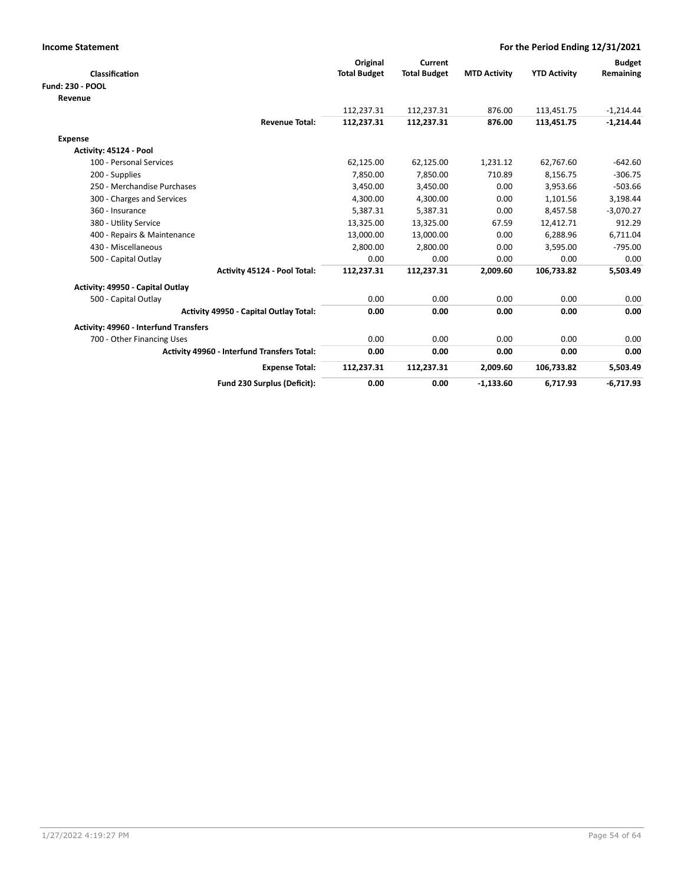| <b>Income Statement</b>                            |                     |                     |                     | For the Period Ending 12/31/2021 |               |
|----------------------------------------------------|---------------------|---------------------|---------------------|----------------------------------|---------------|
|                                                    | Original            | Current             |                     |                                  | <b>Budget</b> |
| Classification                                     | <b>Total Budget</b> | <b>Total Budget</b> | <b>MTD Activity</b> | <b>YTD Activity</b>              | Remaining     |
| <b>Fund: 230 - POOL</b>                            |                     |                     |                     |                                  |               |
| Revenue                                            |                     |                     |                     |                                  |               |
|                                                    | 112,237.31          | 112,237.31          | 876.00              | 113,451.75                       | $-1,214.44$   |
| <b>Revenue Total:</b>                              | 112,237.31          | 112,237.31          | 876.00              | 113,451.75                       | $-1,214.44$   |
| Expense                                            |                     |                     |                     |                                  |               |
| Activity: 45124 - Pool                             |                     |                     |                     |                                  |               |
| 100 - Personal Services                            | 62,125.00           | 62,125.00           | 1,231.12            | 62,767.60                        | $-642.60$     |
| 200 - Supplies                                     | 7,850.00            | 7,850.00            | 710.89              | 8,156.75                         | $-306.75$     |
| 250 - Merchandise Purchases                        | 3,450.00            | 3,450.00            | 0.00                | 3,953.66                         | $-503.66$     |
| 300 - Charges and Services                         | 4,300.00            | 4,300.00            | 0.00                | 1,101.56                         | 3,198.44      |
| 360 - Insurance                                    | 5,387.31            | 5,387.31            | 0.00                | 8,457.58                         | $-3,070.27$   |
| 380 - Utility Service                              | 13,325.00           | 13,325.00           | 67.59               | 12,412.71                        | 912.29        |
| 400 - Repairs & Maintenance                        | 13,000.00           | 13,000.00           | 0.00                | 6,288.96                         | 6,711.04      |
| 430 - Miscellaneous                                | 2,800.00            | 2,800.00            | 0.00                | 3,595.00                         | $-795.00$     |
| 500 - Capital Outlay                               | 0.00                | 0.00                | 0.00                | 0.00                             | 0.00          |
| Activity 45124 - Pool Total:                       | 112,237.31          | 112,237.31          | 2,009.60            | 106,733.82                       | 5,503.49      |
| Activity: 49950 - Capital Outlay                   |                     |                     |                     |                                  |               |
| 500 - Capital Outlay                               | 0.00                | 0.00                | 0.00                | 0.00                             | 0.00          |
| <b>Activity 49950 - Capital Outlay Total:</b>      | 0.00                | 0.00                | 0.00                | 0.00                             | 0.00          |
| Activity: 49960 - Interfund Transfers              |                     |                     |                     |                                  |               |
| 700 - Other Financing Uses                         | 0.00                | 0.00                | 0.00                | 0.00                             | 0.00          |
| <b>Activity 49960 - Interfund Transfers Total:</b> | 0.00                | 0.00                | 0.00                | 0.00                             | 0.00          |
| <b>Expense Total:</b>                              | 112,237.31          | 112,237.31          | 2,009.60            | 106,733.82                       | 5,503.49      |
| Fund 230 Surplus (Deficit):                        | 0.00                | 0.00                | $-1,133.60$         | 6,717.93                         | $-6,717.93$   |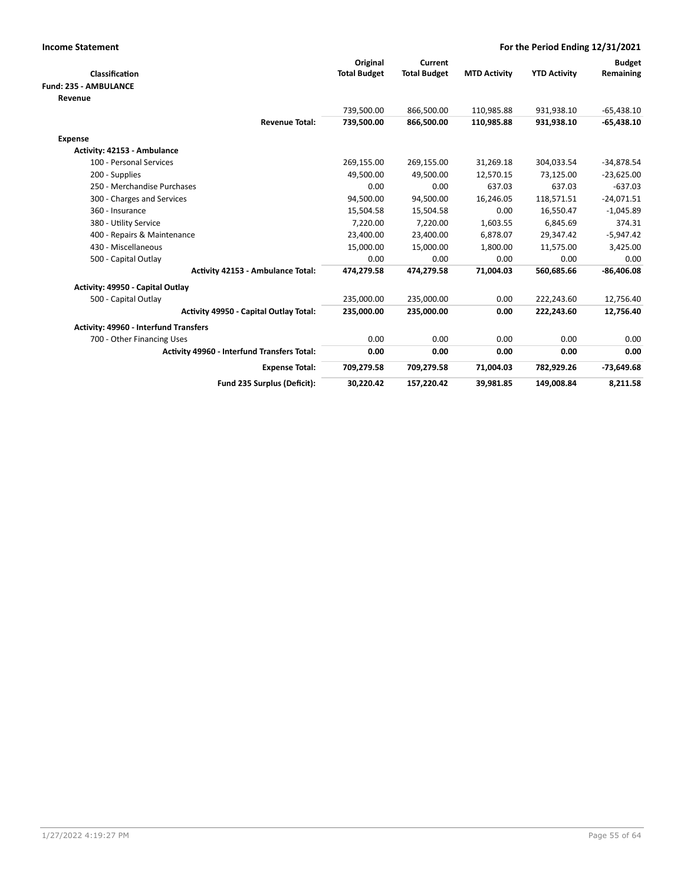| <b>Income Statement</b>                            |                     |                     |                     | For the Period Ending 12/31/2021 |               |
|----------------------------------------------------|---------------------|---------------------|---------------------|----------------------------------|---------------|
|                                                    | Original            | Current             |                     |                                  | <b>Budget</b> |
| Classification                                     | <b>Total Budget</b> | <b>Total Budget</b> | <b>MTD Activity</b> | <b>YTD Activity</b>              | Remaining     |
| <b>Fund: 235 - AMBULANCE</b>                       |                     |                     |                     |                                  |               |
| Revenue                                            |                     |                     |                     |                                  |               |
|                                                    | 739,500.00          | 866,500.00          | 110,985.88          | 931,938.10                       | $-65,438.10$  |
| <b>Revenue Total:</b>                              | 739,500.00          | 866,500.00          | 110,985.88          | 931,938.10                       | $-65,438.10$  |
| <b>Expense</b>                                     |                     |                     |                     |                                  |               |
| Activity: 42153 - Ambulance                        |                     |                     |                     |                                  |               |
| 100 - Personal Services                            | 269,155.00          | 269,155.00          | 31,269.18           | 304,033.54                       | $-34,878.54$  |
| 200 - Supplies                                     | 49,500.00           | 49,500.00           | 12,570.15           | 73,125.00                        | $-23,625.00$  |
| 250 - Merchandise Purchases                        | 0.00                | 0.00                | 637.03              | 637.03                           | $-637.03$     |
| 300 - Charges and Services                         | 94,500.00           | 94,500.00           | 16,246.05           | 118,571.51                       | $-24,071.51$  |
| 360 - Insurance                                    | 15,504.58           | 15,504.58           | 0.00                | 16,550.47                        | $-1,045.89$   |
| 380 - Utility Service                              | 7,220.00            | 7,220.00            | 1,603.55            | 6,845.69                         | 374.31        |
| 400 - Repairs & Maintenance                        | 23,400.00           | 23,400.00           | 6,878.07            | 29,347.42                        | $-5,947.42$   |
| 430 - Miscellaneous                                | 15,000.00           | 15,000.00           | 1,800.00            | 11,575.00                        | 3,425.00      |
| 500 - Capital Outlay                               | 0.00                | 0.00                | 0.00                | 0.00                             | 0.00          |
| <b>Activity 42153 - Ambulance Total:</b>           | 474,279.58          | 474,279.58          | 71,004.03           | 560,685.66                       | $-86,406.08$  |
| Activity: 49950 - Capital Outlay                   |                     |                     |                     |                                  |               |
| 500 - Capital Outlay                               | 235,000.00          | 235,000.00          | 0.00                | 222,243.60                       | 12,756.40     |
| <b>Activity 49950 - Capital Outlay Total:</b>      | 235,000.00          | 235,000.00          | 0.00                | 222,243.60                       | 12,756.40     |
| <b>Activity: 49960 - Interfund Transfers</b>       |                     |                     |                     |                                  |               |
| 700 - Other Financing Uses                         | 0.00                | 0.00                | 0.00                | 0.00                             | 0.00          |
| <b>Activity 49960 - Interfund Transfers Total:</b> | 0.00                | 0.00                | 0.00                | 0.00                             | 0.00          |
| <b>Expense Total:</b>                              | 709,279.58          | 709,279.58          | 71,004.03           | 782,929.26                       | $-73,649.68$  |
| Fund 235 Surplus (Deficit):                        | 30,220.42           | 157,220.42          | 39,981.85           | 149,008.84                       | 8,211.58      |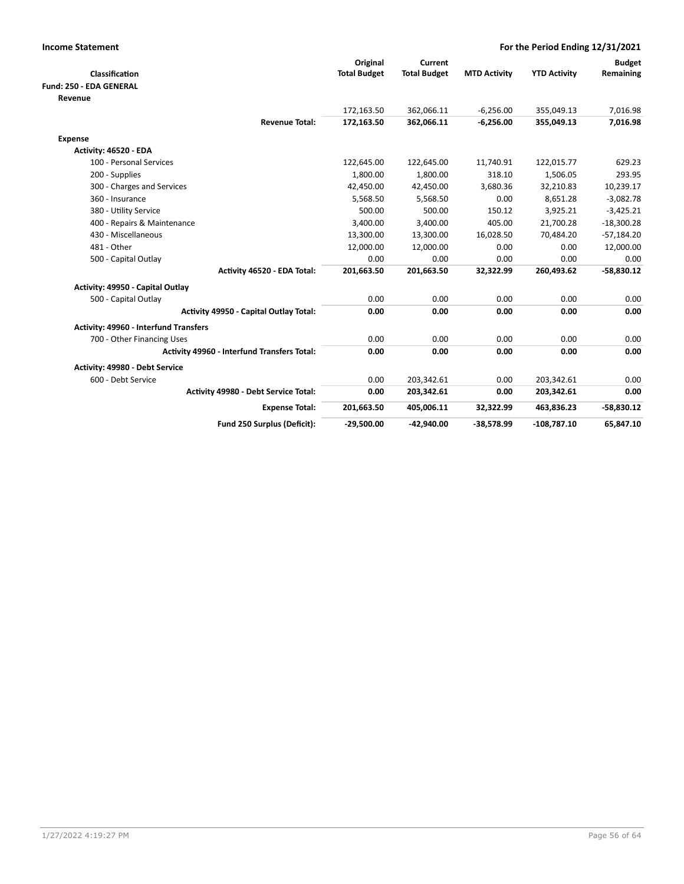| <b>Income Statement</b>                     | For the Period Ending 12/31/2021 |                     |                     |                     |               |
|---------------------------------------------|----------------------------------|---------------------|---------------------|---------------------|---------------|
|                                             | Original                         | Current             |                     |                     | <b>Budget</b> |
| Classification                              | <b>Total Budget</b>              | <b>Total Budget</b> | <b>MTD Activity</b> | <b>YTD Activity</b> | Remaining     |
| Fund: 250 - EDA GENERAL                     |                                  |                     |                     |                     |               |
| Revenue                                     |                                  |                     |                     |                     |               |
|                                             | 172,163.50                       | 362,066.11          | $-6,256.00$         | 355,049.13          | 7,016.98      |
| <b>Revenue Total:</b>                       | 172,163.50                       | 362,066.11          | $-6,256.00$         | 355,049.13          | 7,016.98      |
| <b>Expense</b>                              |                                  |                     |                     |                     |               |
| Activity: 46520 - EDA                       |                                  |                     |                     |                     |               |
| 100 - Personal Services                     | 122,645.00                       | 122,645.00          | 11,740.91           | 122,015.77          | 629.23        |
| 200 - Supplies                              | 1,800.00                         | 1,800.00            | 318.10              | 1,506.05            | 293.95        |
| 300 - Charges and Services                  | 42,450.00                        | 42,450.00           | 3,680.36            | 32,210.83           | 10,239.17     |
| 360 - Insurance                             | 5,568.50                         | 5,568.50            | 0.00                | 8,651.28            | $-3,082.78$   |
| 380 - Utility Service                       | 500.00                           | 500.00              | 150.12              | 3,925.21            | $-3,425.21$   |
| 400 - Repairs & Maintenance                 | 3,400.00                         | 3,400.00            | 405.00              | 21,700.28           | $-18,300.28$  |
| 430 - Miscellaneous                         | 13,300.00                        | 13,300.00           | 16,028.50           | 70,484.20           | $-57,184.20$  |
| 481 - Other                                 | 12,000.00                        | 12,000.00           | 0.00                | 0.00                | 12,000.00     |
| 500 - Capital Outlay                        | 0.00                             | 0.00                | 0.00                | 0.00                | 0.00          |
| Activity 46520 - EDA Total:                 | 201,663.50                       | 201,663.50          | 32,322.99           | 260,493.62          | $-58,830.12$  |
| Activity: 49950 - Capital Outlay            |                                  |                     |                     |                     |               |
| 500 - Capital Outlay                        | 0.00                             | 0.00                | 0.00                | 0.00                | 0.00          |
| Activity 49950 - Capital Outlay Total:      | 0.00                             | 0.00                | 0.00                | 0.00                | 0.00          |
| Activity: 49960 - Interfund Transfers       |                                  |                     |                     |                     |               |
| 700 - Other Financing Uses                  | 0.00                             | 0.00                | 0.00                | 0.00                | 0.00          |
| Activity 49960 - Interfund Transfers Total: | 0.00                             | 0.00                | 0.00                | 0.00                | 0.00          |
| Activity: 49980 - Debt Service              |                                  |                     |                     |                     |               |
| 600 - Debt Service                          | 0.00                             | 203,342.61          | 0.00                | 203,342.61          | 0.00          |
| Activity 49980 - Debt Service Total:        | 0.00                             | 203,342.61          | 0.00                | 203,342.61          | 0.00          |
| <b>Expense Total:</b>                       | 201,663.50                       | 405,006.11          | 32,322.99           | 463,836.23          | $-58,830.12$  |
| Fund 250 Surplus (Deficit):                 | $-29,500.00$                     | $-42,940.00$        | $-38,578.99$        | $-108,787.10$       | 65,847.10     |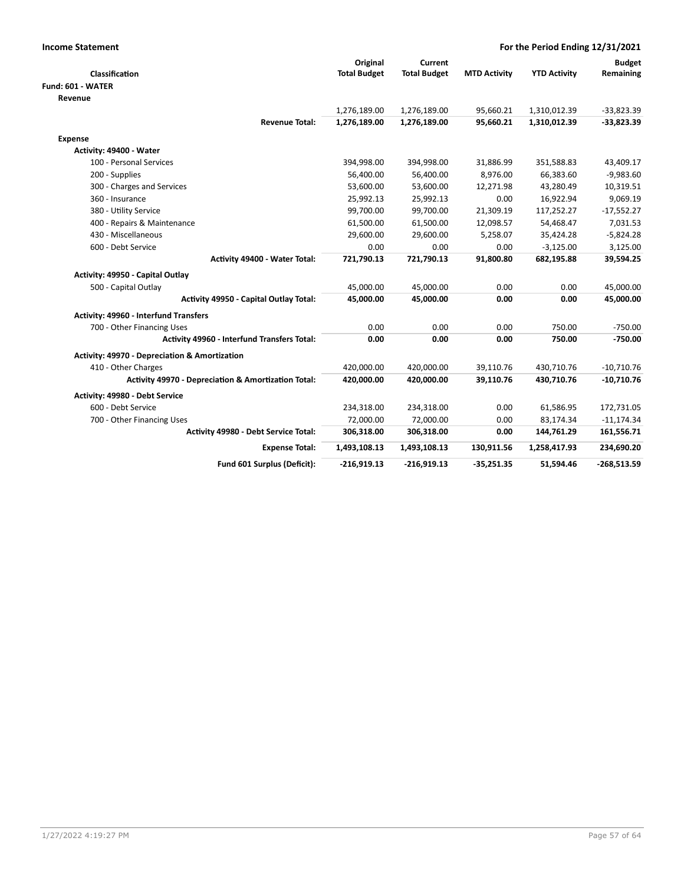| <b>Income Statement</b>                             |                     | For the Period Ending 12/31/2021 |                     |                     |               |
|-----------------------------------------------------|---------------------|----------------------------------|---------------------|---------------------|---------------|
|                                                     | Original            | Current                          |                     |                     | <b>Budget</b> |
| Classification                                      | <b>Total Budget</b> | <b>Total Budget</b>              | <b>MTD Activity</b> | <b>YTD Activity</b> | Remaining     |
| Fund: 601 - WATER                                   |                     |                                  |                     |                     |               |
| Revenue                                             |                     |                                  |                     |                     |               |
|                                                     | 1,276,189.00        | 1,276,189.00                     | 95,660.21           | 1,310,012.39        | $-33,823.39$  |
| <b>Revenue Total:</b>                               | 1,276,189.00        | 1,276,189.00                     | 95,660.21           | 1,310,012.39        | $-33,823.39$  |
| Expense                                             |                     |                                  |                     |                     |               |
| Activity: 49400 - Water                             |                     |                                  |                     |                     |               |
| 100 - Personal Services                             | 394,998.00          | 394,998.00                       | 31,886.99           | 351,588.83          | 43,409.17     |
| 200 - Supplies                                      | 56,400.00           | 56,400.00                        | 8,976.00            | 66,383.60           | $-9,983.60$   |
| 300 - Charges and Services                          | 53,600.00           | 53,600.00                        | 12,271.98           | 43,280.49           | 10,319.51     |
| 360 - Insurance                                     | 25,992.13           | 25,992.13                        | 0.00                | 16,922.94           | 9,069.19      |
| 380 - Utility Service                               | 99,700.00           | 99,700.00                        | 21,309.19           | 117,252.27          | $-17,552.27$  |
| 400 - Repairs & Maintenance                         | 61,500.00           | 61,500.00                        | 12,098.57           | 54,468.47           | 7,031.53      |
| 430 - Miscellaneous                                 | 29,600.00           | 29,600.00                        | 5,258.07            | 35,424.28           | $-5,824.28$   |
| 600 - Debt Service                                  | 0.00                | 0.00                             | 0.00                | $-3,125.00$         | 3,125.00      |
| Activity 49400 - Water Total:                       | 721,790.13          | 721,790.13                       | 91,800.80           | 682,195.88          | 39,594.25     |
| Activity: 49950 - Capital Outlay                    |                     |                                  |                     |                     |               |
| 500 - Capital Outlay                                | 45,000.00           | 45,000.00                        | 0.00                | 0.00                | 45,000.00     |
| Activity 49950 - Capital Outlay Total:              | 45,000.00           | 45,000.00                        | 0.00                | 0.00                | 45,000.00     |
| <b>Activity: 49960 - Interfund Transfers</b>        |                     |                                  |                     |                     |               |
| 700 - Other Financing Uses                          | 0.00                | 0.00                             | 0.00                | 750.00              | $-750.00$     |
| Activity 49960 - Interfund Transfers Total:         | 0.00                | 0.00                             | 0.00                | 750.00              | $-750.00$     |
| Activity: 49970 - Depreciation & Amortization       |                     |                                  |                     |                     |               |
| 410 - Other Charges                                 | 420,000.00          | 420,000.00                       | 39,110.76           | 430,710.76          | $-10,710.76$  |
| Activity 49970 - Depreciation & Amortization Total: | 420,000.00          | 420,000.00                       | 39,110.76           | 430,710.76          | $-10,710.76$  |
| Activity: 49980 - Debt Service                      |                     |                                  |                     |                     |               |
| 600 - Debt Service                                  | 234,318.00          | 234,318.00                       | 0.00                | 61,586.95           | 172,731.05    |
| 700 - Other Financing Uses                          | 72,000.00           | 72,000.00                        | 0.00                | 83,174.34           | $-11,174.34$  |
| Activity 49980 - Debt Service Total:                | 306,318.00          | 306,318.00                       | 0.00                | 144,761.29          | 161,556.71    |
| <b>Expense Total:</b>                               | 1,493,108.13        | 1,493,108.13                     | 130,911.56          | 1,258,417.93        | 234,690.20    |
| Fund 601 Surplus (Deficit):                         | $-216,919.13$       | $-216,919.13$                    | $-35,251.35$        | 51,594.46           | $-268,513.59$ |
|                                                     |                     |                                  |                     |                     |               |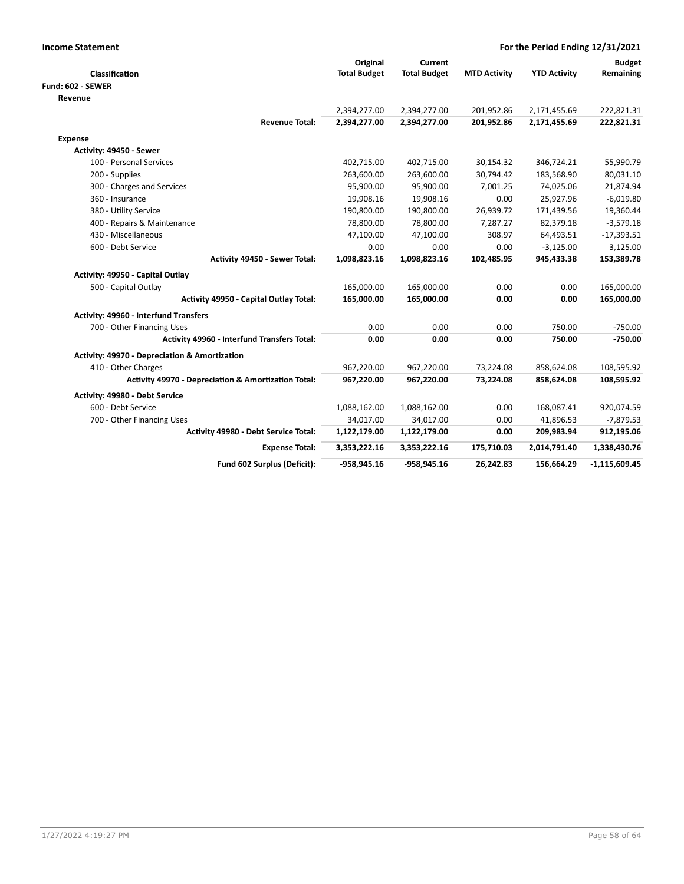| <b>Income Statement</b>                                  | For the Period Ending 12/31/2021 |                     |                     |                     |                 |  |
|----------------------------------------------------------|----------------------------------|---------------------|---------------------|---------------------|-----------------|--|
|                                                          | Original                         | Current             |                     |                     | <b>Budget</b>   |  |
| Classification                                           | <b>Total Budget</b>              | <b>Total Budget</b> | <b>MTD Activity</b> | <b>YTD Activity</b> | Remaining       |  |
| Fund: 602 - SEWER                                        |                                  |                     |                     |                     |                 |  |
| Revenue                                                  |                                  |                     |                     |                     |                 |  |
|                                                          | 2,394,277.00                     | 2,394,277.00        | 201,952.86          | 2,171,455.69        | 222,821.31      |  |
| <b>Revenue Total:</b>                                    | 2,394,277.00                     | 2,394,277.00        | 201,952.86          | 2,171,455.69        | 222,821.31      |  |
| Expense                                                  |                                  |                     |                     |                     |                 |  |
| Activity: 49450 - Sewer                                  |                                  |                     |                     |                     |                 |  |
| 100 - Personal Services                                  | 402,715.00                       | 402,715.00          | 30,154.32           | 346,724.21          | 55,990.79       |  |
| 200 - Supplies                                           | 263,600.00                       | 263,600.00          | 30,794.42           | 183,568.90          | 80,031.10       |  |
| 300 - Charges and Services                               | 95,900.00                        | 95,900.00           | 7,001.25            | 74,025.06           | 21,874.94       |  |
| 360 - Insurance                                          | 19,908.16                        | 19,908.16           | 0.00                | 25,927.96           | $-6,019.80$     |  |
| 380 - Utility Service                                    | 190,800.00                       | 190,800.00          | 26,939.72           | 171,439.56          | 19,360.44       |  |
| 400 - Repairs & Maintenance                              | 78,800.00                        | 78,800.00           | 7,287.27            | 82,379.18           | $-3,579.18$     |  |
| 430 - Miscellaneous                                      | 47,100.00                        | 47,100.00           | 308.97              | 64,493.51           | $-17,393.51$    |  |
| 600 - Debt Service                                       | 0.00                             | 0.00                | 0.00                | $-3,125.00$         | 3,125.00        |  |
| Activity 49450 - Sewer Total:                            | 1,098,823.16                     | 1,098,823.16        | 102,485.95          | 945,433.38          | 153,389.78      |  |
| Activity: 49950 - Capital Outlay                         |                                  |                     |                     |                     |                 |  |
| 500 - Capital Outlay                                     | 165,000.00                       | 165,000.00          | 0.00                | 0.00                | 165,000.00      |  |
| Activity 49950 - Capital Outlay Total:                   | 165,000.00                       | 165,000.00          | 0.00                | 0.00                | 165,000.00      |  |
| <b>Activity: 49960 - Interfund Transfers</b>             |                                  |                     |                     |                     |                 |  |
| 700 - Other Financing Uses                               | 0.00                             | 0.00                | 0.00                | 750.00              | $-750.00$       |  |
| Activity 49960 - Interfund Transfers Total:              | 0.00                             | 0.00                | 0.00                | 750.00              | $-750.00$       |  |
| <b>Activity: 49970 - Depreciation &amp; Amortization</b> |                                  |                     |                     |                     |                 |  |
| 410 - Other Charges                                      | 967,220.00                       | 967,220.00          | 73,224.08           | 858,624.08          | 108,595.92      |  |
| Activity 49970 - Depreciation & Amortization Total:      | 967,220.00                       | 967,220.00          | 73,224.08           | 858,624.08          | 108,595.92      |  |
| Activity: 49980 - Debt Service                           |                                  |                     |                     |                     |                 |  |
| 600 - Debt Service                                       | 1,088,162.00                     | 1,088,162.00        | 0.00                | 168,087.41          | 920,074.59      |  |
| 700 - Other Financing Uses                               | 34,017.00                        | 34,017.00           | 0.00                | 41,896.53           | $-7,879.53$     |  |
| Activity 49980 - Debt Service Total:                     | 1,122,179.00                     | 1,122,179.00        | 0.00                | 209,983.94          | 912,195.06      |  |
| <b>Expense Total:</b>                                    | 3,353,222.16                     | 3,353,222.16        | 175,710.03          | 2,014,791.40        | 1,338,430.76    |  |
| Fund 602 Surplus (Deficit):                              | $-958,945.16$                    | -958,945.16         | 26,242.83           | 156,664.29          | $-1,115,609.45$ |  |
|                                                          |                                  |                     |                     |                     |                 |  |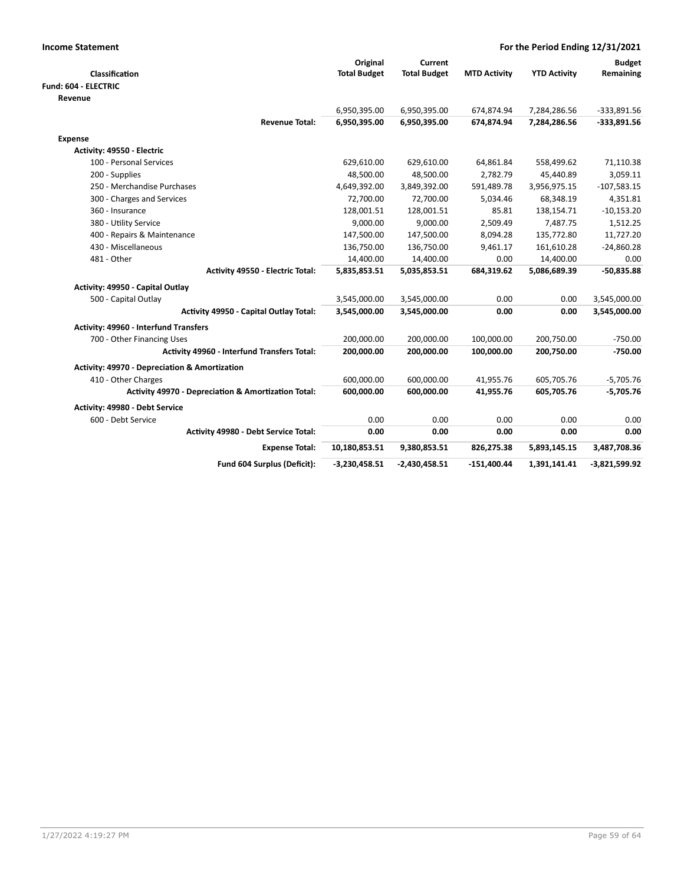| <b>Income Statement</b>                                  | For the Period Ending 12/31/2021 |                     |                     |                     |                 |  |
|----------------------------------------------------------|----------------------------------|---------------------|---------------------|---------------------|-----------------|--|
|                                                          | Original                         | Current             |                     |                     | <b>Budget</b>   |  |
| Classification                                           | <b>Total Budget</b>              | <b>Total Budget</b> | <b>MTD Activity</b> | <b>YTD Activity</b> | Remaining       |  |
| Fund: 604 - ELECTRIC                                     |                                  |                     |                     |                     |                 |  |
| Revenue                                                  |                                  |                     |                     |                     |                 |  |
|                                                          | 6,950,395.00                     | 6,950,395.00        | 674,874.94          | 7,284,286.56        | $-333,891.56$   |  |
| <b>Revenue Total:</b>                                    | 6,950,395.00                     | 6,950,395.00        | 674,874.94          | 7,284,286.56        | -333,891.56     |  |
| <b>Expense</b>                                           |                                  |                     |                     |                     |                 |  |
| Activity: 49550 - Electric                               |                                  |                     |                     |                     |                 |  |
| 100 - Personal Services                                  | 629,610.00                       | 629,610.00          | 64,861.84           | 558,499.62          | 71,110.38       |  |
| 200 - Supplies                                           | 48,500.00                        | 48,500.00           | 2,782.79            | 45,440.89           | 3,059.11        |  |
| 250 - Merchandise Purchases                              | 4,649,392.00                     | 3,849,392.00        | 591,489.78          | 3,956,975.15        | $-107,583.15$   |  |
| 300 - Charges and Services                               | 72,700.00                        | 72,700.00           | 5,034.46            | 68,348.19           | 4,351.81        |  |
| 360 - Insurance                                          | 128,001.51                       | 128,001.51          | 85.81               | 138,154.71          | $-10,153.20$    |  |
| 380 - Utility Service                                    | 9,000.00                         | 9,000.00            | 2,509.49            | 7,487.75            | 1,512.25        |  |
| 400 - Repairs & Maintenance                              | 147,500.00                       | 147,500.00          | 8,094.28            | 135,772.80          | 11,727.20       |  |
| 430 - Miscellaneous                                      | 136,750.00                       | 136,750.00          | 9,461.17            | 161,610.28          | $-24,860.28$    |  |
| 481 - Other                                              | 14,400.00                        | 14,400.00           | 0.00                | 14,400.00           | 0.00            |  |
| Activity 49550 - Electric Total:                         | 5,835,853.51                     | 5,035,853.51        | 684,319.62          | 5,086,689.39        | $-50,835.88$    |  |
| Activity: 49950 - Capital Outlay                         |                                  |                     |                     |                     |                 |  |
| 500 - Capital Outlay                                     | 3,545,000.00                     | 3,545,000.00        | 0.00                | 0.00                | 3,545,000.00    |  |
| Activity 49950 - Capital Outlay Total:                   | 3,545,000.00                     | 3,545,000.00        | 0.00                | 0.00                | 3,545,000.00    |  |
| Activity: 49960 - Interfund Transfers                    |                                  |                     |                     |                     |                 |  |
| 700 - Other Financing Uses                               | 200,000.00                       | 200,000.00          | 100,000.00          | 200,750.00          | $-750.00$       |  |
| Activity 49960 - Interfund Transfers Total:              | 200,000.00                       | 200,000.00          | 100,000.00          | 200,750.00          | $-750.00$       |  |
| <b>Activity: 49970 - Depreciation &amp; Amortization</b> |                                  |                     |                     |                     |                 |  |
| 410 - Other Charges                                      | 600,000.00                       | 600,000.00          | 41,955.76           | 605,705.76          | $-5,705.76$     |  |
| Activity 49970 - Depreciation & Amortization Total:      | 600,000.00                       | 600,000.00          | 41,955.76           | 605,705.76          | $-5,705.76$     |  |
| Activity: 49980 - Debt Service                           |                                  |                     |                     |                     |                 |  |
| 600 - Debt Service                                       | 0.00                             | 0.00                | 0.00                | 0.00                | 0.00            |  |
| Activity 49980 - Debt Service Total:                     | 0.00                             | 0.00                | 0.00                | 0.00                | 0.00            |  |
| <b>Expense Total:</b>                                    | 10,180,853.51                    | 9,380,853.51        | 826,275.38          | 5,893,145.15        | 3,487,708.36    |  |
| Fund 604 Surplus (Deficit):                              | $-3,230,458.51$                  | $-2,430,458.51$     | $-151,400.44$       | 1,391,141.41        | $-3,821,599.92$ |  |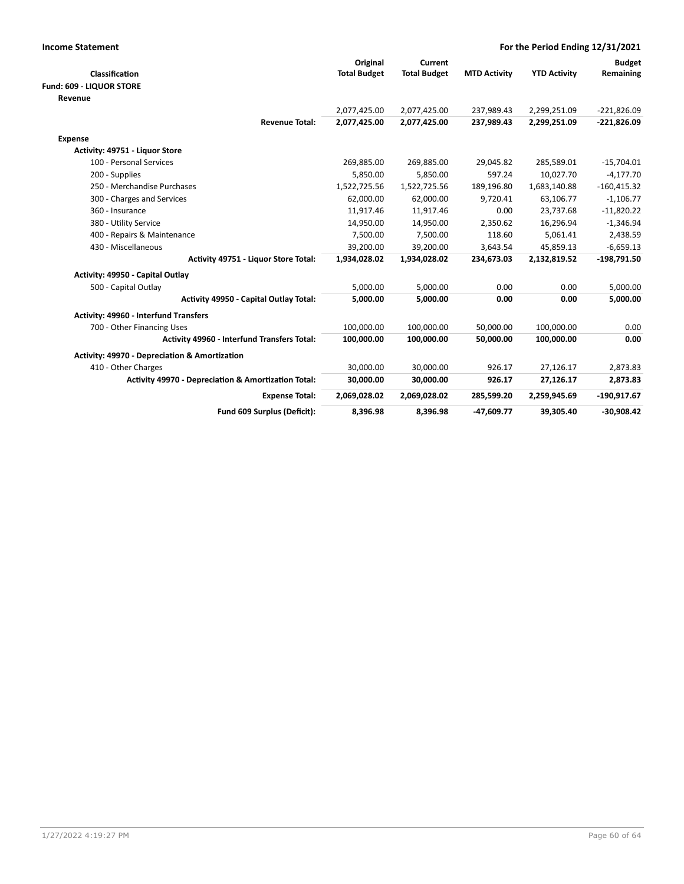| <b>Income Statement</b>                                  | For the Period Ending 12/31/2021 |                     |                     |                     |               |  |
|----------------------------------------------------------|----------------------------------|---------------------|---------------------|---------------------|---------------|--|
|                                                          | Original                         | Current             |                     |                     | <b>Budget</b> |  |
| Classification                                           | <b>Total Budget</b>              | <b>Total Budget</b> | <b>MTD Activity</b> | <b>YTD Activity</b> | Remaining     |  |
| Fund: 609 - LIQUOR STORE                                 |                                  |                     |                     |                     |               |  |
| Revenue                                                  |                                  |                     |                     |                     |               |  |
|                                                          | 2,077,425.00                     | 2,077,425.00        | 237,989.43          | 2,299,251.09        | $-221,826.09$ |  |
| <b>Revenue Total:</b>                                    | 2,077,425.00                     | 2,077,425.00        | 237,989.43          | 2,299,251.09        | $-221,826.09$ |  |
| <b>Expense</b>                                           |                                  |                     |                     |                     |               |  |
| Activity: 49751 - Liquor Store                           |                                  |                     |                     |                     |               |  |
| 100 - Personal Services                                  | 269,885.00                       | 269,885.00          | 29,045.82           | 285,589.01          | $-15,704.01$  |  |
| 200 - Supplies                                           | 5,850.00                         | 5,850.00            | 597.24              | 10,027.70           | $-4,177.70$   |  |
| 250 - Merchandise Purchases                              | 1,522,725.56                     | 1,522,725.56        | 189,196.80          | 1,683,140.88        | $-160,415.32$ |  |
| 300 - Charges and Services                               | 62,000.00                        | 62,000.00           | 9,720.41            | 63,106.77           | $-1,106.77$   |  |
| 360 - Insurance                                          | 11,917.46                        | 11,917.46           | 0.00                | 23,737.68           | $-11,820.22$  |  |
| 380 - Utility Service                                    | 14,950.00                        | 14,950.00           | 2,350.62            | 16,296.94           | $-1,346.94$   |  |
| 400 - Repairs & Maintenance                              | 7,500.00                         | 7,500.00            | 118.60              | 5,061.41            | 2,438.59      |  |
| 430 - Miscellaneous                                      | 39,200.00                        | 39,200.00           | 3,643.54            | 45,859.13           | $-6,659.13$   |  |
| Activity 49751 - Liquor Store Total:                     | 1,934,028.02                     | 1,934,028.02        | 234,673.03          | 2,132,819.52        | $-198,791.50$ |  |
| Activity: 49950 - Capital Outlay                         |                                  |                     |                     |                     |               |  |
| 500 - Capital Outlay                                     | 5,000.00                         | 5,000.00            | 0.00                | 0.00                | 5,000.00      |  |
| Activity 49950 - Capital Outlay Total:                   | 5,000.00                         | 5.000.00            | 0.00                | 0.00                | 5,000.00      |  |
| Activity: 49960 - Interfund Transfers                    |                                  |                     |                     |                     |               |  |
| 700 - Other Financing Uses                               | 100,000.00                       | 100,000.00          | 50,000.00           | 100,000.00          | 0.00          |  |
| <b>Activity 49960 - Interfund Transfers Total:</b>       | 100,000.00                       | 100,000.00          | 50,000.00           | 100,000.00          | 0.00          |  |
| <b>Activity: 49970 - Depreciation &amp; Amortization</b> |                                  |                     |                     |                     |               |  |
| 410 - Other Charges                                      | 30,000.00                        | 30,000.00           | 926.17              | 27,126.17           | 2,873.83      |  |
| Activity 49970 - Depreciation & Amortization Total:      | 30,000.00                        | 30,000.00           | 926.17              | 27,126.17           | 2,873.83      |  |
| <b>Expense Total:</b>                                    | 2,069,028.02                     | 2,069,028.02        | 285,599.20          | 2,259,945.69        | -190,917.67   |  |
| Fund 609 Surplus (Deficit):                              | 8,396.98                         | 8,396.98            | $-47,609.77$        | 39,305.40           | $-30,908.42$  |  |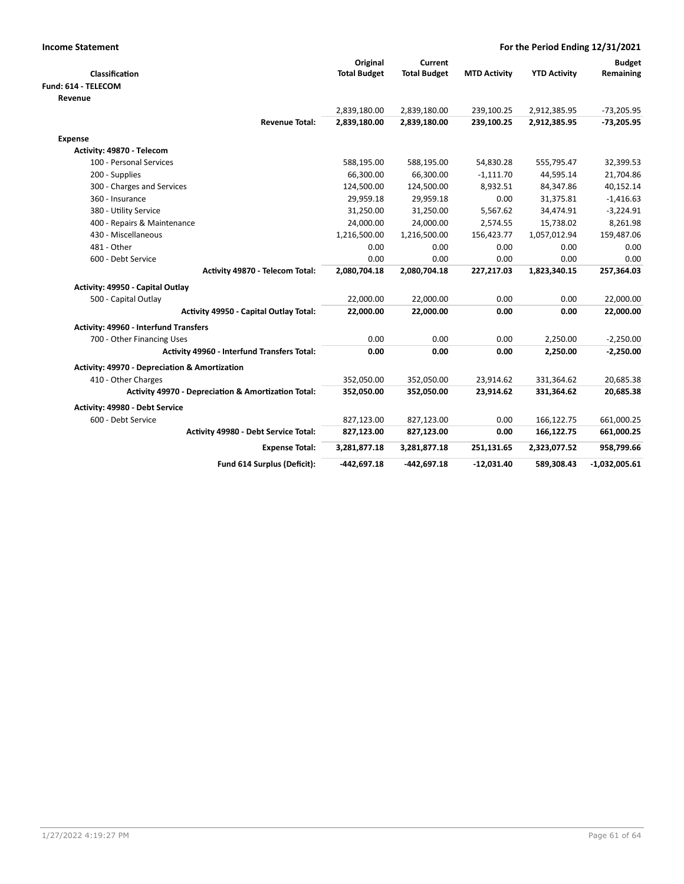| <b>Income Statement</b>                             | For the Period Ending 12/31/2021 |                     |                     |                     |                 |
|-----------------------------------------------------|----------------------------------|---------------------|---------------------|---------------------|-----------------|
|                                                     | Original                         | Current             |                     |                     | <b>Budget</b>   |
| Classification                                      | <b>Total Budget</b>              | <b>Total Budget</b> | <b>MTD Activity</b> | <b>YTD Activity</b> | Remaining       |
| Fund: 614 - TELECOM                                 |                                  |                     |                     |                     |                 |
| Revenue                                             |                                  |                     |                     |                     |                 |
|                                                     | 2,839,180.00                     | 2,839,180.00        | 239,100.25          | 2,912,385.95        | $-73,205.95$    |
| <b>Revenue Total:</b>                               | 2,839,180.00                     | 2,839,180.00        | 239,100.25          | 2,912,385.95        | $-73,205.95$    |
| <b>Expense</b>                                      |                                  |                     |                     |                     |                 |
| Activity: 49870 - Telecom                           |                                  |                     |                     |                     |                 |
| 100 - Personal Services                             | 588,195.00                       | 588,195.00          | 54,830.28           | 555,795.47          | 32,399.53       |
| 200 - Supplies                                      | 66,300.00                        | 66,300.00           | $-1,111.70$         | 44,595.14           | 21,704.86       |
| 300 - Charges and Services                          | 124,500.00                       | 124,500.00          | 8,932.51            | 84,347.86           | 40,152.14       |
| 360 - Insurance                                     | 29,959.18                        | 29,959.18           | 0.00                | 31,375.81           | $-1,416.63$     |
| 380 - Utility Service                               | 31,250.00                        | 31,250.00           | 5,567.62            | 34,474.91           | $-3,224.91$     |
| 400 - Repairs & Maintenance                         | 24,000.00                        | 24,000.00           | 2,574.55            | 15,738.02           | 8,261.98        |
| 430 - Miscellaneous                                 | 1,216,500.00                     | 1,216,500.00        | 156,423.77          | 1,057,012.94        | 159,487.06      |
| 481 - Other                                         | 0.00                             | 0.00                | 0.00                | 0.00                | 0.00            |
| 600 - Debt Service                                  | 0.00                             | 0.00                | 0.00                | 0.00                | 0.00            |
| Activity 49870 - Telecom Total:                     | 2,080,704.18                     | 2,080,704.18        | 227,217.03          | 1,823,340.15        | 257,364.03      |
| Activity: 49950 - Capital Outlay                    |                                  |                     |                     |                     |                 |
| 500 - Capital Outlay                                | 22,000.00                        | 22,000.00           | 0.00                | 0.00                | 22,000.00       |
| Activity 49950 - Capital Outlay Total:              | 22,000.00                        | 22,000.00           | 0.00                | 0.00                | 22,000.00       |
| Activity: 49960 - Interfund Transfers               |                                  |                     |                     |                     |                 |
| 700 - Other Financing Uses                          | 0.00                             | 0.00                | 0.00                | 2,250.00            | $-2,250.00$     |
| <b>Activity 49960 - Interfund Transfers Total:</b>  | 0.00                             | 0.00                | 0.00                | 2,250.00            | $-2,250.00$     |
| Activity: 49970 - Depreciation & Amortization       |                                  |                     |                     |                     |                 |
| 410 - Other Charges                                 | 352,050.00                       | 352,050.00          | 23,914.62           | 331,364.62          | 20,685.38       |
| Activity 49970 - Depreciation & Amortization Total: | 352,050.00                       | 352,050.00          | 23,914.62           | 331,364.62          | 20,685.38       |
| Activity: 49980 - Debt Service                      |                                  |                     |                     |                     |                 |
| 600 - Debt Service                                  | 827,123.00                       | 827,123.00          | 0.00                | 166,122.75          | 661,000.25      |
| Activity 49980 - Debt Service Total:                | 827,123.00                       | 827,123.00          | 0.00                | 166,122.75          | 661,000.25      |
| <b>Expense Total:</b>                               | 3,281,877.18                     | 3,281,877.18        | 251,131.65          | 2,323,077.52        | 958,799.66      |
| Fund 614 Surplus (Deficit):                         | -442,697.18                      | -442,697.18         | $-12,031.40$        | 589,308.43          | $-1,032,005.61$ |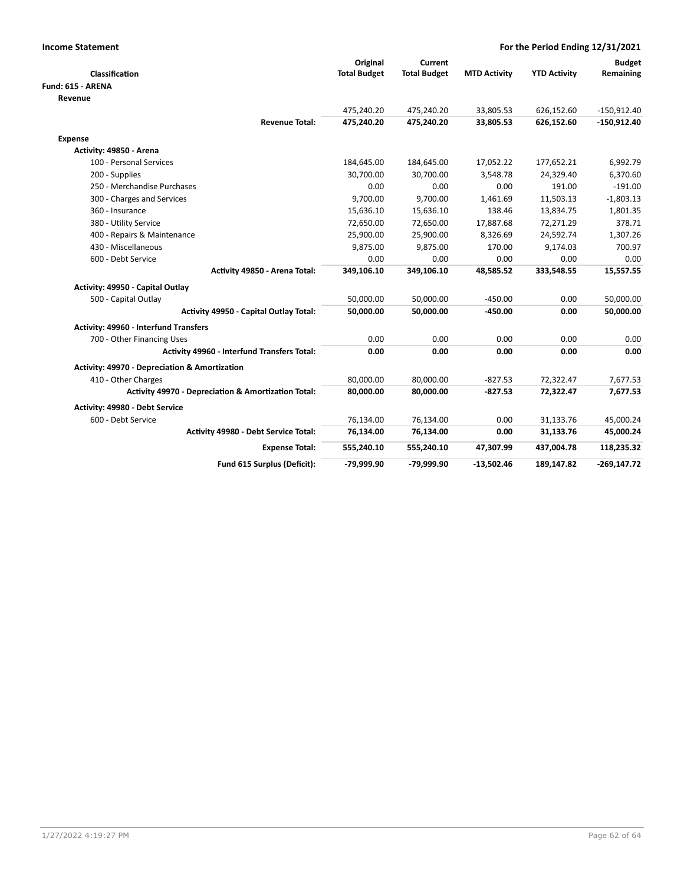| <b>Income Statement</b>                             | For the Period Ending 12/31/2021 |                     |                     |                     |               |  |
|-----------------------------------------------------|----------------------------------|---------------------|---------------------|---------------------|---------------|--|
|                                                     | Original                         | Current             |                     |                     | <b>Budget</b> |  |
| Classification                                      | <b>Total Budget</b>              | <b>Total Budget</b> | <b>MTD Activity</b> | <b>YTD Activity</b> | Remaining     |  |
| Fund: 615 - ARENA                                   |                                  |                     |                     |                     |               |  |
| Revenue                                             |                                  |                     |                     |                     |               |  |
|                                                     | 475,240.20                       | 475,240.20          | 33,805.53           | 626,152.60          | $-150,912.40$ |  |
| <b>Revenue Total:</b>                               | 475,240.20                       | 475,240.20          | 33,805.53           | 626,152.60          | $-150,912.40$ |  |
| <b>Expense</b>                                      |                                  |                     |                     |                     |               |  |
| Activity: 49850 - Arena                             |                                  |                     |                     |                     |               |  |
| 100 - Personal Services                             | 184,645.00                       | 184,645.00          | 17,052.22           | 177,652.21          | 6,992.79      |  |
| 200 - Supplies                                      | 30,700.00                        | 30,700.00           | 3,548.78            | 24,329.40           | 6,370.60      |  |
| 250 - Merchandise Purchases                         | 0.00                             | 0.00                | 0.00                | 191.00              | $-191.00$     |  |
| 300 - Charges and Services                          | 9,700.00                         | 9,700.00            | 1,461.69            | 11,503.13           | $-1,803.13$   |  |
| 360 - Insurance                                     | 15,636.10                        | 15,636.10           | 138.46              | 13,834.75           | 1,801.35      |  |
| 380 - Utility Service                               | 72,650.00                        | 72,650.00           | 17,887.68           | 72,271.29           | 378.71        |  |
| 400 - Repairs & Maintenance                         | 25,900.00                        | 25,900.00           | 8,326.69            | 24,592.74           | 1,307.26      |  |
| 430 - Miscellaneous                                 | 9,875.00                         | 9,875.00            | 170.00              | 9,174.03            | 700.97        |  |
| 600 - Debt Service                                  | 0.00                             | 0.00                | 0.00                | 0.00                | 0.00          |  |
| Activity 49850 - Arena Total:                       | 349,106.10                       | 349,106.10          | 48,585.52           | 333,548.55          | 15,557.55     |  |
| Activity: 49950 - Capital Outlay                    |                                  |                     |                     |                     |               |  |
| 500 - Capital Outlay                                | 50,000.00                        | 50,000.00           | $-450.00$           | 0.00                | 50,000.00     |  |
| Activity 49950 - Capital Outlay Total:              | 50,000.00                        | 50,000.00           | $-450.00$           | 0.00                | 50,000.00     |  |
| Activity: 49960 - Interfund Transfers               |                                  |                     |                     |                     |               |  |
| 700 - Other Financing Uses                          | 0.00                             | 0.00                | 0.00                | 0.00                | 0.00          |  |
| <b>Activity 49960 - Interfund Transfers Total:</b>  | 0.00                             | 0.00                | 0.00                | 0.00                | 0.00          |  |
| Activity: 49970 - Depreciation & Amortization       |                                  |                     |                     |                     |               |  |
| 410 - Other Charges                                 | 80,000.00                        | 80,000.00           | $-827.53$           | 72,322.47           | 7,677.53      |  |
| Activity 49970 - Depreciation & Amortization Total: | 80,000.00                        | 80,000.00           | $-827.53$           | 72,322.47           | 7,677.53      |  |
| Activity: 49980 - Debt Service                      |                                  |                     |                     |                     |               |  |
| 600 - Debt Service                                  | 76,134.00                        | 76,134.00           | 0.00                | 31,133.76           | 45,000.24     |  |
| Activity 49980 - Debt Service Total:                | 76,134.00                        | 76,134.00           | 0.00                | 31,133.76           | 45,000.24     |  |
| <b>Expense Total:</b>                               | 555,240.10                       | 555,240.10          | 47,307.99           | 437,004.78          | 118,235.32    |  |
| Fund 615 Surplus (Deficit):                         | -79.999.90                       | -79.999.90          | $-13,502.46$        | 189,147.82          | $-269,147.72$ |  |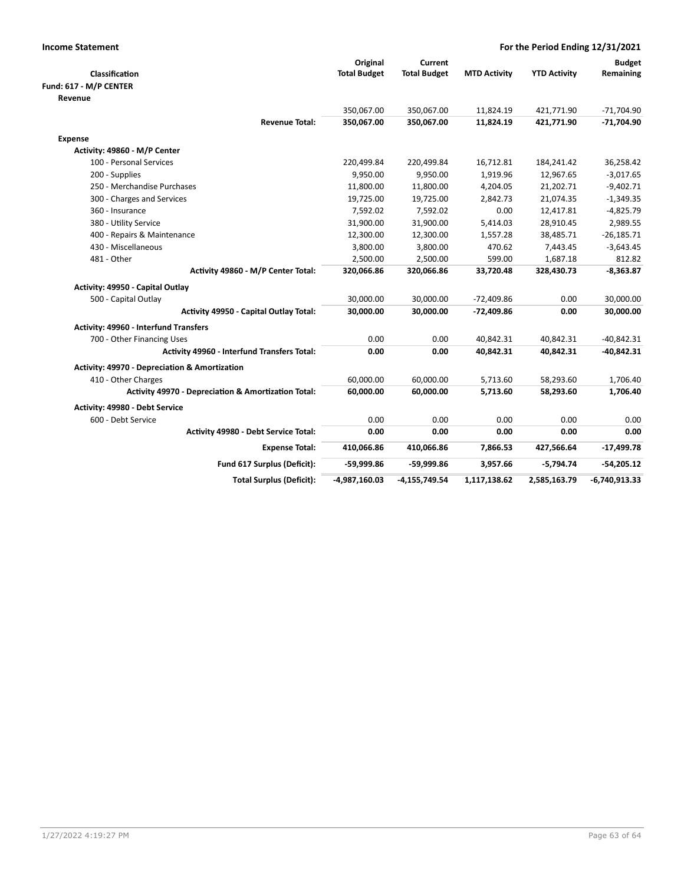| <b>Income Statement</b>                                        |                     |                     | For the Period Ending 12/31/2021 |                     |                 |  |
|----------------------------------------------------------------|---------------------|---------------------|----------------------------------|---------------------|-----------------|--|
|                                                                | Original            | Current             |                                  |                     | <b>Budget</b>   |  |
| Classification                                                 | <b>Total Budget</b> | <b>Total Budget</b> | <b>MTD Activity</b>              | <b>YTD Activity</b> | Remaining       |  |
| Fund: 617 - M/P CENTER                                         |                     |                     |                                  |                     |                 |  |
| Revenue                                                        |                     |                     |                                  |                     |                 |  |
|                                                                | 350,067.00          | 350,067.00          | 11,824.19                        | 421,771.90          | $-71,704.90$    |  |
| <b>Revenue Total:</b>                                          | 350,067.00          | 350,067.00          | 11,824.19                        | 421,771.90          | $-71,704.90$    |  |
| <b>Expense</b>                                                 |                     |                     |                                  |                     |                 |  |
| Activity: 49860 - M/P Center                                   |                     |                     |                                  |                     |                 |  |
| 100 - Personal Services                                        | 220,499.84          | 220,499.84          | 16,712.81                        | 184,241.42          | 36,258.42       |  |
| 200 - Supplies                                                 | 9,950.00            | 9,950.00            | 1,919.96                         | 12,967.65           | $-3,017.65$     |  |
| 250 - Merchandise Purchases                                    | 11,800.00           | 11,800.00           | 4,204.05                         | 21,202.71           | $-9,402.71$     |  |
| 300 - Charges and Services                                     | 19,725.00           | 19,725.00           | 2,842.73                         | 21,074.35           | $-1,349.35$     |  |
| 360 - Insurance                                                | 7,592.02            | 7,592.02            | 0.00                             | 12,417.81           | $-4,825.79$     |  |
| 380 - Utility Service                                          | 31,900.00           | 31,900.00           | 5,414.03                         | 28,910.45           | 2,989.55        |  |
| 400 - Repairs & Maintenance                                    | 12,300.00           | 12,300.00           | 1,557.28                         | 38,485.71           | $-26,185.71$    |  |
| 430 - Miscellaneous                                            | 3,800.00            | 3,800.00            | 470.62                           | 7,443.45            | $-3,643.45$     |  |
| 481 - Other                                                    | 2,500.00            | 2,500.00            | 599.00                           | 1,687.18            | 812.82          |  |
| Activity 49860 - M/P Center Total:                             | 320,066.86          | 320,066.86          | 33,720.48                        | 328,430.73          | $-8,363.87$     |  |
| Activity: 49950 - Capital Outlay                               |                     |                     |                                  |                     |                 |  |
| 500 - Capital Outlay                                           | 30,000.00           | 30,000.00           | $-72,409.86$                     | 0.00                | 30,000.00       |  |
| <b>Activity 49950 - Capital Outlay Total:</b>                  | 30,000.00           | 30,000.00           | $-72,409.86$                     | 0.00                | 30,000.00       |  |
| Activity: 49960 - Interfund Transfers                          |                     |                     |                                  |                     |                 |  |
| 700 - Other Financing Uses                                     | 0.00                | 0.00                | 40,842.31                        | 40,842.31           | $-40,842.31$    |  |
| Activity 49960 - Interfund Transfers Total:                    | 0.00                | 0.00                | 40,842.31                        | 40,842.31           | -40,842.31      |  |
| Activity: 49970 - Depreciation & Amortization                  |                     |                     |                                  |                     |                 |  |
| 410 - Other Charges                                            | 60,000.00           | 60,000.00           | 5,713.60                         | 58,293.60           | 1,706.40        |  |
| <b>Activity 49970 - Depreciation &amp; Amortization Total:</b> | 60,000.00           | 60,000.00           | 5,713.60                         | 58,293.60           | 1,706.40        |  |
| Activity: 49980 - Debt Service                                 |                     |                     |                                  |                     |                 |  |
| 600 - Debt Service                                             | 0.00                | 0.00                | 0.00                             | 0.00                | 0.00            |  |
| Activity 49980 - Debt Service Total:                           | 0.00                | 0.00                | 0.00                             | 0.00                | 0.00            |  |
| <b>Expense Total:</b>                                          | 410,066.86          | 410,066.86          | 7,866.53                         | 427,566.64          | $-17,499.78$    |  |
| Fund 617 Surplus (Deficit):                                    | -59,999.86          | -59,999.86          | 3,957.66                         | $-5,794.74$         | $-54,205.12$    |  |
| <b>Total Surplus (Deficit):</b>                                | -4,987,160.03       | $-4,155,749.54$     | 1,117,138.62                     | 2,585,163.79        | $-6,740,913.33$ |  |